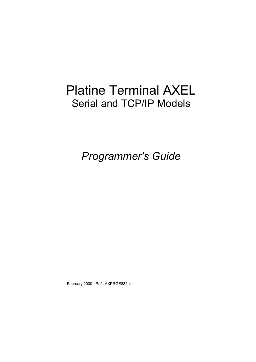# Platine Terminal AXEL Serial and TCP/IP Models

*Programmer's Guide* 

February 2000 - Ref.: AXPRGE832-4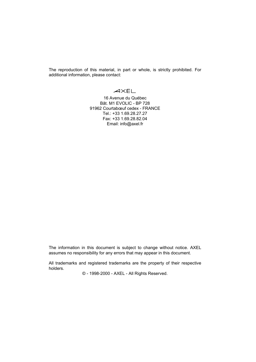The reproduction of this material, in part or whole, is strictly prohibited. For additional information, please contact:

# $\blacktriangle$ XEL

16 Avenue du Québec Bât. M1 EVOLIC - BP 728 91962 Courtabœuf cedex - FRANCE Tel.: +33 1.69.28.27.27 Fax: +33 1.69.28.82.04 Email: info@axel.fr

The information in this document is subject to change without notice. AXEL assumes no responsibility for any errors that may appear in this document.

All trademarks and registered trademarks are the property of their respective holders.

© - 1998-2000 - AXEL - All Rights Reserved.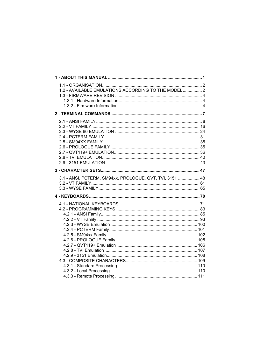| 1.2 - AVAILABLE EMULATIONS ACCORDING TO THE MODEL 2      |
|----------------------------------------------------------|
|                                                          |
|                                                          |
|                                                          |
| 3.1 - ANSI, PCTERM, SM94xx, PROLOGUE, QVT, TVI, 3151  48 |
|                                                          |
|                                                          |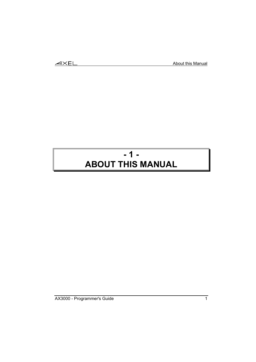# $-1 -$ **ABOUT THIS MANUAL**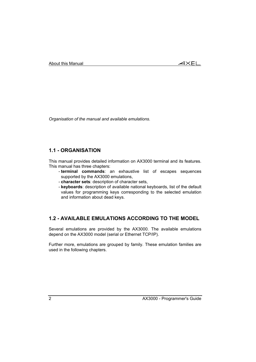*Organisation of the manual and available emulations.* 

# **1.1 - ORGANISATION**

This manual provides detailed information on AX3000 terminal and its features. This manual has three chapters:

- **terminal commands**: an exhaustive list of escapes sequences supported by the AX3000 emulations,
- **character sets**: description of character sets,
- **keyboards**: description of available national keyboards, list of the default values for programming keys corresponding to the selected emulation and information about dead keys.

## **1.2 - AVAILABLE EMULATIONS ACCORDING TO THE MODEL**

Several emulations are provided by the AX3000. The available emulations depend on the AX3000 model (serial or Ethernet TCP/IP).

Further more, emulations are grouped by family. These emulation families are used in the following chapters.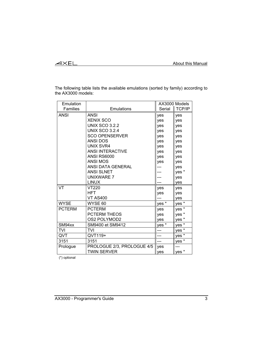| Emulation       |                            |        | AX3000 Models |
|-----------------|----------------------------|--------|---------------|
| <b>Families</b> | Emulations                 | Serial | <b>TCP/IP</b> |
| <b>ANSI</b>     | <b>ANSI</b>                | yes    | yes           |
|                 | <b>XENIX SCO</b>           | yes    | yes           |
|                 | <b>UNIX SCO 3.2.2</b>      | yes    | yes           |
|                 | <b>UNIX SCO 3.2.4</b>      | yes    | yes           |
|                 | <b>SCO OPENSERVER</b>      | yes    | yes           |
|                 | ANSI DOS                   | ves    | yes           |
|                 | <b>UNIX SVR4</b>           | yes    | yes           |
|                 | ANSI INTERACTIVE           | yes    | yes           |
|                 | ANSI RS6000                | yes    | yes           |
|                 | <b>ANSI MOS</b>            | yes    | yes           |
|                 | ANSI DATA GENERAL          |        | yes           |
|                 | <b>ANSI SLNET</b>          |        | yes *         |
|                 | UNIXWARE 7                 |        | yes           |
|                 | <b>LINUX</b>               |        | yes           |
| VT              | VT220                      | yes    | yes           |
|                 | <b>HFT</b>                 | yes    | yes           |
|                 | <b>VT AS400</b>            |        | yes           |
| <b>WYSE</b>     | WYSE 60                    | yes *  | $yes *$       |
| <b>PCTERM</b>   | <b>PCTERM</b>              | yes    | yes *         |
|                 | <b>PCTERM THEOS</b>        | yes    | yes *         |
|                 | OS2 POLYMOD2               | ves    | yes *         |
| SM94xx          | SM9400 et SM9412           | yes *  | yes *         |
| <b>TVI</b>      | <b>TVI</b>                 |        | yes *         |
| <b>OVT</b>      | QVT119+                    |        | yes *         |
| 3151            | 3151                       | ---    | yes *         |
| Prologue        | PROLOGUE 2/3, PROLOGUE 4/5 | yes    |               |
|                 | <b>TWIN SERVER</b>         | yes    | yes *         |

The following table lists the available emulations (sorted by family) according to the AX3000 models:

(\*) optional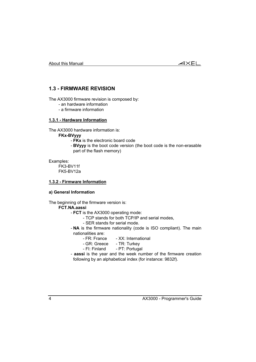# **1.3 - FIRMWARE REVISION**

The AX3000 firmware revision is composed by:

- an hardware information
- a firmware information

### **1.3.1 - Hardware Information**

The AX3000 hardware information is:

**FKx-BVyyy**

- **FKx** is the electronic board code
- **BVyyy** is the boot code version (the boot code is the non-erasable part of the flash memory)

Examples:

FK3-BV11f FK5-BV12a

#### **1.3.2 - Firmware Information**

#### **a) General Information**

The beginning of the firmware version is:

**FCT.NA.aassi** 

- **FCT** is the AX3000 operating mode:

- TCP stands for both TCP/IP and serial modes,
- SER stands for serial mode.
- **NA** is the firmware nationality (code is ISO compliant). The main nationalities are:
	- FR: France XX: International
	- GR: Greece TR: Turkey
	- FI: Finland PT: Portugal
- **aassi** is the year and the week number of the firmware creation following by an alphabetical index (for instance: 9832f).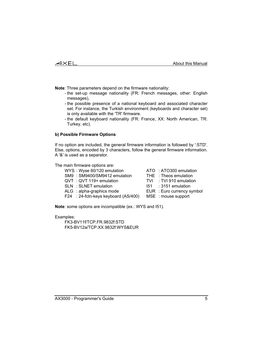**Note**: Three parameters depend on the firmware nationality:

- the set-up message nationality (FR: French messages, other: English messages),
- the possible presence of a national keyboard and associated character set. For instance, the Turkish environment (keyboards and character set) is only available with the 'TR' firmware.
- the default keyboard nationality (FR: France, XX: North American, TR: Turkey, etc).

#### **b) Possible Firmware Options**

If no option are included, the general firmware information is followed by ':STD'. Else, options, encoded by 3 characters, follow the general firmware information. A '&' is used as a separator.

The main firmware options are:

- WYS : Wyse 60/120 emulation <br>
SM9 : SM9400/SM9412 emulation THE : Theos emulation
- SM9 : SM9400/SM9412 emulation
- 
- SLN : SLNET emulation **I51** : 3151 emulation
- ALG : alpha-graphics mode EUR : Euro currency symbol
- F24 : 24-fctn-keys keyboard (AS/400) MSE : mouse support
- 
- 
- QVT : QVT 119+ emulation TVI : TVI 910 emulation
	-
	-
	-

**Note**: some options are incompatible (ex.: WYS and I51).

Examples:

FK3-BV11f/TCP.FR.9832f:STD FK5-BV12a/TCP.XX.9832f:WYS&EUR

 $\angle$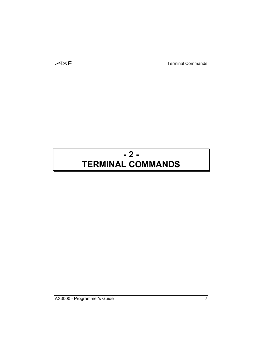# **- 2 - TERMINAL COMMANDS**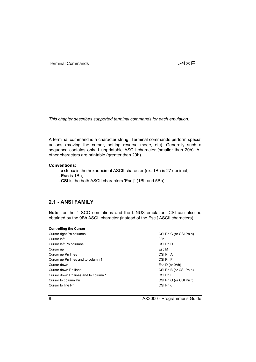$\angle XEL$ 

*This chapter describes supported terminal commands for each emulation.* 

A terminal command is a character string. Terminal commands perform special actions (moving the cursor, setting reverse mode, etc). Generally such a sequence contains only 1 unprintable ASCII character (smaller than 20h). All other characters are printable (greater than 20h).

#### **Conventions**:

- **xxh**: xx is the hexadecimal ASCII character (ex: 1Bh is 27 decimal),
- **Esc** is 1Bh,
- **CSI** is the both ASCII characters 'Esc [' (1Bh and 5Bh).

### **2.1 - ANSI FAMILY**

**Note**: for the 4 SCO emulations and the LINUX emulation, CSI can also be obtained by the 9Bh ASCII character (instead of the Esc [ ASCII characters).

| <b>Controlling the Cursor</b>        |                                        |
|--------------------------------------|----------------------------------------|
| Cursor right Pn columns              | CSI Pn C (or CSI Pn a)                 |
| Cursor left                          | 08h                                    |
| Cursor left Pn columns               | CSI Pn D                               |
| Cursor up                            | Esc M                                  |
| Cursor up Pn lines                   | CSI Pn A                               |
| Cursor up Pn lines and to column 1   | CSI Pn F                               |
| Cursor down                          | $\mathsf{Esc}\,D$ (or $0\mathsf{Ah}$ ) |
| Cursor down Pn lines                 | CSI Pn B (or CSI Pn e)                 |
| Cursor down Pn lines and to column 1 | CSI Pn E                               |
| Cursor to column Pn                  | CSI Pn G (or CSI Pn `)                 |
| Cursor to line Pn                    | CSI Pn d                               |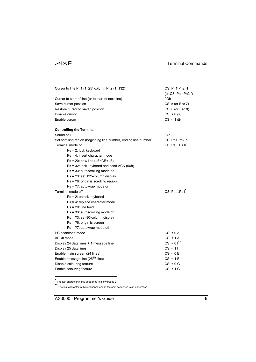## $\angle XEL$

| Cursor to line Pn1 (125) column Pn2 (1132)                       | CSI Pn1;Pn2 H<br>(or CSI Pn1;Pn2 f) |
|------------------------------------------------------------------|-------------------------------------|
| Cursor to start of line (or to start of next line)               | 0 <sub>Dh</sub>                     |
| Save cursor position                                             | CSI s (or Esc 7)                    |
| Restore cursor to saved position                                 | CSI u (or Esc 8)                    |
| Disable cursor                                                   | $CSI < 0$ @                         |
| Enable cursor                                                    | $CSI < 1$ @                         |
| <b>Controlling the Terminal</b>                                  |                                     |
| Sound bell                                                       | 07h                                 |
| Set scrolling region (beginning line number, ending line number) | CSI Pn1;Pn2 r                       |
| Terminal mode on                                                 | CSI Ps;Ps h                         |
| $Ps = 2$ : lock keyboard                                         |                                     |
| $Ps = 4$ : insert character mode                                 |                                     |
| $Ps = 20$ : new line (LF=CR+LF)                                  |                                     |
| Ps = 32: lock keyboard and send ACK (06h)                        |                                     |
| $Ps = 33$ : autoscrolling mode on                                |                                     |
| $Ps = ?3$ : set 132-column display                               |                                     |
| Ps = ?6: origin is scrolling region                              |                                     |
| $Ps = ?7$ : autowrap mode on                                     |                                     |
| Terminal mode off                                                | CSI Ps;Ps I                         |
| $Ps = 2$ : unlock keyboard                                       |                                     |
| $Ps = 4$ : replace character mode                                |                                     |
| $Ps = 20$ : line feed                                            |                                     |
| $Ps = 33$ : autoscrolling mode off                               |                                     |
| $Ps = ?3$ : set 80-column display                                |                                     |
| $Ps = ?6$ : origin is screen                                     |                                     |
| $Ps = ?7$ : autowrap mode off                                    |                                     |
| PC-scancode mode                                                 | CSI < 0 A                           |
| ASCII mode                                                       | CSI < 1 A                           |
| Display 24 data lines + 1 message line                           | $CSI < 0 I^{\ast \ast}$             |
| Display 25 data lines                                            | CSI < 11                            |
| Enable main screen (24 lines)                                    | CSI < 0E                            |
| Enable message line (25Th. line)                                 | CSI < 1E                            |
| Disable colouring feature                                        | CSI < 0 G                           |
| Enable colouring feature                                         | CSI < 1 G                           |
|                                                                  |                                     |

\* The last character in this sequence is a lowercase L

\*\* The last character in this sequence and in the next sequence is an uppercase i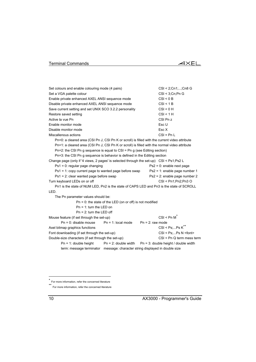$\angle XEL$ 

| Set colours and enable colouring mode (4 pairs)                                                |                                                                             | $CSI < 2$ ; Cn1;; Cn8 G              |  |
|------------------------------------------------------------------------------------------------|-----------------------------------------------------------------------------|--------------------------------------|--|
| Set a VGA palette colour                                                                       |                                                                             | CSI < 3;Cn;Pn G                      |  |
| Enable private enhanced AXEL ANSI sequence mode                                                |                                                                             | CSI < 0 B                            |  |
| Disable private enhanced AXEL ANSI sequence mode                                               |                                                                             | CSI < 1B                             |  |
| Save current setting and set UNIX SCO 3.2.2 personality                                        |                                                                             | CSI < 0 H                            |  |
| Restore saved setting                                                                          |                                                                             | CSI < 1H                             |  |
| Active la vue Pn                                                                               |                                                                             | CSI Pn z                             |  |
| Enable monitor mode                                                                            |                                                                             | Esc U                                |  |
| Disable monitor mode                                                                           |                                                                             | Esc X                                |  |
| Miscallenous actions                                                                           |                                                                             | $CSI = Pn L$                         |  |
| Pn=0: a cleared area (CSI Pn J, CSI Pn K or scroll) is filled with the current video attribute |                                                                             |                                      |  |
| Pn=1: a cleared area (CSI Pn J, CSI Pn K or scroll) is filled with the normal video attribute  |                                                                             |                                      |  |
| Pn=2: the CSI Pn g sequence is equal to CSI = Pn g (see Editing section)                       |                                                                             |                                      |  |
| Pn=3: the CSI Pn g sequence is behavior is defined in the Editing section                      |                                                                             |                                      |  |
| Change page (only if '4 views, 2 pages' is selected through the set-up) CSI < Ps1; Ps2 L       |                                                                             |                                      |  |
| $Ps1 = 0$ : regular page changing                                                              |                                                                             | $Ps2 = 0$ : enable next page         |  |
| $Ps1 = 1$ : copy current page to wanted page before swap                                       |                                                                             | $Ps2 = 1$ : enable page number 1     |  |
| $Ps1 = 2$ : clear wanted page before swap                                                      | $Ps2 = 2$ : enable page number 2                                            |                                      |  |
| Turn keyboard LEDs on or off                                                                   | $CSI < Pn1$ ; Pn2; Pn3 O                                                    |                                      |  |
| Pn1 is the state of NUM LED, Pn2 is the state of CAPS LED and Pn3 is the state of SCROLL       |                                                                             |                                      |  |
| LED.                                                                                           |                                                                             |                                      |  |
| The Pn parameter values should be:                                                             |                                                                             |                                      |  |
|                                                                                                | Pn = $0$ : the state of the LED (on or off) is not modified                 |                                      |  |
| $Pn = 1$ : turn the LED on                                                                     |                                                                             |                                      |  |
| $Pn = 2$ : turn the LED off                                                                    |                                                                             |                                      |  |
| Mouse feature (if set through the set-up)                                                      |                                                                             | $CSI$ < Pn $M^*$                     |  |
| $Pn = 0$ : disable mouse                                                                       | $Pn = 1$ : local mode                                                       | $Pn = 2$ : raw mode                  |  |
| Axel bitmap graphics functions                                                                 |                                                                             | $CSI < PS;  PS K^{\ast\ast}$         |  |
| Font downloading (if set through the set-up)                                                   |                                                                             | $CSI < PS$ : $Ps$ N <font></font>    |  |
| Double-size characters (if set through the set-up)                                             |                                                                             | CSI < Pn Q term mess term            |  |
| $Pn = 1$ : double height                                                                       | $Pn = 2$ : double width                                                     | Pn = 3: double height / double width |  |
|                                                                                                | term: message terminator message: character string displayed in double size |                                      |  |

l

<sup>\*</sup> For more information, refer the concerned literature

<sup>\*\*</sup> For more information, refer the concerned literature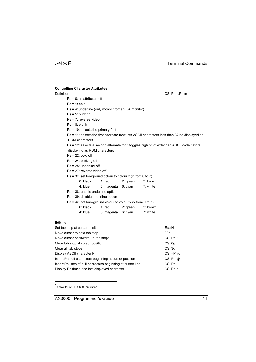

#### **Controlling Character Attributes**

Definition CSI Ps;...Ps m

- Ps = 0: all attributes off
- $Ps = 1$ : bold
- Ps = 4: underline (only monochrome VGA monitor)
- Ps = 5: blinking
- Ps = 7: reverse video
- $Ps = 8: blank$
- Ps = 10: selects the primary font
- Ps = 11: selects the first alternate font; lets ASCII characters less than 32 be displayed as ROM characters
- Ps = 12: selects a second alternate font; toggles high bit of extended ASCII code before displaying as ROM characters
- $Ps = 22$ : bold off
- Ps = 24: blinking off
- Ps = 25: underline off
- Ps = 27: reverse video off
- Ps = 3x: set foreground colour to colour x (x from 0 to 7)
- 0: black 1: red 2: green 3: brown<sup>\*</sup> 4: blue 5: magenta 6: cyan 7: white Ps = 38: enable underline option
- 
- Ps = 39: disable underline option
- $Ps = 4x$ : set background colour to colour x (x from 0 to 7) 0: black 1: red 2: green 3: brown 4: blue 5: magenta 6: cyan 7: white

#### **Editing**

l

| Esc H             |
|-------------------|
| 09h               |
| CSI Pn Z          |
| CSI <sub>0q</sub> |
| CSI 3q            |
| $CSI = Pn q$      |
| $CSI$ Pn $@$      |
| CSI Pn L          |
| CSI Pn b          |
|                   |

\* Yellow for ANSI RS6000 emulation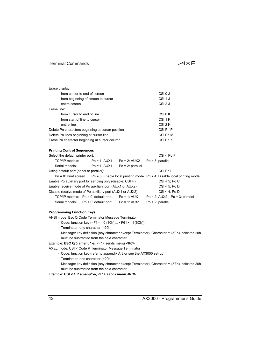$\angle XEL$ 

| Erase display:                                                                                       |                     |
|------------------------------------------------------------------------------------------------------|---------------------|
| from cursor to end of screen                                                                         | CSI <sub>0</sub> J  |
| from beginning of screen to cursor                                                                   | CSI <sub>1</sub>    |
| entire screen                                                                                        | $CSI2$ J            |
| Frase line:                                                                                          |                     |
| from cursor to end of line                                                                           | CSI 0 K             |
| from start of line to cursor                                                                         | CSI 1K              |
| entire line                                                                                          | CSI 2K              |
| Delete Pn characters beginning at cursor position                                                    | CSI Pn P            |
| Delete Pn lines beginning at cursor line                                                             | CSI Pn M            |
| Erase Pn character beginning at cursor column                                                        | CSI Pn X            |
|                                                                                                      |                     |
| <b>Printing Control Sequences</b>                                                                    |                     |
| Select the default printer port:                                                                     | CSI < PoF           |
| TCP/IP models: $Po = 1$ : AUX1 $Po = 2$ : AUX2 $Po = 3$ : parallel                                   |                     |
| Serial models:<br>$Po = 1$ : $AUX1$ $Po = 2$ : $parallel$                                            |                     |
| Using default port (serial or parallel):                                                             | CSI Pn i            |
| $Pn = 0$ : Print screen $Pn = 5$ : Enable local printing mode $Pn = 4$ : Disable local printing mode |                     |
| Enable Po auxiliary port for sending only (disable: CSI 4i)                                          | $CSI < 5$ ; Po C    |
| Enable receive mode of Po auxiliary port (AUX1 or AUX2)                                              | $CSI < 5$ ; Po D    |
| Disable receive mode of Po auxiliary port (AUX1 or AUX2)                                             | $CSI < 4$ ; Po D    |
| TCP/IP models: $Po = 0$ : default port $Po = 1$ : AUX1 $Po = 2$ : AUX2 $Po = 3$ : parallel           |                     |
| Serial models: $Po = 0$ : default port $Po = 1$ : AUX1                                               | $Po = 2$ : parallel |
|                                                                                                      |                     |

#### **Programming Function Keys**

ANSI mode: Esc Q Code Terminator Message Terminator

- Code: function key (<F1> = 0 (30h) ... <F61> =  $1(6Ch)$ )
- Terminator: one character (>20h)
- Message: key definition (any character except Terminator). Character '<sup>\*</sup>' (5Eh) indicates 20h must be subtracted from the next character.

#### Example: **ESC Q 0 amenu^-a**, <F1> sends **menu <RC>**

AXEL mode: CSI < Code P Terminator Message Terminator

- Code: function key (refer to appendix A.3 or see the AX3000 set-up)
- Terminator: one character (>20h)
- Message: key definition (any character except Terminator). Character '<sup>^</sup>' (5Eh) indicates 20h must be subtracted from the next character.

Example: **CSI < 1 P amenu^-a**, <F1> sends **menu <RC>**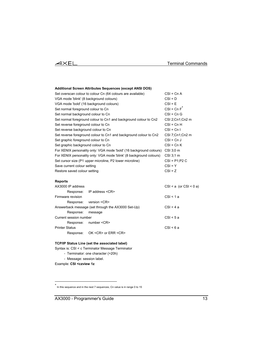|                                                             | <b>Additional Screen Attributes Sequences (except ANSI DOS)</b>     |                            |
|-------------------------------------------------------------|---------------------------------------------------------------------|----------------------------|
| Set overscan colour to colour Cn (64 colours are available) |                                                                     | $CSI = Cn A$               |
| VGA mode 'blink' (8 background colours)                     |                                                                     | $CSI = D$                  |
| VGA mode 'bold' (16 background colours)                     |                                                                     | $CSI = E$                  |
| Set normal foreground colour to Cn                          |                                                                     | $CSI = Cn F^T$             |
| Set normal background colour to Cn                          |                                                                     | $CSI = Cn G$               |
|                                                             | Set normal foreground colour to Cn1 and background colour to Cn2    | CSI 2:Cn1:Cn2 m            |
| Set reverse foreground colour to Cn                         |                                                                     | $CSI = Ch H$               |
| Set reverse background colour to Cn                         |                                                                     | $CSI = CnI$                |
|                                                             | Set reverse foreground colour to Cn1 and background colour to Cn2   | CSI 7:Cn1:Cn2 m            |
| Set graphic foreground colour to Cn                         |                                                                     | $CSI = CnJ$                |
| Set graphic background colour to Cn                         |                                                                     | $CSI = Cn K$               |
|                                                             | For XENIX personality only: VGA mode 'bold' (16 background colours) | CSI 3:0 m                  |
|                                                             | For XENIX personality only: VGA mode 'blink' (8 background colours) | CSI 3:1 m                  |
| Set cursor size (P1 upper microline, P2 lower microline)    |                                                                     | $CSI = P1; P2 C$           |
| Save current colour setting                                 |                                                                     | $CSI = Y$                  |
| Restore saved colour setting                                |                                                                     | $CSI = Z$                  |
|                                                             |                                                                     |                            |
| <b>Reports</b>                                              |                                                                     |                            |
| AX3000 IP address                                           |                                                                     | $CSI < a$ (or $CSI < 0a$ ) |
| Response:                                                   | IP address <cr></cr>                                                |                            |
| Firmware revision                                           |                                                                     | CSI < 1a                   |
| Response:                                                   | version <cr></cr>                                                   |                            |
|                                                             | Answerback message (set through the AX3000 Set-Up)                  | CSI < 4a                   |
| Response:                                                   | message                                                             |                            |
| Current session number                                      |                                                                     | CSI < 5a                   |
| Response:                                                   | number <cr></cr>                                                    |                            |
| <b>Printer Status</b>                                       |                                                                     | CSI < 6a                   |
| Response:                                                   | OK <cr> or ERR <cr></cr></cr>                                       |                            |

#### **TCP/IP Status Line (set the associated label)**

Syntax is: CSI < c Terminator Message Terminator

- Terminator: one character (>20h)

- Message: session label.

Example: **CSI <czview 1z**

l

<sup>\*</sup> In this sequence and in the next 7 sequences, Cn value is in range 0 to 15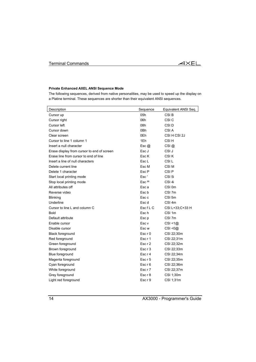$$
\cancel{\blacktriangleleft}\times\text{EL}
$$

#### **Private Enhanced AXEL ANSI Sequence Mode**

The following sequences, derived from native personalities, may be used to speed up the display on a Platine terminal. These sequences are shorter than their equivalent ANSI sequences.

| Description                                | Sequence            | Equivalent ANSI Seq. |
|--------------------------------------------|---------------------|----------------------|
| Cursor up                                  | 05h                 | CSI <sub>B</sub>     |
| Cursor right                               | 06h                 | CSI C                |
| Cursor left                                | 08h                 | CSI <sub>D</sub>     |
| Cursor down                                | 0Bh                 | CSI A                |
| Clear screen                               | 0Eh                 | CSI H CSI 2J         |
| Cursor to line 1 column 1                  | 1Eh                 | CSI H                |
| Insert a null character                    | Esc $@$             | CSI@                 |
| Erase display from cursor to end of screen | Esc J               | CSI J                |
| Erase line from cursor to end of line      | Esc K               | CSI K                |
| Insert a line of null characters           | Esc L               | CSI L                |
| Delete current line                        | Esc M               | CSI M                |
| Delete 1 character                         | Esc P               | CSI P                |
| Start local printing mode                  | Esc'                | CSI 5i               |
| Stop local printing mode                   | $Esc$ <sup>22</sup> | CSI 4i               |
| All attributes off                         | Esc a               | CSI <sub>0m</sub>    |
| Reverse video                              | Esc b               | CSI <sub>7m</sub>    |
| <b>Blinking</b>                            | Esc c               | CSI 5m               |
| Underline                                  | Esc d               | CSI 4m               |
| Cursor to line L and column C              | EscfLC              | CSI L+33;C+33 H      |
| <b>Bold</b>                                | Esc h               | CSI 1m               |
| Default attribute                          | Esc p               | CSI 7m               |
| Enable cursor                              | Esc v               | CSI < 1@             |
| Disable cursor                             | Esc w               | $CSI < 0$ @          |
| <b>Black foreground</b>                    | Esc r 0             | CSI 22;30m           |
| Red foreground                             | Esc r 1             | CSI 22;31m           |
| Green foreground                           | Escr2               | CSI 22;32m           |
| Brown foreground                           | Esc $r$ 3           | CSI 22;33m           |
| Blue foreground                            | Escr4               | CSI 22;34m           |
| Magenta foreground                         | Escr <sub>5</sub>   | CSI 22;35m           |
| Cyan foreground                            | Escr6               | CSI 22;36m           |
| White foreground                           | Esc r 7             | CSI 22;37m           |
| Grey foreground                            | $Esc$ r $8$         | CSI 1;30m            |
| Light red foreground                       | Escr9               | CSI 1;31m            |
|                                            |                     |                      |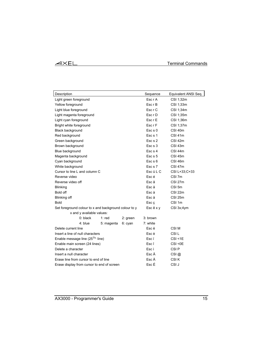| Description                                           |            |          | Sequence                                        | Equivalent ANSI Seq. |
|-------------------------------------------------------|------------|----------|-------------------------------------------------|----------------------|
| Light green foreground                                |            |          | Esc r A                                         | CSI 1;32m            |
| Yellow foreground                                     |            |          | Esc r B                                         | CSI 1;33m            |
| Light blue foreground                                 |            |          | Esc r C                                         | CSI 1;34m            |
| Light magenta foreground                              |            |          | Esc r D                                         | CSI 1:35m            |
| Light cyan foreground                                 |            |          | Esc r E                                         | CSI 1;36m            |
| Bright white foreground                               |            |          | Esc r F                                         | CSI 1;37m            |
| Black background                                      |            |          | Esc s 0                                         | CSI 40m              |
| Red background                                        |            |          | Esc s 1                                         | CSI 41m              |
| Green background                                      |            |          | Esc s 2                                         | CSI 42m              |
| Brown background                                      |            |          | Esc s 3                                         | CSI 43m              |
| Blue background                                       |            |          | Esc s 4                                         | CSI 44m              |
| Magenta background                                    |            |          | Esc s 5                                         | CSI 45m              |
| Cyan background                                       |            |          | Esc s 6                                         | CSI 46m              |
| White background                                      |            |          | Esc s 7                                         | CSI 47m              |
| Cursor to line L and column C                         |            |          | $\mathsf{Esc} \mathsf{u} \mathsf{L} \mathsf{C}$ | CSI L+33;C+33        |
| Reverse video                                         |            |          | Esc é                                           | CSI 7m               |
| Reverse video off                                     |            |          | Esc â                                           | CSI 27m              |
| <b>Blinking</b>                                       |            |          | Esc ä                                           | CSI 5m               |
| Bold off                                              |            |          | Esc à                                           | CSI 22m              |
| Blinking off                                          |            |          | Esc å                                           | <b>CSI 25m</b>       |
| <b>Bold</b>                                           |            |          | Esc ç                                           | CSI 1m               |
| Set foreground colour to x and background colour to y |            | Escê x y | CSI 3x;4ym                                      |                      |
| x and y available values:                             |            |          |                                                 |                      |
| 0: black                                              | 1: $red$   | 2: green | 3: brown                                        |                      |
| 4: blue                                               | 5: magenta | 6: cyan  | 7: white                                        |                      |
| Delete current line                                   |            |          | Esc ë                                           | CSI M                |
| Insert a line of null characters                      |            | Esc è    | CSI L                                           |                      |
| Enable message line (25 <sup>Th.</sup> line)          |            | Esc ï    | CSI < 1E                                        |                      |
| Enable main screen (24 lines)                         |            | Esc î    | CSI < 0E                                        |                      |
| Delete a character                                    |            |          | Esc ì                                           | CSI <sub>P</sub>     |
| Insert a null character                               |            |          | Esc Ä                                           | CSI@                 |
| Erase line from cursor to end of line                 |            |          | Esc Å                                           | CSI K                |
| Erase display from cursor to end of screen            |            |          | Esc É                                           | CSI J                |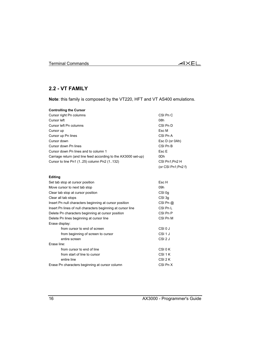# **2.2 - VT FAMILY**

**Note**: this family is composed by the VT220, HFT and VT AS400 emulations.

| <b>Controlling the Cursor</b>                                  |                          |
|----------------------------------------------------------------|--------------------------|
| Cursor right Pn columns                                        | CSI Pn C                 |
| Cursor left                                                    | 08h                      |
| Cursor left Pn columns                                         | CSI Pn D                 |
| Cursor up                                                      | Esc M                    |
| Cursor up Pn lines                                             | CSI Pn A                 |
| Cursor down                                                    | Esc D (or 0Ah)           |
| Cursor down Pn lines                                           | CSI Pn B                 |
| Cursor down Pn lines and to column 1                           | Esc E                    |
| Carriage return (and line feed according to the AX3000 set-up) | 0 <sub>Dh</sub>          |
| Cursor to line Pn1 (125) column Pn2 (1132)                     | CSI Pn1;Pn2 H            |
|                                                                | (or CSI $Pn1$ ; $Pn2$ f) |
| Editing                                                        |                          |
| Set tab stop at cursor position                                | Esc H                    |
| Move cursor to next tab stop                                   | 09h                      |
| Clear tab stop at cursor position                              | CSI <sub>0q</sub>        |
| Clear all tab stops                                            | CSI 3g                   |
| Insert Pn null characters beginning at cursor position         | $CSI$ Pn $@$             |
| Insert Pn lines of null characters beginning at cursor line    | CSI Pn L                 |
| Delete Pn characters beginning at cursor position              | CSI Pn P                 |
| Delete Pn lines beginning at cursor line                       | CSI Pn M                 |
| Erase display:                                                 |                          |
| from cursor to end of screen                                   | CSI <sub>0</sub> J       |
| from beginning of screen to cursor                             | CSI <sub>1</sub> J       |
| entire screen                                                  | $CSI2$ J                 |
| Erase line:                                                    |                          |
| from cursor to end of line                                     | CSI 0 K                  |
| from start of line to cursor                                   | CSI <sub>1</sub> K       |
| entire line                                                    | CSI 2K                   |
| Erase Pn characters beginning at cursor column                 | CSI Pn X                 |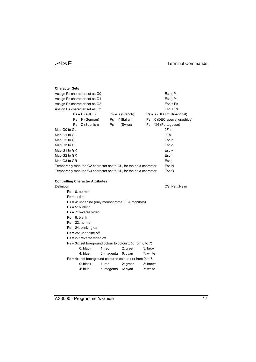|                   | <b>Character Sets</b>                                              |                                        |                    |                 |                                 |
|-------------------|--------------------------------------------------------------------|----------------------------------------|--------------------|-----------------|---------------------------------|
|                   | Assign Ps character set as G0                                      |                                        |                    |                 | Esc (Ps                         |
|                   | Assign Ps character set as G1                                      |                                        |                    |                 | Esc) Ps                         |
|                   | Assign Ps character set as G2                                      |                                        |                    |                 | Esc * Ps                        |
|                   | Assign Ps character set as G3                                      |                                        |                    |                 | $Esc + Ps$                      |
|                   | $Ps = B (ASCII)$                                                   |                                        | $Ps = R$ (French)  |                 | $Ps = < (DEC$ multinational)    |
|                   | $Ps = K(German)$                                                   |                                        | $Ps = Y (Italian)$ |                 | $Ps = 0$ (DEC special graphics) |
|                   | $Ps = Z (Spanish)$                                                 |                                        | $Ps = (Swiss)$     |                 | $Ps = %6$ (Portuguese)          |
| Map G0 to GL      |                                                                    |                                        |                    |                 | 0Fh                             |
| Map G1 to GL      |                                                                    |                                        |                    |                 | 0Eh                             |
| Map G2 to GL      |                                                                    |                                        |                    |                 | Esc n                           |
| Map G3 to GL      |                                                                    |                                        |                    |                 | Esc o                           |
| Map G1 to GR      |                                                                    |                                        |                    |                 | Esc $\sim$                      |
| Map G2 to GR      |                                                                    |                                        |                    |                 | $Esc$ }                         |
| Map G3 to GR      |                                                                    |                                        |                    |                 | Esc <sub>1</sub>                |
|                   | Temporarily map the G2 character set to GL, for the next character |                                        |                    |                 | Esc N                           |
|                   | Temporarily map the G3 character set to GL, for the next character |                                        |                    |                 | Esc <sub>O</sub>                |
|                   | <b>Controlling Character Attributes</b>                            |                                        |                    |                 |                                 |
| <b>Definition</b> |                                                                    |                                        |                    |                 | CSI Ps;Ps m                     |
|                   | $Ps = 0$ : normal                                                  |                                        |                    |                 |                                 |
|                   | $Ps = 1$ : dim                                                     |                                        |                    |                 |                                 |
|                   | $Ps = 4$ : underline (only monochrome VGA monitors)                |                                        |                    |                 |                                 |
|                   | $Ps = 5$ : blinking                                                |                                        |                    |                 |                                 |
|                   | $Ps = 7$ : reverse video                                           |                                        |                    |                 |                                 |
|                   | $Ps = 8$ : blank                                                   |                                        |                    |                 |                                 |
|                   | $Ps = 22: normal$                                                  |                                        |                    |                 |                                 |
|                   | $Ps = 24$ : blinking off                                           |                                        |                    |                 |                                 |
|                   | $Ps = 25$ : underline off                                          |                                        |                    |                 |                                 |
|                   | $Ps = 27$ : reverse video off                                      |                                        |                    |                 |                                 |
|                   | $Ps = 3x$ : set foreground colour to colour x (x from 0 to 7)      |                                        |                    |                 |                                 |
|                   | $0:$ black                                                         | 1:red                                  | 2: green           | 3: brown        |                                 |
|                   | 1.1.0                                                              | $\mathbf{L}$ moganta $\mathbf{L}$ quan |                    | $7 \cdot$ white |                                 |

 4: blue 5: magenta 6: cyan 7: white  $Ps = 4x$ : set background colour to colour x (x from 0 to 7) 0: black 1: red 2: green 3: brown 4: blue 5: magenta 6: cyan 7: white

AX3000 - Programmer's Guide 17

 $\overline{\mathcal{A}}$   $\times$  EL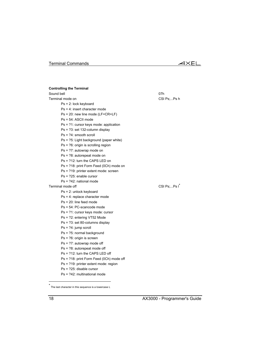

| <b>Controlling the Terminal</b>            |                 |
|--------------------------------------------|-----------------|
| Sound bell                                 | 07h             |
| Terminal mode on                           | CSI Ps:Ps h     |
| $Ps = 2$ : lock keyboard                   |                 |
| $Ps = 4$ : insert character mode           |                 |
| $Ps = 20$ : new line mode (LF=CR+LF)       |                 |
| $Ps = 54$ : ASCII mode                     |                 |
| $Ps = ?1$ : cursor keys mode: application  |                 |
| $Ps = ?3$ : set 132-column display         |                 |
| $Ps = ?4$ : smooth scroll                  |                 |
| $Ps = ?5$ : Light background (paper white) |                 |
| $Ps = ?6$ : origin is scrolling region     |                 |
| $Ps = ?7$ : autowrap mode on               |                 |
| $Ps = ?8$ : autorepeat mode on             |                 |
| $Ps = ?12$ : turn the CAPS LED on          |                 |
| Ps = ?18: print Form Feed (0Ch) mode on    |                 |
| $Ps = ?19$ : printer extent mode: screen   |                 |
| $Ps = ?25$ : enable cursor                 |                 |
| $Ps = ?42$ : national mode                 |                 |
| Terminal mode off                          | $CSI$ Ps: $PsI$ |
| $Ps = 2$ : unlock keyboard                 |                 |
| $Ps = 4$ : replace character mode          |                 |
| $Ps = 20$ : line feed mode                 |                 |
| $Ps = 54$ : PC-scancode mode               |                 |
| Ps = ?1: cursor keys mode: cursor          |                 |
| $Ps = ?2$ : entering VT52 Mode             |                 |
| $Ps = ?3$ : set 80-columns display         |                 |
| $Ps = ?4$ : jump scroll                    |                 |
| $Ps = ?5$ : normal background              |                 |
| $Ps = ?6$ : origin is screen               |                 |
| $Ps = ?7$ : autowrap mode off              |                 |
| $Ps = ?8$ : autorepeat mode off            |                 |
| $Ps = ?12$ : turn the CAPS LED off         |                 |
| Ps = ?18: print Form Feed (0Ch) mode off   |                 |
| $Ps = ?19$ : printer extent mode: region   |                 |
| $Ps = ?25$ : disable cursor                |                 |
| $Ps = ?42$ : multinational mode            |                 |
|                                            |                 |

<sup>\*</sup> The last character in this sequence is a lowercase L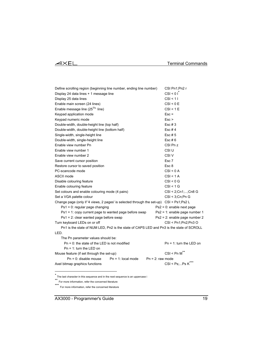| Define scrolling region (beginning line number, ending line number)                      | CSI Pn1:Pn2 r                    |
|------------------------------------------------------------------------------------------|----------------------------------|
| Display 24 data lines + 1 message line                                                   | CSI < 0I                         |
| Display 25 data lines                                                                    | CSI < 11                         |
| Enable main screen (24 lines)                                                            | CSI < 0 E                        |
| Enable message line (25 <sup>Th.</sup> line)                                             | CSI < 1E                         |
| Keypad application mode                                                                  | $Esc =$                          |
| Keypad numeric mode                                                                      | Esc >                            |
| Double-width, double-height line (top half)                                              | Esc#3                            |
| Double-width, double-height line (bottom half)                                           | Esc $#4$                         |
| Single-width, single-height line                                                         | Esc # 5                          |
| Double-width, single-height line                                                         | Esc#6                            |
| Enable view number Pn                                                                    | CSI Pn z                         |
| Enable view number 1                                                                     | CSI U                            |
| Enable view number 2                                                                     | CSI V                            |
| Save current cursor position                                                             | Esc 7                            |
| Restore cursor to saved position                                                         | Esc 8                            |
| PC-scancode mode                                                                         | CSI < 0 A                        |
| ASCII mode                                                                               | $CSI < 1$ A                      |
| Disable colouring feature                                                                | CSI < 0 G                        |
| Enable colouring feature                                                                 | CSI < 1 G                        |
| Set colours and enable colouring mode (4 pairs)                                          | CSI < 2; Cn1; ; Cn8 G            |
| Set a VGA palette colour                                                                 | CSI < 3;Cn;Pn G                  |
| Change page (only if '4 views, 2 pages' is selected through the set-up) CSI < Ps1;Ps2 L  |                                  |
| $Ps1 = 0$ : regular page changing                                                        | $Ps2 = 0$ : enable next page     |
| $Ps1 = 1$ : copy current page to wanted page before swap                                 | $Ps2 = 1$ : enable page number 1 |
| $Ps1 = 2$ : clear wanted page before swap                                                | $Ps2 = 2$ : enable page number 2 |
| Turn keyboard LEDs on or off                                                             | $CSI < Pn1$ ; $Pn2$ ; $Pn3$ O    |
| Pn1 is the state of NUM LED, Pn2 is the state of CAPS LED and Pn3 is the state of SCROLL |                                  |
| LED.                                                                                     |                                  |
| The Pn parameter values should be:                                                       |                                  |
| $Pn = 0$ : the state of the LED is not modified                                          | $Pn = 1$ : turn the LED on       |
| $Pn = 1$ : turn the LED on                                                               |                                  |
| Mouse feature (if set through the set-up)                                                | $CSI < Pn M^*$                   |
| $Pn = 0$ : disable mouse<br>$Pn = 1$ : local mode                                        | $Pn = 2$ : raw mode              |
| Axel bitmap graphics functions                                                           | $CSI < PS; PsK^***$              |

\* The last character in this sequence and in the next sequence is an uppercase i

\*\* For more information, refer the concerned literature

l

\*\*\* For more information, refer the concerned literature

AX3000 - Programmer's Guide 19 and 19 and 19 and 19 and 19 and 19 and 19 and 19 and 19 and 19 and 19 and 19 and 19 and 19 and 19 and 19 and 19 and 19 and 19 and 19 and 19 and 19 and 19 and 19 and 19 and 19 and 19 and 19 an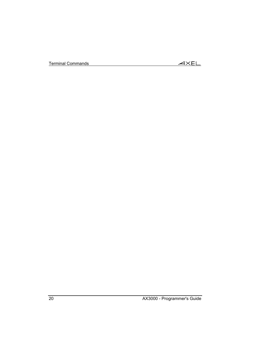$\blacktriangleleft \times E$ L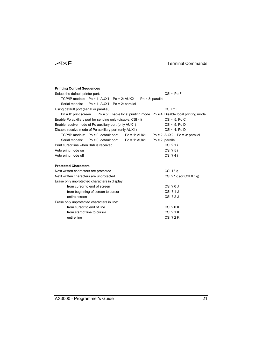#### **Printing Control Sequences**

| Select the default printer port:                                                           |                                    |  |  |                     | CSI < PoF                     |                                                                                                      |
|--------------------------------------------------------------------------------------------|------------------------------------|--|--|---------------------|-------------------------------|------------------------------------------------------------------------------------------------------|
| TCP/IP models: $Po = 1$ : AUX1 $Po = 2$ : AUX2 $Po = 3$ : parallel                         |                                    |  |  |                     |                               |                                                                                                      |
| Serial models: $Po = 1$ : $AUX1$ $Po = 2$ : parallel                                       |                                    |  |  |                     |                               |                                                                                                      |
| Using default port (serial or parallel):                                                   |                                    |  |  |                     | CSI Pn i                      |                                                                                                      |
|                                                                                            |                                    |  |  |                     |                               | $Pn = 0$ : print screen $Pn = 5$ : Enable local printing mode $Pn = 4$ : Disable local printing mode |
| Enable Po auxiliary port for sending only (disable: CSI 4i)                                |                                    |  |  |                     | $CSI < 5$ ; Po C              |                                                                                                      |
| Enable receive mode of Po auxiliary port (only AUX1)                                       |                                    |  |  |                     | $CSI < 5$ ; Po D              |                                                                                                      |
| Disable receive mode of Po auxiliary port (only AUX1)                                      |                                    |  |  |                     | $CSI < 4$ ; Po D              |                                                                                                      |
| TCP/IP models: $Po = 0$ : default port $Po = 1$ : AUX1 $Po = 2$ : AUX2 $Po = 3$ : parallel |                                    |  |  |                     |                               |                                                                                                      |
| Serial models: $Po = 0$ : default port $Po = 1$ : AUX1                                     |                                    |  |  | $Po = 2$ : parallel |                               |                                                                                                      |
| Print cursor line when 0Ah is received                                                     |                                    |  |  |                     | $CSI$ ? 1 i                   |                                                                                                      |
| Auto print mode on                                                                         |                                    |  |  |                     | $CSI$ ? 5 i                   |                                                                                                      |
| Auto print mode off                                                                        |                                    |  |  |                     | $CSI$ ? 4 i                   |                                                                                                      |
|                                                                                            |                                    |  |  |                     |                               |                                                                                                      |
| <b>Protected Characters</b>                                                                |                                    |  |  |                     |                               |                                                                                                      |
| Next written characters are protected                                                      |                                    |  |  |                     | CSI 1"q                       |                                                                                                      |
| Next written characters are unprotected                                                    |                                    |  |  |                     | CSI 2 " $q$ (or CSI 0 " $q$ ) |                                                                                                      |
| Erase only unprotected characters in display:                                              |                                    |  |  |                     |                               |                                                                                                      |
|                                                                                            | from cursor to end of screen       |  |  |                     | CSI 70J                       |                                                                                                      |
|                                                                                            | from beginning of screen to cursor |  |  |                     | $CSI$ ? 1 J                   |                                                                                                      |
| entire screen                                                                              |                                    |  |  |                     | $CSI$ ? $2J$                  |                                                                                                      |
| Erase only unprotected characters in line:                                                 |                                    |  |  |                     |                               |                                                                                                      |
| from cursor to end of line                                                                 |                                    |  |  |                     | CSI 20K                       |                                                                                                      |
| from start of line to cursor                                                               |                                    |  |  |                     | $CSI$ ? 1 K                   |                                                                                                      |
| entire line                                                                                |                                    |  |  |                     | $CSI$ ? 2 K                   |                                                                                                      |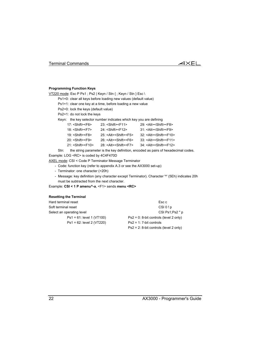#### **Programming Function Keys**

| VT220 mode: Esc P Ps1 ; Ps2   Keyn / Stn { ; Keyn / Stn } Esc \    |                                                                 |                                                                                    |  |  |  |  |
|--------------------------------------------------------------------|-----------------------------------------------------------------|------------------------------------------------------------------------------------|--|--|--|--|
|                                                                    | Ps1=0: clear all keys before loading new values (default value) |                                                                                    |  |  |  |  |
|                                                                    | Ps1=1: clear one key at a time, before loading a new value      |                                                                                    |  |  |  |  |
| Ps2=0: lock the keys (default value)                               |                                                                 |                                                                                    |  |  |  |  |
|                                                                    | Ps2=1: do not lock the keys                                     |                                                                                    |  |  |  |  |
| Keyn: the key selector number indicates which key you are defining |                                                                 |                                                                                    |  |  |  |  |
| $17:$ <shift><f6></f6></shift>                                     | 23: <shift><f11></f11></shift>                                  | 29: <alt><shift><f8></f8></shift></alt>                                            |  |  |  |  |
| 18: <shift><f7></f7></shift>                                       | 24: <shift><f12></f12></shift>                                  | $31: <$ Alt> <shift><f9></f9></shift>                                              |  |  |  |  |
| 19: <shift><f8></f8></shift>                                       | 25: <alt><shift><f5></f5></shift></alt>                         | $32: <$ Alt> <shift><f10></f10></shift>                                            |  |  |  |  |
| 20: <shift><f9></f9></shift>                                       | 26: <alt><shift><f6></f6></shift></alt>                         | 33: <alt><shift><f11></f11></shift></alt>                                          |  |  |  |  |
| 21: <shift><f10></f10></shift>                                     | $28 \cdot <$ Alt> <shift><f7></f7></shift>                      | 34: <alt><shift><f12></f12></shift></alt>                                          |  |  |  |  |
| Stn:                                                               |                                                                 | the string parameter is the key definition, encoded as pairs of hexadecimal codes. |  |  |  |  |

Example: LOG <RC> is coded by 4C4F470D

AXEL mode: CSI < Code P Terminator Message Terminator

- Code: function key (refer to appendix A.3 or see the AX3000 set-up)
- Terminator: one character (>20h)
- Message: key definition (any character except Terminator). Character '^' (5Eh) indicates 20h must be subtracted from the next character.

Example: **CSI < 1 P amenu^-a**, <F1> sends **menu <RC>**

#### **Resetting the Terminal**

| Hard terminal reset          | Esc c                                     |
|------------------------------|-------------------------------------------|
| Soft terminal reset          | CSI0!p                                    |
| Select an operating level    | CSI Ps1:Ps2 " p                           |
| $Ps1 = 61$ : level 1 (VT100) | $Ps2 = 0$ : 8-bit controls (level 2 only) |
| $Ps1 = 62$ : level 2 (VT220) | $Ps2 = 1: 7-bit controls$                 |
|                              | $Ps2 = 2$ : 8-bit controls (level 2 only) |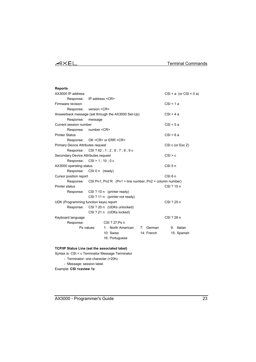| <b>Reports</b>                           |                      |                                                         |            |                            |
|------------------------------------------|----------------------|---------------------------------------------------------|------------|----------------------------|
| AX3000 IP address                        |                      |                                                         |            | $CSI < a$ (or $CSI < 0$ a) |
| Response:                                | IP address <cr></cr> |                                                         |            |                            |
| Firmware revision                        |                      |                                                         |            | CSI < 1a                   |
| Response:                                | version <cr></cr>    |                                                         |            |                            |
|                                          |                      | Answerback message (set through the AX3000 Set-Up)      |            | CSI < 4a                   |
| Response:                                | message              |                                                         |            |                            |
| Current session number                   |                      |                                                         |            | CSI < 5a                   |
| Response:                                | number <cr></cr>     |                                                         |            |                            |
| <b>Printer Status</b>                    |                      |                                                         |            | CSI < 6a                   |
|                                          |                      | Response: OK <cr> or ERR <cr></cr></cr>                 |            |                            |
| <b>Primary Device Attributes request</b> |                      |                                                         |            | CSI c (or Esc Z)           |
| Response:                                |                      | CSI ? 62 ; 1 ; 2 ; 6 ; 7 ; 8 ; 9 c                      |            |                            |
| Secondary Device Attributes request      |                      |                                                         |            | CSI > c                    |
| $CSI > 1$ ; 10; 0 c<br>Response:         |                      |                                                         |            |                            |
| AX3000 operating status                  |                      |                                                         |            | CSI <sub>5n</sub>          |
| Response:                                | CSI0n (ready)        |                                                         |            |                            |
| Cursor position report                   |                      |                                                         |            | CSI6n                      |
| Response:                                |                      | CSI Pn1; Pn2 R (Pn1 = line number, Pn2 = column number) |            |                            |
| Printer status                           |                      |                                                         |            | CSI ? 15 n                 |
| Response:                                |                      | CSI ? 10 n (printer ready)                              |            |                            |
|                                          |                      | CSI ? 11 n (printer not ready)                          |            |                            |
| UDK (Programming function keys) report   |                      |                                                         |            | CSI ? 25 n                 |
| Response:                                |                      | CSI ? 20 n (UDKs unlocked)                              |            |                            |
|                                          |                      | CSI ? 21 n (UDKs locked)                                |            |                            |
| Keyboard language                        |                      |                                                         |            | CSI ? 26 n                 |
| Response:                                |                      | CSI ? 27; Ps n                                          |            |                            |
|                                          | Ps values:           | 1: North American                                       | 7: German  | 9: Italian                 |
|                                          |                      | 10: Swiss                                               | 14: French | 15: Spanish                |
|                                          |                      | 16: Portuguese                                          |            |                            |

#### **TCP/IP Status Line (set the associated label)**

Syntax is: CSI < c Terminator Message Terminator

- Terminator: one character (>20h)

- Message: session label.

Example: **CSI <czview 1z**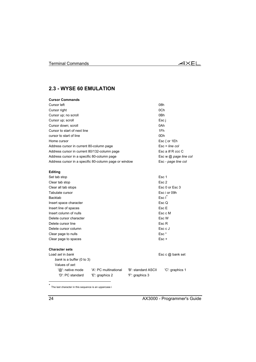# **2.3 - WYSE 60 EMULATION**

| <b>Cursor Commands</b>                                |                       |                     |                       |
|-------------------------------------------------------|-----------------------|---------------------|-----------------------|
| Cursor left                                           |                       |                     | 08h                   |
| Cursor right                                          | 0Ch                   |                     |                       |
| Cursor up; no scroll                                  |                       |                     | 0Bh                   |
| Cursor up; scroll                                     |                       |                     | Esc i                 |
| Cursor down; scroll                                   |                       |                     | 0Ah                   |
| Cursor to start of next line                          |                       |                     | 1Fh                   |
| cursor to start of line                               |                       |                     | 0Dh                   |
| Home cursor                                           |                       |                     | Esc { or 1Eh          |
| Address cursor in current 80-column page              |                       |                     | $Esc = line col$      |
| Address cursor in current 80/132-column page          |                       |                     | Esc a $III$ R ccc C   |
| Address cursor in a specific 80-column page           |                       |                     | Esc w @ page line col |
| Address cursor in a specific 80-column page or window |                       |                     | Esc - page line col   |
| Editing                                               |                       |                     |                       |
| Set tab stop                                          |                       |                     | Esc 1                 |
| Clear tab stop                                        | Esc <sub>2</sub>      |                     |                       |
| Clear all tab stops                                   |                       |                     | Esc 0 or Esc 3        |
| Tabulate cursor                                       |                       |                     | Esc i or 09h          |
| Backtab                                               | Esc I <sup>n</sup>    |                     |                       |
| Insert space character                                | $Esc$ $Q$             |                     |                       |
| Insert line of spaces                                 | Esc E                 |                     |                       |
| Insert column of nulls                                | Esc c M               |                     |                       |
| Delete cursor character                               |                       |                     | Esc W                 |
| Delete cursor line                                    |                       |                     | Esc R                 |
| Delete cursor column                                  |                       |                     | Esc c J               |
| Clear page to nulls                                   |                       |                     | Esc*                  |
| Clear page to spaces                                  |                       |                     | Esc +                 |
| <b>Character sets</b>                                 |                       |                     |                       |
| Load set in bank                                      |                       |                     | Esc $\alpha$ bank set |
| bank is a buffer (0 to 3)                             |                       |                     |                       |
| Values of set:                                        |                       |                     |                       |
| '@': native mode                                      | 'A': PC multinational | 'B': standard ASCII | 'C': graphics 1       |
| 'D': PC standard                                      | 'E': graphics 2       | 'F': graphics 3     |                       |
|                                                       |                       |                     |                       |

\* The last character in this sequence is an uppercase i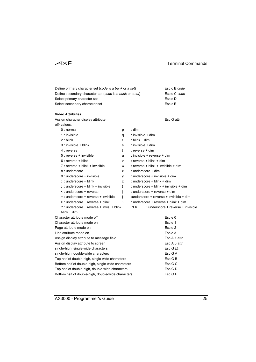| Define primary character set (code is a bank or a set)   |            | Esc c B code                             |                                      |
|----------------------------------------------------------|------------|------------------------------------------|--------------------------------------|
| Define secondary character set (code is a bank or a set) |            | Esc c C code                             |                                      |
| Select primary character set                             |            | $\mathsf{Esc} \circ \mathsf{D}$          |                                      |
| Select secondary character set                           |            |                                          | Esc c E                              |
| <b>Video Attributes</b>                                  |            |                                          |                                      |
| Assign character display attribute                       |            |                                          | Esc G attr                           |
| attr values:                                             |            |                                          |                                      |
| 0:normal                                                 | p          | : dim                                    |                                      |
| $1:$ invisible                                           | q          | : invisible + dim                        |                                      |
| $2:$ blink                                               | r          | $:$ blink + dim                          |                                      |
| $3:$ invisible + blink                                   | s          | : invisible $+$ dim                      |                                      |
| 4 : reverse                                              | t          | $: reverse + dim$                        |                                      |
| 5 : reverse + invisible                                  | u          | : invisible + reverse + dim              |                                      |
| $6:$ reverse + blink                                     | v          | $:$ reverse + blink + dim                |                                      |
| $7:$ reverse + blink + invisible                         | w          | : reverse + blink + invisible + dim      |                                      |
| 8 : underscore                                           | x          | : underscore + dim                       |                                      |
| 9 : underscore + invisible                               | У          | : underscore + invisible + dim           |                                      |
| $:$ : underscore + blink                                 | z          | : underscore + blink + dim               |                                      |
| $\frac{1}{2}$ : underscore + blink + invisible           | {          | : underscore + blink + invisible + dim   |                                      |
| <: underscore + reverse                                  | I          | : underscore + reverse + dim             |                                      |
| $=$ : underscore + reverse + invisible                   | ł          | : underscore + reverse + invisible + dim |                                      |
| > : underscore + reverse + blink                         | $\tilde{}$ | : underscore + reverse + blink + dim     |                                      |
| ? : underscore + reverse + invis. + blink                |            | 7Fh                                      | : underscore + reverse + invisible + |
| $blink + dim$                                            |            |                                          |                                      |
| Character attribute mode off                             |            |                                          | Esc e 0                              |
| Character attribute mode on                              |            |                                          | Esc e 1                              |
| Page attribute mode on                                   |            |                                          | Esc e 2                              |
| Line attribute mode on                                   |            |                                          | Esc e 3                              |
| Assign display attribute to message field                |            |                                          | Esc A 1 attr                         |
| Assign display attribute to screen                       |            |                                          | Esc A 0 attr                         |
| single-high, single-wide characters                      |            | $\mathsf{Esc} \mathsf{G} \mathsf{@}$     |                                      |
| single-high, double-wide characters                      |            | Esc G A                                  |                                      |
| Top half of double-high, single-wide characters          |            |                                          | Esc G B                              |
| Bottom half of double-high, single-wide characters       |            |                                          | Esc G C                              |
| Top half of double-high, double-wide characters          |            | Esc G D                                  |                                      |
| Bottom half of double-high, double-wide characters       |            | Esc G E                                  |                                      |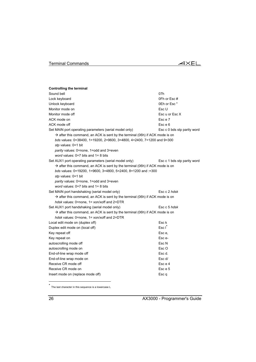$\angle XEL$ 

| <b>Controlling the terminal</b>                                                          |                             |  |  |  |
|------------------------------------------------------------------------------------------|-----------------------------|--|--|--|
| Sound bell                                                                               | 07h                         |  |  |  |
| Lock keyboard                                                                            | 0Fh or Esc#                 |  |  |  |
| Unlock keyboard                                                                          | 0Eh or Esc"                 |  |  |  |
| Monitor mode on                                                                          | Esc U                       |  |  |  |
| Monitor mode off                                                                         | Esc u or Esc X              |  |  |  |
| ACK mode on                                                                              | Esc e 7                     |  |  |  |
| ACK mode off                                                                             | Esc e 6                     |  |  |  |
| Set MAIN port operating parameters (serial model only)                                   | Esc c 0 bds stp parity word |  |  |  |
| $\rightarrow$ after this command, an ACK is sent by the terminal (06h) if ACK mode is on |                             |  |  |  |
| bds values: 0=38400, 1=19200, 2=9600, 3=4800, 4=2400, 7=1200 and 9=300                   |                             |  |  |  |
| stp values: 0=1 bit                                                                      |                             |  |  |  |
| parity values: 0=none, 1=odd and 3=even                                                  |                             |  |  |  |
| <i>word</i> values: $0=7$ bits and $1=8$ bits                                            |                             |  |  |  |
| Set AUX1 port operating parameters (serial model only)                                   | Esc c 1 bds stp parity word |  |  |  |
| $\rightarrow$ after this command, an ACK is sent by the terminal (06h) if ACK mode is on |                             |  |  |  |
| bds values: 0=19200, 1=9600, 3=4800, 5=2400, 8=1200 and :=300                            |                             |  |  |  |
| stp values: 0=1 bit                                                                      |                             |  |  |  |
| parity values: 0=none, 1=odd and 3=even                                                  |                             |  |  |  |
| <i>word</i> values: $0=7$ bits and $1=8$ bits                                            |                             |  |  |  |
| Set MAIN port handshaking (serial model only)                                            | Esc c 2 hdsk                |  |  |  |
| $\rightarrow$ after this command, an ACK is sent by the terminal (06h) if ACK mode is on |                             |  |  |  |
| hdsk values: 0=none, 1= xon/xoff and 2=DTR                                               |                             |  |  |  |
| Set AUX1 port handshaking (serial model only)                                            | Esc c 5 hdsk                |  |  |  |
| $\rightarrow$ after this command, an ACK is sent by the terminal (06h) if ACK mode is on |                             |  |  |  |
| hdsk values: $0$ =none, $1$ = xon/xoff and $2$ =DTR                                      |                             |  |  |  |
| Local edit mode on (duplex off)                                                          | Esc k                       |  |  |  |
| Duplex edit mode on (local off)                                                          | Esc I                       |  |  |  |
| Key repeat off                                                                           | Esc e,                      |  |  |  |
| Key repeat on                                                                            | Esc e-                      |  |  |  |
| autoscrolling mode off                                                                   | Esc N                       |  |  |  |
| autoscrolling mode on                                                                    | Esc O                       |  |  |  |
| End-of-line wrap mode off                                                                | Esc d.                      |  |  |  |
| End-of-line wrap mode on                                                                 | Esc d/                      |  |  |  |
| Receive CR mode off                                                                      | Esc e 4                     |  |  |  |
| Receive CR mode on                                                                       | Esc e 5                     |  |  |  |
| Insert mode on (replace mode off)                                                        | Esc q                       |  |  |  |
|                                                                                          |                             |  |  |  |

\* The last character in this sequence is a lowercase L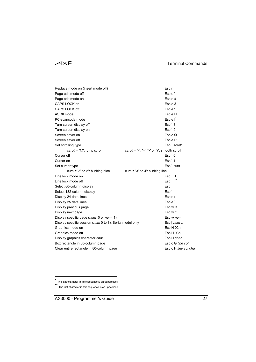| Replace mode on (insert mode off)                                            | Esc r                                        |
|------------------------------------------------------------------------------|----------------------------------------------|
| Page edit mode off                                                           | Esce"                                        |
| Page edit mode on                                                            | Esc $e#$                                     |
| CAPS LOCK on                                                                 | Esc e &                                      |
| CAPS LOCK off                                                                | Esce'                                        |
| ASCII mode                                                                   | Esc e H                                      |
| PC-scancode mode                                                             | Esce lî                                      |
| Turn screen display off                                                      | $Esc \t3$                                    |
| Turn screen display on                                                       | $Esc \t3$                                    |
| Screen saver on                                                              | $\mathsf{Esc} \in \mathsf{Q}$                |
| Screen saver off                                                             | Esc e P                                      |
| Set scrolling type                                                           | Esc ` scroll                                 |
| $scroll = '@': jump scroll$                                                  | scroll = '<', '=', '>' or '?': smooth scroll |
| Cursor off                                                                   | $Esc \n0$                                    |
| Cursor on                                                                    | Esc <sup>3</sup> 1                           |
| Set cursor type                                                              | Esc ` curs                                   |
| curs = $'2'$ or $'5'$ : blinking block curs = $'3'$ or $'4'$ : blinking line |                                              |
| Line lock mode on                                                            | Esc `H                                       |
| Line lock mode off                                                           | Esc'l**                                      |
| Select 80-column display                                                     | $Esc$ :                                      |
| Select 132-column display                                                    | $Esc$ ;                                      |
| Display 24 data lines                                                        | Esc e (                                      |
| Display 25 data lines                                                        | $Esc e$ )                                    |
| Display previous page                                                        | Esc w B                                      |
| Display next page                                                            | Esc w C                                      |
| Display specific page (num=0 or num=1)                                       | Esc w num                                    |
| Display specific session (num 0 to 8). Serial model only                     | Esc [ num z                                  |
| Graphics mode on                                                             | Esc H 02h                                    |
| Graphics mode off                                                            | Esc H 03h                                    |
| Display graphics character char                                              | Esc H char                                   |
| Box rectangle in 80-column page                                              | Esc c G line col                             |
| Clear entire rectangle in 80-column page                                     | Esc c H line col char                        |

l

<sup>\*</sup> The last character in this sequence is an uppercase i

<sup>\*\*</sup> The last character in this sequence is an uppercase i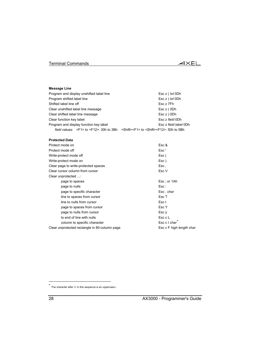$\blacktriangleleft \times E$ L

| <b>Message Line</b>                                                                                                   |                                          |
|-----------------------------------------------------------------------------------------------------------------------|------------------------------------------|
| Program and display unshifted label line                                                                              | Esc z (txt 0Dh                           |
| Program shifted label line                                                                                            | Esc z ) txt 0Dh                          |
| Shifted label line off                                                                                                | Esc z 7Fh                                |
| Clear unshifted label line message                                                                                    | Esc z (0Dh                               |
| Clear shifted label line message                                                                                      | Esc z ) 0Dh                              |
| Clear function key label                                                                                              | Esc z field 0Dh                          |
| Program and display function key label                                                                                | Esc z field label 0Dh                    |
| field values: <f1> to <f12>: 30h to 3Bh <shift><f1> to <shift><f12>: 50h to 5Bh</f12></shift></f1></shift></f12></f1> |                                          |
| <b>Protected Data</b>                                                                                                 |                                          |
| Protect mode on                                                                                                       | Esc &                                    |
| Protect mode off                                                                                                      | Esc'                                     |
| Write-protect mode off                                                                                                | Esc (                                    |
| Write-protect mode on                                                                                                 | Esc)                                     |
| Clear page to write-protected spaces                                                                                  | Esc,                                     |
| Clear cursor column from cursor                                                                                       | Esc V                                    |
| Clear unprotected :                                                                                                   |                                          |
| page to spaces                                                                                                        | Esc; or 1Ah                              |
| page to nulls                                                                                                         | Esc:                                     |
| page to specific character                                                                                            | Esc. char                                |
| line to spaces from cursor                                                                                            | Esc T                                    |
| line to nulls from cursor                                                                                             | Esc <sub>t</sub>                         |
| page to spaces from cursor                                                                                            | Esc Y                                    |
| page to nulls from cursor                                                                                             | Esc y                                    |
| to end of line with nulls                                                                                             | $\mathsf{Esc}\, \mathsf{c}\, \mathsf{L}$ |
| column to specific character                                                                                          | $\mathsf{Esc}$ c I char                  |
| Clear unprotected rectangle in 80-column page                                                                         | Esc c F high length char                 |

l

<sup>\*</sup> The character after 'c' in this sequence is an uppercase i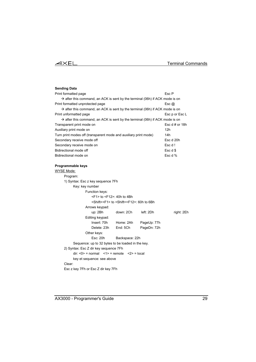

#### **Sending Data**

| Print formatted page                                                                     |                                                                    |                |             | Esc P          |
|------------------------------------------------------------------------------------------|--------------------------------------------------------------------|----------------|-------------|----------------|
| $\rightarrow$ after this command, an ACK is sent by the terminal (06h) if ACK mode is on |                                                                    |                |             |                |
| Print formatted unprotected page                                                         |                                                                    |                |             | Esc $@$        |
| $\rightarrow$ after this command, an ACK is sent by the terminal (06h) if ACK mode is on |                                                                    |                |             |                |
| Print unformatted page                                                                   |                                                                    |                |             | Esc p or Esc L |
| $\rightarrow$ after this command, an ACK is sent by the terminal (06h) if ACK mode is on |                                                                    |                |             |                |
| Transparent print mode on                                                                |                                                                    |                |             | Esc d# or 18h  |
| Auxiliary print mode on                                                                  |                                                                    |                |             | 12h            |
| Turn print modes off (transparent mode and auxiliary print mode)                         |                                                                    |                |             | 14h            |
| Secondary receive mode off                                                               |                                                                    |                |             | Esc d 20h      |
| Secondary receive mode on                                                                |                                                                    |                |             | Esc d!         |
| Bidirectional mode off                                                                   |                                                                    |                |             | Esc d \$       |
| Bidirectional mode on                                                                    |                                                                    |                |             | Esc d%         |
| Programmable keys                                                                        |                                                                    |                |             |                |
| <b>WYSE Mode:</b>                                                                        |                                                                    |                |             |                |
| Program:                                                                                 |                                                                    |                |             |                |
| 1) Syntax: Esc z key sequence 7Fh                                                        |                                                                    |                |             |                |
| Key: key number                                                                          |                                                                    |                |             |                |
| Function keys:                                                                           |                                                                    |                |             |                |
|                                                                                          | <f1> to <f12>: 40h to 4Bh</f12></f1>                               |                |             |                |
|                                                                                          | <shift><f1> to <shift><f12>: 60h to 6Bh</f12></shift></f1></shift> |                |             |                |
| Arrows keypad:                                                                           |                                                                    |                |             |                |
| up: 2Bh                                                                                  | down: 2Ch                                                          |                | left: 2Dh   | right: 2Eh     |
| Editing keypad:                                                                          |                                                                    |                |             |                |
| Insert: 70h                                                                              | Home: 2Ah                                                          |                | PageUp: 77h |                |
| Delete: 23h                                                                              | End: 5Ch                                                           |                | PageDn: 72h |                |
| Other keys:                                                                              |                                                                    |                |             |                |
| Esc: 20h                                                                                 |                                                                    | Backspace: 22h |             |                |
| Sequence: up to 32 bytes to be loaded in the key.                                        |                                                                    |                |             |                |
| 2) Syntax: Esc Z dir key sequence 7Fh                                                    |                                                                    |                |             |                |
| $dir: <0> = normal < 1> = remote < 2> = local$                                           |                                                                    |                |             |                |
| key et sequence: see above                                                               |                                                                    |                |             |                |
| Clear:                                                                                   |                                                                    |                |             |                |
| Esc z key 7Fh or Esc Z dir key 7Fh                                                       |                                                                    |                |             |                |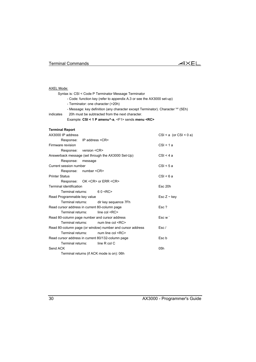

| AXEL Mode:<br>Syntax is: CSI < Code P Terminator Message Terminator<br>- Code: function key (refer to appendix A.3 or see the AX3000 set-up)<br>- Terminator: one character (>20h)<br>- Message: key definition (any character except Terminator). Character ' <sup>*</sup> ' (5Eh)<br>20h must be subtracted from the next character.<br>indicates<br>Example: CSI < 1 P amenu <sup>1</sup> -a, <f1> sends menu <rc></rc></f1> |                               |                            |  |  |  |
|---------------------------------------------------------------------------------------------------------------------------------------------------------------------------------------------------------------------------------------------------------------------------------------------------------------------------------------------------------------------------------------------------------------------------------|-------------------------------|----------------------------|--|--|--|
| <b>Terminal Report</b>                                                                                                                                                                                                                                                                                                                                                                                                          |                               |                            |  |  |  |
| AX3000 IP address                                                                                                                                                                                                                                                                                                                                                                                                               |                               | $CSI < a$ (or $CSI < 0$ a) |  |  |  |
| IP address <cr><br/>Response:</cr>                                                                                                                                                                                                                                                                                                                                                                                              |                               |                            |  |  |  |
| Firmware revision                                                                                                                                                                                                                                                                                                                                                                                                               |                               | CSI < 1a                   |  |  |  |
| Response: version <cr></cr>                                                                                                                                                                                                                                                                                                                                                                                                     |                               |                            |  |  |  |
| Answerback message (set through the AX3000 Set-Up)                                                                                                                                                                                                                                                                                                                                                                              |                               | CSI < 4a                   |  |  |  |
| Response:<br>message                                                                                                                                                                                                                                                                                                                                                                                                            |                               |                            |  |  |  |
| Current session number                                                                                                                                                                                                                                                                                                                                                                                                          |                               | CSI < 5a                   |  |  |  |
| number <cr><br/>Response:</cr>                                                                                                                                                                                                                                                                                                                                                                                                  |                               |                            |  |  |  |
| <b>Printer Status</b>                                                                                                                                                                                                                                                                                                                                                                                                           |                               | CSI < 6a                   |  |  |  |
| Response:                                                                                                                                                                                                                                                                                                                                                                                                                       | OK <cr> or ERR <cr></cr></cr> |                            |  |  |  |
| Terminal identification                                                                                                                                                                                                                                                                                                                                                                                                         |                               | Esc 20h                    |  |  |  |
| Terminal returns:                                                                                                                                                                                                                                                                                                                                                                                                               | $60$ <rc></rc>                |                            |  |  |  |
| Read Programmable key value                                                                                                                                                                                                                                                                                                                                                                                                     |                               | Esc $Z \sim \text{key}$    |  |  |  |
| Terminal returns:                                                                                                                                                                                                                                                                                                                                                                                                               | dir key sequence 7Fh          |                            |  |  |  |
| Read cursor address in current 80-column page                                                                                                                                                                                                                                                                                                                                                                                   |                               | Esc?                       |  |  |  |
| Terminal returns:                                                                                                                                                                                                                                                                                                                                                                                                               | line $col < RC$               |                            |  |  |  |
| Read 80-column page number and cursor address                                                                                                                                                                                                                                                                                                                                                                                   |                               | Escw'                      |  |  |  |
| Terminal returns:                                                                                                                                                                                                                                                                                                                                                                                                               | num line col <rc></rc>        |                            |  |  |  |
| Read 80-column page (or window) number and cursor address<br>Esc/                                                                                                                                                                                                                                                                                                                                                               |                               |                            |  |  |  |
| Terminal returns:                                                                                                                                                                                                                                                                                                                                                                                                               | num line col <rc></rc>        |                            |  |  |  |
| Read cursor address in current 80/132-column page                                                                                                                                                                                                                                                                                                                                                                               |                               | Esc b                      |  |  |  |
| Terminal returns:                                                                                                                                                                                                                                                                                                                                                                                                               | line R col C                  |                            |  |  |  |
| Send ACK<br>05h                                                                                                                                                                                                                                                                                                                                                                                                                 |                               |                            |  |  |  |
| Terminal returns (if ACK mode is on): 06h                                                                                                                                                                                                                                                                                                                                                                                       |                               |                            |  |  |  |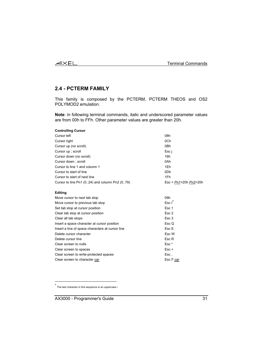# **2.4 - PCTERM FAMILY**

This family is composed by the PCTERM, PCTERM THEOS and OS2 POLYMOD2 emulation.

**Note**: in following terminal commands, italic and underscored parameter values are from 00h to FFh. Other parameter values are greater than 20h.

| <b>Controlling Cursor</b>                        |                         |
|--------------------------------------------------|-------------------------|
| Cursor left                                      | 08h                     |
| Cursor right                                     | 0Ch                     |
| Cursor up (no scroll)                            | 0 <sub>Bh</sub>         |
| Cursor up : scroll                               | Esc i                   |
| Cursor down (no scroll)                          | 16h                     |
| Cursor down ; scroll                             | 0Ah                     |
| Cursor to line 1 and column 1                    | 1Eh                     |
| Cursor to start of line                          | 0 <sub>Dh</sub>         |
| Cursor to start of next line                     | 1Fh                     |
| Cursor to line Pn1 (024) and column Pn2 (079)    | $Esc = Pn1+20h Pn2+20h$ |
|                                                  |                         |
| <b>Editing</b>                                   |                         |
| Move cursor to next tab stop                     | 09h                     |
| Move cursor to previous tab stop                 | Esc I                   |
| Set tab stop at cursor position                  | Esc <sub>1</sub>        |
| Clear tab stop at cursor position                | Esc <sub>2</sub>        |
| Clear all tab stops                              | Esc <sub>3</sub>        |
| Insert a space character at cursor position      | $Esc$ $Q$               |
| Insert a line of space characters at cursor line | Esc E                   |
| Delete cursor character                          | Esc W                   |
| Delete cursor line                               | Esc R                   |
| Clear screen to nulls                            | $Esc^*$                 |
| Clear screen to spaces                           | $Esc +$                 |
| Clear screen to write-protected spaces           | Esc.                    |
| Clear screen to character car                    | Esc F car               |

\* The last character in this sequence is an uppercase i

l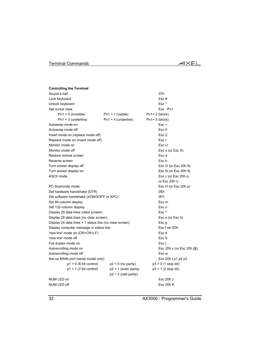## $\blacktriangleleft \times E$ L

| <b>Controlling the Terminal</b>                         |                        |                                        |
|---------------------------------------------------------|------------------------|----------------------------------------|
| Sound a bell                                            |                        | 07h                                    |
| Lock keyboard                                           |                        | Esc#                                   |
| Unlock keyboard                                         |                        | Esc"                                   |
| Set cursor style                                        |                        | Esc. Pn1                               |
| $Pn1 = 0$ (invisible)                                   | $Pn1 = 1$ (visible)    | $Pn1 = 2$ (block)                      |
| $Pn1 = 3$ (underline)                                   | $Pn1 = 4$ (underline)  | $Pn1 = 5$ (block)                      |
| Autowrap mode on                                        |                        | Esc $\sim$                             |
| Autowrap mode off                                       |                        | Esc <sub>0</sub>                       |
| Insert mode on (replace mode off)                       |                        | Esc <sub>Z</sub>                       |
| Replace mode on (insert mode off)                       |                        | Esc r                                  |
| Monitor mode on                                         |                        | Esc U                                  |
| Monitor mode off                                        |                        | Esc $u$ (or Esc $X$ )                  |
| Restore normal screen                                   |                        | Esc d                                  |
| Reverse screen                                          |                        | Esc b                                  |
| Turn screen display off                                 |                        | $\text{Esc}$ O (or $\text{Esc}$ 20h 8) |
| Turn screen display on                                  |                        | Esc N (or Esc 20h 9)                   |
| ASCII mode                                              |                        | Esc c (or Esc 20h q                    |
|                                                         |                        | or $Esc 20h r$ )                       |
| PC-Scancode mode                                        |                        | Esc H (or Esc 20h $p$ )                |
| Set hardware handshake (DTR)                            |                        | 0Eh                                    |
| Set software handshake (XON/XOFF or XPC)                |                        | 0Fh                                    |
| Set 80-column display                                   |                        | Esc m                                  |
| Set 132-column display                                  |                        | Esc n                                  |
| Display 25 data lines (clear screen)                    |                        | Esc <sup>^</sup>                       |
| Display 25 data lines (no clear screen)                 | Esc e (or Esc h)       |                                        |
| Display 24 data lines + 1 status line (no clear screen) | Esc q                  |                                        |
| Display computer message in status line                 |                        | Esc f str 0Dh                          |
| 'new line' mode on (CR=CR+LF)                           |                        | Esc 8                                  |
| 'new line' mode off                                     |                        | Esc 9                                  |
| Full duplex mode on                                     |                        | $Esc$ }                                |
| Autoscrolling mode on                                   |                        | Esc 20h v (or Esc 20h @)               |
| Autoscrolling mode off                                  |                        | Esc w                                  |
| Set-up MAIN port (serial model only)                    |                        | Esc 20h t $p1$ $p2$ $p3$               |
| $p1 = 0$ (8-bit control)                                | $p2 = 0$ (no parity)   | $p3 = 0$ (1 stop bit)                  |
| $p1 = 1$ (7-bit control)                                | $p2 = 1$ (even parity) | $p3 = 1$ (2 stop bit)                  |
|                                                         | $p2 = 2$ (odd parity)  |                                        |
| NUM LED on                                              |                        | Esc 20h J                              |
| NUM LED off                                             |                        | $Esc$ 20h $K$                          |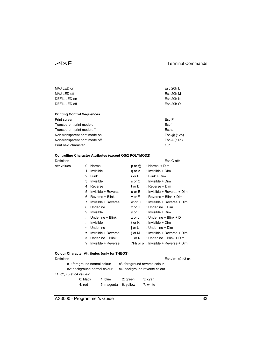# AXEL Terminal Commands

| MAJ LED on                        |                              |                                                                |           |                             |                               | Esc 20h L                              |
|-----------------------------------|------------------------------|----------------------------------------------------------------|-----------|-----------------------------|-------------------------------|----------------------------------------|
| MAJ LED off                       |                              |                                                                |           |                             |                               | Esc 20h M                              |
| DEFIL LED on                      |                              |                                                                |           |                             |                               | Esc 20h N                              |
| DEFIL LED off                     |                              |                                                                |           |                             |                               | $Esc$ 20 $h$ O                         |
|                                   |                              |                                                                |           |                             |                               |                                        |
| <b>Printing Control Sequences</b> |                              |                                                                |           |                             |                               |                                        |
| Print screen                      |                              |                                                                |           |                             |                               | Esc P                                  |
| Transparent print mode on         |                              |                                                                |           |                             |                               | Esc`                                   |
| Transparent print mode off        |                              |                                                                |           |                             |                               | Esc a                                  |
| Non-transparent print mode on     |                              |                                                                |           |                             |                               | Esc @ (12h)                            |
| Non-transparent print mode off    |                              |                                                                |           |                             |                               | Esc A (14h)                            |
| Print next character              |                              |                                                                |           |                             |                               | 10h                                    |
|                                   |                              |                                                                |           |                             |                               |                                        |
|                                   |                              | <b>Controlling Character Attributes (except OS/2 POLYMOD2)</b> |           |                             |                               |                                        |
| Definition                        |                              |                                                                |           |                             |                               | Esc G attr                             |
| attr values                       | 0:Normal                     |                                                                |           | $p$ or $@$                  | : Normal $+$ Dim              |                                        |
|                                   | $1:$ Invisible               |                                                                |           | q or A                      | : Invisible $+$ Dim           |                                        |
|                                   | $2:$ Blink                   |                                                                |           | r or B                      | : Blink + Dim                 |                                        |
|                                   | 3 : Invisible                |                                                                |           | s or C                      | : Invisible $+$ Dim           |                                        |
|                                   | 4 : Reverse                  |                                                                |           | t or D                      | : Reverse + Dim               |                                        |
|                                   |                              | 5 : Invisible + Reverse                                        |           | u or E                      |                               | : Invisible + Reverse + Dim            |
| 6 : Reverse + Blink               |                              | v or F                                                         |           | : Reverse + Blink + Dim     |                               |                                        |
| 7 : Invisible + Reverse           |                              | w or G                                                         |           | : Invisible + Reverse + Dim |                               |                                        |
|                                   | 8: Underline                 |                                                                |           | x or H                      | : Underline + Dim             |                                        |
|                                   | 9 : Invisible                |                                                                |           | y or I                      | : Invisible + Dim             |                                        |
|                                   |                              | : : Underline + Blink                                          |           | z or J                      |                               | : Underline + Blink + Dim              |
|                                   | : : Invisible                |                                                                |           | $\{$ or $K$                 | : Invisible $+$ Dim           |                                        |
|                                   | $\leq$ : Underline           |                                                                |           | or L                        | : Underline + Dim             |                                        |
|                                   |                              | $=$ : Invisible + Reverse                                      |           | } or M                      |                               | : Invisible + Reverse + Dim            |
|                                   |                              | $>$ : Underline + Blink                                        |           | $\sim$ or N                 |                               | : Underline + Blink + Dim              |
|                                   |                              | ? : Invisible + Reverse                                        |           |                             |                               | $7Fh$ or o : Invisible + Reverse + Dim |
|                                   |                              |                                                                |           |                             |                               |                                        |
|                                   |                              | <b>Colour Character Attributes (only for THEOS)</b>            |           |                             |                               |                                        |
| Definition                        |                              |                                                                |           |                             |                               | Esc / c1 c2 c3 c4                      |
|                                   | c1: foreground normal colour |                                                                |           |                             | c3: foreground reverse colour |                                        |
|                                   | c2: background normal colour |                                                                |           |                             | c4: background reverse colour |                                        |
| c1, c2, c3 et c4 values:          |                              |                                                                |           |                             |                               |                                        |
|                                   | $0:$ black                   | 1: blue                                                        | 2: green  |                             | 3: cyan                       |                                        |
|                                   | 4: red                       | 5: magenta                                                     | 6: yellow |                             | $7:$ white                    |                                        |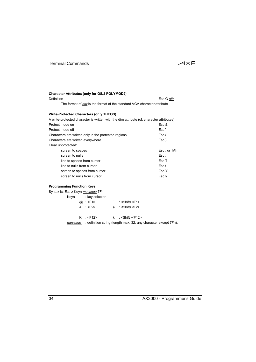| <b>Character Attributes (only for OS/2 POLYMOD2)</b>                                     |             |
|------------------------------------------------------------------------------------------|-------------|
| Definition                                                                               | Esc G attr  |
| The format of <i>attr</i> is the format of the standard VGA character attribute          |             |
|                                                                                          |             |
| <b>Write-Protected Characters (only THEOS)</b>                                           |             |
| A write-protected character is written with the dim attribute (cf. character attributes) |             |
| Protect mode on                                                                          | Esc &       |
| Protect mode off                                                                         | Esc'        |
| Characters are written only in the protected regions                                     | Esc (       |
| Characters are written everywhere                                                        | Esc)        |
| Clear unprotected:                                                                       |             |
| screen to spaces                                                                         | Esc; or 1Ah |
| screen to nulls                                                                          | Esc:        |
| line to spaces from cursor                                                               | Esc T       |
| line to nulls from cursor                                                                | Esc t       |
| screen to spaces from cursor                                                             | Esc Y       |
| screen to nulls from cursor                                                              | Esc y       |
|                                                                                          |             |

### **Programming Function Keys**

Syntax is: Esc z Keyn *message* 7Fh

| Kevn     | : key selector  |                                                                 |
|----------|-----------------|-----------------------------------------------------------------|
|          | @ : <f1></f1>   | : <shift><f1></f1></shift>                                      |
|          | $A \cdot < F2$  | $a : <$ Shift> $<$ F2>                                          |
| $\cdots$ | .               | <br>                                                            |
|          | K : <f12></f12> | k : <shift><f12></f12></shift>                                  |
| message  |                 | : definition string (length max. 32, any character except 7Fh). |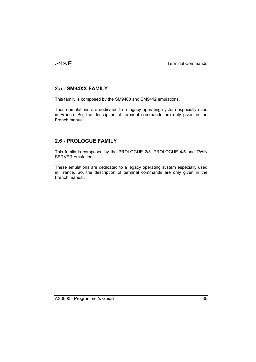### **2.5 - SM94XX FAMILY**

This family is composed by the SM9400 and SM9412 emulations.

These emulations are dedicated to a legacy operating system especially used in France. So, the description of terminal commands are only given in the French manual.

### **2.6 - PROLOGUE FAMILY**

This family is composed by the PROLOGUE 2/3, PROLOGUE 4/5 and TWIN SERVER emulations.

These emulations are dedicated to a legacy operating system especially used in France. So, the description of terminal commands are only given in the French manual.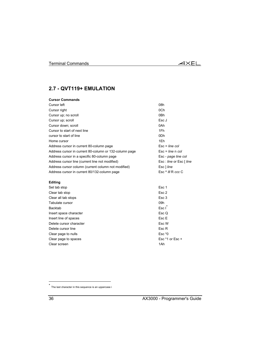### $\angle XEL$

### **2.7 - QVT119+ EMULATION**

### **Cursor Commands**  Cursor left 08h Cursor right 0Ch Cursor up; no scroll 0Bh Cursor up; scroll example of the contract of the contract of the contract of the contract of the contract of the contract of the contract of the contract of the contract of the contract of the contract of the contract of t Cursor down; scroll 0Ah Cursor to start of next line 1Fh cursor to start of line 0Dh Home cursor 1Eh Address cursor in current 80-column page Esc = *line col* Address cursor in current 80-column or 132-column page Esc = *line* n *col* Address cursor in a specific 80-column page **ESC** - page line col Address cursor line (current line not modified) Esc : line or Esc [ line Address cursor column (current column not modified) Esc ] *line*  Address cursor in current 80/132-column page Esc ^ *III* R ccc C

### **Editing**

| Set tab stop            | Esc 1               |
|-------------------------|---------------------|
| Clear tab stop          | Esc 2               |
| Clear all tab stops     | Esc <sub>3</sub>    |
| Tabulate cursor         | 09h                 |
| Backtab                 | Esc I <sup>c</sup>  |
| Insert space character  | Esc Q               |
| Insert line of spaces   | Esc E               |
| Delete cursor character | Esc W               |
| Delete cursor line      | Esc R               |
| Clear page to nulls     | $Esc*0$             |
| Clear page to spaces    | Esc $*1$ or Esc $+$ |
| Clear screen            | 1Ah                 |
|                         |                     |

l

<sup>\*</sup> The last character in this sequence is an uppercase i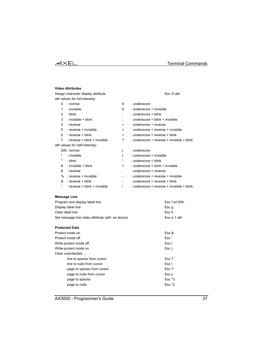### $\angle$

|                           | <b>Video Attributes</b>                           |                      |                                            |               |  |
|---------------------------|---------------------------------------------------|----------------------|--------------------------------------------|---------------|--|
|                           | Assign character display attribute                |                      |                                            | Esc G attr    |  |
|                           | attr values for full-intensity:                   |                      |                                            |               |  |
| 0                         | : normal                                          | 8                    | : underscore                               |               |  |
| 1                         | : invisible                                       | 9                    | : underscore + invisible                   |               |  |
| $\overline{2}$            | : blink                                           |                      | $:$ underscore + blink                     |               |  |
| 3                         | : invisible + blink                               |                      | : underscore + blink + invisible           |               |  |
| 4                         | : reverse                                         | <                    | : underscore + reverse                     |               |  |
| 5                         | : reverse + invisible                             | $=$                  | : underscore + reverse + invisible         |               |  |
| 6                         | reverse + blink :                                 | >                    | : underscore + reverse + blink             |               |  |
| 7                         | $:$ reverse + blink + invisible                   | ?                    | : underscore + reverse + invisible + blink |               |  |
|                           | attr values for half-intensity:                   |                      |                                            |               |  |
|                           | 20h: normal                                       | $\overline{(\cdot)}$ | : underscore                               |               |  |
| Ţ                         | : invisible                                       | $\mathcal{E}$        | : underscore + invisible                   |               |  |
| H                         | : blink                                           | $^\star$             | $:$ underscore + blink                     |               |  |
| #                         | $:$ invisible + blink                             | $\ddot{}$            | : underscore + blink + invisible           |               |  |
| \$                        | : reverse                                         | $\overline{1}$       | : underscore + reverse                     |               |  |
|                           | $%$ : reverse + invisible                         |                      | : underscore + reverse + invisible         |               |  |
|                           | & : reverse + blink                               |                      | : underscore + reverse + blink             |               |  |
| ٠                         | $:$ reverse + blink + invisible                   | $\prime$             | : underscore + reverse + invisible + blink |               |  |
|                           |                                                   |                      |                                            |               |  |
|                           | <b>Message Line</b>                               |                      |                                            |               |  |
|                           | Program and display label line                    |                      |                                            | Esc f txt 0Dh |  |
|                           | Display label line                                |                      |                                            | Esc q         |  |
|                           | Clear label line                                  |                      |                                            | Fsc h         |  |
|                           | Set message line video attribute (attr: se above) |                      |                                            | Esc a 1 attr  |  |
|                           |                                                   |                      |                                            |               |  |
|                           | <b>Protected Data</b>                             |                      |                                            |               |  |
|                           | Protect mode on                                   |                      |                                            | Esc &         |  |
|                           | Protect mode off                                  |                      |                                            | Esc'          |  |
|                           | Write-protect mode off                            |                      |                                            | Esc (         |  |
| Write-protect mode on     |                                                   |                      | Esc)                                       |               |  |
| Clear unprotected :       |                                                   |                      |                                            |               |  |
|                           | line to spaces from cursor                        |                      |                                            | Esc T         |  |
| line to nulls from cursor |                                                   |                      |                                            | Esc t         |  |
|                           | page to spaces from cursor                        |                      |                                            | Esc Y         |  |

page to nulls from cursor example to nulls from cursor page to spaces Esc \*3 page to nulls **Esc** \*2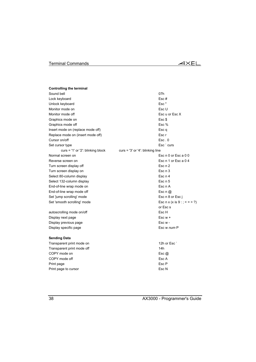### Terminal Commands

### $\angle XEL$

| <b>Controlling the terminal</b>     |                                              |
|-------------------------------------|----------------------------------------------|
| Sound bell                          | 07h                                          |
| Lock keyboard                       | Esc#                                         |
| Unlock keyboard                     | Esc"                                         |
| Monitor mode on                     | Esc U                                        |
| Monitor mode off                    | Esc u or Esc X                               |
| Graphics mode on                    | Esc \$                                       |
| Graphics mode off                   | Esc %                                        |
| Insert mode on (replace mode off)   | Esc q                                        |
| Replace mode on (insert mode off)   | Esc r                                        |
| Cursor on/off                       | Esc.0                                        |
| Set cursor type                     | Esc ` curs                                   |
| $curs = '1'$ or '2': blinking block | curs = $'3'$ or $'4'$ : blinking line        |
| Normal screen on                    | Esc $n \theta$ or Esc a $0 \theta$           |
| Reverse screen on                   | Esc n 1 or Esc a 0 4                         |
| Turn screen display off             | Esc n 2                                      |
| Turn screen display on              | Esc <sub>n</sub> 3                           |
| Select 80-column display            | Esc n 4                                      |
| Select 132-column display           | Esc n 5                                      |
| End-of-line wrap mode on            | Esc n A                                      |
| End-of-line wrap mode off           | Esc $n@$                                     |
| Set 'jump scrolling' mode           | Esc n 8 or Esc j                             |
| Set 'smooth scrolling' mode         | Esc $n \times (x \text{ is } 9 : ; < = > ?)$ |
|                                     | or Esc s                                     |
| autoscrolling mode on/off           | Esc H                                        |
| Display next page                   | $Escw +$                                     |
| Display previous page               | Esc w -                                      |
| Display specific page               | Esc w num P                                  |
|                                     |                                              |
| <b>Sending Data</b>                 |                                              |
| Transparent print mode on           | 12h or Esc `                                 |
| Transparent print mode off          | 14h                                          |
| COPY mode on                        | Esc $@$                                      |
| COPY mode off                       | Esc A                                        |
| Print page                          | Esc P                                        |
| Print page to cursor                | Esc N                                        |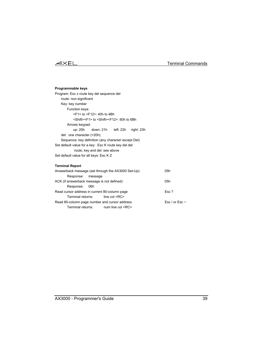

### **Programmable keys**

| Program: Esc z route key del sequence del             |                                                                    |           |            |  |
|-------------------------------------------------------|--------------------------------------------------------------------|-----------|------------|--|
| route: non-significant                                |                                                                    |           |            |  |
| Key: key number                                       |                                                                    |           |            |  |
| Function keys:                                        |                                                                    |           |            |  |
|                                                       | $<$ F1> to $<$ F12> $\cdot$ 40h to 4Bh                             |           |            |  |
|                                                       | <shift><f1> to <shift><f12>' 60h to 6Bh</f12></shift></f1></shift> |           |            |  |
| Arrows keypad:                                        |                                                                    |           |            |  |
|                                                       | up: 20h down: 21h                                                  | left: 22h | right: 23h |  |
| del: one character (>20h)                             |                                                                    |           |            |  |
| Sequence: key definition (any character except Del)   |                                                                    |           |            |  |
| Set default value for a key : Esc K route key del del |                                                                    |           |            |  |
|                                                       | route, key and del: see above                                      |           |            |  |
| Set default value for all keys: Esc K Z               |                                                                    |           |            |  |
|                                                       |                                                                    |           |            |  |

### **Terminal Report**

| Answerback message (set through the AX3000 Set-Up) | 05h                 |
|----------------------------------------------------|---------------------|
| Response: message                                  |                     |
| ACK (if answerback message is not defined)         | 05h                 |
| Response: 06h                                      |                     |
| Read cursor address in current 80-column page      | Esc?                |
| Terminal returns: line col <rc></rc>               |                     |
| Read 80-column page number and cursor address      | Esc / or Esc $\sim$ |
| Terminal returns: num line col <rc></rc>           |                     |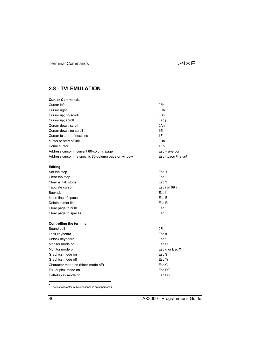$\overline{\mathcal{A}}$   $\times$  EL

# **2.8 - TVI EMULATION**

| <b>Cursor Commands</b>                                |                                    |
|-------------------------------------------------------|------------------------------------|
| Cursor left                                           | 08h                                |
| Cursor right                                          | 0Ch                                |
| Cursor up; no scroll                                  | 0Bh                                |
| Cursor up; scroll                                     | Esc j                              |
| Cursor down; scroll                                   | 0Ah                                |
| Cursor down; no scroll                                | 16h                                |
| Cursor to start of next line                          | 1Fh                                |
| cursor to start of line                               | 0Dh                                |
| Home cursor                                           | 1Eh                                |
| Address cursor in current 80-column page              | $\textsf{Esc} = \textsf{line col}$ |
| Address cursor in a specific 80-column page or window | Esc - page line col                |
| <b>Editing</b>                                        |                                    |
| Set tab stop                                          | Esc 1                              |
| Clear tab stop                                        | Esc <sub>2</sub>                   |
| Clear all tab stops                                   | Esc 3                              |
| Tabulate cursor                                       | Esc i or 09h                       |
| <b>Backtab</b>                                        | Esc I                              |
| Insert line of spaces                                 | Esc E                              |
| Delete cursor line                                    | Esc <sub>R</sub>                   |
| Clear page to nulls                                   | $Esc *$                            |
| Clear page to spaces                                  | Esc+                               |
| <b>Controlling the terminal</b>                       |                                    |
| Sound bell                                            | 07h                                |
| Lock keyboard                                         | Esc#                               |
| Unlock keyboard                                       | Esc"                               |
| Monitor mode on                                       | Esc U                              |
| Monitor mode off                                      | Esc u or Esc X                     |
| Graphics mode on                                      | Esc \$                             |
| Graphics mode off                                     | Esc %                              |
| Character mode on (block mode off)                    | Esc C                              |
| Full-duplex mode on                                   | Esc DF                             |
| Half-duplex mode on                                   | Esc DH                             |
|                                                       |                                    |

\* The last character in this sequence is an uppercase i

l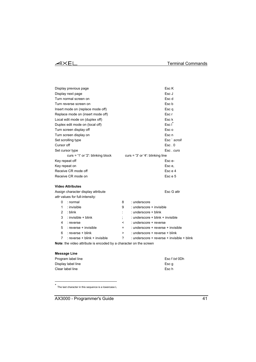### $\angle XEL$

| Display previous page                                              |              |                                    | Esc K                                      |
|--------------------------------------------------------------------|--------------|------------------------------------|--------------------------------------------|
| Display next page                                                  |              |                                    | Esc J                                      |
| Turn normal screen on                                              |              |                                    | Esc d                                      |
| Turn reverse screen on                                             |              |                                    | Esc b                                      |
| Insert mode on (replace mode off)                                  |              |                                    | Esc q                                      |
| Replace mode on (insert mode off)                                  |              |                                    | Esc r                                      |
| Local edit mode on (duplex off)                                    |              |                                    | Esc k                                      |
| Duplex edit mode on (local off)                                    |              |                                    | Esc I <sup>n</sup>                         |
| Turn screen display off                                            |              |                                    | Esc o                                      |
| Turn screen display on                                             |              |                                    | Esc n                                      |
| Set scrolling type                                                 |              |                                    | Esc ` scroll                               |
| Cursor off                                                         |              |                                    | Esc.0                                      |
| Set cursor type                                                    |              |                                    | Esc. curs                                  |
| curs = '1' or '2': blinking block curs = '3' or '4': blinking line |              |                                    |                                            |
| Key repeat off                                                     |              |                                    | Esc e-                                     |
| Key repeat on                                                      |              |                                    | Esc e,                                     |
| Receive CR mode off                                                |              |                                    | Esc e 4                                    |
| Receive CR mode on                                                 |              |                                    | Esc e 5                                    |
| <b>Video Attributes</b>                                            |              |                                    |                                            |
| Assign character display attribute                                 |              |                                    | Esc G attr                                 |
| attr values for full-intensity:                                    |              |                                    |                                            |
| 0<br>: normal                                                      | 8            | : underscore                       |                                            |
| 1<br>: invisible                                                   | 9            | $:$ underscore + invisible         |                                            |
| $\overline{2}$<br>: blink                                          |              | $:$ underscore + blink             |                                            |
| 3<br>$:$ invisible + blink                                         | $\mathbf{r}$ | : underscore + blink + invisible   |                                            |
| 4<br>: reverse                                                     | $\,<\,$      | : underscore + reverse             |                                            |
| 5<br>: reverse + invisible                                         | $=$          | : underscore + reverse + invisible |                                            |
| 6<br>: reverse + blink                                             | >            | : underscore + reverse + blink     |                                            |
| 7<br>∶reverse + blink + invisible                                  | 7            |                                    | : underscore + reverse + invisible + blink |

**Note**: the video attribute is encoded by a character on the screen

### **Message Line**

l

| Program label line | Esc f <i>txt</i> 0Dh |
|--------------------|----------------------|
| Display label line | Esc a                |
| Clear label line   | Esc h                |

\* The last character in this sequence is a lowercase L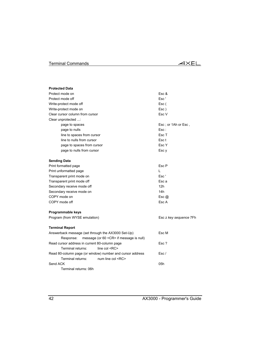### Terminal Commands **AXEL**

| <b>Protected Data</b>                                      |                        |
|------------------------------------------------------------|------------------------|
| Protect mode on                                            | Esc &                  |
| Protect mode off                                           | Esc'                   |
| Write-protect mode off                                     | Esc (                  |
| Write-protect mode on                                      | Esc)                   |
| Clear cursor column from cursor                            | Esc V                  |
| Clear unprotected :                                        |                        |
| page to spaces                                             | Esc; or 1Ah or Esc,    |
| page to nulls                                              | Esc:                   |
| line to spaces from cursor                                 | Esc T                  |
| line to nulls from cursor                                  | Esc t                  |
| page to spaces from cursor                                 | Esc Y                  |
| page to nulls from cursor                                  | Esc y                  |
| <b>Sending Data</b>                                        |                        |
| Print formatted page                                       | Esc P                  |
| Print unformatted page                                     | L                      |
| Transparent print mode on                                  | Esc'                   |
| Transparent print mode off                                 | Esc a                  |
| Secondary receive mode off                                 | 12h                    |
| Secondary receive mode on                                  | 14h                    |
| COPY mode on                                               | Esc $@$                |
| COPY mode off                                              | Esc A                  |
| Programmable keys                                          |                        |
| Program (from WYSE emulation)                              | Esc z key sequence 7Fh |
| <b>Terminal Report</b>                                     |                        |
| Answerback message (set through the AX3000 Set-Up)         | Esc M                  |
| message (or 60 <cr> if message is null)<br/>Response:</cr> |                        |
| Read cursor address in current 80-column page              | Esc?                   |
| Terminal returns:<br>line col <rc></rc>                    |                        |
| Read 80-column page (or window) number and cursor address  | Esc/                   |
| Terminal returns:<br>num line col <rc></rc>                |                        |
| Send ACK                                                   | 05h                    |
| Terminal returns: 06h                                      |                        |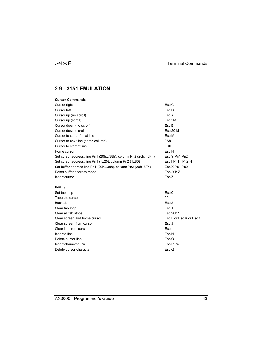# **2.9 - 3151 EMULATION**

| <b>Cursor Commands</b>                                     |                           |
|------------------------------------------------------------|---------------------------|
| Cursor right                                               | Esc <sub>C</sub>          |
| Cursor left                                                | Esc D                     |
| Cursor up (no scroll)                                      | Esc A                     |
| Cursor up (scroll)                                         | Esc!M                     |
| Cursor down (no scroll)                                    | Esc B                     |
| Cursor down (scroll)                                       | <b>Esc 20 M</b>           |
| Cursor to start of next line                               | Esc M                     |
| Cursor to next line (same column)                          | 0Ah                       |
| Cursor to start of line                                    | 0 <sub>Dh</sub>           |
| Home cursor                                                | Esc H                     |
| Set cursor address: line Pn1 (20h38h), column Pn2 (20h6Fh) | Esc Y Pn1 Pn2             |
| Set cursor address: line Pn1 (125), column Pn2 (180)       | $Esc$ [ Pn1 : Pn2 H       |
| Set buffer address line Pn1 (20h38h), column Pn2 (20h6Fh)  | Esc X Pn1 Pn2             |
| Reset buffer address mode                                  | $Esc$ 20 $h$ Z            |
| Insert cursor                                              | Esc <sub>Z</sub>          |
| <b>Editing</b>                                             |                           |
| Set tab stop                                               | Esc <sub>0</sub>          |
| Tabulate cursor                                            | 09h                       |
| Backtab                                                    | Esc <sub>2</sub>          |
| Clear tab stop                                             | Esc <sub>1</sub>          |
| Clear all tab stops                                        | Esc 20h 1                 |
| Clear screen and home cursor                               | Esc L or Esc K or Esc ! L |
| Clear screen from cursor                                   | Esc J                     |
| Clear line from cursor                                     | Esc I                     |
| Insert a line                                              | Esc <sub>N</sub>          |
| Delete cursor line                                         | Esc O                     |
| Insert character Pn                                        | Esc P Pn                  |
| Delete cursor character                                    | Esc Q                     |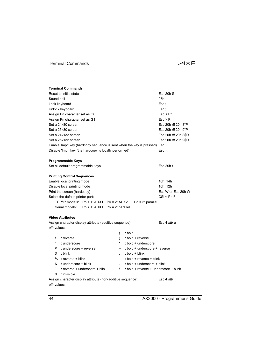```
\blacktriangleleft \times EL
```

| <b>Terminal Commands</b>                                                      |                                                      |                      |
|-------------------------------------------------------------------------------|------------------------------------------------------|----------------------|
| Reset to initial state                                                        |                                                      | $Esc$ 20 $h$ S       |
| Sound bell                                                                    |                                                      | 07h                  |
| Lock keyboard                                                                 |                                                      | Esc:                 |
| Unlock keyboard                                                               |                                                      | Esc:                 |
| Assign Pn character set as G0                                                 |                                                      | Esc < Pn             |
| Assign Pn character set as G1                                                 |                                                      | $Esc$ > $Pn$         |
| Set a 24x80 screen                                                            |                                                      | Esc 20h r!! 20h 8"P  |
| Set a 25x80 screen                                                            |                                                      | Esc 20h r!! 20h 9"P  |
| Set a 24x132 screen                                                           |                                                      | Esc 20h r!! 20h 8\$D |
| Set a 25x132 screen                                                           |                                                      | Esc 20h r!! 20h 9\$D |
| Enable 'Impr' key (hardcopy sequence is sent when the key is pressed) Esc ) : |                                                      |                      |
| Disable 'Impr' key (the hardcopy is locally performed)                        |                                                      | $Esc$ );             |
| <b>Programmable Keys</b>                                                      |                                                      |                      |
| Set all default programmable keys                                             |                                                      | $Esc$ 20 $h$ t       |
| <b>Printing Control Sequences</b>                                             |                                                      |                      |
| Enable local printing mode                                                    |                                                      | 10h 14h              |
| Disable local printing mode                                                   |                                                      | 10h 12h              |
| Print the screen (hardcopy)                                                   |                                                      | Esc W or Esc 20h W   |
| Select the default printer port:                                              |                                                      | CSI < PoF            |
| TCP/IP models: $Po = 1$ : AUX1 $Po = 2$ : AUX2                                | $Po = 3$ : parallel                                  |                      |
| Serial models: $Po = 1$ : AUX1 $Po = 2$ : parallel                            |                                                      |                      |
| <b>Video Attributes</b>                                                       |                                                      |                      |
| Assign character display attribute (additive sequence)                        |                                                      | Esc 4 attr a         |
| attr values:                                                                  |                                                      |                      |
|                                                                               | : bold<br>$\left($                                   |                      |
| Ţ<br>: reverse                                                                | $\mathcal{C}$<br>: bold + reverse                    |                      |
| Ħ<br>: underscore                                                             | : bold + underscore                                  |                      |
| #<br>: underscore + reverse                                                   | : bold + underscore + reverse<br>$\ddot{}$           |                      |
| \$<br>: blink                                                                 | $:$ bold + blink<br>$\overline{ }$                   |                      |
| %<br>reverse + blink :                                                        | : bold + reverse + blink<br>$\overline{\phantom{0}}$ |                      |
| &<br>: underscore + blink                                                     | : bold + underscore + blink                          |                      |
| ٠.<br>: reverse + underscore + blink                                          | : bold + reverse + underscore + blink<br>$\sqrt{2}$  |                      |
| : invisible<br>0                                                              |                                                      |                      |
| Assign character display attribute (non-additive sequence)                    |                                                      | Esc 4 attr           |
| attr values:                                                                  |                                                      |                      |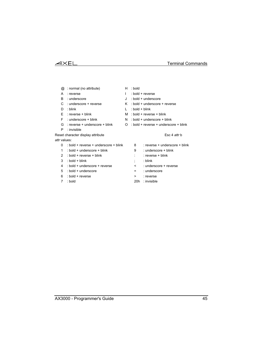### $\angle$

- @ : normal (no attribute) H : bold
- 
- 
- 
- 
- 
- 
- 
- P : invisible
- Reset character display attribute **Esc 4** *attr* b

*attr* values:

- $0 \quad$  bold + reverse + underscore + blink  $8 \quad$  reverse + underscore + blink
- 1 : bold + underscore + blink 9 : underscore + blink
- 2 : bold + reverse + blink : : : : reverse + blink
- 3 : bold + blink ; : blink
- 4 : bold + underscore + reverse < : underscore + reverse
- 5 : bold + underscore = : underscore
- 6 : bold + reverse > : reverse
- 
- 
- A : reverse **I** : bold + reverse
- B : underscore J : bold + underscore
- C : underscore + reverse K : bold + underscore + reverse
- D : blink L : bold + blink
- E : reverse + blink M : bold + reverse + blink
- F : underscore + blink  $N$  : bold + underscore + blink
- G : reverse + underscore + blink O : bold + reverse + underscore + blink

- 
- 
- 
- 
- 
- 
- 
- 7 : bold 20h : invisible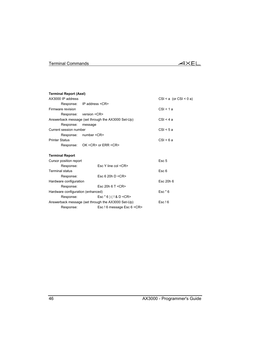### Terminal Commands

### $\blacktriangleleft \times E$ L

| <b>Terminal Report (Axel)</b>     |                                                    |                            |
|-----------------------------------|----------------------------------------------------|----------------------------|
| AX3000 IP address                 |                                                    | $CSI < a$ (or $CSI < 0$ a) |
|                                   | Response: IP address <cr></cr>                     |                            |
| Firmware revision                 |                                                    | CSI < 1a                   |
|                                   | Response: version <cr></cr>                        |                            |
|                                   | Answerback message (set through the AX3000 Set-Up) | CSI < 4a                   |
| Response:                         | message                                            |                            |
| Current session number            |                                                    | CSI < 5a                   |
| Response:                         | number <cr></cr>                                   |                            |
| <b>Printer Status</b>             |                                                    | CSI < 6a                   |
|                                   | Response: OK <cr> or ERR <cr></cr></cr>            |                            |
|                                   |                                                    |                            |
| <b>Terminal Report</b>            |                                                    |                            |
| Cursor position report            |                                                    | Esc <sub>5</sub>           |
| Response:                         | Esc Y line col <cr></cr>                           |                            |
| <b>Terminal status</b>            |                                                    | Esc <sub>6</sub>           |
| Response:                         | Esc 6 20h D $\leq$ CR $>$                          |                            |
| Hardware configuration            |                                                    | Esc 20h 6                  |
| Response:                         | Esc 20h 6 T $\leq$ CR $>$                          |                            |
| Hardware configuration (enhanced) |                                                    | $Esc$ " $6$                |
| Response:                         | Esc $" 6$ ) ( $! 8$ D < CR >                       |                            |
|                                   | Answerback message (set through the AX3000 Set-Up) | Esc <sub>16</sub>          |
| Response:                         | Esc ! 6 message Esc 6 <cr></cr>                    |                            |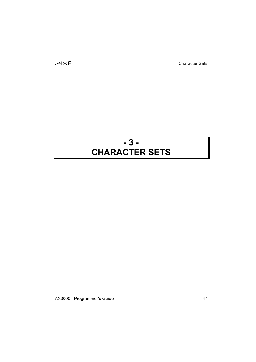# **- 3 - CHARACTER SETS**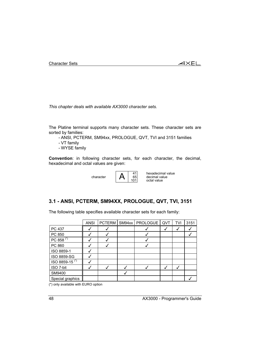*This chapter deals with available AX3000 character sets.* 

The Platine terminal supports many character sets. These character sets are sorted by families:

- ANSI, PCTERM, SM94xx, PROLOGUE, QVT, TVI and 3151 families

- VT family

- WYSE family

**Convention**: in following character sets, for each character, the decimal, hexadecimal and octal values are given:



hexadecimal value decimal value octal value

## **3.1 - ANSI, PCTERM, SM94XX, PROLOGUE, QVT, TVI, 3151**

The following table specifies available character sets for each family:

|                            | <b>ANSI</b> | <b>PCTERM</b> | SM94xx   PROLOGUE | QVT | <b>TVI</b> | 3151 |
|----------------------------|-------------|---------------|-------------------|-----|------------|------|
| PC 437                     |             |               |                   |     |            |      |
| PC 850                     |             |               |                   |     |            |      |
| PC 858 <sup>(*)</sup>      |             |               |                   |     |            |      |
| PC 860                     |             |               |                   |     |            |      |
| ISO 8859-1                 |             |               |                   |     |            |      |
| ISO 8859-SG                |             |               |                   |     |            |      |
| ISO 8859-15 <sup>(*)</sup> |             |               |                   |     |            |      |
| ISO 7-bit                  |             |               |                   |     |            |      |
| SM9400                     |             |               |                   |     |            |      |
| Special graphics           |             |               |                   |     |            |      |

(\*) only available with EURO option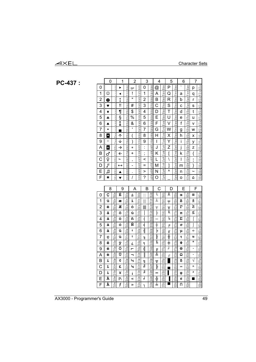# <u>AXEL</u> Character Sets

**PC-437:** 

|   | 0         |                                                   | 1                 |                                      | $\overline{2}$ |                                      | 3              |                                                | 4                                |                                                                | 5                         |                                                       | 6            |                                       | 7      |                                      |
|---|-----------|---------------------------------------------------|-------------------|--------------------------------------|----------------|--------------------------------------|----------------|------------------------------------------------|----------------------------------|----------------------------------------------------------------|---------------------------|-------------------------------------------------------|--------------|---------------------------------------|--------|--------------------------------------|
| 0 |           | $\begin{matrix} 0 \\ 0 \\ 0 \end{matrix}$         | ▶                 | $\frac{10}{16}$                      | SP             | $\frac{20}{32}$                      | 0              | 30<br>48                                       | $^{\scriptsize \textregistered}$ | $\begin{array}{c} 40 \\ 64 \\ 100 \end{array}$                 | Р                         | $\frac{50}{80}$                                       |              | 60<br>96                              | р      | $\frac{70}{112}$                     |
| 1 | ☺         | $\frac{1}{1}$                                     | ◀                 | $\frac{11}{17}$                      | ļ              | $\frac{21}{33}$                      | 1              | 60<br>$\frac{31}{49}$                          | А                                | 41<br>65                                                       | Q                         | 120<br>$\frac{51}{81}$                                | a            | 140<br>$\frac{61}{97}$                | q      | $\frac{71}{113}$                     |
| 2 | θ         | $\frac{2}{2}$                                     | ¢                 | 21<br>12                             | w              | $\frac{1}{4}$<br>22<br>34<br>42      | $\overline{2}$ | 61<br>$32$<br>$50$<br>$62$                     | B                                | 101<br>$\begin{array}{r} 42 \\ 66 \\ 102 \end{array}$          | R                         | 121<br>$\begin{array}{c} 52 \\ 82 \\ 122 \end{array}$ | b            | 141<br>62                             | r      | $\frac{72}{114}$                     |
| 3 | v         | ვ<br>ვ                                            | IJ                | $\frac{18}{22}$<br>13<br>19<br>23    | #              | 23<br>35<br>43                       | 3              | 33<br>51<br>63                                 | С                                | $\begin{array}{c} 43 \\ 67 \\ 103 \end{array}$                 | S                         | 53                                                    | Ć            | $\frac{98}{142}$<br>63                | s      | 73<br>115<br>163                     |
| 4 | ۵         | 44                                                | 1                 | $\frac{14}{20}$                      | \$             | $\frac{24}{36}$                      | 4              | 34<br>52<br>64                                 | D                                | $\frac{44}{68}$                                                | Т                         | $\frac{83}{123}$<br>$\frac{54}{84}$<br>124            | d            | $\frac{99}{143}$<br>$\frac{64}{100}$  | t      | 74<br>116<br>164                     |
| 5 | 4         | 5<br>5<br>5                                       | Ŝ                 | $\frac{15}{21}$                      | $\frac{1}{2}$  | 44<br>25<br>37<br>45                 | 5              | 35<br>53                                       | Е                                | 104<br>$^{45}_{69}$                                            | U                         | 55<br>85                                              | e            | 144<br>65                             | u      | 75<br>117<br>165                     |
| 6 | ♠         | 666                                               | ↨                 | $\frac{16}{22}$                      | &              | 26<br>38<br>46                       | 6              | 65<br>36<br>54<br>66                           | F                                | 105<br>$\frac{46}{70}$<br>106                                  | V                         | 125<br>56<br>$\overline{86}$                          | f            | $\frac{101}{145}$<br>66               | ۷      | 76<br>118<br>166                     |
| 7 |           | 77/7                                              |                   | $\frac{17}{23}$                      | ï              | 27<br>39<br>47                       | 7              | $\frac{37}{55}$                                | G                                | $\frac{47}{71}$<br>107                                         | W                         | 126<br>$\frac{57}{87}$                                | g            | $\frac{102}{146}$<br>$\frac{67}{103}$ | w      | $\frac{77}{119}$                     |
| 8 | $\bullet$ | $\begin{array}{c}\n 8 \\  8 \\  10\n \end{array}$ | ↑                 | 18<br>24<br>30                       |                | $^{28}_{40}$                         | 8              | 38<br>56<br>70                                 | Н                                | $\frac{48}{72}$<br>110                                         | Х                         | 127<br>58<br>88                                       | h            | $rac{68}{104}$                        | x      | 78<br>120<br>170                     |
| 9 | $\circ$   | $\begin{array}{c}\n0 \\ 1 \\ 1\n\end{array}$      | ↓                 | $\frac{19}{25}$                      | (<br>)         | 50<br>29<br>41<br>51                 | 9              | 39<br>57<br>71                                 | ı                                | $49$<br>$73$<br>$111$                                          | Y                         | 130<br>59                                             | İ            | 150<br>69                             |        | 79<br>121<br>171                     |
| A | $\circ$   | $A$<br>10<br>12                                   | →                 | $1A$<br>$26$<br>$32$                 | $\ast$         | 2A<br>42<br>52                       | İ              | 3A                                             | J                                | $4A$<br>$74$<br>112                                            | Z                         | $\frac{89}{131}$<br>5A<br>90<br>132                   | i            | $\frac{105}{151}$<br>6A               | у<br>z | 7A<br>122<br>172                     |
| B |           | B<br>11<br>13                                     | $\leftarrow$      | 1B                                   | +              | 2B                                   |                | $\frac{58}{72}$<br>3B<br>59<br>73              | Κ                                | 4B<br>75<br>113                                                | I                         | 5B                                                    | k            | $\frac{106}{152}$<br>6B               | {      | 7B<br>123<br>173                     |
| С | ď<br>ò    | $rac{C}{12}$                                      | ц                 | $\frac{27}{33}$<br>1C                |                | $^{43}_{53}$<br>2C                   | j<br><         | 3C                                             | L                                | $^{4C}_{76}$<br>114                                            | \                         | $\frac{91}{133}$<br>5C<br>92                          | ı            | 107<br>153<br>6C<br>108               | ı      | 7C<br>124<br>174                     |
| D | F         | $\begin{array}{c}\n0 \\ 13 \\ 15\n\end{array}$    | $\leftrightarrow$ | $\frac{28}{34}$<br>$\frac{10}{29}$   | ,              | $\frac{44}{54}$<br>2D<br>45<br>55    | =              | $\frac{60}{74}$<br>3D<br>61<br>75              | м                                | $\frac{4D}{77}$                                                | 1                         | 134<br>$\frac{5}{93}$                                 | m            | 154<br>$^{6D}_{109}$                  | ı      | 7D<br>125<br>175                     |
| F | 月         | $\begin{array}{c}\nE \\ 14 \\ 16\n\end{array}$    |                   | 35<br>$\frac{15}{30}$                |                | 2E<br>46<br>56                       | >              | 3E<br>62<br>76                                 | N                                | 115<br>4E<br>78<br>116                                         | Λ                         | 135<br>5E<br>94                                       |              | 155<br>6E<br>110<br>156               | }      | 7E<br>126<br>176                     |
| F | ∗         | $F_{15}$<br>$15$                                  | ▲                 | 1F                                   | Ι              | 2F                                   | ?              | 3F<br>63<br>77                                 | O                                | $4F$<br>$79$<br>$117$                                          |                           | 136<br>5F                                             | n            | 6F                                    | ۵      | 7F<br>127<br>177                     |
|   |           |                                                   |                   | $\frac{31}{37}$                      |                | $^{47}_{57}$                         |                |                                                |                                  |                                                                |                           | $\frac{95}{137}$                                      | ٥            | 111<br>157                            |        |                                      |
|   |           |                                                   |                   |                                      |                |                                      |                |                                                |                                  |                                                                |                           |                                                       |              |                                       |        |                                      |
|   | 8         |                                                   | 9                 |                                      | Α              |                                      | B              |                                                | С                                |                                                                | D                         |                                                       | E            |                                       | F      |                                      |
| 0 | Ç         |                                                   | É                 |                                      | á              | $A0$ <sub>160</sub><br>240           |                |                                                | L                                |                                                                | Ш                         | $\frac{D}{208}$<br>320                                | α            |                                       | ≡      |                                      |
| 1 | ü         | 80<br>128<br>200                                  | æ                 | 90<br>144<br>220<br>$\frac{91}{145}$ | í              | A1<br>161                            |                | B <sub>0</sub><br>176<br>260<br>$rac{B1}{177}$ | $\mathbf{L}$                     | C0<br>192<br>300<br>$rac{C1}{193}$                             | ╤                         | D1<br>209                                             | ß            | E0<br>224<br>340<br>$\frac{E1}{225}$  | ±      | F0<br>240<br>360                     |
| 2 | é         | $\frac{81}{129}$<br>$\frac{82}{130}$              | Æ                 | 221<br>$\frac{92}{146}$              | ó              | 241<br>$A_2^2$<br>162                |                | 261<br>$rac{B2}{178}$                          |                                  | 301<br>$rac{C_2}{194}$                                         | T                         | 321                                                   | г            | 341<br>$rac{E}{226}$                  | ≥      | $F_1$<br>$241$<br>$361$              |
| 3 | â         | 202<br>$\frac{83}{131}$                           | ô                 | 222<br>$\frac{93}{147}$              | ú              | 242<br>$A_3^3$                       |                | 262<br>$rac{B3}{179}$                          |                                  | 302<br>$rac{C3}{195}$                                          | Ш                         | D <sub>2</sub><br>210<br>322<br>$\frac{D3}{211}$      | $\mathbf{u}$ | $\frac{5}{342}$<br>$\frac{E3}{227}$   | ≤      | F <sub>242</sub><br>362              |
| 4 | ä         | 203                                               | ö                 | 223<br>94                            | ñ              | $\frac{1}{243}$                      |                | 263<br>B4                                      |                                  | 303                                                            | L                         | 323                                                   | Σ            | $\overline{343}$<br>F4                | Í      | F3<br>243<br>363                     |
| 5 | à         | $\frac{84}{132}$<br>85                            | ò                 | $\frac{148}{224}$<br>95              | Ñ              | A4<br>164<br>244                     | ╡              | $\frac{180}{264}$<br>B5                        | ↑                                | C4<br>196<br>304                                               | F                         | D4<br>212<br>324<br>D5                                | σ            | 228<br>344<br>E5                      |        | $F4$<br>$244$<br>$364$               |
| 6 | å         | 133<br>205<br>86<br>134                           | û                 | 149<br>225<br>96<br>150              | a              | A5<br>165<br>245                     | ╢              | 181<br>265<br>B <sub>6</sub><br>182            |                                  | C5<br>197<br>305<br>$rac{C6}{198}$                             | Π                         | 213<br>325<br>D <sub>6</sub>                          | μ            | 229<br>345<br>FR                      | $\div$ | F5<br>245<br>365                     |
| 7 | Ç         | 206                                               | ù                 | 226<br>$\frac{97}{151}$              | $\overline{Q}$ | A6<br>166<br>246<br>A7<br>167        |                | 266<br>B7<br>183                               |                                  | 306<br>$rac{C7}{199}$                                          |                           | $\frac{214}{326}$<br>D7                               | τ            | 230<br>346<br>E7                      | ≈      | F6<br>246<br>366                     |
| 8 | ê         | 87<br>135<br>207<br>88                            | ÿ                 | 227<br>98                            | خ              | 2A7<br>A8<br>168                     | ╖              | 267<br>B <sub>8</sub>                          | IL.                              | 307<br>C <sub>8</sub>                                          | ╫                         | $\frac{215}{327}$<br>D <sub>8</sub>                   | Ф            | $\frac{231}{347}$<br>E <sub>8</sub>   | o      | F7<br>247<br>367<br>F <sub>8</sub>   |
| 9 | ë         | 136<br>210<br>$\frac{89}{137}$                    | ö                 | 152<br>230<br>$\frac{99}{153}$       | п              | 250<br>$A9$ <sub>169</sub>           | ٦              | 184<br>270<br>B9<br>185                        | IF                               | 200<br>310<br>$^{C9}_{201}$                                    | $\frac{1}{\sqrt{2}}$<br>J | 216<br>330<br>$\frac{D9}{217}$                        | Θ            | 232<br>350<br>$\frac{E9}{233}$        |        | 248<br>370                           |
| A | è         | 211<br>8A<br>138<br>212                           | Ü                 | 231<br>$\frac{9A}{154}$<br>232       | ٦              | 251<br>AA<br>170<br>252              | ╣<br>I         | 271<br>BA<br>186<br>272                        | Щ                                | 311<br>CA<br>202                                               | г                         | 331<br>DA<br>218                                      | Ω            | 351<br>$\frac{EA}{234}$               |        | F9<br>249<br>371                     |
| B | ï         | 8B                                                | ¢                 | 9B<br>155                            | $\frac{1}{2}$  |                                      | ٦              | <b>BB</b>                                      | ╥                                | $\frac{1}{312}$<br>СB                                          |                           | 332<br>DB                                             | δ            | $\frac{25}{352}$<br>EB                |        | FA<br>250<br>372                     |
| С | î         | 139<br>213<br>8C                                  | £                 | 233<br>9C                            | $\frac{1}{4}$  | AB<br>171<br>253                     | ╝              | 187<br>273<br>BC                               | ╠                                | 203<br>313<br>CC                                               |                           | 219<br>333<br>DC                                      | $\infty$     | 235<br>353<br>EC                      | n      | FB<br>251<br>373                     |
| D | ì         | $\frac{140}{214}$                                 | ¥                 | 156<br>234                           | ī              | AC<br>172<br>254                     | Щ              | 188<br>274<br>BD<br>189                        |                                  | $\frac{204}{314}$<br>CD                                        |                           | 220<br>334                                            | φ            | 236<br>354<br>ED<br>237               | 2      | FC<br>252<br>374                     |
| E | Ä         | 8D<br>141<br>215<br>8E<br>$\frac{142}{216}$       | $P_t$             | 9D<br>157<br>235<br>9E<br>158<br>236 | ≪              | AD<br>173<br>255<br>AE<br>174<br>256 | ╛              | 275<br>BE<br>190<br>276                        | 괢                                | $\frac{60}{205}$<br>315<br>$rac{CE}{206}$<br>$\frac{200}{316}$ |                           | DD<br>221<br>335<br>DE<br>222<br>336                  | ε            | 355<br>EE<br>238<br>356               |        | FD<br>253<br>375<br>FE<br>254<br>376 |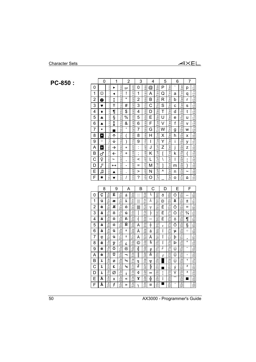$\angle XEL$ 

**PC-850:** 

|                | 0         |                                                   | 1                 |                                                 | 2             |                                      | 3              |                               | 4 |                                                | 5                        |                                                 | 6 |                              | I              |                                                                            |
|----------------|-----------|---------------------------------------------------|-------------------|-------------------------------------------------|---------------|--------------------------------------|----------------|-------------------------------|---|------------------------------------------------|--------------------------|-------------------------------------------------|---|------------------------------|----------------|----------------------------------------------------------------------------|
| 0              |           | $\begin{smallmatrix}0\0\0\end{smallmatrix}$       | ь                 | 10<br>16<br>20                                  | SP            | 20<br>32<br>40                       | 0              | 30<br>48<br>60                | @ | $\begin{array}{c} 40 \\ 64 \\ 100 \end{array}$ | Ρ                        | 50<br>80<br>120                                 |   | 60<br>96<br>140              | р              | 70<br>112<br>160                                                           |
| 1              | ☺         | $\frac{1}{1}$<br>1                                | ∢                 | $\frac{11}{17}$                                 | Į             | $\frac{21}{33}$                      | 1              | $\frac{31}{49}$<br>61         | А | $\frac{41}{65}$<br>101                         | Q                        | 51<br>$\frac{81}{121}$                          | а | $\frac{61}{97}$<br>141       | q              |                                                                            |
| $\overline{2}$ | θ         | $\frac{2}{2}$                                     | t                 | 12<br>18<br>22                                  | Ħ             | 22<br>34<br>42                       | $\overline{2}$ | 32<br>50<br>62                | B | $\begin{array}{c} 42 \\ 66 \\ 102 \end{array}$ | R                        | 52<br>$\frac{82}{122}$                          | b | 62<br>$\frac{98}{142}$       | r              | 71<br>113<br>161<br>72<br>114<br>162                                       |
| 3              | v         | 33                                                | Į!                | 13<br>19<br>23                                  | #             | 23<br>35<br>43                       | 3              | 33<br>51<br>63                | Ć | $\frac{43}{67}$<br>103                         | S                        | 53<br>83<br>123                                 | с | 63<br>99<br>143              | s              | $\begin{array}{r} 73 \\ 115 \\ 163 \\ \hline 74 \\ 116 \\ 164 \end{array}$ |
| 4              |           | 44                                                | 1                 | $\frac{14}{20}$                                 | \$            | $\frac{24}{36}$<br>44                | 4              | 34<br>52<br>64                | D | $\frac{44}{68}$<br>104                         | T                        | 54<br>$\overline{84}$<br>124                    | d | $\frac{64}{100}$<br>144      | t              |                                                                            |
| 5              | 4         | 555                                               | §                 | $\frac{15}{21}$                                 | %             | $\frac{25}{37}$<br><br>45            | 5              | 35<br>53<br>$\overline{65}$   | E | 45<br>69<br>105                                | U                        | 55<br>85<br>125                                 | e | $\frac{65}{101}$             | u              | 75<br>117<br>165                                                           |
| 6              | ♠         | 6<br>6<br>6                                       | ↨                 | 16<br>22<br>26                                  | &             | 26<br>38<br>46                       | 6              | 36<br>54<br>66                | F | 46<br>70<br>106                                | V                        | 56<br>86<br>126                                 | f | $\frac{66}{102}$<br>146      | ۷              | $\frac{76}{118}$                                                           |
| 7              | $\bullet$ | $\begin{array}{c} 7 \\ 7 \\ 7 \\ 7 \end{array}$   |                   | $\frac{17}{23}$                                 | ı             | $\frac{27}{39}$<br>47                | 7              | 37<br>55<br>67                | G | $\frac{47}{71}$<br>107                         | Ŵ                        | $\frac{57}{87}$<br>127                          | g | $\frac{67}{103}$             | w              | $\frac{77}{119}$                                                           |
| 8              | $\bullet$ | $\begin{array}{c}\n 8 \\  8 \\  10\n \end{array}$ | ኅ                 | $\frac{18}{24}$<br>$\frac{30}{2}$               | (             | $^{28}_{40}$<br>50                   | 8              | 38<br>56<br>70                | Н | $\frac{48}{72}$<br>110                         | Х                        | 58<br>88<br>130                                 | h | 68<br>104<br>150             | x              | 78<br>120<br>170                                                           |
| 9              | O         | 991                                               | ↓                 | $\frac{19}{25}$                                 | )             | 29<br>41<br>51                       | 9              | 39<br>57<br>71                | ı | $\frac{49}{73}$<br>111                         | Y                        | 59<br>89<br>131                                 | i | 69<br>105<br>151             | у              | $\frac{79}{121}$                                                           |
| A              | $\circ$   | $A_{10}$<br>12                                    | →                 | 1A<br>26<br>32                                  | $\ast$        | 2A<br>42<br>52                       | İ              | 3A<br>58<br>72                | J | $4A$<br>$74$<br>112                            | Z                        | 5A<br>$\frac{90}{132}$                          | j | 6A<br>$\frac{106}{152}$      | z              | 7A<br>122<br>172                                                           |
| B              | ර         | B<br>11<br>13                                     | $\leftarrow$      | $\begin{array}{c}\n1B \\ 27 \\ 33\n\end{array}$ | +             | 2B<br>$43$<br>$53$                   | ,              | 3B<br>59<br>73                | Κ | 4B<br>75<br>113                                | [                        | 5B<br>$\frac{91}{133}$                          | k | 6B<br>$\frac{107}{153}$      | {              | 7B<br>123<br>173                                                           |
| С              | ò         | $rac{C}{12}$                                      |                   | $\frac{1}{28}$<br>34                            | ,             | 2C<br>44<br>54                       | <              | 3C<br>60<br>74                | L | 4C<br>76<br>114                                | $\overline{\phantom{a}}$ | $\frac{5C}{92}$<br>134                          | I | 6C<br>108<br>154             | ı<br>Ï         |                                                                            |
| D              | F         | $\begin{array}{c} 0 \\ 13 \\ 15 \end{array}$      | $\leftrightarrow$ | $\frac{10}{29}$<br>$\frac{29}{35}$              |               | $\frac{2D}{45}$<br>55                |                | $rac{3D}{61}$<br>75           | м | $^{4D}_{77}$<br>115                            | 1                        | 5D<br>93<br>135                                 | m | 6D<br>109<br>155             | }              | 7C<br>124<br>174<br>7D<br>125<br>175                                       |
| E              | л         | $E_{14}$<br>14<br>16                              |                   | $\frac{1E}{30}$<br>$\overline{36}$              |               | 2E<br>46<br>56                       | >              | 3E<br>62<br>76                | N | 4E<br>78<br>116                                | ٨                        | 5E<br>94<br>136                                 | n | 6E<br>110<br>156             |                | 7E<br>126<br>176                                                           |
| F              | ⋇         | $F_{15}$<br>15                                    |                   | 1F<br>$\frac{31}{37}$                           | Ι             | 2F<br>47<br>57                       | ?              | 3F<br>63                      | Ő | $4F$<br>$79$<br>$117$                          |                          | 5F<br>$\frac{95}{137}$                          | о | 6F<br>$\frac{111}{157}$      | ۵              | $7F$<br>$127$<br>$177$                                                     |
|                |           |                                                   |                   |                                                 |               |                                      |                |                               |   |                                                |                          |                                                 |   |                              |                |                                                                            |
|                |           |                                                   |                   |                                                 |               |                                      |                |                               |   |                                                |                          |                                                 |   |                              |                |                                                                            |
|                | 8         |                                                   | 9                 |                                                 | A             |                                      | B              |                               | С |                                                | D                        |                                                 | F |                              | F              |                                                                            |
| 0              | Ç         | 80<br>128<br>200                                  | E                 | 90<br>144<br>220                                | á             | A0<br>160<br>240                     |                | B <sub>0</sub><br>176<br>260  | L | C <sub>0</sub><br>192<br>300                   | ð                        | D <sub>0</sub><br>208<br>320                    | Ó | E <sub>0</sub><br>224<br>340 |                | F0<br>240<br>360                                                           |
| 1              | ü         | 81<br>129<br>$\frac{1}{201}$                      | æ                 | $\frac{91}{145}$                                | í             | A1<br>161<br>241                     |                | B <sub>1</sub><br>177<br>261  |   | C1<br>193<br>301                               | Đ                        | D <sub>1</sub><br><b>209</b><br>$\frac{1}{321}$ | ß | E <sub>1</sub><br>225<br>341 | ±              |                                                                            |
| $\overline{c}$ | é         | $rac{82}{130}$<br>202                             | Æ                 | $\frac{92}{146}$                                | ó             | $A_2^2$<br>242                       |                | $rac{B2}{178}$<br>262         | ٦ | $rac{C_2}{194}$<br>302                         | Ê                        | D2<br>210<br>322                                | Ô | $\frac{E2}{226}$<br>342      | $=$            | F1<br>241<br>361<br>F2<br>242<br>362                                       |
| 3              | â         | 83<br>131<br>203                                  | ô                 | $\frac{93}{147}$<br>223                         | ú             | $A_3^3$<br>163<br>243                |                | $rac{B3}{179}$<br>263         |   | $rac{C3}{195}$<br>303                          | Ë                        | D <sub>3</sub><br>211<br>323                    | Ò | $E_2$<br>$227$<br>$343$      | $\frac{3}{4}$  | F3<br>243<br>363                                                           |
| 4              | а         | 84<br>132<br>204                                  | ö                 | $\frac{94}{148}$                                | ñ             | A4<br>164<br>244                     |                | <b>B4</b><br>180<br>264       |   | C4<br>196<br>304                               | È                        | D4<br>212<br>324                                | õ | E4<br>228<br>344             | 1              |                                                                            |
| 5              | à         | 85<br>133<br>205                                  | ò                 | 95<br>149<br>225                                | Ñ             | A5<br>165<br>245                     | Á              | B <sub>5</sub><br>181<br>265  |   | C5<br>197<br>305                               | r                        | D <sub>5</sub><br>213<br>325                    | Õ | E5<br>229<br>345             | §              | F4<br>244<br>364<br>F5<br>245<br>365                                       |
| 6              | å         | 86<br>134<br>206                                  | û                 | 96<br>150<br>226                                | ê             | A6<br>166<br>246                     | Â              | B <sub>6</sub><br>182<br>266  | ã | C6<br>198<br>306                               | ĺ                        | D <sub>6</sub><br>214<br>326                    | μ | F6<br>230<br>346             | ÷              |                                                                            |
| 7              | Ç         | 87<br>135<br>207                                  | ù                 | $\frac{97}{151}$                                | $\Omega$      | $A7$<br>$167$<br>2A7                 | À              | B <sub>7</sub><br>183<br>267  | Ã | $rac{C7}{199}$<br>307                          | Î                        | D7<br>215<br>327                                | þ | E7<br>$\frac{231}{347}$      |                | F6<br>F6<br>246<br>366                                                     |
| 8              | ê         | $\frac{88}{136}$<br>210                           | ÿ                 | 98<br>152<br>230                                | ۓ             | A8<br>168<br>250                     | $\circledcirc$ | B <sub>8</sub><br>184<br>270  | ╙ | $rac{C8}{200}$<br>310                          | Ϊ                        | $\frac{D8}{216}$<br>330                         | Þ | $\frac{E8}{232}$<br>350      | o              | F7<br>247<br>367<br>F8<br>248<br>370                                       |
| 9              | ë         | $rac{89}{137}$<br>211                             | ö                 | $\frac{99}{153}$<br>231                         | ®             | A9<br>169<br>251                     | ╣              | B9<br>185<br>271              | ╔ | $rac{C9}{201}$<br>311                          | J                        | $^{D9}_{217}$<br>331                            | Ú | E9<br>233<br>351             | ۰.             |                                                                            |
| A              | è         | 8A<br>138<br>212                                  | Ü                 | 9A<br>154<br>232                                | ٦             | AA<br>170<br>252                     |                | BA<br>186<br>272              | Щ | CA<br>202<br>312                               | Г                        | DA<br>218<br>332                                | Û | EA<br>234<br>352             |                | F9<br>249<br>371<br>FA<br>250<br>372                                       |
| B              | ï         | 8B<br>139<br>213                                  | ø                 | 9B<br>155<br>233                                | $\frac{1}{2}$ | AB<br>$\frac{171}{253}$              | ٦              | BB<br>187<br>273              | ╥ | CВ<br>203<br>313                               |                          | DB<br>219<br>333                                | Ù | EB<br>235<br>353             | 1              | FB<br>251<br>373                                                           |
| С              | î         | 8C<br>140<br>214                                  | £                 | 9C<br>156<br>234                                | ¼             | AC<br>172<br>254                     | ╝              | BC<br>188<br>274              | ŀ | CC<br>204<br>314                               |                          | DC<br>220<br>334                                | ý | EC<br>236<br>354             | $\overline{2}$ | FC<br>252<br>374                                                           |
| D              | ì         | 80<br>$\frac{141}{215}$                           | Ø                 | 9D<br>157<br>235                                | i             | AD<br>173<br>255                     | ¢              | <b>BD</b><br>189<br>275       |   | CD<br>205<br>315                               | I<br>ı                   | DD<br>221<br>335                                | Ý | ED<br>237<br>355             | 3              |                                                                            |
| E              | Ä         | 8E<br>142<br>216<br>8F                            | x                 | $rac{9E}{158}$<br>236<br>9F                     | ≪             | AE<br>174<br>256<br>AF<br>175<br>257 | ¥              | BE<br>190<br>276<br><b>BF</b> | 굒 | $rac{CE}{206}$<br>316<br>CF                    | Ì                        | DE<br>222<br>336<br>DF                          | , | $E_2$<br>238<br>356<br>EF    |                | FD<br>253<br>375<br>FE<br>254<br>376<br>$FF$<br>$255$<br>$377$             |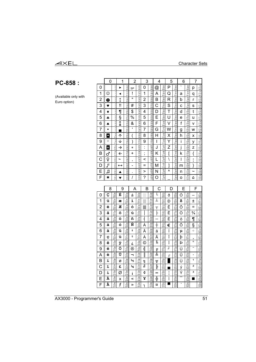### $\angle$

### **Character Sets**

## **PC-858:**

(Available only with Euro option)

|                | 0         |                                                   | 1                 |                                    | $\overline{2}$ |                                  | 3              |                                     | 4   |                                                    | 5      |                                                | 6 |                                     | 7              |                                                                                                                                                       |
|----------------|-----------|---------------------------------------------------|-------------------|------------------------------------|----------------|----------------------------------|----------------|-------------------------------------|-----|----------------------------------------------------|--------|------------------------------------------------|---|-------------------------------------|----------------|-------------------------------------------------------------------------------------------------------------------------------------------------------|
| 0              |           | $\begin{matrix} 0 \\ 0 \\ 0 \end{matrix}$         | ▶                 | $\frac{10}{16}$<br>20              | SP             | 20<br>32<br>40                   | 0              | $\frac{30}{48}$                     | ω   | $\begin{array}{c} 40 \\ 64 \\ 100 \end{array}$     | P      | 50<br>80<br>120                                |   | 60<br>96<br>140                     | р              | $\frac{70}{112}$                                                                                                                                      |
| 1              | ☺         | $\begin{array}{c} 1 \\ 1 \\ 1 \end{array}$        | ◀                 | $\frac{11}{17}$<br>$\overline{21}$ | ļ              | $\frac{21}{33}$<br>41            | 1              | $\frac{31}{49}$<br>61               | А   | $^{41}_{65}$<br>101                                | Q      | $\begin{array}{c} 51 \\ 81 \\ 121 \end{array}$ | а | $\frac{61}{97}$<br>141              | q              | $\frac{71}{113}$                                                                                                                                      |
| $\overline{c}$ | θ         | $\frac{2}{2}$                                     | ¢                 | 12<br>$\frac{18}{22}$              | Ħ              | 22<br>34<br>42                   | $\overline{2}$ | 32<br>50<br>62                      | B   | $\begin{array}{r} 42 \\ 66 \\ 102 \end{array}$     | R      | $\frac{52}{82}$<br>122                         | b | 62<br>98<br>142                     | r              | $\frac{72}{114}$                                                                                                                                      |
| 3              | v         | 33                                                | Įļ                | 13<br>$\frac{19}{23}$              | #              | 23<br>$\frac{35}{43}$            | 3              | 33<br>$\frac{51}{63}$               | С   | $\begin{array}{c} 43 \\ 67 \\ 103 \end{array}$     | S      | 53<br>$\frac{83}{123}$                         | с | 63<br>$\frac{99}{143}$              | s              | 73<br>115<br>163                                                                                                                                      |
| 4              | ۰         | $\begin{array}{c}\n4 \\ 4 \\ 4\n\end{array}$      | 1                 | $\frac{14}{20}$<br>24              | \$             | $\frac{24}{36}$<br>44            | 4              | 34<br>52<br>64                      | D   | $\frac{44}{68}$<br>104                             | T      | $\begin{array}{r} 54 \\ 84 \\ 124 \end{array}$ | d | $\frac{64}{100}$<br>144             | t              | $\frac{74}{116}$<br>164                                                                                                                               |
| 5              | 4         | 555                                               | Ş                 | 15<br>$\frac{21}{25}$              | %              | $\frac{25}{37}$<br>45            | 5              | 35<br>53<br>65                      | E   | 45<br>69<br>105                                    | Ù      | 55<br>85<br>125                                | e | 65<br>$\frac{101}{145}$             | u              | 75<br>117<br>165                                                                                                                                      |
| 6              | ۸         | 666                                               | ↨                 | $\frac{16}{22}$<br>26              | &              | 26<br>38<br>46                   | 6              | 36<br>54<br>66                      | F   | 46<br>70<br>106                                    | V      | 56<br>86<br>126                                | f | $\frac{66}{102}$<br>146             | ٧              | 76<br>118<br>166                                                                                                                                      |
| 7              | $\bullet$ | $\begin{array}{c} 7 \\ 7 \\ 7 \\ 7 \end{array}$   |                   | $\frac{17}{23}$                    | ı              | 27<br>39<br>47                   | 7              | 37<br>55<br>67                      | G   | $\frac{47}{71}$<br>107                             | Ŵ      | $\begin{array}{c} 57 \\ 87 \\ 127 \end{array}$ | g | $\frac{67}{103}$                    | w              | $\frac{77}{119}$                                                                                                                                      |
| 8              | $\bullet$ | $\begin{array}{c}\n 8 \\  8 \\  10\n \end{array}$ | ↑                 | $\frac{18}{24}$<br>$\frac{30}{2}$  | (              | 28<br>40<br>50                   | 8              | 38<br>56<br>70                      | H   | $\frac{48}{72}$<br>110                             | X      | 58<br>88<br>130                                | h | 68<br>104<br>150                    | х              | 78<br>120<br>170                                                                                                                                      |
| 9              | Ō         | $\begin{array}{c}\n9 \\ 9 \\ 11\n\end{array}$     | J                 | 19<br>$\frac{25}{31}$              | ١              | 29<br>$\frac{41}{51}$            | 9              | 39<br>$\frac{57}{71}$               | I   | $\frac{49}{73}$<br>111                             | Y      | 59<br>$\frac{89}{131}$                         | i | 69<br>$\frac{105}{151}$             | у              | 79<br>121<br>171                                                                                                                                      |
| A              | $\circ$   | $A$<br>$10$<br>$12$                               | →                 | 1A<br>$\frac{26}{32}$              | $\ast$         | 2A<br>42<br>52                   |                | 3A<br>58<br>72                      | J   | $4A$<br>$74$<br>$112$                              | Z      | 5A<br>$\frac{90}{132}$                         | İ | 6A<br>106<br>152                    | z              | 7A<br>122<br>172                                                                                                                                      |
| B              | ්         | B<br>11<br>13                                     | $\leftarrow$      | 1B<br>$\frac{27}{33}$              | $\ddot{}$      | 2B<br>$\frac{43}{53}$            | ÷.<br>,        | 3B<br>$\frac{55}{73}$               | Κ   | 4B<br>75<br>113                                    | [      | 5B<br>$\frac{91}{133}$                         | k | 6 <sub>R</sub><br>$\frac{107}{153}$ | {              | 7B<br>123<br>173                                                                                                                                      |
| C              | ò         | $C_{12}$<br>12                                    |                   | $\frac{1}{28}$<br>34               | ,              | 2C<br>44<br><br>54               | <              | 3C<br>60<br>74                      | L   | 4C<br>76<br>114                                    | Ι      | 5C<br>92<br>134                                | I | 6C<br>108<br>154                    | ı              | 7C<br>124<br>174                                                                                                                                      |
| D              | F         | $\frac{D}{13}$<br>13                              | $\leftrightarrow$ | $\frac{10}{29}$<br>35              |                | $\frac{20}{45}$<br>55            |                | 3D<br>61<br>75                      | M   | 4D<br>77<br>115                                    | 1      | 5D<br>93<br>135                                | m | $\frac{60}{109}$<br>155             | }              | 7D<br>125<br>175                                                                                                                                      |
| E              | 月         | $E_{14}$<br>14<br>16                              | Δ                 | $rac{1E}{30}$<br>$\overline{36}$   | Ĭ.             | 2E<br>46<br>56                   | >              | 3E<br>62<br>76                      | N   | 4E<br>78<br><u> 116</u>                            | ٨      | 5E<br>94<br>136                                | n | 6E<br>110<br>156                    |                | 7E<br>126<br>176                                                                                                                                      |
| F              | ∗         | $^{F}_{15}$                                       | ▼                 | 1F<br>$\frac{31}{37}$              | Ι              | 2F<br>47<br>57                   | ?              | 3F<br>63<br>77                      | O   | 4F<br>$\frac{79}{117}$                             |        | 5F<br>95<br>137                                | о | 6F<br>111<br>157                    | ۵              | 7F<br>127<br>177                                                                                                                                      |
|                |           |                                                   |                   |                                    |                |                                  |                |                                     |     |                                                    |        |                                                |   |                                     |                |                                                                                                                                                       |
|                |           |                                                   |                   |                                    |                |                                  |                |                                     |     |                                                    |        |                                                |   |                                     |                |                                                                                                                                                       |
|                | 8         |                                                   | 9                 |                                    | Α              |                                  | B              |                                     | С   |                                                    | D      |                                                | F |                                     | F              |                                                                                                                                                       |
| 0              | Ç         | 80<br>128<br>200                                  | É                 | 90<br>144<br>220                   | á              | $A0$ <sub>160</sub><br>240       |                | B0<br>176<br>260                    | L   | C0<br>192<br>300                                   | ð      | $\frac{D}{208}$<br>320                         | Ó | E0<br>224<br>340                    |                |                                                                                                                                                       |
| 1              | ü         | $\frac{81}{129}$                                  | æ                 | 91<br>$\frac{145}{221}$            | í              | A1<br>161<br>241                 |                | B1<br>177<br>261                    | ⊥   | $rac{C1}{193}$<br>301                              | Đ      | D <sub>1</sub><br>209<br>321                   | ß | E1<br>$\frac{225}{341}$             | Ŧ              |                                                                                                                                                       |
| $\overline{c}$ | é         | $rac{82}{130}$<br>202                             | Æ                 | $\frac{92}{146}$<br>222            | ó              | $A_2^2$<br>162<br>242            |                | $rac{B2}{178}$<br>262               | Т   | $rac{C2}{194}$<br>302                              | Ê      | $^{D2}_{210}$<br>322                           | Ô | $\frac{E2}{226}$<br>342             | Ξ              |                                                                                                                                                       |
| 3              | â         | $rac{83}{131}$<br>203                             | ô                 | 93<br>147<br>223                   | ú              | $\frac{\mathsf{A}3}{163}$<br>243 |                | $rac{B3}{179}$<br>263               |     | $rac{C3}{195}$<br>303                              | Ë      | $\frac{D3}{211}$<br>$\frac{1}{323}$            | Ò | E3<br>227<br>343                    | $\frac{3}{4}$  |                                                                                                                                                       |
| 4              | ä         | 84<br>$\frac{132}{204}$                           | ö                 | 94<br>148<br>224                   | ñ              | A4<br>164<br>244                 |                | B <sub>4</sub><br>180<br>264        |     | $\frac{C4}{196}$                                   | È      | D <sub>4</sub><br>212<br>324                   | õ | E4<br>228<br>344                    | 1              |                                                                                                                                                       |
| 5              | à         | 85<br>133<br>205                                  | ò                 | 95<br>149<br>225                   | Ń              | A5<br>165<br>245                 | Á              | B <sub>5</sub><br>$\frac{181}{265}$ | ┥   | C <sub>5</sub><br>$\frac{197}{305}$                | €      | D <sub>5</sub><br>$\frac{213}{325}$            | Õ | E <sub>5</sub><br>229<br>345        | §              | F0<br>240<br>360<br>F1<br>241<br>361<br>F <sub>242</sub><br>362<br>F <sub>5</sub><br>$\frac{245}{365}$                                                |
| 6              | å         | 86<br>134<br>206                                  | û                 | $\frac{96}{150}$<br>226            | ê              | A6<br>166<br>246                 | Â              | B <sub>6</sub><br>182<br>266        | ã   | $rac{C6}{198}$<br>306                              | ĺ      | D <sub>6</sub><br>214<br>326                   | μ | E6<br>230<br>346                    | ÷              |                                                                                                                                                       |
| 7              | Ç         | 87<br>135<br>207                                  | ù                 | 97<br>151<br>227                   | $\overline{Q}$ | A7<br>167<br>2A7                 | À              | B7<br>183<br>267                    | Ã   | C7<br>199<br>307                                   | Î      | D7<br>$\frac{215}{327}$                        | þ | E7<br>$\frac{231}{347}$             | ۵              | $\frac{F6}{246}$<br>366<br>F7<br>$\frac{247}{367}$                                                                                                    |
| 8              | ê         | 88<br>136<br>210                                  | ÿ                 | QR<br>152<br>230                   | تے             | A8<br>168<br>250                 | ©              | B <sub>8</sub><br>184<br>270        | IL. | C <sub>8</sub><br>200<br>310                       | Ϊ      | D <sub>8</sub><br>216<br>330                   | Þ | E8<br>232<br>350                    | $\circ$        |                                                                                                                                                       |
| 9              | ë         | $rac{89}{137}$<br>211                             | ö                 | 99<br>153<br>231                   | ®              | $A9$<br>$169$<br>251             | ╣              | B <sub>9</sub><br>185<br>271        | ╔   | $^{C9}_{201}$<br>311                               | ⅃      | D9<br>217<br>331                               | Ú | E9<br>233<br>351                    |                | F8<br>248<br>370<br>F9<br>249<br>371                                                                                                                  |
| Α              | ė         | $^{8A}_{138}$<br>212                              | Ü                 | $\frac{9A}{154}$<br>232            | ٦              | AA<br>170<br>252                 | I              | <b>BA</b><br>186<br>272             | Щ   | $C_A$<br>$202$<br>312                              | г      | $\frac{DA}{218}$<br>332                        | Û | $E_{234}$<br>352                    |                |                                                                                                                                                       |
| B              | ï         | 8B<br>139<br>213                                  | ø                 | 9 <sub>B</sub><br>155<br>233       | $\frac{1}{2}$  | AB<br>171<br>253                 | ╗              | <b>BB</b><br>187<br>273             | Τ   | CB<br>203<br>313                                   |        | DB<br>219<br>333                               | Ù | FB<br>235<br>353                    | 1              |                                                                                                                                                       |
| C              | î         | 8C<br>$\frac{140}{214}$                           | £                 | 9C<br>156<br>234                   | ¼              | AC<br>172<br>254                 | ╝              | BC<br>188<br>274                    | F   | CC<br>204<br>314                                   |        | DC<br>220<br>334                               | ý | EC<br>236<br>354                    | $\overline{2}$ |                                                                                                                                                       |
| D              | ì         | 8D<br>141<br>215                                  | Ø                 | 9D<br>157<br>235                   | i              | AD<br>173<br>255                 | ċ              | BD<br>189<br>275                    |     | CD<br>205<br>315                                   | I<br>ı | DD<br>221<br>335                               | Ý | ED<br>237<br>355                    | 3              |                                                                                                                                                       |
| E              | Α         | 8E<br>$\frac{142}{216}$<br>$rac{8F}{143}$         | х                 | 9E<br>158<br>236                   | ≪              | AE<br>174<br>256<br>AF<br>175    | ¥              | BE<br>190<br>276<br><b>BF</b>       | 쀼   | $rac{CE}{206}$<br>$\frac{1}{316}$<br>$_{207}^{CF}$ | Ì      | DE<br>222<br>336<br>DF                         |   | EE<br>238<br>356                    |                | F3<br>243<br>363<br>F4<br>244<br>364<br>FA<br>250<br>372<br>FB<br>$\frac{251}{373}$<br>FC<br>252<br>374<br>FD<br>253<br>375<br>FE<br>254<br>376<br>EF |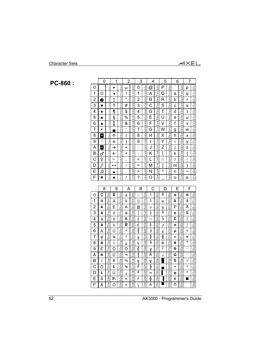$\angle XEL$ 

**PC-860:** 

|                | 0         |                                                   | 1                            |                                    | $\overline{2}$ |                                      | 3                    |                               | 4             |                                                | 5 |                                | 6        |                                     | 7              |                                            |
|----------------|-----------|---------------------------------------------------|------------------------------|------------------------------------|----------------|--------------------------------------|----------------------|-------------------------------|---------------|------------------------------------------------|---|--------------------------------|----------|-------------------------------------|----------------|--------------------------------------------|
| 0              |           | $\begin{smallmatrix}0\0\0\end{smallmatrix}$       | ь                            | $\frac{10}{16}$                    | SP             | 20<br>32<br>40                       | 0                    | 30<br>48<br>60                | @             | $\begin{array}{c} 40 \\ 64 \\ 100 \end{array}$ | Ρ | 50<br>80<br>120                |          | 60<br>96<br>140                     | р              | $\frac{70}{112}$                           |
| 1              | ☺         | $\frac{1}{1}$<br>1                                | d                            | $\frac{11}{17}$<br>21              | ļ              | $\frac{21}{33}$<br>41                | 1                    | 31<br>49<br>61                | А             | $\frac{41}{65}$<br>101                         | Q | $\frac{51}{81}$<br>121         | a        | $\frac{61}{97}$<br>141              | q              | $\frac{71}{113}$                           |
| $\overline{2}$ | Θ         | $\frac{2}{2}$                                     | t                            | 12<br>18<br>22                     | w              | 22<br>34<br>42                       | $\overline{2}$       | 32<br>50<br>62                | B             | $\begin{array}{c} 42 \\ 66 \\ 102 \end{array}$ | R | 52<br>$\frac{82}{122}$         | b        | 62<br>$\frac{98}{142}$              | r              | $\frac{72}{114}$                           |
| 3              |           | 33                                                | Į!                           | 13<br>19<br>23                     | #              | 23<br>35<br>43                       | 3                    | 33<br>51<br>63                | С             | $\frac{43}{67}$<br>103                         | S | 53<br>$\frac{83}{123}$         | с        | 63<br>99<br>143                     | s              | 73<br>115<br>163                           |
| 4              |           | 44                                                | 1                            | $\frac{14}{20}$                    | \$             | $\frac{24}{36}$<br>44                | 4                    | 34<br>52<br>64                | D             | 44<br>68<br>104                                | T | $\frac{54}{84}$                | d        | $\frac{64}{100}$                    | t              | 74<br>116<br>164                           |
| 5              | 4         | 555                                               | §                            | $\frac{15}{21}$                    | $\%$           | $\frac{25}{37}$<br>45                | 5                    | 35<br>53<br>65                | Е             | $^{45}_{69}$<br>105                            | U | 55<br>$\overline{85}$<br>125   | е        | 65<br>101<br>145                    | u              | $\frac{75}{117}$<br>165                    |
| 6              | ۸         | 666                                               | ↨                            | $\frac{16}{22}$<br>28              | &              | $\frac{26}{38}$<br>46                | 6                    | 36<br>54<br>66                | F             | 46<br>70<br>106                                | V | 56<br>8£<br>126                | f        | 66<br>$\frac{102}{146}$             | ۷              | 76<br>118<br>166                           |
| 7              | $\bullet$ | $\begin{array}{c} 7 \\ 7 \\ 7 \end{array}$        |                              | $\frac{17}{23}$                    | ı              | $\frac{27}{39}$<br>47                | 7                    | 37<br>55<br>67                | G             | $\frac{47}{71}$<br>107                         | W | $\frac{57}{87}$<br>127         | g        | $\frac{67}{103}$                    | w              | 77<br>119<br>167                           |
| 8              | $\bullet$ | $\begin{array}{c}\n 8 \\  8 \\  10\n \end{array}$ | ኅ                            | 18<br>24<br>30                     | (              | $^{28}_{40}$<br>50                   | 8                    | 38<br>56<br>70                | н             | $\frac{48}{72}$<br>110                         | Χ | 58<br>88<br>130                | h        | 68<br>104<br>150                    | x              | 78<br>120<br>170                           |
| 9              | $\circ$   | $\begin{array}{c}\n9 \\ 9 \\ 11\n\end{array}$     | ↓                            | $\frac{19}{25}$                    | )              | 29<br>41<br>51                       | 9                    | 39<br>57<br>71                | I             | $\frac{49}{73}$<br>111                         | Y | 59<br>$\frac{89}{131}$         | i        | 69<br>105<br>151                    | у              | 79<br>121<br>171                           |
| A              | $\circ$   | $A_{10}$<br>12                                    | →                            | 1A<br>26<br>32                     | $\ast$         | 2A<br>42<br>52                       | $\ddot{\phantom{0}}$ | 3A<br>$\frac{58}{72}$         | J             | $4A$<br>$74$<br>112                            | Z | 5A<br>90<br>132                | j        | 6A<br>$\frac{106}{152}$             | z              | 7A<br>122<br>172                           |
| B              | ්         | B<br>11<br>13                                     | $\leftarrow$                 | 1B<br>$\frac{27}{33}$              | +              | 2B<br>$43$<br>$53$                   | ,                    | 3B<br>$\frac{59}{73}$         | Κ             | 4B<br>75<br>113                                | I | 5B<br>$\frac{91}{133}$         | k        | 6B<br>107<br>153                    | {              | 7B<br>123<br>173                           |
| С              | ò         | $\frac{C}{12}$                                    |                              | 1C<br>28<br>34                     | ,              | 2C<br>44<br>54                       | <                    | 3C<br>$\frac{60}{74}$         | L             | $^{4C}_{76}$<br>114                            | / | 5C<br>92<br>134                | ı        | 6C<br>$\frac{108}{154}$             | ı<br>ı         | 7C<br>124<br>174                           |
| D              | F         | $\frac{D}{13}$<br>13                              | $\leftrightarrow$            | $\frac{10}{29}$<br>$\overline{35}$ |                | $\frac{2D}{45}$<br>55                |                      | 3D<br>61<br>75                | м             | 4D<br>77<br>115                                | 1 | $\frac{5}{93}$<br>135          | m        | $^{6D}_{109}$<br>155                | }              | 7D<br>125<br>175                           |
| E              | л         | $54$<br>$14$<br>$16$                              | Δ                            | 1E<br>30<br>36                     | ٠              | $^{2E}_{46}$<br>56                   | >                    | 3E<br>62<br>76                | N             | 4E<br>78<br>116                                | Λ | 5E<br>94<br>136                | n        | 6E<br>110<br>156                    |                | 7E<br>126<br>176                           |
| F              | ∗         | $F_{15}$<br>15                                    | v                            | 1F<br>31<br>37                     | Ι              | 2F<br>$\frac{47}{57}$                | ?                    | 3F<br>$\frac{63}{77}$         | O             | $4F$<br>$79$<br>$117$                          |   | 5F<br>$\frac{95}{137}$         | ٥        | 6F<br>$\frac{111}{157}$             | ۵              | 7F<br>127<br>177                           |
|                |           |                                                   |                              |                                    |                |                                      |                      |                               |               |                                                |   |                                |          |                                     |                |                                            |
|                |           |                                                   |                              |                                    |                |                                      |                      |                               |               |                                                |   |                                |          |                                     |                |                                            |
|                | 8         |                                                   | 9                            |                                    | А              |                                      | B                    |                               | С             |                                                | D |                                | F        |                                     | F              |                                            |
| 0              | Ç         | 80<br>128<br>200                                  | Ė                            | $\frac{90}{144}$<br>220            | á              | A0<br>160<br>240                     |                      | B <sub>0</sub><br>176<br>260  | L             | CO<br>192<br>300                               | Ш | D <sub>0</sub><br>208<br>320   | α        | E <sub>0</sub><br>$\frac{224}{340}$ |                | E0<br>240<br>360                           |
| 1              | ü         | $\frac{81}{129}$<br>$\frac{1}{201}$               | À                            | $\frac{91}{145}$                   | í              | A1<br>161<br>241                     |                      | B <sub>1</sub><br>177<br>261  | T             | $rac{C1}{193}$<br>301                          | ╤ | D <sub>1</sub><br>209<br>321   | ß        | E <sub>1</sub><br>$\frac{225}{341}$ | ±              | $F1$<br>$241$<br>$361$                     |
| $\overline{2}$ | é         | $\frac{82}{130}$<br>202                           | È                            | 92<br>146<br>222                   | ó              | A2<br>162<br>242                     |                      | $rac{B2}{178}$<br>262         | Т             | $rac{C_2}{194}$<br>302                         | Τ | D <sub>2</sub><br>210<br>322   | г        | E2<br>226<br>342                    | ≥              | F2<br>242<br>362                           |
| 3              | â         | $\frac{83}{131}$<br>203                           | Ô                            | $\frac{93}{147}$<br>223            | ú              | $A_3^3$<br>163<br>$\frac{1}{243}$    |                      | $rac{B3}{179}$<br>263         |               | $rac{C3}{195}$<br>303                          | Ш | $\frac{D3}{211}$<br>323        | п        | $\frac{E3}{227}$<br>343             | K              | F3<br>243<br>363                           |
| 4              | ã         | 84<br>132<br>204                                  | õ                            | $\frac{94}{148}$                   | ñ              | A4<br>164<br>244                     |                      | B <sub>4</sub><br>180<br>264  |               | C4<br>196<br>304                               | L | D4<br>212<br>324               | Σ        | E4<br>228<br>344                    | ſ              | F4<br>244<br>364                           |
| 5              | à         | 85<br>133<br>205                                  | ò                            | 95<br>149<br>225                   | Ń              | A5<br>165<br>245                     | $\frac{1}{2}$        | B <sub>5</sub><br>181<br>265  | $\mathcal{L}$ | C <sub>5</sub><br>197<br>305                   | F | D <sub>5</sub><br>213<br>325   | σ        | E <sub>5</sub><br>229<br>345        |                | F5<br>245<br>365                           |
| 6              | Á         | 86<br>134<br>206                                  | Ú                            | 96<br>150<br>226                   | ê              | A6<br>166<br>246                     | ╢                    | B <sub>6</sub><br>182<br>266  |               | C6<br>198<br>306                               | П | $\frac{D6}{214}$<br>326        | μ        | $\frac{E6}{230}$<br>346             | ÷              | F6<br>246<br>366                           |
| 7              | Ç         | 87<br>135<br>207                                  | ù                            | 97<br>$\frac{151}{227}$            | $\overline{Q}$ | $A7$<br>167<br>2A7                   | T                    | B7<br>183<br>267              | ╟             | C7<br>199<br>307                               | ╫ | D7<br>$\frac{215}{327}$        | τ        | E7<br>$\frac{231}{347}$             | $\approx$      | F7<br>247<br>367                           |
| 8              | ê         | 88<br>136<br>210                                  | Ì                            | $\frac{98}{152}$<br>230            | تے             | A8<br>168<br>250                     | ╕                    | B <sub>8</sub><br>184<br>270  | L             | $rac{C8}{200}$<br>310                          | ╪ | D <sub>8</sub><br>216<br>330   | Ф        | E8<br>232<br>350                    | o              | F8<br>248<br>370                           |
| 9              | Ê         | $rac{89}{137}$<br>211                             | Õ                            | 99<br>153<br>231                   | Ò              | $A_9$<br>$169$<br>251                | ╣                    | B <sub>9</sub><br>185<br>271  | ╔             | C9<br>201<br>311                               | ⅃ | D <sub>9</sub><br>217<br>331   | Θ        | E9<br>233<br>351                    |                | F9<br>249<br>371                           |
| Α              | è         | 8A<br>138<br>212                                  | Ü                            | $\frac{9A}{154}$<br><br>232        | ┑              | AA<br>170<br>252                     | I                    | <b>BA</b><br>186<br>272       | ╨             | $C_A$<br>$202$<br>$\frac{1}{312}$              | Г | $\frac{DA}{218}$<br>332        | Ω        | EA<br>234<br>352                    | $\bullet$      | FA<br>250<br>372                           |
| B              | ĺ         | 8 <sub>B</sub><br>139<br>213                      | ¢                            | 9 <sub>B</sub><br>$\frac{95}{155}$ | $\frac{1}{2}$  | AB<br>171<br>253                     | ╗                    | <b>RR</b><br>187<br>273       | Τ             | CВ<br>203<br>313                               |   | DB<br>219<br>333               | δ        | <b>FB</b><br>235<br>353             |                | FB<br>251<br>373                           |
| C              | Ô         | 8C<br>$\frac{140}{214}$                           | £                            | 9C<br>156<br>234                   | ¼              | AC<br>172<br>254                     | ╜                    | BC<br>188<br>274              | ŀ             | CC<br>$\frac{204}{314}$                        |   | DC<br>$\frac{220}{334}$        | $\infty$ | EC<br>236<br>354                    | n              | FC<br>$\frac{252}{374}$                    |
| D              | ì         | 8D<br>141<br>215                                  | Ù                            | 9D<br>157<br>235                   | i              | AD<br>173<br>255                     | ╜                    | <b>BD</b><br>189<br>275       |               | $rac{CD}{205}$<br>315                          |   | DD<br>221<br>335               | φ        | E <sub>237</sub><br>355             | $\overline{2}$ | FD<br>253<br>375                           |
| E<br>F         | Ã<br>Â    | 8E<br>$\frac{142}{216}$<br>$8F$<br>$143$<br>$217$ | $\mathbf{P}_{\text{t}}$<br>Ó | 9E<br>158<br>236<br>9F<br>159      | ≪              | AE<br>174<br>256<br>AF<br>175<br>257 | ┧                    | BE<br>190<br>276<br>BF<br>191 | π<br>11<br>┷  | CE<br>206<br>316<br>CF<br>207                  |   | DE<br>222<br>336<br>$DF_{223}$ | ε        | EE<br>238<br>356<br>$EF_{239}$      |                | FE<br>254<br>376<br>$FF$<br>$255$<br>$277$ |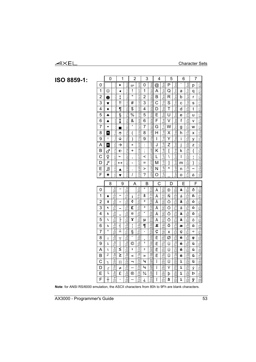# <u>AXEL</u> Character Sets

ISO 8859-1:

|                | 0         |                                               | 1                 |                                    | 2              |                            | 3                         |                                           | 4      |                                                | 5      |                                                | 6      |                                           | 7      |                                      |
|----------------|-----------|-----------------------------------------------|-------------------|------------------------------------|----------------|----------------------------|---------------------------|-------------------------------------------|--------|------------------------------------------------|--------|------------------------------------------------|--------|-------------------------------------------|--------|--------------------------------------|
| 0              |           | $\frac{0}{0}$                                 | ь                 | $\frac{10}{16}$<br><br>20          | SP             | $\frac{20}{32}$<br>40      | 0                         | 30<br>48<br>60                            | ω      | $\begin{array}{c} 40 \\ 64 \\ 100 \end{array}$ | P      | $\frac{50}{80}$<br>120                         |        | $^{60}_{96}$<br>140                       | р      | $\frac{70}{112}$                     |
| 1              | ☺         | $\frac{1}{1}$                                 | ◀                 | $\frac{11}{17}$                    | ļ              | $\frac{21}{33}$<br>41      | 1                         | $\frac{31}{49}$<br>61                     | Α      | $^{41}_{65}$<br>101                            | Q      | $\frac{51}{81}$<br>121                         | а      | $\frac{61}{97}$<br>141                    | q      | $\frac{71}{113}$<br>161              |
| $\overline{c}$ | θ         | $\frac{2}{2}$                                 | ¢                 | $\frac{12}{18}$                    | W              | $\frac{22}{34}$            | $\overline{2}$            | 32<br>50<br>62                            | B      | $\frac{42}{66}$<br>102                         | R      | $\frac{52}{82}$                                | b      | $62$<br>$98$<br>$142$                     | r      | 72<br>114<br>162                     |
| 3              | v         | კა კ                                          | ij                | 13<br>$\frac{10}{23}$              | #              | 23<br>35<br>43             | 3                         | 33<br>51<br>63                            | С      | $\begin{array}{c} 43 \\ 67 \\ 103 \end{array}$ | S      | $\begin{array}{c} 53 \\ 83 \\ 123 \end{array}$ | C      | 63<br>$\frac{99}{143}$                    | s      | 73<br>115<br>163                     |
| 4              | ٠         | $\begin{array}{c} 4 \\ 4 \\ 4 \end{array}$    | 1                 | 14<br>20<br>$\overline{24}$        | \$             | 24<br>36<br>44             | 4                         | 34<br>52<br>64                            | D      | $^{44}_{68}$<br>104                            | T      | $\frac{54}{84}$<br>124                         | d      | 64<br>100<br>144                          | t      | $\frac{74}{116}$<br><br>164          |
| 5              | 4         | 555                                           | §                 | 15<br>21<br>25                     | $\%$           | $\frac{25}{37}$<br>45      | 5                         | 35<br>53<br>65                            | E      | 45<br>69<br>105                                | U      | 55<br>$\overline{85}$<br>125                   | е      | 65<br>101<br>145                          | u      | $\frac{75}{117}$<br>165              |
| 6              | ♠         | 666                                           | ↨                 | 16<br>$\frac{22}{26}$              | &              | 26<br>38<br>46             | 6                         | 36<br>54<br>66                            | F      | 46<br>70<br>106                                | V      | 56<br>86<br>126                                | f      | 66<br>$\frac{102}{146}$                   | v      | 76<br>$\frac{118}{166}$              |
| 7              |           | $\begin{array}{c} 7 \\ 7 \\ 7 \end{array}$    |                   | $\frac{17}{23}$<br>27              | $\blacksquare$ | $\frac{27}{39}$<br>47      | 7                         | $\frac{37}{55}$<br>67                     | G      | $\frac{47}{71}$<br>107                         | W      | $\frac{57}{87}$<br>127                         | g      | $\frac{67}{103}$<br>147                   | w      | $\frac{77}{119}$<br>167              |
| 8              | $\bullet$ | $\frac{8}{10}$                                | ↑                 | 18<br>24<br>30                     | 1              | $^{28}_{40}$<br>50         | 8                         | 38<br>56<br>70                            | н      | $\frac{48}{72}$<br>110                         | Х      | 58<br>88<br>130                                | h      | $\frac{68}{104}$<br>150                   | x      | 78<br>120<br>170                     |
| 9              | O         | $\frac{9}{11}$                                | ↓                 | $\frac{19}{25}$<br>31              | )              | 29<br>41<br>51             | 9                         | 39<br>57<br>71                            | ı      | $\frac{49}{73}$<br>111                         | Y      | 59<br>131                                      | Ĩ      | $\frac{69}{105}$<br>151                   | y      | 79<br>121<br>171                     |
| А              | $\circ$   | $A_{10}$<br>12                                | →                 | 1A<br>$\frac{26}{32}$              | $\ast$         | 2A<br>42<br>52             | ÷.                        | 3A<br>эн<br>58<br>72                      | J      | 4A<br>74<br>112                                | Z      | 5A<br>$\frac{90}{132}$                         | j      | 6A<br>106<br>152                          | z      | 7A<br>122<br>172                     |
| B              | ්         | B<br>11<br>13                                 | $\leftarrow$      | 1B<br>27<br>33                     | +              | 2B<br>$43$<br>$53$         | $\ddot{\phantom{0}}$<br>, | 3B<br>$\frac{55}{73}$                     | Κ      | 4B<br>75<br>113                                | [      | 5B<br>$\frac{91}{133}$                         | k      | 6 <sub>B</sub><br>107<br>153              | {      | 7B<br>123<br>173                     |
| С              | ò         | $rac{C}{12}$                                  | L.                | 1C<br>$\frac{28}{34}$              | ,              | 2C<br>44<br>54             | <                         | 3C<br>60<br>74                            | L      | 4C<br>76<br>114                                | Ι      | 5C<br>$\frac{92}{134}$                         | ı      | 6C<br>108<br>154                          | ı<br>ı | 7C<br>124<br>174                     |
| D              | F         | $\frac{D}{13}$<br>13                          | $\leftrightarrow$ | $\frac{10}{29}$<br>35              |                | 2D<br>45<br>55             | Ξ                         | 3D<br>61<br>75                            | Μ      | $rac{4D}{77}$<br>115                           | 1      | 5D<br>93<br>135                                | m      | $^{6D}_{109}$<br>155                      | }      | 7D<br>125<br>175                     |
|                | л         | $\begin{array}{c} 14 \\ 14 \\ 16 \end{array}$ |                   | 1E<br>30<br>36                     |                | 2E<br>46<br>56             | >                         | 3E<br>62<br>76                            | Ν      | $\frac{4E}{78}$<br>116                         | Λ      | $rac{5E}{94}$<br>136                           | n      | 6E<br>110<br>156                          |        | 7E<br>126<br>176                     |
| F              | ☀         | $F_{15}$<br>15                                |                   | 1F<br>$\frac{31}{37}$              | Ι              | 2F<br>$\frac{47}{57}$      | $\overline{\phantom{a}}$  | 3F<br>$\frac{63}{77}$                     | Ω      | $4F$<br>$79$<br>117                            |        | 5F<br>$\frac{95}{137}$                         | ٥      | 6F<br>$\frac{111}{157}$                   | ۵      | 7F<br>127<br>177                     |
|                |           |                                               |                   |                                    |                |                            |                           |                                           |        |                                                |        |                                                |        |                                           |        |                                      |
|                |           |                                               |                   |                                    |                |                            |                           |                                           |        |                                                |        |                                                |        |                                           |        |                                      |
|                | 8         | 80                                            | 9                 |                                    | А              |                            | B<br>$\circ$              |                                           | С      |                                                | D      |                                                | E      |                                           | F      |                                      |
| 0              |           | 128<br>200<br>81                              |                   | $\frac{90}{144}$<br><br>220<br>91  |                | $A0$ <sub>160</sub><br>240 |                           | B0<br>176<br>260                          | À      | $rac{C0}{192}$<br>300                          | Đ      | $\frac{D}{208}$<br>320<br>D <sub>1</sub>       | à      | E <sub>224</sub><br>340<br>F <sub>1</sub> | ð      | F0<br>240<br>360<br>F1               |
| 1              |           | 129<br>201                                    |                   | 145<br>221                         | i              | $A_1$<br>$161$<br>241      | $\pm$                     | $rac{B1}{177}$<br>261                     | Á      | $\frac{C1}{193}$<br>$\frac{301}{193}$          | Ñ      | 209<br>321                                     | á      | $\frac{225}{341}$                         | ñ      | $\frac{241}{361}$                    |
| $\overline{c}$ | ▦         | $rac{82}{130}$<br>202                         |                   | 92<br>146<br>222                   | ¢              | A2<br>162<br>242           | $\overline{\mathbf{c}}$   | B <sub>2</sub><br>178<br>262              | Â      | C <sub>2</sub><br>194<br>302                   | Ò      | D <sub>2</sub><br>210<br>322                   | â      | E2<br>226<br>342                          | ò      | $\frac{F2}{242}$<br>362              |
| 3              | 4         | $\frac{83}{131}$<br>203<br>84                 |                   | $\frac{93}{147}$<br>223<br>94      | £              | $A_3^3$<br><br>243         | 3<br>۰                    | B <sub>3</sub><br>179<br>263<br><b>B4</b> | Ã      | $rac{C3}{195}$<br>303                          | Ó      | $\frac{D3}{211}$<br>323                        | ã      | $\frac{E3}{227}$<br>343<br>F4             | ó      | $^{F3}_{243}$<br>363                 |
| 4              | ę         | 132<br>204<br>85                              |                   | $\frac{148}{224}$<br>95            | ¤              | A4<br>164<br>244           |                           | $\frac{180}{264}$<br>B <sub>5</sub>       | Ä      | C4<br>196<br>304<br>C <sub>5</sub>             | Ô      | $D4$<br>$212$<br>$324$<br>D <sub>5</sub>       | ä      | 228<br>344<br>E <sub>5</sub>              | ô      | F4<br>244<br>364<br>F <sub>5</sub>   |
| 5              | ፍ         | 133<br>205<br>86                              |                   | $\frac{149}{225}$<br>96            | ¥              | A5<br>165<br>245           | μ                         | $\frac{181}{265}$<br>B6                   | Å      | $\frac{197}{305}$<br>C <sub>6</sub>            | Õ      | 213<br>325<br>D <sub>6</sub>                   | å      | 229<br>345<br>E6                          | õ      | $\frac{245}{365}$                    |
| 6              | f         | 134<br>206<br>87                              |                   | 150<br>226<br>Q <sub>7</sub>       | ı<br>ı         | A6<br>166<br>246           | 1                         | 182<br>266<br><b>B7</b>                   | Æ      | 198<br>306                                     | ö      | 214<br>326<br>D7                               | æ      | 230<br>346<br>E7                          | ö      | $\frac{F6}{246}$<br>366<br>F7        |
| 7              | $\circ$   | 135<br>207<br>88                              | Т                 | 151<br>227<br>98                   | §              | $A7$ <sub>167</sub><br>2A7 | ٠                         | 183<br>267<br>B <sub>8</sub>              | Ç      | $rac{C}{199}$<br>307<br>C <sub>8</sub>         | x      | $\frac{215}{327}$                              | Ç      | $\frac{231}{347}$<br>E <sub>8</sub>       | ÷      | $\frac{247}{367}$<br>F <sub>8</sub>  |
| 8              | 土         | 136<br>210                                    | Т                 | 152<br>230                         |                | A8<br>168<br>250           |                           | 184<br>270                                | È      | 200<br>310                                     | Ø      | D <sub>8</sub><br>216<br>330                   | è      | 232<br>350                                | φ      | 248<br>370                           |
| 9              | ĭ         | $\frac{89}{137}$<br>211                       |                   | 99<br>153<br>231                   | ©              | $A9$ <sub>169</sub><br>251 | 1                         | B <sub>9</sub><br>185<br><br>271          | É      | C9<br>201<br>311                               | Ù      | $\frac{D9}{217}$<br>331                        | é      | $E_2$ <sub>233</sub><br>351               | ù      | F9<br>249<br>371                     |
| Α              | Y         | 8A<br>138<br>212<br>8B                        | ≤                 | $\frac{9A}{154}$<br>232<br>9B      | ₫              | AA<br>170<br>252           | ō                         | BA<br>186<br>272<br>BB                    | Ê      | $C_A$<br>$202$<br>312<br>CB                    | Ú      | DA<br>218<br>332<br>DB                         | ê      | $\frac{E}{234}$<br>352<br>EB              | ú      | FA<br>250<br>372<br>FB               |
| B              | ⅃         | 139<br>213<br>8C                              | ≥                 | 155<br>233                         | ≪              | AB<br>$\frac{171}{253}$    | ≫                         | 187<br>273                                | Ë      | 203<br>313                                     | Û      | 219<br>333                                     | ë      | 235<br>353                                | û      | $\frac{251}{373}$                    |
| C              | ٦         | $\frac{140}{214}$<br>8D                       | П                 | 9C<br>156<br>234<br>Q <sub>0</sub> | ٦              | AC<br>172<br>254           | ₩                         | BC<br>188<br>274<br><b>BD</b>             | Ì      | CC<br>204<br>314                               | Ü      | DC<br>220<br>334<br>DD                         | ì      | EC<br>236<br>354<br>ED                    | ü      | FC<br>252<br>374                     |
| D              | Г         | $\frac{141}{215}$                             | ≠                 | 157<br>235                         |                | AD<br>173<br>255           | $\frac{1}{2}$             | 189<br>275                                | ĺ      | CD<br>205<br>315                               | Ý      | 221<br>335                                     | í      | 237<br>355                                | ý      | FD<br>$\frac{253}{375}$              |
| I<br>F         | L         | 8E<br>142<br>216<br>8F                        | £                 | 9E<br>158<br>236<br>9F             | ®              | AE<br>174<br>256<br>AF     | $\frac{3}{4}$             | BE<br>190<br>276<br>BF                    | Î<br>Ϊ | CE<br>206<br>316<br>CF                         | þ<br>ß | DE<br>222<br>336<br>DF                         | î<br>ï | EE<br>238<br>356<br>EF                    | Þ<br>ÿ | FE<br>254<br>376<br>FF<br>255<br>377 |

Note: for ANSI RS/6000 emulation, the ASCII characters from 80h to 9Fh are blank characters.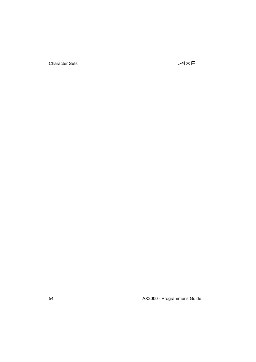$\blacktriangleleft \times E$ L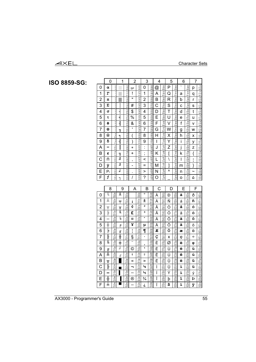<u>AXEL</u> Character Sets

# **ISO 8859-SG:**

|                | 0        |                                                     | 1 |                                | $\overline{2}$ |                                      | 3              |                                     | 4 |                                     | 5 |                                                | 6 |                                      | 7      |                                      |
|----------------|----------|-----------------------------------------------------|---|--------------------------------|----------------|--------------------------------------|----------------|-------------------------------------|---|-------------------------------------|---|------------------------------------------------|---|--------------------------------------|--------|--------------------------------------|
| 0              | α        | $\begin{smallmatrix} 0 \\ 0 \\ 0 \end{smallmatrix}$ |   | $\frac{10}{16}$<br>20          | SP             | 20<br>32<br>40                       | 0              | 30<br>48<br>60                      | ω | $\frac{40}{64}$                     | Р | 50<br>80<br>120                                |   | 60<br>96<br>140                      | р      | $\frac{70}{112}$                     |
| 1              | г        | $\frac{1}{1}$                                       |   | $\frac{11}{17}$<br>$\ddot{21}$ | ļ              | $\frac{21}{33}$<br>41                | 1              | $\frac{31}{49}$<br>61               | Α | $\frac{41}{65}$<br>101              | Q | $\begin{array}{c} 51 \\ 81 \\ 121 \end{array}$ | а | 61<br>97<br>141                      | q      | $\frac{71}{113}$<br>161              |
| $\overline{2}$ | п        | $\frac{2}{2}$                                       |   | $\frac{12}{18}$                | W              | 22<br>34<br>42                       | $\overline{2}$ | 32<br>50<br>62                      | B | $\frac{42}{66}$<br>102              | R | $\begin{array}{r} 52 \\ 82 \\ 122 \end{array}$ | b | $62$<br>$98$<br>$142$                | r      | 72<br>114<br>162                     |
| 3              | Σ        | კა კ                                                |   | 13<br>$\frac{10}{23}$          | #              | 23<br>35<br>43                       | 3              | 33<br>51<br>63                      | Ċ | $\frac{43}{67}$<br>103              | S | 53<br>$\frac{83}{123}$                         | c | 63<br>$\frac{99}{143}$               | s      | 73<br>115<br>163                     |
| 4              | σ        | $\begin{array}{c} 4 \\ 4 \\ 4 \end{array}$          |   | 14<br>20<br>24                 | \$             | 24<br>$\overline{36}$<br>44          | 4              | 34<br>52<br>64                      | D | 44<br>68<br>104                     | T | 54<br>84<br>124                                | d | 64<br>100<br>144                     | t      | 74<br>116<br>164                     |
| 5              | τ        | 555                                                 |   | 15<br>21<br>25                 | $\%$           | $\frac{25}{37}$<br>45                | 5              | 35<br>$\frac{53}{65}$               | F | 45<br>69<br>105                     | U | 55<br>85<br>125                                | е | 65<br>101<br>145                     | u      | $\frac{75}{117}$<br>165              |
| 6              | Ф        | 666                                                 | Ï | 16<br>$\frac{22}{26}$          | &              | 26<br>38<br>46                       | 6              | 36<br>54<br>66                      | F | $\frac{46}{70}$<br>106              |   | 56<br>86<br>126                                | f | 66<br>$\frac{102}{146}$              | v      | 76<br>$\frac{118}{166}$              |
| 7              | Θ        | $\begin{array}{c} 7 \\ 7 \\ 7 \end{array}$          | T | $\frac{17}{23}$<br>27          | ı              | $\frac{27}{39}$<br>47                | 7              | 37<br>55<br>67                      | G | $\frac{47}{71}$<br>107              | W | $\frac{57}{87}$<br>127                         | g | $\frac{67}{103}$<br>147              | w      | $\frac{77}{119}$<br>167              |
| 8              | Ω        | $\begin{array}{c}\n 8 \\  8 \\  10\n \end{array}$   |   | 18<br>24<br>30                 | (              | 28<br>40<br>50                       | 8              | 38<br>56<br>70                      | Н | $\frac{48}{72}$<br>110              | х | 58<br>88<br>130                                | h | 68<br>104<br>150                     | x      | 78<br>120<br>170                     |
| 9              | δ        | $\frac{9}{11}$                                      | ╣ | 19<br>$rac{25}{31}$            | )              | 29<br>41<br>51                       | 9              | 39<br>$\frac{57}{71}$               | I | $\frac{49}{73}$<br>111              | Y | 59<br>$\frac{89}{131}$                         | İ | 69<br>$\frac{105}{151}$              | у      | 79<br>121<br>171                     |
| А              | $\infty$ | $A$<br>10<br>12                                     |   | 1A<br>26<br>32                 | $\ast$         | 2A<br>42<br>52                       | ï              | 3A<br>$\frac{58}{72}$               | J | $4A$<br>$74$<br>112                 | Z | 5A<br>90<br>132                                | j | 6A<br>$\frac{106}{152}$              | z      | 7A<br>122<br>172                     |
| в              | ε        | B<br>$\frac{11}{13}$                                | ╗ | 1B<br>$\frac{27}{33}$          | +              | 2B<br>$^{43}_{53}$                   | ,              | 3B<br>59<br>73                      | Κ | 4B<br>$\frac{75}{113}$              | [ | 5B<br>$\frac{91}{133}$                         | k | 6B<br>107<br>153                     | {      | 7B<br>123<br>173                     |
| C              | n        | $\frac{C}{12}$                                      | ╝ | 1C<br>28<br>34                 | ,              | 2C<br>44<br>54                       | <              | 3C<br>60<br>74                      |   | $^{4C}_{76}$<br>114                 | Ι | 5C<br>92<br>134                                | I | 6C<br>108<br>154                     | I      | 7C<br>124<br>174                     |
| D              | ÿ        | $\frac{D}{13}$<br>13                                | Щ | $\frac{10}{29}$<br>35          |                | 2D<br>45<br>55                       | =              | $\frac{3D}{61}$<br>75               | М | $\frac{4D}{77}$<br>115              | 1 | 5D<br>93<br>135                                | m | 6D<br>109<br>155                     | }      | 7D<br>125<br>175                     |
| ŀ              | P,       | E<br>14<br>16                                       | ╛ | 1E<br>30<br>36                 |                | 2E<br>46<br>56                       | >              | 3E<br>62<br>76                      | Ν | $\frac{4E}{78}$<br>116              | ٨ | 5E<br>94<br>136                                | n | 6E<br>110<br>156                     | ∼      | 7E<br>126<br>176                     |
| F              | f        | $F_{15}$<br>15                                      | ٦ | 1F<br>$\frac{31}{37}$          | Ι              | 2F<br>$\frac{47}{57}$                | ?              | 3F<br>63<br>77                      |   | $4F$<br>$79$<br>117                 |   | 5F<br>$\frac{95}{137}$                         | ٥ | 6F<br>$\frac{111}{157}$              | ۵      | 7F<br>127<br>177                     |
|                |          |                                                     |   |                                |                |                                      |                |                                     |   |                                     |   |                                                |   |                                      |        |                                      |
|                |          |                                                     |   |                                |                |                                      |                |                                     |   |                                     |   |                                                |   |                                      |        |                                      |
|                | 8        |                                                     | 9 |                                | Α              |                                      | B              |                                     | С |                                     | D |                                                | F |                                      | F      |                                      |
| 0              | L        | $\frac{80}{128}$<br>200                             | Ш | 90<br>144<br>220               |                | $A0$ <sub>160</sub><br>240           | $\circ$        | B <sub>0</sub><br>176<br>260        | À | C0<br>192<br>300                    | Đ | $\frac{D}{208}$<br>320                         | á | E <sub>0</sub><br>224<br>340         | ð      | $\frac{F}{240}$<br>360               |
| 1              | I        | 81<br>$\frac{129}{201}$                             | ╤ | 91<br>$\frac{145}{221}$        | i              | $A_1^4$<br>241                       | ±              | B <sub>1</sub><br>$\frac{177}{261}$ | Á | C <sub>1</sub><br>193<br>301        | Ñ | D <sub>1</sub><br>209<br>321                   | á | E <sub>1</sub><br>$\frac{225}{341}$  | ñ      | F <sub>1</sub><br>$\frac{241}{361}$  |
| $\overline{c}$ | T        | $\frac{82}{130}$<br>202                             | π | $\frac{92}{146}$<br>222        | ¢              | $A_2$<br>162<br>242                  | 2              | $rac{B2}{178}$<br>262               | Â | C <sub>2</sub><br>194<br>302        | Ò | D <sub>2</sub><br>210<br>322                   | â | $\frac{E2}{226}$<br>342              | ò      | F <sub>242</sub><br>362              |
| 3              |          | $\frac{83}{131}$<br>203                             | Ш | $\frac{93}{147}$<br>223        | £              | $A_3^3$<br>163<br>243                | 3              | $rac{B3}{179}$<br>263               | Ã | $rac{C3}{195}$<br>303               | Ó | $\frac{D3}{211}$<br>$\frac{1}{323}$            | ã | $\frac{E3}{227}$<br>$\frac{1}{343}$  | ó      | F3<br>243<br>363                     |
| 4              |          | 84<br>132<br>204                                    | L | 94<br>148<br>224               | ¤              | A4<br>164<br>244                     | ٠              | B <sub>4</sub><br>180<br>264        | Ä | C4<br>196<br>304                    | Ô | D <sub>4</sub><br>$\frac{212}{324}$            | ä | E4<br>228<br>344                     | ô      | F4<br>244<br>364                     |
| 5              |          | 85<br>133<br>205                                    | F | 95<br>149<br>225               | ¥              | A5<br>165<br>245                     | μ              | B <sub>5</sub><br>181<br>265        | Å | C <sub>5</sub><br>197<br>305        | Õ | D <sub>5</sub><br>$\frac{213}{325}$            | å | E <sub>5</sub><br>229<br>345         | õ      | F <sub>5</sub><br>$\frac{245}{365}$  |
| 6              | ļ        | 86<br>134<br>206                                    | П | 96<br>150<br>226               | ı<br>ı         | A6<br>166<br>246                     | 1              | B <sub>6</sub><br>182<br>266        | Æ | C6<br>198<br>306                    | ö | D6<br>214<br>326                               | æ | E6<br>230<br>346                     | ö      | $\frac{F6}{246}$<br>366              |
| 7              | ⊪        | 87<br>$\frac{135}{207}$                             | ╫ | 97<br>$\frac{151}{227}$        | §              | $A7$<br>167<br>2A7                   |                | B7<br>183<br>267                    | Ç | C <sub>7</sub><br>$\frac{199}{307}$ | x | D7<br>$\frac{215}{327}$                        | Ç | E7<br>$\frac{231}{347}$              | $\div$ | F7<br>$\frac{247}{367}$              |
| 8              | L        | 88<br>136<br>210                                    | ╡ | 98<br>152<br>230               |                | A8<br>168<br>250                     | ۵              | <b>B</b><br>184<br>270              | È | C8<br>200<br>310                    | Ø | D <sub>8</sub><br>216<br>330                   | è | F <sub>8</sub><br>232<br>350         | φ      | F <sub>8</sub><br>248<br>370         |
| 9              | ╔        | 89<br>137<br>211                                    | ┚ | 99<br>153<br>231               | ©              | A9<br>169<br>251                     | 1              | B <sub>9</sub><br>185<br>271        | É | C9<br>201<br>311                    | Ù | D9<br>217<br>331                               | é | $E_2$<br>$233$<br>$\frac{200}{351}$  | ù      | F9<br>249<br>371                     |
| A              | IL       | 8A<br>138<br>212                                    | Г | $\frac{9A}{154}$<br>232        | ₫              | AA<br>170<br>252                     | $\overline{Q}$ | <b>BA</b><br>186<br>272             | Ê | CA<br>202<br>312                    | Ú | DA<br>218<br>332                               | ê | $E_{234}$<br>352                     | ú      | FA<br>250<br>372                     |
| B              | ╖        | 8B<br>139<br>213                                    |   | 9B<br>155<br>233               | ≪              | AB<br>171<br>253                     | ≫              | BB<br>187<br>273                    | Ë | CB<br>203<br>313                    | Û | DB<br>219<br>333                               | ë | EB<br>235<br>353                     | û      | FB<br>$\frac{251}{373}$              |
| С              | ŀ        | 8C<br>$\frac{140}{214}$                             |   | 9C<br>156<br>234               | ٦              | AC<br>172<br>254                     | $\frac{1}{4}$  | BC<br>188<br>274                    | Ì | CC<br>204<br>314                    | Ü | DC<br>220<br>334                               | ì | EC<br>236<br>354                     | ü      | FC<br>252<br>374                     |
| D              |          | 8D<br>$\frac{141}{215}$                             |   | 9D<br>157<br>235               |                | AD<br>173<br>255                     | $\frac{1}{2}$  | BD<br>189<br>275                    | ĺ | CD<br>205<br>315                    | Ý | DD<br>221<br>335                               | í | ED<br>237<br>355                     | ý      | FD<br>$\frac{253}{375}$              |
| E              | ᆊ<br>L   | 8F<br>142<br>216<br>8F                              |   | 9E<br>158<br>236<br>9F         | ®              | AE<br>174<br>256<br>AF<br>175<br>257 | $\frac{3}{4}$  | <b>RF</b><br>190<br>276<br>BF       | Î | $_{206}^\text{CE}$<br>316<br>CF     | þ | DF<br>222<br>336<br>DF                         | î | FF<br>238<br>356<br>EF<br>239<br>357 | Þ      | FE<br>254<br>376<br>FF<br>255<br>377 |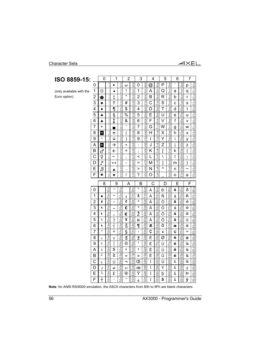$\angle XEL$ 

| ISO 8859-15:             |                | 0                     |                                                     | 1                 |                                                 | $\overline{2}$           |                                                               | 3                        |                                               | 4      |                                                  | 5      |                                                                                          | 6      |                                            | 7           |                                                 |
|--------------------------|----------------|-----------------------|-----------------------------------------------------|-------------------|-------------------------------------------------|--------------------------|---------------------------------------------------------------|--------------------------|-----------------------------------------------|--------|--------------------------------------------------|--------|------------------------------------------------------------------------------------------|--------|--------------------------------------------|-------------|-------------------------------------------------|
|                          | 0              |                       | $\begin{smallmatrix} 0 \\ 0 \\ 0 \end{smallmatrix}$ | ▶                 | $\frac{10}{16}$                                 | SP                       | $\frac{20}{32}$                                               | 0                        | $\begin{array}{c} 30 \\ 48 \\ 60 \end{array}$ | @      | $\begin{array}{c} 40 \\ 64 \\ 100 \end{array}$   | P      | $\begin{array}{c} 50 \\ 80 \\ 120 \end{array}$                                           |        | 60<br>96<br>140                            | р           | $\begin{array}{c} 70 \\ 112 \\ 160 \end{array}$ |
| (only available with the | 1              | ☺                     | $\begin{array}{c} 1 \\ 1 \\ 1 \end{array}$          | ◀                 | $\frac{11}{17}$<br>21                           | Ţ                        | $\frac{21}{33}$<br>41                                         | $\mathbf{1}$             | $\frac{31}{49}$                               | Α      | $\frac{41}{65}$<br>101                           | Q      | $\begin{array}{c} 51 \\ 81 \\ 121 \end{array}$                                           | a      | $61$<br>$97$<br>$141$                      | q           | $\frac{71}{113}$<br>161                         |
| Euro option)             | $\overline{c}$ | $\boldsymbol{\Theta}$ | $\frac{2}{2}$                                       | $\updownarrow$    | $\frac{12}{18}$                                 | Ħ                        | $\frac{22}{34}$                                               | $\overline{2}$           | $\frac{32}{50}$                               | B      | $\begin{array}{c} 42 \\ 66 \\ 102 \end{array}$   | R      | $\begin{array}{c} 52 \\ 82 \\ 122 \end{array}$                                           | b      | $\frac{62}{98}$<br>142                     | r           | $\frac{72}{114}$                                |
|                          | 3              | v                     | <b>33</b>                                           | W                 | $\frac{13}{19}$                                 | #                        | $\begin{array}{c} 23 \\ 35 \\ 43 \end{array}$                 | 3                        | 33<br>51<br>63                                | C      | $\frac{43}{67}$<br>103                           | S      | $\begin{array}{c} 53 \\ 83 \\ 123 \end{array}$                                           | C      | $\frac{63}{99}$<br>143                     | s           | $\frac{73}{115}$                                |
|                          | $\overline{4}$ |                       | $\begin{array}{c} 4 \\ 4 \\ 4 \end{array}$          | ¶                 | $\frac{14}{20}$                                 | \$                       | 24<br>36<br>44                                                | $\overline{4}$           | $34$<br>$52$<br>$64$                          | D      | $\begin{array}{r} 44 \\ 68 \\ 104 \end{array}$   | T      | $\frac{54}{84}$<br>124                                                                   | d      | $\frac{64}{100}$                           | t           | 74<br>116<br>164                                |
|                          | 5              | 4                     | 5<br>5<br>5                                         | §                 | $\frac{15}{21}$                                 | $\%$                     | 25<br>37<br>45                                                | 5                        | $\frac{35}{53}$                               | E      | $\frac{45}{69}$<br>105                           | U      | $\begin{array}{r} 55 \\ 85 \\ 125 \end{array}$                                           | е      | $\frac{65}{101}$                           | u           | $75$<br>$117$<br>$165$                          |
|                          | 6              | ♠                     | 6<br>6<br>6                                         | ↨                 | $\frac{16}{22}$                                 | &                        | 26<br>38<br>46                                                | 6                        | 36<br>54<br>66                                | F      | $\frac{46}{70}$<br>106                           | ٧      | 56<br>86<br>126                                                                          | f      | $\frac{66}{102}$                           | ٧           | 76<br>118<br>166                                |
|                          | 7              | $\bullet$             | $\frac{7}{7}$                                       |                   | $\frac{17}{23}$<br>27                           | $\blacksquare$           | $\frac{27}{39}$                                               | 7                        | $\frac{37}{55}$                               | G      | $\frac{47}{71}$<br>107                           | W      | $\begin{array}{c} 57 \\ 87 \\ 127 \end{array}$                                           | g      | $\frac{67}{103}$                           | W           | 77<br>119<br>167                                |
|                          | 8              | $\bullet$             | $\begin{matrix} 8 \\ 8 \\ 10 \end{matrix}$          | 个                 | $\frac{18}{24}$<br>$\frac{30}{20}$              |                          | 28<br>40<br>50                                                | 8                        | 38<br>56<br>70                                | Η      | $\frac{48}{72}$<br>110                           | Χ      | 58<br>88<br>130                                                                          | h      | 68<br>104<br>150                           | χ           | 78<br>120<br>170                                |
|                          | 9              | $\circ$               | $rac{1}{2}$<br>$rac{1}{2}$                          | ↓                 | $\frac{19}{25}$                                 | )                        | 29<br>41<br>51                                                | 9                        | 39<br>57<br>71                                | I      | $\frac{49}{73}$<br>111                           | Y      | 59<br>89<br>131                                                                          | İ      | 69<br>105<br>151                           | у           | 79<br>121<br>171                                |
|                          | А              | $\bullet$             | $A_{10}$<br>12                                      | $\rightarrow$     | $1A$<br>$26$<br>$32$                            | $\ast$                   | $^{2A}_{42}$<br>$^{42}_{52}$                                  | $\ddot{\cdot}$           | 3A<br>58<br>72                                | J      | $4A$<br>$74$<br>$112$                            | Z      | 5A<br>90<br>132                                                                          | j      | 6A<br>106<br>152                           | Z           | 7A<br>122<br>172                                |
|                          | B              | ්                     | $\frac{B}{11}$                                      | $\leftarrow$      | $\begin{array}{c}\n1B \\ 27 \\ 33\n\end{array}$ | $\ddot{}$                | 2B<br>43<br>53                                                | l,<br>,                  | 3B<br>59<br>73                                | Κ      | $4B$<br>$75$<br>$113$                            |        | 5B<br>91<br>133                                                                          | k      | 6B<br>107<br>153                           | {           | 7B<br>123<br>173                                |
|                          | Ċ              | ò                     | $rac{C}{14}$                                        | ш                 | 1C<br>28<br>34                                  | ,                        | 2C<br>44<br>54                                                | $\,<$                    | 3C<br>60<br>74                                | L      | $^{4C}_{76}$<br>114                              | ∖      | $\frac{5C}{92}$<br>$\frac{134}{8}$                                                       | I      | 6C<br>108<br>154                           | $\mathbf I$ | $\frac{7C}{124}$<br>124                         |
|                          | D              | F                     | $\begin{array}{c} D \\ 13 \\ 15 \end{array}$        | $\leftrightarrow$ | $\frac{10}{29}$<br>$\frac{29}{35}$              | $\overline{\phantom{0}}$ | 2D<br>45<br>55                                                | $=$                      | 3D<br>61<br>75                                | M      | 4D<br>77<br>115                                  | 1      | 5D<br>93<br>135                                                                          | m      | 6D<br>109<br>155                           | }           | 7D<br>125<br>175                                |
|                          | E              | Д                     | $\begin{array}{c}\n 14 \\  16\n \end{array}$        | ▲                 | $\begin{array}{c}\n1E \\ 30 \\ 36\n\end{array}$ | ä,                       | 2E<br>46<br>56                                                | $\, > \,$                | 3E<br>62<br>76                                | N      | 4E<br>78<br>116                                  | ٨      | 5E<br>94<br>136                                                                          | n      | 6E<br>110<br>156                           |             | 7E<br>126<br>176                                |
|                          | F              | ∗                     | $F_{15}$<br>15                                      | ▼                 | $\frac{1F}{31}$                                 | I                        | $\begin{array}{c} 2{\sf F}\\ 4{\sf 7}\\ 5{\sf 7} \end{array}$ | ?                        | 3F<br>63<br>77                                | O      | $4F$<br>$79$<br>117                              |        | 5F<br>95<br>137                                                                          | O      | 6F<br>111<br>157                           | ۵           | $7F$<br>$127$<br>$177$                          |
|                          |                |                       |                                                     |                   |                                                 |                          |                                                               |                          |                                               |        |                                                  |        |                                                                                          |        |                                            |             |                                                 |
|                          |                | 8                     |                                                     | 9                 |                                                 | А                        |                                                               | в                        |                                               | C      |                                                  | D      |                                                                                          | E      |                                            | F           |                                                 |
|                          | 0              |                       |                                                     |                   | $\frac{90}{144}$<br>220                         |                          | A0<br>160<br>240                                              | $\overline{\mathbf{c}}$  |                                               | À      |                                                  | Đ      | D <sub>0</sub><br>208<br>320                                                             | à      |                                            | ð           |                                                 |
|                          | 1              | ٠                     | $\begin{array}{c} 80 \\ 128 \\ 200 \end{array}$     |                   | $\frac{91}{145}$<br>221                         | i                        |                                                               | 土                        | B0<br>176<br>260<br>$rac{B1}{177}$<br>261     | Á      | $\frac{C0}{192}$<br>300                          | Ñ      |                                                                                          | á      | E0<br>224<br>340                           | ñ           | F0<br>240<br>360                                |
|                          | 2              | Ħ                     | $\frac{81}{129}$                                    |                   | $\frac{92}{146}$<br>222                         | ¢                        | $A_1$<br>$161$<br>$241$<br>$A2$<br>$162$<br>$242$             | $\overline{\mathbf{c}}$  | $rac{B2}{178}$<br>262                         | Â      | $\frac{C1}{193}$<br>301                          | Ò      | D1<br>209<br>321<br>$\begin{array}{c} \text{D2} \\ \text{210} \\ \text{322} \end{array}$ | â      | $E1$<br>$225$<br>$341$<br>E2<br>226<br>342 | ò           | $\frac{F1}{241}$<br>361                         |
|                          | 3              | 4                     | $\frac{82}{130}$<br>$rac{83}{131}$<br>203           |                   | $\frac{93}{147}$<br>223                         | £                        | $A_3$<br>$163$<br>$243$                                       | 3                        | B <sub>3</sub><br>179<br>263                  | Ã      | $\frac{C2}{194}$<br>302                          | Ó      | $\frac{D3}{211}$<br>323                                                                  | ã      | $\frac{E3}{227}$<br>343                    | ó           | $F_2$<br>$242$<br>$362$                         |
|                          | 4              | Ÿ.                    | $\frac{84}{132}$                                    |                   | $\frac{94}{148}$<br>224                         | €                        | A4<br>164<br>244                                              | Ž                        | B4<br>180<br>264                              | Ä      | C <sub>3</sub><br>195<br>303<br>C4<br>196<br>304 | Ô      | D4<br>212<br>324                                                                         | ä      | E4<br>228<br>344                           | ô           | F3<br>243<br>363<br>F4<br>244<br>364            |
|                          | 5              | ۹                     | 85<br>133<br>205                                    |                   | 95<br>$\frac{149}{225}$                         | ¥                        | A5<br>165<br>245                                              | μ                        | B <sub>5</sub><br>$\frac{181}{265}$           | Å      | C5<br>197<br>305                                 | Õ      | D5<br>213<br>325                                                                         | å      | E5<br>229<br>345                           | õ           | F5<br>245<br>365                                |
|                          | 6              | Ł                     | 86<br>134<br>206                                    | ٦                 | 96<br>150<br>226                                | š                        | A6<br>166<br>246                                              | ¶                        | B6<br>182<br>266                              | Æ      | C6<br>198<br>306                                 | ö      | D6<br>214<br>326                                                                         | æ      | E6<br>230<br>346                           | ö           |                                                 |
|                          | 7              | $\circ$               | 87<br>135<br>207                                    | ⊥                 | $\frac{97}{151}$                                | §                        | A7<br>167<br>2A7                                              |                          | B7<br>183<br>267                              | Ç      | C7<br>199<br>307                                 | χ      | D7<br>215<br>327                                                                         | Ç      | $\frac{E7}{231}$<br>347                    | ÷           | F6<br>246<br>366<br>F7<br>247<br>367            |
|                          | 8              | 土                     | 88<br>136<br>210                                    | Т                 | 98<br>152<br>230                                | š                        | A8<br>168<br>250                                              | ž                        | B <sub>8</sub><br>184<br>270                  | È      | C8<br>200<br>310                                 | Ø      | D8<br>216<br>330                                                                         | è      | $\frac{E8}{232}$<br>$\frac{350}{250}$      | φ           | F8<br>248<br>370                                |
|                          | 9              | 전                     | 89<br>137<br>211                                    |                   | 99<br>153<br>231                                | $\circledcirc$           | A9<br>169<br>251                                              | 1                        | B9<br>185<br>271                              | É      | C9<br>201<br>311                                 | Ù      | D9<br>217<br>331                                                                         | é      | E9<br>233<br>351                           | ù           |                                                 |
|                          | A              | ¥                     | 8A<br>138<br>212                                    | ≤                 | 9A<br>154<br>232                                | ġ                        | AA<br>170<br>252                                              | $\underline{\mathbf{o}}$ | BA<br>186<br>272                              | Ê      | CA<br>202<br>312                                 | Ú      | DA<br>218<br>332                                                                         | ê      | EA<br>234<br>352                           | ú           | F9<br>249<br>371<br>FA<br>250<br>372            |
|                          | B              | ┚                     | 8B<br>139<br>213                                    | Σ                 | 9B<br>155<br>233                                | ≪                        | AB<br>171<br>253                                              | ≫                        | BB<br>187<br>273                              | Ë      | CB<br>203<br>313                                 | Û      | DB<br>219<br>333                                                                         | ë      | EB<br>235<br>353                           | û           | FB<br>251<br>373                                |
|                          | C              | ٦                     | $\frac{80}{140}$                                    | $\prod$           | 9C<br>156<br>234                                | ┑                        | AC<br>172<br>254                                              | Œ                        | BC<br>188<br>274                              | Ì      | $rac{CC}{204}$<br>$rac{204}{314}$                | Ü      | DC<br>220<br>334                                                                         | ì      | EC<br>236<br>354                           | ü           | FC<br>252<br>374                                |
|                          | D              | г                     | 8D<br>141<br>215                                    | ≠                 | 9D<br>157<br>235                                | \$HY                     | AD<br>173<br>255                                              | œ                        | BD<br>189<br>275                              | ĺ      | CD<br>205<br>315                                 | Ý      | DD<br>221<br>335                                                                         | í      | ED<br>237<br>355                           | ý           | FD<br>253<br>375                                |
|                          | Ε<br>F         | L                     | 8E<br>142<br>216<br>8F<br>143<br>217                | £                 | 9E<br>158<br>236<br>$rac{9F}{159}$              | ®                        | AE<br>174<br>256<br>AF<br>175<br>257                          | Ÿ                        | BE<br>190<br>276<br>BF<br>191<br>277          | Î<br>Ï | CE<br>206<br>316<br>CF<br>207<br>317             | þ<br>ß | DE<br>222<br>336<br>DF<br>223<br>337                                                     | î<br>ï | EE<br>238<br>356<br>EF<br>239<br>357       | Þ<br>ÿ      | FE<br>254<br>376<br>FF<br>255<br>377            |

Note: for ANSI RS/6000 emulation, the ASCII characters from 80h to 9Fh are blank characters.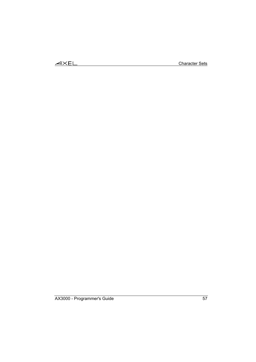AXEL Character Sets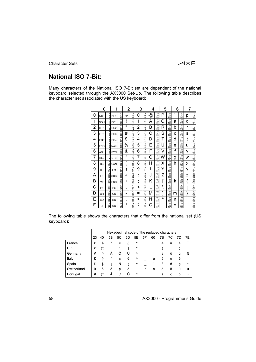## **National ISO 7-Bit:**

Many characters of the National ISO 7-Bit set are dependent of the national keyboard selected through the AX3000 Set-Up. The following table describes the character set associated with the US keyboard:

|   | 0          |                                                     | 1               |                                                                      | 2      |                                               | 3      |                             | 4  |                        | 5 |                        | 6 |                        |   |                         |
|---|------------|-----------------------------------------------------|-----------------|----------------------------------------------------------------------|--------|-----------------------------------------------|--------|-----------------------------|----|------------------------|---|------------------------|---|------------------------|---|-------------------------|
| 0 | <b>NUL</b> | $\mathbf 0$<br>$\begin{matrix} 0 \\ 0 \end{matrix}$ | <b>DLE</b>      | 10<br>$\frac{16}{20}$                                                | SP     | 20<br>32<br>40                                | 0      | 30<br>48<br>60              | Q  | 40<br>64<br>100        | P | 50<br>80<br>120        |   | 60<br>96<br>140        | р | 70<br>112<br>160        |
| 1 | SOH        | 1<br>1                                              | DC <sub>1</sub> | 11<br>iż<br>21                                                       |        | $\frac{21}{33}$<br>41                         | 1      | 31<br>49<br>61              | А  | 41<br>65<br>101        | Q | $\frac{51}{81}$<br>121 | а | 61<br>97<br>141        | q | $\frac{71}{113}$<br>161 |
| 2 | <b>STX</b> | $\frac{2}{2}$                                       | DC <sub>2</sub> | $\frac{12}{18}$<br>$\frac{1}{22}$                                    | "      | $\frac{22}{34}$<br>42                         | 2      | $\frac{32}{50}$<br>62       | B  | $^{42}_{66}$<br>102    | R | $\frac{52}{82}$<br>122 | b | 62<br>98<br>142        | r | $\frac{72}{114}$<br>162 |
| 3 | <b>ETX</b> | 333                                                 | DC <sub>3</sub> | 13<br>$\frac{19}{23}$                                                | #      | $\begin{array}{c} 23 \\ 35 \\ 43 \end{array}$ | 3      | 33<br>$\frac{51}{63}$       | С  | 43<br>$\frac{67}{103}$ | S | 53<br>$\frac{83}{123}$ | с | 63<br>$\frac{99}{143}$ | S | $\frac{73}{115}$        |
| 4 | <b>EOT</b> | 4<br>4                                              | DC4             | $\frac{14}{20}$                                                      | \$     | 24<br>$\frac{36}{44}$                         | 4      | 34<br>52<br>64              | D  | 44<br>68<br>104        | T | 54<br>84<br>124        | d | 64<br>100<br>144       | t | 74<br>$\frac{116}{164}$ |
| 5 | ENQ        | 5<br>$\frac{5}{5}$                                  | <b>NAK</b>      | 15<br>21<br>$\overline{25}$                                          | %      | 25<br>$\overline{37}$<br>45                   | 5      | 35<br>53<br>65              | Е  | 45<br>69<br>105        | H | 55<br>85<br>125        | е | 65<br>101<br>145       | u | 75<br>117<br>165        |
| 6 | <b>ACK</b> | 6<br>6<br>6                                         | <b>SYN</b>      | 16<br>22<br>26                                                       | &      | 26<br>38<br>46                                | 6      | 36<br>54<br>66              | F  | 46<br>70<br>106        | V | 56<br>86<br>126        | f | 66<br>102<br>146       | v | $\frac{76}{118}$<br>166 |
| 7 | <b>BEL</b> | 7<br>7<br>ż                                         | <b>ETB</b>      | 17<br>$\frac{23}{27}$                                                | ٠      | 27<br>39<br>$\overline{47}$                   | 7      | 37<br>55<br>$\overline{67}$ | G  | 47<br>71<br>107        | W | 57<br>87<br>127        | g | 67<br>103<br>147       | w | 77<br>119<br>167        |
| 8 | <b>BS</b>  | $\begin{array}{c} 8 \\ 8 \\ 10 \end{array}$         | CAN             | 18<br>$^{24}$<br>$\overline{30}$                                     |        | 28<br>40<br>50                                | 8      | 38<br>56<br>$\overline{70}$ | н  | $\frac{48}{72}$<br>110 | x | 58<br>88<br>130        | h | 68<br>104<br>150       | x | 78<br>120<br>170        |
| 9 | HT         | $\frac{9}{9}$<br>11                                 | EM              | 19<br>25<br>31                                                       |        | $^{29}_{41}$<br>51                            | 9      | 39<br>57<br>$\overline{71}$ | I  | 49<br>73<br>111        | Y | 59<br>89<br>131        | i | $^{69}_{105}$<br>151   | ۷ | 79<br>121<br>171        |
| Α | LF         | A<br>$^{10}_{12}$                                   | <b>SUB</b>      | 1A<br>$\frac{26}{32}$                                                | $\ast$ | 2A<br>$\frac{42}{52}$                         | ٠<br>٠ | 3A<br>58<br>72              | J  | 4A<br>$\frac{74}{112}$ | Z | 5A<br>$\frac{90}{132}$ |   | 6A<br>106<br>152       | z | 7A<br>$\frac{122}{172}$ |
| B | VT         | B<br>$\frac{11}{13}$                                | ESC             | 1B<br>$\frac{27}{33}$                                                | ٠      | 2B<br>$^{43}_{53}$                            | ٠<br>, | 3B<br>59<br>73              | Κ  | 4B<br>$^{75}_{113}$    |   | 5B<br>$\frac{91}{133}$ | k | 6B<br>107<br>153       |   | 7B<br>123<br>173        |
| С | FF         | C<br>12<br>14                                       | FS              | 1C<br>28<br>34                                                       | ,      | 2C<br>44<br>54                                | <      | 3C<br>60<br>74              |    | 4C<br>76<br>114        |   | 5C<br>92<br>134        | I | 6C<br>108<br>154       | ı | 7C<br>124<br><u>174</u> |
| D | <b>CR</b>  | $\begin{array}{c} 0 \\ 13 \\ 15 \end{array}$        | GS              | $\frac{10}{29}$<br>35                                                |        | $rac{2D}{45}$<br>55                           | $=$    | 3D<br>61<br>75              | М  | $\frac{4D}{77}$<br>115 |   | $rac{5}{93}$<br>135    | m | 6D<br>109<br>155       | λ | 7D<br>125<br>175        |
| E | <b>SO</b>  | E<br>14<br>16                                       | <b>RS</b>       | $\begin{array}{c} 1 \in \text{SO}(2) \end{array}$<br>$\overline{36}$ |        | $^{2E}_{46}$<br>56                            | >      | 3E<br>62<br>76              | N  | $^{4E}_{78}$<br>116    | Λ | 5E<br>94<br>136        | n | 6E<br>110<br>156       |   | 7E<br>126<br>176        |
| F | SI         | F<br>$\frac{15}{17}$                                | US              | 1F<br>$\frac{31}{37}$                                                |        | 2F<br>47<br>57                                | ?      | 3F<br>63<br>77              | וז | 4F<br>$\frac{79}{117}$ |   | 5F<br>$\frac{95}{137}$ | o | 6F<br>111<br>157       |   | 7F<br>127<br>177        |

 $\angle XEL$ 

The following table shows the characters that differ from the national set (US keyboard):

|             |    |    |         |    |    |           |    |         |         | Hexadecimal code of the replaced characters |    |                       |
|-------------|----|----|---------|----|----|-----------|----|---------|---------|---------------------------------------------|----|-----------------------|
|             | 23 | 40 | 5B      | 5C | 5D | 5E        | 5F | 60      | 7В      | 7C                                          | 7D | 7F                    |
| France      | £  | à  | $\circ$ | ç  | ş  | ٨         |    |         | é       | ù                                           | è  |                       |
| U.K         | £  | @  |         |    |    | ٨         |    |         |         |                                             |    | $\tilde{\phantom{a}}$ |
| Germany     | #  | ş  | А       |    |    | ٨         |    |         | ä       | Ö                                           | ü  | ß                     |
| Italy       | £  | ş  | $\circ$ | ç  | é  | ٨         |    | ù       | à       | ò                                           | è  |                       |
| Spain       | £  | ş  |         | Ñ  | i. | ٨         |    | $\cdot$ | $\circ$ | ñ                                           | ç  |                       |
| Switzerland | ù  | à  | é       | ç  | ê  | î         | è  | Ô       | ä       | Ö                                           | ü  | û                     |
| Portugal    | #  | @  | А       |    | ∩  | $\Lambda$ |    |         | ã       | Ç                                           | Õ  | $\tilde{\phantom{a}}$ |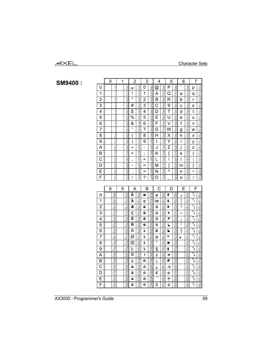# <u>AXEL</u> Character Sets

### **SM9400:**

|                | 0 |                                                | 1 |                                    | $\overline{2}$ |                                      | 3              |                                                | 4       |                                                   | 5            |                                                       | 6 |                                                        | 7                |                                                       |
|----------------|---|------------------------------------------------|---|------------------------------------|----------------|--------------------------------------|----------------|------------------------------------------------|---------|---------------------------------------------------|--------------|-------------------------------------------------------|---|--------------------------------------------------------|------------------|-------------------------------------------------------|
| 0              |   | $\begin{matrix} 0 \\ 0 \\ 0 \end{matrix}$      |   | $\frac{10}{16}$<br>20              | SP             | $\frac{20}{32}$                      | 0              | $\frac{30}{48}$<br>60                          | @       | $\begin{array}{c} 40 \\ 64 \\ 100 \end{array}$    | P            | $\frac{50}{80}$<br>120                                |   | 60<br>96<br>140                                        | р                | 70<br>112<br>160                                      |
| 1              |   | $\frac{1}{1}$                                  |   | $\frac{11}{17}$<br>21              | ļ              | $\frac{21}{33}$<br>41                | 1              | $\frac{31}{49}$<br>61                          | А       | $^{41}_{65}$<br>101                               | Q            | $\frac{51}{81}$<br>121                                | а | $\frac{61}{97}$<br>141                                 | q                | $\frac{71}{113}$<br>161                               |
| $\overline{2}$ |   | $\frac{2}{2}$                                  |   | $\frac{12}{18}$                    | n              | 22<br>$\frac{34}{42}$                | $\overline{2}$ | 32<br>50<br>62                                 | B       | $\begin{array}{c} 42 \\ 66 \\ 102 \end{array}$    | R            | $\begin{array}{c} 52 \\ 82 \\ 122 \end{array}$        | b | $\frac{62}{98}$<br>142                                 | r                | 72<br>114<br>162                                      |
| 3              |   | 33                                             |   | 13<br>$\frac{19}{23}$              | #              | 23<br>35<br>43                       | 3              | 33<br>51<br>63                                 | С       | $\frac{43}{67}$<br>103                            | S            | $\begin{array}{c} 53 \\ 83 \\ 123 \end{array}$        | с | 63<br>$\frac{99}{143}$                                 | s                | 73<br>115<br>163                                      |
| 4              |   | 44                                             |   | 14<br>$\overline{20}$<br>24        | \$             | $^{24}$<br>$\overline{36}$<br>44     | 4              | $\frac{34}{52}$<br>64                          | D       | 44<br>$\frac{68}{104}$                            | T            | $\frac{54}{84}$<br>124                                | d | 64<br>100<br>144                                       | t                | $\frac{74}{116}$<br>164                               |
| 5              |   | 5<br>5<br>5                                    |   | $\frac{15}{21}$<br>25              | %              | $\frac{25}{37}$<br>45                | 5              | 35<br>53<br>65                                 | E       | $^{45}_{69}$<br>105                               | U            | 55<br>85<br>125                                       | е | 65<br>101<br>145                                       | u                | $\frac{75}{117}$<br>165                               |
| 6              |   | 6<br>6<br>6                                    |   | 16<br>22<br>26                     | &              | 26<br>38<br>46                       | 6              | 36<br>$\frac{54}{66}$                          | F       | 46<br>70<br>106                                   |              | 56<br>86<br>126                                       | f | 66<br>102<br>146                                       | v                | 76<br>118<br>166                                      |
| 7              |   | $\begin{array}{c} 7 \\ 7 \\ 7 \end{array}$     |   | $\frac{17}{23}$                    | $\blacksquare$ | $\frac{27}{39}$<br>47                | 7              | 37<br>55<br>67                                 | G       | $\frac{47}{71}$<br>107                            | W            | $\begin{array}{c} 57 \\ 87 \\ 127 \end{array}$        | g | $\frac{67}{103}$                                       | w                | $\frac{77}{119}$<br>167                               |
| 8              |   | 88<br>1ŏ                                       |   | $\frac{18}{24}$<br>$\overline{30}$ | (              | 28<br>40<br>50                       | 8              | 38<br>56<br>70                                 | н       | $\frac{48}{72}$<br>110                            | х            | 58<br>88<br>130                                       | h | 68<br>104<br>150                                       | x                | 78<br>120<br>170                                      |
| 9              |   | 9<br>$\frac{9}{11}$                            |   | 19<br>$\frac{25}{31}$              | ١              | 29<br>$\frac{41}{51}$                | 9              | 39<br>57<br>71                                 | I       | $49$<br>$73$<br>$111$                             | Y            | 59<br>$\frac{89}{131}$                                | i | 69<br>$\frac{105}{151}$                                | у                | 79<br>121<br>171                                      |
| А              |   | $A_{10}$<br>12                                 |   | $1A$<br>$26$<br>$32$               | $\ast$         | 2A<br>$\frac{42}{52}$                | $\ddot{\cdot}$ | 3A<br>58<br>72                                 | J       | $4A$<br>$74$<br>$112$                             | Z            | 5A<br>90<br>132                                       | j | 6A<br>106<br>152                                       | z                | 7A<br>122<br>172                                      |
| B              |   | B<br>$\frac{1}{13}$                            |   | 1B<br>27<br>33                     | +              | 2B<br>$\frac{43}{53}$                | ,              | 3B<br>59<br>73                                 | Κ       | 4B<br>75<br>113                                   | [            | 5B<br>91<br>133                                       | k | 6B<br>107<br>153                                       | {                | 7B<br>123<br>173                                      |
| С              |   | $\frac{C}{12}$                                 |   | $\frac{1}{28}$<br>$\frac{1}{34}$   | ,              | 2C<br>$\Delta\Delta$<br><br>54       | <              | $rac{3C}{60}$<br>74                            | L       | 4C<br>76<br>114                                   | ∖            | 5C<br>92<br>134                                       | I | 6C<br>108<br>154                                       | ı                | 7C<br>124<br>174                                      |
| D              |   | $\begin{array}{c}\n0 \\ 13 \\ 15\n\end{array}$ |   | $\frac{10}{29}$<br>35              |                | $\frac{2D}{45}$<br>55                |                | $rac{3D}{61}$<br>75                            | М       | $\frac{4D}{77}$<br>115                            | l            | $\frac{50}{93}$<br>135                                | m | 6D<br>109<br>155                                       | }                | 7D<br>125<br>175                                      |
| E              |   | $E_{14}$<br>14<br>16                           |   | $rac{1E}{30}$<br>$\overline{36}$   | ł,             | 2E<br>46<br>56                       | >              | 3E<br>62<br>76                                 | N       | 4E<br>78<br>116                                   | ٨            | 5E<br>94<br>136                                       | n | 6E<br>110<br>156                                       |                  | 7E<br>126<br>176                                      |
| F              |   | F<br>$\frac{1}{17}$                            |   | 1F<br>$\frac{31}{37}$              | Ι              | 2F<br>$\frac{47}{57}$                | ?              | 3F<br>63<br>77                                 | Ω       | $4F$<br>$79$<br>117                               |              | 5F<br>95<br>137                                       | о | 6F<br>$\frac{111}{157}$                                |                  | 7F<br>127<br>177                                      |
|                |   |                                                |   |                                    |                |                                      |                |                                                |         |                                                   |              |                                                       |   |                                                        |                  |                                                       |
|                |   |                                                |   |                                    |                |                                      |                |                                                |         |                                                   |              |                                                       |   |                                                        |                  |                                                       |
|                | 8 | 80                                             | 9 | 90                                 | А              |                                      | B              | B <sub>0</sub>                                 | Ć       |                                                   | D            | DC                                                    | Е | EO                                                     | F<br>F           |                                                       |
| 0              |   | 128<br>200                                     |   | $\frac{144}{220}$                  | À              | A0<br>160<br>240                     | æ              | 176<br>260                                     | ø       | $^{10}_{192}$<br>300                              | г            | 208<br>320                                            |   | $\frac{224}{340}$                                      | $\overline{0}$   | F0<br>240<br>360                                      |
| 1              |   | $\frac{81}{129}$<br>$\overline{201}$           |   | 91<br>145<br>221                   | A              | A1<br>161<br>241                     | Ç              | B <sub>1</sub><br>177<br>261                   | œ       | C1<br>193<br>301                                  | L            | D1<br>209<br>321                                      |   | $E_1$<br>225<br>$\frac{1}{341}$                        | F<br>1<br>F      | $F1$<br>$241$<br>$361$                                |
| 2              |   | $\frac{82}{130}$<br>202                        |   | $\frac{92}{146}$<br>222            | Æ              | $A_2^2$<br>162<br>242                | é              | $rac{B2}{178}$<br>262                          | ú       | $rac{C_2}{194}$<br>302                            | ŀ            | $^{D2}_{210}$<br>322                                  | L | $rac{E}{226}$<br>342                                   | $\overline{2}$   | $^{F2}_{242}$<br>362                                  |
| 3              |   | $\frac{83}{131}$<br><br>203                    |   | $\frac{93}{147}$<br>223<br>94      | Ç              | $A_3^3$<br><br>243                   | è              | $rac{B3}{179}$<br>263<br>B <sub>4</sub>        | ù       | $\begin{array}{c}\nG3 \\ 195\n\end{array}$<br>303 | Þ            | $\frac{D3}{211}$<br>_<br>323                          |   | $\frac{E3}{227}$<br>$\overline{343}$<br>E <sub>4</sub> | $\overline{F}_3$ | $^{F3}_{243}$<br>363                                  |
| 4              |   | $\frac{84}{132}$<br>204                        |   | $\frac{148}{224}$                  | Ė              | A4<br>164<br>244                     | ê              | $\frac{180}{264}$                              | û       | C4<br>196<br>304                                  | г            | D4<br>212<br>324                                      | I | 228<br>344                                             | F<br>4<br>F      | F4<br>244<br>364                                      |
| 5              |   | 85<br>133<br>205<br>86                         |   | 95<br>149<br>225<br>96             | N              | A5<br>165<br>245<br>A <sub>6</sub>   | ë              | B <sub>5</sub><br>181<br>265<br>B <sub>6</sub> | ü       | C5<br>197<br>305                                  | Ь            | D <sub>5</sub><br>$\frac{213}{325}$<br>D <sub>6</sub> | I | E <sub>5</sub><br>229<br>345<br>F <sub>6</sub>         | 5<br>Ē           | F <sub>5</sub><br>$\frac{245}{365}$<br>F <sub>6</sub> |
| 6              |   | 134<br>206                                     |   | 150<br>226                         | ö              | 166<br>246                           | í              | 182<br>266                                     | ß       | C6<br>198<br>306                                  | L            | 214<br>326                                            |   | 230<br>346                                             | 6                | 246<br>366                                            |
| 7              |   | 87<br>135<br>207                               |   | 97<br>151<br>227                   | Ø              | $A7$ <sub>167</sub><br>2A7           | ì              | B7<br>183<br>267                               | μ       | $rac{C7}{199}$<br>307                             | П            | D7<br>215<br>327                                      | П | E7<br>231<br>347                                       | $F_{7}$          | $\frac{F7}{247}$<br>367                               |
| 8              |   | $rac{88}{136}$<br>210                          |   | 98<br>152<br>230                   | Œ              | $A8$<br>168<br>250                   | î              | B <sub>8</sub><br>184<br>270                   | $\circ$ | C8<br>200<br>310                                  | Þ            | D <sub>8</sub><br>216<br>330                          |   | $E_2$ <sup>1</sup><br>$\frac{20}{350}$                 | F<br>8           | F8<br>248<br>370                                      |
| 9              |   | 89<br>137<br>211                               |   | $\frac{99}{153}$<br>231            | Ŀ              | A9<br>169<br>251                     | ï              | B9<br>185<br>271                               | §       | $\frac{C9}{201}$<br>311                           | ı            | D9<br>217<br>331                                      |   | $^{E9}_{233}$<br>351                                   | F<br>9           | F9<br>249<br>371                                      |
| А              |   | 8A<br>$\frac{138}{212}$                        |   | 9A<br>154<br>232                   | Ü              | AA<br>170<br>252                     | ŀ              | BA<br>186<br>272                               | Ŧ       | $C_{\rm A}$<br>202<br>312                         |              | DA<br>218<br>332                                      |   | EA<br>234<br>352                                       | F<br>A           | FA<br>$\frac{250}{372}$                               |
| B              |   | 8B<br>139<br>213                               |   | <b>9B</b><br>155<br>233            | á              | AB<br>171<br>253                     | ñ              | BB<br>187<br>273                               | i       | CB<br>203<br>313                                  | r            | DB<br>219<br>333                                      |   | EB<br>235<br>353                                       | F<br>B           | FB<br>251<br>373                                      |
| С              |   | 8C<br>$\frac{140}{214}$                        |   | 9C<br>156<br>234                   | à              | AC<br>$\frac{172}{254}$              | ó              | BC<br>188<br>274                               | ۓ       | cc<br>$\frac{204}{314}$                           | →            | DC<br>220<br>334                                      |   | EC<br>236<br>354                                       | F<br>Ċ           | FC<br>$\frac{252}{374}$                               |
| D              |   | 8D<br>$\frac{141}{215}$                        |   | 9D<br>157<br>235                   | â              | AD<br>173<br>255                     | Ò              | <b>BD</b><br>189<br>275                        | £       | $rac{CD}{205}$<br>315                             | $\leftarrow$ | DD<br>221<br>335                                      |   | ED<br>237<br>355                                       | F<br>D           | FD<br>253<br>375                                      |
| E<br>F         |   | 8E<br>$\frac{142}{216}$<br>8F                  |   | 9E<br>158<br>236<br>9F             | å              | AE<br>174<br>256<br>AF<br>175<br>257 | ô              | BE<br>190<br>276<br><b>RF</b>                  | <br>Ã   | CE<br>206<br>316<br>CF<br>207<br>317              | ↑<br>↓       | DE<br>222<br>336<br>DF                                |   | EE<br>238<br>356<br>EF                                 | F<br>E<br>F      | FE<br>254<br>376<br>FF<br>255<br>377                  |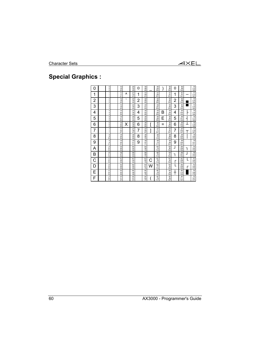$\angle XEL$ 

# **Special Graphics :**

| 0 | 0<br>Ò<br>ō                                    | 10<br>16<br>2ŏ                     |         | 20<br>$\overline{32}$<br>40 | 0 | 30<br>48<br>60              |   | 40<br>64<br>100         |   | 50<br>80<br>120                          | 0 | 60<br>96<br>140      |   | $\frac{70}{112}$        |
|---|------------------------------------------------|------------------------------------|---------|-----------------------------|---|-----------------------------|---|-------------------------|---|------------------------------------------|---|----------------------|---|-------------------------|
| 1 | $\mathbf{1}$<br>1<br>$\mathbf{1}$              | 11<br>17<br>21                     | ٨       | 21<br>33<br>41              | 1 | 31<br>49<br>61              |   | 41<br>65<br>101         |   | 51<br>81<br>121                          | 1 | 61<br>97<br>141      |   | $\frac{71}{113}$        |
| 2 | $\begin{array}{c}\n2 \\ 2 \\ 2\n\end{array}$   | 12<br>$\frac{18}{22}$              | $\cdot$ | 22<br>$\frac{34}{42}$       | 2 | 32<br>$\frac{50}{62}$       |   | 42<br>66<br>102         |   | 52<br>82<br>122                          | 2 | 62<br>98<br>142      |   | $\frac{72}{114}$        |
| 3 | 333                                            | 13<br>19<br>23                     |         | $\frac{23}{35}$<br>43       | 3 | 33<br>51<br>$\overline{63}$ |   | 43<br>67<br>103         |   | 53<br>83<br>123                          | 3 | 63<br>99<br>143      |   | 73<br>115<br>163        |
| 4 | $\frac{4}{4}$<br>4                             | $^{14}_{20}$<br>24                 |         | $\frac{24}{36}$<br>44       | 4 | 34<br>52<br>64              |   | 44<br>68<br>104         | B | $\frac{54}{84}$<br>124                   | 4 | $^{64}_{100}$<br>144 |   | 74<br>116<br>164        |
| 5 | 555                                            | 15<br>21<br>$\overline{25}$        |         | $\frac{25}{37}$<br>45       | 5 | $\frac{35}{53}$             |   | 45<br>$\frac{69}{105}$  | E | 55<br>85<br>125                          | 5 | 65<br>101<br>145     |   | $\frac{75}{117}$<br>165 |
| 6 | 666                                            | 16<br>$\frac{22}{26}$              | x       | 26<br>38<br>46              | 6 | 36<br>$\frac{54}{66}$       |   | 46<br>$\frac{70}{106}$  | = | 56<br>86<br>126                          | 6 | 66<br>102<br>146     |   | 76<br>118<br>166        |
| 7 | $\overline{7}$<br>.<br>7                       | 17<br>$\frac{23}{27}$              |         | 27<br>$\frac{39}{47}$       | 7 | 37<br>55<br>67              |   | 47<br>$\frac{71}{107}$  |   | 57<br>87<br>127                          | 7 | 67<br>103<br>147     | T | $\frac{77}{119}$        |
| 8 | 8<br>$\frac{8}{10}$                            | 18<br>24<br>$\overline{30}$        |         | 28<br>$\frac{40}{50}$       | 8 | 38<br>$\frac{56}{70}$       |   | 48<br>72<br>110         |   | 58<br>88<br>130                          | 8 | 68<br>104<br>150     |   | 78<br>120<br>170        |
| 9 | 9<br>9<br>11                                   | 19<br>25<br>31                     |         | 29<br>41<br>51              | 9 | 39<br>57<br>$\overline{71}$ |   | 49<br>73<br>111         |   | 59<br>89<br>131                          | 9 | 69<br>105<br>151     |   | 79<br>121<br>171        |
| А | A<br>10<br>12                                  | 1A<br>$\overline{26}$<br>32        |         | 2A<br>42<br>52              |   | 3A<br>$\frac{58}{72}$       |   | 4A<br>74<br>112         |   | 5A<br>90<br>132                          |   | 6A<br>106<br>152     | ٦ | $\frac{7A}{122}$        |
| B | B<br>11<br>13                                  | 1B<br>27<br>$\overline{33}$        |         | 2B<br>43<br>53              |   | 3B<br>59<br>73              |   | 4B<br>75<br>113         |   | 5B<br>91<br>133                          | ٦ | 6B<br>107<br>153     |   | 7B<br>123<br>173        |
| С | $\frac{C}{12}$<br>14                           | $\frac{10}{28}$<br>34              |         | $\frac{2C}{44}$<br>54       |   | 3C<br>60<br>74              |   | $^{4\rm C}_{76}$<br>114 |   | 5C<br>92<br>134                          |   | $^{6C}_{108}$<br>154 |   | 7C<br>124<br>174        |
| D | $\begin{array}{c}\n0 \\ 13 \\ 15\n\end{array}$ | $\frac{10}{29}$<br>$\frac{35}{29}$ |         | $\frac{2D}{45}$<br>55       |   | 3D<br>61<br>$\overline{75}$ | W | $\frac{4D}{77}$<br>115  |   | 5 <sub>D</sub><br>$\frac{95}{93}$<br>135 |   | 6D<br>109<br>155     |   | 7D<br>125<br><u>175</u> |
| E | E<br>$\frac{14}{16}$                           | 1E<br>30<br>36                     |         | 2E<br>46<br>56              |   | 3E<br>$\frac{62}{76}$       |   | 4E<br>$\frac{78}{116}$  |   | 5E<br>94<br>136                          |   | 6E<br>110<br>156     |   | 7E<br>126<br>176        |
| F | $F_{15}$<br>15                                 | 1F<br>$\frac{31}{37}$              |         | 2F<br>47<br>57              |   | 3F<br>63<br>77              |   | 4F<br>$\frac{79}{117}$  |   | 5F<br>95<br>137                          |   | 6F<br>111<br>157     |   | 7F<br>127<br>177        |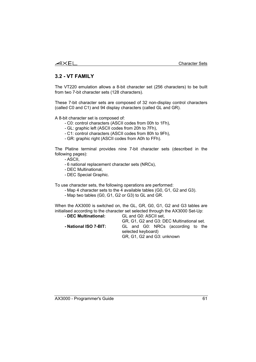### **3.2 - VT FAMILY**

 $\angle$ 

The VT220 emulation allows a 8-bit character set (256 characters) to be built from two 7-bit character sets (128 characters).

These 7-bit character sets are composed of 32 non-display control characters (called C0 and C1) and 94 display characters (called GL and GR).

A 8-bit character set is composed of:

- C0: control characters (ASCII codes from 00h to 1Fh),
- GL: graphic left (ASCII codes from 20h to 7Fh),
- C1: control characters (ASCII codes from 80h to 9Fh),
- GR: graphic right (ASCII codes from A0h to FFh).

The Platine terminal provides nine 7-bit character sets (described in the following pages):

- ASCII,
- 6 national replacement character sets (NRCs),
- DEC Multinational,
- DEC Special Graphic.

To use character sets, the following operations are performed:

- Map 4 character sets to the 4 available tables (G0, G1, G2 and G3).
- Map two tables (G0, G1, G2 or G3) to GL and GR.

When the AX3000 is switched on, the GL, GR, G0, G1, G2 and G3 tables are initialised according to the character set selected through the AX3000 Set-Up:<br>- **DEC Multinational:** GL and G0: ASCIL set - **DEC Multinational:** GL and G0: ASCII set,

| <u>UL UNU UU. MUUN JUL.</u>               |
|-------------------------------------------|
| GR, G1, G2 and G3: DEC Multinational set. |
| GL and G0: NRCs (according to the         |
| selected keyboard)                        |
| GR, G1, G2 and G3: unknown                |
|                                           |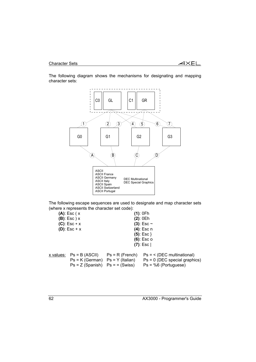

The following diagram shows the mechanisms for designating and mapping character sets:



The following escape sequences are used to designate and map character sets (where x represents the character set code):

|           | $(A)$ : Esc ( $x$<br>$(B)$ : Esc) x<br>$(C)$ : Esc $* x$<br>$(D)$ : Esc + x                 |                   | $(1)$ : 0Fh<br>$(2)$ : 0Eh<br>(3): Esc $\sim$<br>$(4)$ : Esc n<br>$(5)$ : Esc }<br>$(6)$ : Esc o<br>$(7)$ : Esc |
|-----------|---------------------------------------------------------------------------------------------|-------------------|-----------------------------------------------------------------------------------------------------------------|
| x values: | $Ps = B (ASCII)$<br>$Ps = K(German)$ $Ps = Y(Italian)$<br>$Ps = Z (Spanish)$ $Ps = (Swiss)$ | $Ps = R$ (French) | $Ps = < (DEC \text{ multinational})$<br>$Ps = 0$ (DEC special graphics)<br>$Ps = %6$ (Portuguese)               |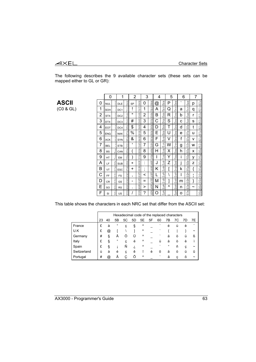The following describes the 9 available character sets (these sets can be mapped either to GL or GR):

| <b>ASCII</b> |           |
|--------------|-----------|
|              | (C0 & GL) |

|   | 0          |                                 | 1               |                                                 | 2              |                             | 3  |                       | 4 |                        | 5            |                              | 6 |                         | 7 |                         |
|---|------------|---------------------------------|-----------------|-------------------------------------------------|----------------|-----------------------------|----|-----------------------|---|------------------------|--------------|------------------------------|---|-------------------------|---|-------------------------|
| ი | <b>NUL</b> | 0<br>Ö<br>$\Omega$              | DLE             | 10<br>16<br>20                                  | SP             | $\frac{20}{32}$<br>40       | 0  | 30<br>48<br>60        | @ | $^{40}_{64}$<br>100    | P            | 50<br>80<br>120              |   | 60<br>96<br>140         | р | $^{70}_{112}$<br>160    |
| 1 | SOH        | 1                               | DC <sub>1</sub> | 11<br>iż<br>21                                  | Ī              | $\frac{21}{33}$<br>41       | 1  | 31<br>49<br>61        | А | 41<br>65<br>101        | Q            | $\frac{51}{81}$<br>121       | а | 61<br>97<br>141         | q | $\frac{71}{113}$<br>161 |
| 2 | <b>STX</b> | $\overline{2}$<br>$\frac{2}{2}$ | DC <sub>2</sub> | 12<br>$\frac{18}{22}$                           | $\blacksquare$ | 22<br>$\frac{34}{42}$       | 2  | 32<br>$^{50}_{62}$    | B | 42<br>$^{66}_{102}$    | R            | 52<br>$^{82}_{122}$          | b | 62<br>98<br>142         | r | 72<br>114<br>162        |
| 3 | <b>ETX</b> | 3<br>$\frac{3}{3}$              | DC <sub>3</sub> | $\frac{13}{19}$                                 | #              | 23<br>$\frac{35}{43}$       | 3  | 33<br>$\frac{51}{63}$ | С | 43<br>$^{67}_{103}$    | S            | 53<br>$\frac{83}{123}$       | с | 63<br>$\frac{99}{143}$  | S | $\frac{73}{115}$        |
| 4 | <b>EOT</b> | 4<br>4                          | DC <sub>4</sub> | 14<br>20<br>$\overline{24}$                     | \$             | 24<br>36<br>44              | 4  | $\frac{34}{52}$<br>64 | D | 44<br>68<br>104        | T            | 54<br>84<br>124              | d | 64<br>100<br>144        | t | 74<br>116<br>164        |
| 5 | ENQ        | 5<br>5<br>5                     | <b>NAK</b>      | 15<br>$\frac{21}{25}$                           | %              | 25<br>$\overline{37}$<br>45 | 5  | 35<br>53<br>65        | E | 45<br>69<br>105        | U            | 55<br>85<br>125              | e | 65<br>101<br>145        | u | 75<br>117<br>165        |
| 6 | ACK        | 6<br>6<br>6                     | <b>SYN</b>      | 16<br>$\frac{22}{26}$                           | &              | 26<br>38<br>46              | 6  | 36<br>54<br>66        | F | 46<br>70<br>106        | V            | 56<br>86<br>126              | f | 66<br>102<br>146        | v | 76<br>118<br>166        |
| 7 | <b>BEL</b> | 7<br>7                          | <b>ETB</b>      | 17<br>$\frac{23}{27}$                           | ٠              | 27<br>39<br>47              | 7  | 37<br>55<br>67        | G | 47<br>71<br>107        | W            | 57<br>$\overline{87}$<br>127 | g | 67<br>103<br>147        | w | $\frac{77}{119}$<br>167 |
| 8 | <b>BS</b>  | 8<br>8<br>10                    | CAN             | 18<br>24<br>$\overline{30}$                     |                | 28<br>40<br>50              | 8  | 38<br>56<br>70        | н | $\frac{48}{72}$<br>110 | Χ            | 58<br>88<br>130              | h | 68<br>104<br>150        | х | $\frac{78}{120}$<br>170 |
| 9 | HT         | 9<br>$^{9}_{11}$                | EM              | 19<br>$\frac{25}{31}$                           |                | 29<br>41<br>51              | 9  | 39<br>$\frac{57}{71}$ | ı | 49<br>$\frac{73}{111}$ | Y            | 59<br>89<br>131              | i | 69<br>105<br>151        | ٧ | $\frac{79}{121}$        |
| А | LF         | A<br>$^{10}_{12}$               | <b>SUB</b>      | $\begin{array}{c}\n1A \\ 26 \\ 32\n\end{array}$ | $\ast$         | 2A<br>$^{42}_{52}$          | ä, | 3A<br>58<br>72        | J | 4A<br>$\frac{74}{112}$ | Z            | 5A<br>90<br>132              |   | 6A<br>$\frac{106}{152}$ | Z | 7A<br>122<br>172        |
| B | VT         | B<br>11<br>13                   | <b>ESC</b>      | 1B<br>27<br>$\overline{33}$                     | $\ddot{}$      | 2B<br>43<br>53              | ,  | $\frac{3B}{59}$<br>73 | κ | 4B<br>75<br>113        |              | <b>5B</b><br>91<br>133       | k | 6B<br>107<br>153        |   | 7B<br>123<br>173        |
| С | FF         | C<br>12<br>14                   | <b>FS</b>       | 1C<br>28<br>34                                  | ,              | 2C<br>44<br>54              | <  | 3C<br>60<br>74        |   | 4C<br>76<br>114        | $\backslash$ | 5C<br>92<br>134              | ı | 6C<br>108<br>154        | ı | 7C<br>124<br>174        |
| D | <b>CR</b>  | D<br>13<br>15                   | GS              | $\frac{10}{29}$<br>$\overline{35}$              |                | $\frac{2D}{45}$<br>55       | =  | 3D<br>61<br>75        | м | $\frac{4D}{77}$<br>115 |              | 5 <sub>D</sub><br>93<br>135  | m | 6D<br>109<br>155        |   | 7D<br>125<br>175        |
| E | <b>SO</b>  | Е<br>14<br>16                   | <b>RS</b>       | 1E<br>$\frac{30}{36}$                           | ٠              | 2E<br>46<br>56              | >  | 3E<br>62<br>76        | Ν | 4E<br>78<br>116        | Λ            | 5E<br>94<br>136              | n | 6E<br>110<br>156        |   | 7E<br>126<br>176        |
| F | SI         | F<br>$^{15}_{17}$               | US              | 1F<br>$\frac{31}{37}$                           |                | 2F<br>47<br>57              | ?  | 3F<br>$\frac{63}{77}$ | 0 | 4F<br>79<br>117        |              | 5F<br>$\frac{95}{137}$       | o | 6F<br>$\frac{111}{157}$ |   | 7F<br>$\frac{127}{177}$ |

This table shows the characters in each NRC set that differ from the ASCII set:

|             |    |    |         |    |    |          |    |         |         | Hexadecimal code of the replaced characters |    |                       |
|-------------|----|----|---------|----|----|----------|----|---------|---------|---------------------------------------------|----|-----------------------|
|             | 23 | 40 | 5B      | 5C | 5D | 5Е       | 5F | 60      | 7Β      | 7C                                          | 7D | 7E                    |
| France      | £  | à  | $\circ$ | ç  | §  | Λ        |    |         | é       | ù                                           | è  |                       |
| U.K         | £  | @  |         |    |    | Λ        |    |         |         |                                             |    | $\tilde{\phantom{a}}$ |
| Germany     | #  | ş  |         |    |    | Λ        |    |         | ä       | Ö                                           | Ü  | ß                     |
| Italy       | £  | ş  | $\circ$ | ç  | é  | Λ        |    | ù       | à       | Ò                                           | è  |                       |
| Spain       | £  | ş  |         | N  | i. | Λ        |    | $\cdot$ | $\circ$ | ñ                                           | ç  |                       |
| Switzerland | ù  | à  | é       | ç  | ê  |          | è  | Ô       | ä       | Ö                                           | ü  | û                     |
| Portugal    | #  | @  | А       |    | ∩  | $\wedge$ |    |         | ã       | ç                                           | Õ  |                       |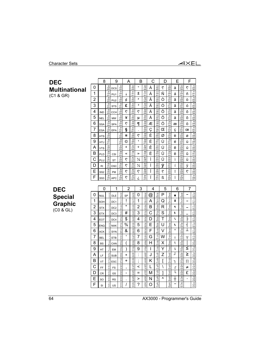$\blacktriangleleft \times E$ L

| <b>DEC</b>           |                | 8               |                                                                                         | 9               |                                                 | A                        |                                                                 | B                        |                                                                  | Ċ                     |                                                                                          | D              |                                                                          | E       |                                         | F                |                                                                       |
|----------------------|----------------|-----------------|-----------------------------------------------------------------------------------------|-----------------|-------------------------------------------------|--------------------------|-----------------------------------------------------------------|--------------------------|------------------------------------------------------------------|-----------------------|------------------------------------------------------------------------------------------|----------------|--------------------------------------------------------------------------|---------|-----------------------------------------|------------------|-----------------------------------------------------------------------|
| <b>Multinational</b> | 0              |                 | $\frac{80}{128}$                                                                        | <b>DCS</b>      | $\frac{90}{144}$<br>220                         |                          | A0<br>160<br>240                                                | $\circ$                  | B <sub>0</sub><br>176<br>260                                     | À                     | CO<br>192<br>300                                                                         | ٢              | D <sub>0</sub><br>208<br>320                                             | à       | E0<br>224<br>340                        | $\overline{S}$   | F0<br>240<br>360<br>F1<br>241<br>361                                  |
| (C1 & GR)            | 1              |                 | $\frac{81}{129}$                                                                        | PU <sub>1</sub> | $\frac{91}{145}$<br>221                         | i                        | $A_1$<br>$161$<br>$241$                                         | Ŧ                        | B1<br>177<br>261                                                 | Á                     | $\frac{C1}{193}$                                                                         | Ñ              | D1<br>209<br>321                                                         | á       | E1<br>225<br>341                        | ñ                |                                                                       |
|                      | $\overline{2}$ |                 | 82<br>$\frac{130}{202}$                                                                 | PU <sub>2</sub> | 92<br>$\frac{146}{222}$                         | ¢                        | A2<br>162<br>242                                                | $\overline{\mathbf{2}}$  | B <sub>2</sub><br>178<br>262                                     | Â                     | $\frac{C2}{194}$<br>302                                                                  | Ò              | D2<br>210<br>322                                                         | â       | E2<br>226<br>342                        | ò                | F2<br>242<br>362<br>F3<br>243<br>363                                  |
|                      | 3              |                 | 83<br>$\frac{131}{203}$                                                                 | <b>STS</b>      | $\begin{array}{c} 93 \\ 147 \\ 223 \end{array}$ | £                        | A3<br>163<br>243                                                | з                        | B <sub>3</sub><br>179<br>263                                     | Ã                     | $rac{C3}{195}$<br>$rac{195}{303}$                                                        | Ó              | D3<br>211<br>323                                                         | ã       | $\frac{E3}{227}$<br>343                 | ó                |                                                                       |
|                      | $\overline{4}$ | <b>IND</b>      | $\frac{84}{132}$                                                                        | <b>CCH</b>      | $\frac{94}{148}$<br>224                         | Ç                        | A4<br>164<br>244                                                | $\mathbf \zeta$          | B4<br>180<br>264                                                 | Ä                     | C4<br>196<br>304                                                                         | Ô              | $\frac{D4}{212}$<br>324                                                  | ä       | E4<br>228<br>344                        | Ô                | F4<br>244<br>364<br>F5<br>245<br>245<br>365                           |
|                      | 5              | <b>NEL</b>      | 85<br>133<br>205                                                                        | <b>MW</b>       | 95<br>149<br>225                                | ¥                        | A5<br>165<br>245                                                | μ                        | $rac{B5}{181}$<br>265                                            | Å                     | $rac{C5}{197}$<br>305                                                                    | Õ              | D <sub>5</sub><br>213<br>325                                             | å       | E5<br>229<br>345                        | õ                |                                                                       |
|                      | 6              | <b>SSA</b>      | $\frac{86}{134}$<br>206                                                                 | <b>SPA</b>      | 96<br>150<br>226                                | ዮ                        | A6<br>166<br>246                                                | ſ                        | B6<br>182<br>266                                                 | Æ                     | C6<br>198<br>306                                                                         | Ö              | D6<br>214<br>326                                                         | æ       | E6<br>230<br>346                        | Ö                | F6<br>246<br>366                                                      |
|                      | 7              | <b>ESA</b>      | $\begin{array}{c} 87 \\ 135 \\ 207 \end{array}$                                         | EPA             | $\frac{97}{151}$                                | Ş                        | A7<br>167<br>2A7                                                |                          | B7<br>183<br>267                                                 | Ç                     | C7<br>199<br>307                                                                         | Œ              | D7<br>215<br>327                                                         | Ç       | E7<br>231<br>347                        | œ                | F7<br>247<br>367                                                      |
|                      | 8              | <b>HTS</b>      | 88<br>136<br>210                                                                        |                 | 98<br>152<br>230                                | $\overline{a}$           | A8<br>168<br>250                                                | $\mathbf{\hat{z}}$       | B8<br>184<br>270                                                 | È                     | C8<br>200<br>310                                                                         | Ø              | D <sub>8</sub><br>216<br>330                                             | è       | E8<br>232<br>350                        | ø                | F8<br>248<br>370                                                      |
|                      | 9              | <b>HTJ</b>      | 89<br>137<br>211                                                                        |                 | 99<br>153<br>231                                | ©                        | A9<br>169<br>251                                                | 1                        | B9<br>185<br>271                                                 | É                     | $rac{C9}{201}$<br>$rac{311}{311}$                                                        | Ù              | $\frac{100}{217}$<br>$\frac{217}{331}$                                   | é       | E9<br>233<br>351                        | ù                | F9<br>249<br>371<br>FA<br>250<br>FB<br>251<br>373                     |
|                      | A              | <b>VTS</b>      | 8A<br>138<br>212<br>8B                                                                  |                 | 9A<br>154<br>232<br>9B                          | ₫                        | AA<br>170<br>252                                                | $\underline{\mathbf{o}}$ | BA<br>186<br>272<br>BB                                           | Ê                     | CA<br>202<br>312                                                                         | Ú              | DA<br>218<br>332                                                         | ê       | EA<br>234<br>352                        | ú                |                                                                       |
|                      | B              | PLD             | $\frac{139}{213}$                                                                       | CSI             | 155<br>233                                      | ≪                        | AB<br>171<br>253                                                | ≫                        | $\frac{187}{273}$                                                | Ë                     | CB<br>203<br>313                                                                         | Û              | DB<br>219<br>333                                                         | ë       | EB<br>235<br>353                        | û                |                                                                       |
|                      | C              | PLU             | 8C<br>140<br>214                                                                        | <b>ST</b>       | 9C<br>156<br>234                                | ٢                        | AC<br>172<br>254                                                | $\frac{1}{4}$            | BC<br>188<br>274                                                 | ì                     | CC<br>204<br>314                                                                         | Ü              | DC<br>220<br>334                                                         | ì       | EC<br>236<br>354                        | ü                | $F$ C<br>$252$<br>$374$                                               |
|                      | D              | <b>RI</b>       | 8D<br>141<br>215                                                                        | OSC             | 9D<br>157<br>235                                | ٢                        | AD<br>173<br>255                                                | $\frac{1}{2}$            | BD<br>189<br>275                                                 |                       | CD<br>205<br>315                                                                         | ÿ              | DD<br>221<br>335                                                         | í       | ED<br>237<br>355                        | ÿ                | FD<br>253<br>375                                                      |
|                      | F              | SS <sub>2</sub> | 8E<br>142<br>216                                                                        | PM              | 9E<br>158<br>236                                | ዮ                        | AE<br>174<br>256                                                | $\mathcal{L}$            | BE<br>190<br>276                                                 | Î                     | $C = 206$<br>$316$                                                                       | $\overline{S}$ | DE<br>222<br>336                                                         | î       | EE<br>238<br>356                        | $\varsigma$      | FE<br>254<br>376                                                      |
|                      | F              | SS <sub>3</sub> | 8F<br>143<br>217                                                                        | <b>APC</b>      | 9F<br>159<br>237                                | $\mathbf{S}$             | AF<br>175<br>257                                                | ن                        | BF<br>191<br>277                                                 | Ï                     | CF<br>207<br>317                                                                         | ß              | DF<br>223<br>337                                                         | ï       | EF<br>239<br>357                        |                  | FF<br>255<br>377                                                      |
|                      |                |                 |                                                                                         |                 |                                                 |                          |                                                                 |                          |                                                                  |                       |                                                                                          |                |                                                                          |         |                                         |                  |                                                                       |
|                      |                | 0               |                                                                                         | 1               |                                                 | $\overline{2}$           |                                                                 | 3                        |                                                                  | $\overline{4}$        |                                                                                          | 5              |                                                                          | 6       |                                         | 7                |                                                                       |
| <b>DEC</b>           | 0              | <b>NUL</b>      | $\frac{0}{0}$                                                                           | DLE             |                                                 | SP                       |                                                                 | 0                        |                                                                  | @                     |                                                                                          | P              |                                                                          |         |                                         |                  |                                                                       |
| <b>Special</b>       | 1              | SOH             |                                                                                         | DC <sub>1</sub> | $\frac{10}{16}$                                 | ı                        | $\begin{array}{c} 20 \\ 32 \\ 40 \end{array}$                   | 1                        | $\begin{array}{c} 30 \\ 48 \\ 60 \end{array}$                    | A                     | $\begin{array}{c} 40 \\ 64 \\ 100 \end{array}$                                           | Q              | $\begin{array}{c}\n50 \\ 80 \\ 120\n\end{array}$                         | ∎       | $\frac{60}{96}$<br>140<br>$rac{61}{97}$ | $\overline{a}$   |                                                                       |
| <b>Graphic</b>       | $\overline{2}$ | <b>STX</b>      |                                                                                         | DC <sub>2</sub> | $\frac{11}{17}$<br>21                           | $\blacksquare$           | $\frac{21}{33}$                                                 | $\overline{2}$           |                                                                  | B                     |                                                                                          | R              | $\begin{array}{c} 51 \\ 81 \\ 121 \end{array}$                           | 4       | 141                                     |                  |                                                                       |
| (C0 & GL)            | 3              | <b>ETX</b>      |                                                                                         | DC <sub>3</sub> | $\frac{12}{18}$                                 | #                        | 22<br>34<br>42                                                  | $\overline{3}$           | 31<br>49<br>61<br>32<br>50<br>62                                 | $\overline{\text{c}}$ | $\begin{array}{r} 41 \\ 65 \\ 101 \\ 42 \\ 66 \\ 102 \end{array}$                        | $\overline{s}$ | $\begin{array}{r} 52 \\ 82 \\ 122 \end{array}$                           | Ę.      | $62$<br>$98$<br>$142$                   |                  | 70<br>112<br>160<br>71<br>113<br>161<br>72<br>114<br>162              |
|                      | $\overline{4}$ | <b>EOT</b>      |                                                                                         | DC4             | $\frac{13}{19}$                                 | \$                       | $\begin{array}{c} 23 \\ 35 \\ 43 \end{array}$                   | $\overline{4}$           | 33<br>51<br>63                                                   | D                     | $\frac{43}{67}$<br>103                                                                   | T              | $\begin{array}{r} 53 \\ 83 \\ 123 \end{array}$                           | ę       | $\frac{63}{99}$<br>143                  |                  | $\frac{73}{115}$                                                      |
|                      | 5              | ENQ             |                                                                                         | <b>NAK</b>      | $\frac{14}{20}$<br>$\frac{15}{21}$              | $\%$                     | $\frac{24}{36}$<br>$\frac{25}{37}$                              | 5                        | $\frac{34}{52}$<br>$\begin{array}{c} 35 \\ 53 \\ 65 \end{array}$ | E                     | $\frac{44}{68}$<br>104<br>$\frac{45}{69}$<br>105                                         | U              | $\begin{array}{c} 54 \\ 84 \\ 124 \end{array}$                           | ¥       | $\frac{64}{100}$<br>$\frac{65}{101}$    |                  | $\frac{74}{116}$                                                      |
|                      | 6              | <b>ACK</b>      |                                                                                         | SYN             | $\frac{16}{22}$                                 | &                        | 26<br>38<br>46                                                  | 6                        | 36<br>54<br>66                                                   | F                     | 46<br>70<br>106                                                                          |                | $\begin{array}{c} 55 \\ 85 \\ 125 \end{array}$<br>$\frac{56}{86}$<br>126 | $\circ$ | $\frac{66}{102}$                        | ⊥                | 75<br>117<br>165<br>76<br>118<br>166                                  |
|                      | 7              | <b>BEL</b>      | 7<br>7<br>7                                                                             | ETB             | $\begin{array}{c} 17 \\ 23 \\ 27 \end{array}$   |                          | $\frac{27}{39}$                                                 | 7                        | $\begin{array}{c} 37 \\ 55 \\ 67 \end{array}$                    | G                     |                                                                                          | W              | $\begin{array}{c} 57 \\ 87 \\ 127 \end{array}$                           | $\pm$   | $\frac{67}{103}$                        | Τ                |                                                                       |
|                      | 8              | <b>BS</b>       |                                                                                         | CAN             | $\frac{18}{24}$<br>30                           |                          | 28<br>40<br>50                                                  | 8                        | 38<br>56<br>70                                                   | H                     | $\begin{array}{c} 47 \\ 71 \\ 107 \end{array}$<br>$\frac{48}{72}$<br>110                 | X              | 58<br>88<br>130                                                          | N.      | 68<br>104<br>150                        |                  | $\frac{77}{119}$                                                      |
|                      | 9              | HT              | $\begin{array}{c} 8 \\ 8 \\ 10 \end{array}$<br>$\begin{array}{c}\n9 \\ 11\n\end{array}$ | EM              | $\frac{19}{25}$                                 | )                        | 29<br>41<br>51                                                  | 9                        | 39<br>57<br>71                                                   | I                     | $\frac{49}{73}$<br>111                                                                   | Y              | 59<br>89<br>131                                                          | ¥       | 69<br>105<br>151                        | ≤                | $\frac{78}{120}$                                                      |
|                      | A              | LF              | $A$<br>10<br>12                                                                         | <b>SUB</b>      | $1A$<br>$26$<br>$32$                            | $\ast$                   | $^{2A}_{42}$<br>$^{42}_{52}$                                    | $\ddot{\cdot}$           | 3A<br>58<br>72                                                   | J                     | $4A$<br>$74$<br>$112$                                                                    | Z              | 5A<br>90<br>132                                                          | 」       | $6A$<br>106                             | ≥                | 79<br>121<br>171                                                      |
|                      | B              | VT              | $\frac{1}{1}$<br>$\frac{1}{1}$<br>$\frac{1}{3}$                                         | ESC             | $\begin{array}{c}\n1B \\ 27 \\ 33\n\end{array}$ | $\ddot{}$                | $\frac{2B}{43}$<br>53                                           | $\cdot$                  | $\frac{3B}{59}$                                                  | K                     | $\begin{array}{r} \n \stackrel{\cdot}{\phantom{}_{4}}\n 48 \\  75 \\  113\n \end{array}$ |                | 5B<br>91<br>133                                                          | ٦       | 6B<br>107<br>153                        | $\overline{\Pi}$ | 7A<br>122<br>172<br>173<br>173                                        |
|                      | C              | FF              | $rac{C}{14}$                                                                            | FS              | $\frac{10}{28}$<br>$\frac{28}{34}$              | $\overline{\phantom{a}}$ | 2C<br>44<br>54                                                  | $\,<$                    | 3C<br>60<br>74                                                   | L                     | $^{4C}_{76}$<br>114                                                                      | Ι              | 5C<br>92<br>134                                                          | г       | 6C<br>108<br>154                        | ≠                | 7C<br>124<br>174                                                      |
|                      | D              | <b>CR</b>       | $\begin{array}{c}\n0 \\ 13 \\ 15\n\end{array}$                                          | GS              | $\frac{10}{29}$<br>35                           |                          | 2D<br>45<br>55                                                  | Ξ                        | 3D<br>61<br>75                                                   | M                     | $^{4D}_{77}$<br>115                                                                      |                | 5D<br>93<br>135                                                          | L       | 6D<br>109<br>155                        | £                |                                                                       |
|                      | E<br>F         | SO              | $54$<br>$14$<br>$16$<br>$\frac{F}{15}$                                                  | <b>RS</b>       | 1E<br>30<br>36<br>$\frac{1F}{31}$               |                          | 2E<br>46<br>56<br>$\begin{array}{c} 2F \\ 47 \\ 57 \end{array}$ | ><br>$\overline{?}$      | 3E<br>62<br>76<br>3F<br>63<br>77                                 | N<br>O                | 4E<br>78<br>116<br>$4F$<br>$79$<br>$117$                                                 | ٨              | 5E<br>94<br>136<br>5F<br>95<br>137                                       | ╁       | 6E<br>110<br>156<br>6F<br>111<br>157    |                  | $\frac{7D}{7D}$<br>125<br>175<br>7E<br>126<br>176<br>7F<br>127<br>177 |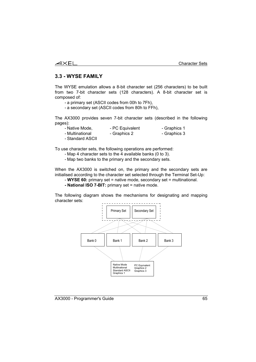### **3.3 - WYSE FAMILY**

 $\angle$ 

The WYSE emulation allows a 8-bit character set (256 characters) to be built from two 7-bit character sets (128 characters). A 8-bit character set is composed of:

- a primary set (ASCII codes from 00h to 7Fh),

- a secondary set (ASCII codes from 80h to FFh),

The AX3000 provides seven 7-bit character sets (described in the following pages):

| - Native Mode,   | - PC Equivalent | - Graphics 1 |
|------------------|-----------------|--------------|
| - Multinational  | - Graphics 2    | - Graphics 3 |
| - Standard ASCII |                 |              |

To use character sets, the following operations are performed:

- Map 4 character sets to the 4 available banks (0 to 3).
- Map two banks to the primary and the secondary sets.

When the AX3000 is switched on, the primary and the secondary sets are initialised according to the character set selected through the Terminal Set-Up:

- **WYSE 60:** primary set = native mode, secondary set = multinational.
- **National ISO 7-BIT:** primary set = native mode.

The following diagram shows the mechanisms for designating and mapping character sets:

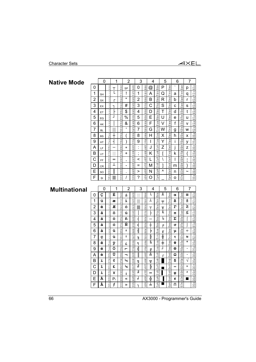$\angle XEL$ 

| <b>Native Mode</b>   |                | 0         |                                                                | 1                         |                                                                        | $\overline{2}$           |                                  | 3                    |                                  | 4      |                                                | 5      |                                                | 6        |                                      | 7                       |                                                                                                                |
|----------------------|----------------|-----------|----------------------------------------------------------------|---------------------------|------------------------------------------------------------------------|--------------------------|----------------------------------|----------------------|----------------------------------|--------|------------------------------------------------|--------|------------------------------------------------|----------|--------------------------------------|-------------------------|----------------------------------------------------------------------------------------------------------------|
|                      | 0              |           | $\frac{0}{0}$                                                  | т                         | $\frac{10}{16}$                                                        | SP                       | $\frac{20}{32}$                  | 0                    | $\frac{30}{48}$                  | @      | $\begin{array}{c} 40 \\ 64 \\ 100 \end{array}$ | Ρ      | $\begin{array}{c} 50 \\ 80 \\ 120 \end{array}$ |          | $\frac{60}{96}$<br>140               | р                       | $\frac{70}{112}$                                                                                               |
|                      | 1              | <b>SH</b> |                                                                | L                         | $\frac{11}{17}$                                                        | Ţ                        | $\frac{21}{33}$                  | 1                    | 31<br>49<br>61                   | A      | $\frac{41}{65}$                                | Q      | $\begin{array}{c} 51 \\ 81 \\ 121 \end{array}$ | а        | $\frac{61}{97}$<br>141               | q                       |                                                                                                                |
|                      | $\overline{c}$ | SX        | $\frac{2}{2}$                                                  | г                         | $\frac{12}{18}$                                                        | $\mathbf{u}$             | $\frac{22}{34}$                  | $\overline{c}$       | 32<br>50<br>62                   | B      | $\begin{array}{c} 42 \\ 66 \\ 102 \end{array}$ | R      | $\begin{array}{r} 52 \\ 82 \\ 122 \end{array}$ | b        | $\frac{62}{98}$<br>142               | r                       | 71 13 1 72 14 2 73 15 16 16 17 16 17 16 17 16 17 16 17 16 18 17 17 18 18 18 19 19 10 11 16 11 16 11 16 11 16 1 |
|                      | 3              | EX        | <b>კ</b><br>ვ                                                  | ٦                         | $\frac{13}{19}$                                                        | #                        | 23<br>35<br>43                   | 3                    | 33<br>51<br>63                   | C      | $\frac{43}{67}$<br>103                         | S      | $\begin{array}{r} 53 \\ 83 \\ 123 \end{array}$ | с        | $\frac{63}{99}$<br>143               | s                       |                                                                                                                |
|                      | 4              | ET        | $\begin{array}{c} 4 \\ 4 \\ 4 \end{array}$                     |                           | $\frac{14}{20}$                                                        | \$                       | 24<br>36<br>44                   | 4                    | 34<br>52<br>64                   | D      | $\frac{44}{68}$<br>104                         | T      | $\begin{array}{r} 54 \\ 84 \\ 124 \end{array}$ | d        | $\frac{64}{100}$                     | t                       |                                                                                                                |
|                      | 5              | EQ        | 5<br>5<br>5                                                    | ┙                         | $\frac{15}{21}$                                                        | $\frac{0}{0}$            | 25<br>37<br>45                   | 5                    | 35<br>53<br>65                   | E      | 45<br>69<br>105                                | U      | 55<br>85<br>125                                | е        | $\frac{65}{101}$                     | u                       |                                                                                                                |
|                      | 6              | AK        | 6<br>6<br>6                                                    |                           | $\frac{16}{22}$<br>28                                                  | &                        | 26<br>38<br>46                   | 6                    | 36<br>54<br>66                   | F      | $\frac{46}{70}$<br>106                         | V      | $\frac{56}{86}$                                | f        | $\frac{66}{102}$                     | ٧                       | 76<br>118<br>166                                                                                               |
|                      | 7              | <b>BL</b> | $\frac{7}{7}$                                                  |                           | $\begin{array}{c} 17 \\ 23 \\ 27 \end{array}$                          | ı                        | $\frac{27}{39}$                  | 7                    | 37<br>55<br>67                   | G      | $\frac{47}{71}$<br>107                         | W      | $\begin{array}{c} 57 \\ 87 \\ 127 \end{array}$ | g        | $\frac{67}{103}$                     | W                       | $\frac{77}{119}$                                                                                               |
|                      | 8              | <b>BS</b> | $\begin{array}{c} 8 \\ 8 \\ 10 \end{array}$                    | ╅                         | $\frac{18}{24}$<br>30                                                  |                          | $\frac{28}{40}$                  | 8                    | 38<br>56<br>70                   | Η      | $\frac{48}{72}$<br>110                         | Χ      | 58<br>88<br>130                                | h        | 68<br>104<br>150                     | χ                       | $\frac{78}{120}$                                                                                               |
|                      | 9              | HT        | $\begin{array}{c}\n9 \\ 9 \\ 11\n\end{array}$                  |                           | $\frac{19}{25}$                                                        | Ι                        | 29<br>41<br>51                   | 9                    | 39<br>57<br>71                   | I      | $\frac{49}{73}$<br>111                         | Y      | 59<br>89<br>131                                | i        | 69<br>105<br>151                     | y                       | 79 1171 74 122 78 123 173 72 124 174 725 75 76 126                                                             |
|                      | Α              | LF        | $\begin{array}{c}\nA \\ 10 \\ 12\n\end{array}$                 |                           | $\frac{1A}{26}$<br>32                                                  | $\ast$                   | 2A<br>42<br>52                   | $\ddot{\phantom{a}}$ | 3A<br>58<br>72                   | J      | $4A$<br>$74$<br>112                            | Z      | 5A<br>90<br>132                                |          | 6A<br>106<br>152                     | Z                       |                                                                                                                |
|                      | B              | VT        | $\frac{B}{11}$                                                 |                           | $\begin{array}{c} 1B \\ 27 \\ 33 \end{array}$                          | +                        | 2B<br>43<br>53                   | ,                    | 3B<br>59<br>73                   | Κ      | $^{4B}_{75}$<br>113                            |        | 5B<br>91<br>133                                | k        | 6B<br>107<br>153                     | {                       |                                                                                                                |
|                      | C              | FF        | $\begin{array}{c} C \\ 12 \\ 14 \end{array}$                   |                           | $\frac{10}{28}$<br>$\frac{28}{34}$                                     | ,                        | 2C<br>44<br>54                   | <                    | 3C<br>60<br>74                   | L      | $^{4C}_{76}$<br>114                            | \      | 5C<br>92<br>134                                | I        | 6C<br>$\frac{108}{154}$              | I                       |                                                                                                                |
|                      | D              | CR        | $\begin{array}{c}\n0 \\ 13 \\ 15\n\end{array}$                 | ⊥                         | $\frac{10}{29}$<br>$\frac{29}{35}$                                     |                          | 2D<br>45<br>55                   | =                    | 3D<br>61<br>75                   | M      | $^{4D}_{77}$<br>115                            |        | 5D<br>93<br>135                                | m        | 6D<br>109<br>155                     | }                       |                                                                                                                |
|                      | E              | SO        | $t_{14}$<br>$t_{16}$                                           | II                        | 1E<br>30<br>36                                                         |                          | 2E<br>46<br>56                   | >                    | 3E<br>62<br>76                   | N      | $\frac{4E}{78}$<br>116                         | ٨      | 5E<br>94<br>136                                | n        | 6E<br>110<br>156                     | $\tilde{\phantom{0}}$   |                                                                                                                |
|                      | F              | SI        | $\frac{F}{17}$                                                 |                           | $\begin{array}{c}\n1\overline{1}\overline{1} \\ 31 \\ 37\n\end{array}$ | Ι                        | 2F<br>47<br>57                   | ?                    | 3F<br>63<br>77                   | O      | $4F$<br>$79$<br>117                            |        | 5F<br>95<br>137                                | o        | 6F<br>111<br>157                     |                         | 7F<br>127<br>177                                                                                               |
|                      |                |           |                                                                |                           |                                                                        |                          |                                  |                      |                                  |        |                                                |        |                                                |          |                                      |                         |                                                                                                                |
|                      |                | 0         |                                                                | 1                         |                                                                        | $\overline{2}$           |                                  | 3                    |                                  | 4      |                                                | 5      |                                                | 6        |                                      | 7                       |                                                                                                                |
| <b>Multinational</b> | 0              |           | 0 <sub>0</sub>                                                 | Ė                         |                                                                        | á                        |                                  |                      |                                  | L      |                                                | ╨      | $\begin{array}{c} 50 \\ 80 \end{array}$        | α        |                                      | ≡                       |                                                                                                                |
|                      | 1              | Ç<br>ü    |                                                                | æ                         | $\frac{10}{16}$                                                        | í                        | 20<br>32<br>40                   |                      | 30<br>48<br>60                   | ⊥      | $\begin{array}{c} 40 \\ 64 \\ 100 \end{array}$ |        | 120                                            | ß        | 60<br>96<br>140<br>$rac{61}{97}$     | $\pm$                   |                                                                                                                |
|                      | 2              | é         | $\frac{2}{2}$                                                  | Æ                         | $\frac{11}{17}$                                                        | ó                        | $\frac{21}{33}$                  |                      | 31<br>49<br>61                   |        | $\frac{41}{65}$<br>101                         | ┯      | $\begin{array}{r} 51 \\ 81 \\ 121 \end{array}$ | г        | 141                                  | ≥                       |                                                                                                                |
|                      | 3              | â         | 3                                                              | ô                         | $\frac{12}{18}$                                                        | ú                        | $\frac{22}{34}$<br>42            |                      | 32<br>50<br>62                   |        | $\frac{42}{66}$<br>102                         | π<br>Ш | $\begin{array}{r} 52 \\ 82 \\ 122 \end{array}$ | п        | $\frac{62}{98}$<br>142<br>63<br>99   | K                       |                                                                                                                |
|                      | 4              | ä         |                                                                | ö                         | $\frac{13}{19}$                                                        | ñ                        | $\frac{23}{35}$                  |                      | 33<br>51<br>63                   |        | $\frac{43}{67}$<br>103                         | F      | $\begin{array}{c} 53 \\ 83 \\ 123 \end{array}$ | Σ        | 143                                  |                         | 70<br>112<br>160<br>71 13<br>161<br>72<br>14<br>2<br>73<br>115<br>163                                          |
|                      | 5              | à         | $\begin{array}{c} 4 \\ 4 \\ 4 \end{array}$<br>5<br>5<br>5      | ò                         | $\frac{14}{20}$                                                        | Ñ                        | 24<br>36<br>44                   |                      | $34$<br>$52$<br>$64$             |        | $\frac{44}{68}$<br>104                         |        | $\begin{array}{c} 54 \\ 84 \\ 124 \end{array}$ | σ        | $\frac{64}{100}$                     |                         |                                                                                                                |
|                      | 6              | å         |                                                                | û                         | $\frac{15}{21}$                                                        | ₫                        | 25<br>37<br>45                   | ╡                    | 35<br>53<br>65                   | ╅<br>⊧ | 45<br>69<br>105                                | F      | 55<br>85<br>125                                | μ        | $\frac{65}{101}$                     | $\div$                  | 74<br>116<br>164<br>75<br>117<br>1165                                                                          |
|                      | 7              | Ç         | 66<br>$\begin{array}{c} 7 \\ 7 \\ 7 \end{array}$               | ù                         | $\frac{16}{22}$<br>$\frac{26}{26}$                                     | $\underline{\mathsf{o}}$ | 26<br>38<br>46                   | ╢<br>╖               | 36<br>54<br>66                   | ╟      | 46<br>70<br>106                                | ╓      | 56<br>86<br>126                                | τ        | $\frac{66}{102}$                     | ≈                       |                                                                                                                |
|                      | 8              | ê         |                                                                | ÿ                         | $\frac{17}{23}$                                                        | خ                        | $\frac{27}{39}$                  | ╕                    | 37<br>55<br>67                   | L      | $\frac{47}{71}$<br>107                         | ╫      | $\begin{array}{c} 57 \\ 87 \\ 127 \end{array}$ | Ф        | $\frac{67}{103}$                     | ō                       | 76<br>118<br>166<br>77<br>119<br>167                                                                           |
|                      | 9              | ë         | $\begin{array}{c} 8 \\ 8 \\ 10 \end{array}$                    | ö                         | $\frac{18}{24}$<br>$\frac{24}{30}$<br>$\frac{19}{25}$                  | H                        | 28<br>40<br>50                   | ╣                    | 38<br>56<br>70                   | ╔      | $\frac{48}{72}$<br>110                         | ╪<br>┚ | 58<br>88<br>130<br>59<br>131                   | Θ        | 68<br>104<br>150                     | $\ddot{\phantom{0}}$    |                                                                                                                |
|                      | Α              | è         | $\begin{array}{c}\n9 \\ 9 \\ 11\n\end{array}$                  | Ü                         | $\frac{1A}{26}$<br>32                                                  | ┑                        | 29<br>41<br>51<br>2A<br>42<br>52 | I                    | 39<br>57<br>71<br>3A<br>58<br>72 | ╩      | $\frac{49}{73}$<br>$\frac{111}{11}$            |        | 5A<br>90<br>132                                | Ω        | 69<br>105<br>151                     | $\ddot{\phantom{0}}$    |                                                                                                                |
|                      | B              | ï         | $A_{10}$<br>12<br>$\frac{B}{13}$                               | ¢                         | $\begin{array}{c}\n1B \\ 27 \\ 33\n\end{array}$                        | $\frac{1}{2}$            | 2B<br>43<br>53                   | ╗                    | 3B<br>59<br>73                   | ╥      | $^{4A}_{74}$<br>112<br>4B<br>75<br>113         |        | 5B<br>91<br>133                                | δ        | 6A<br>106<br>152<br>6B<br>107<br>153 | $\sqrt{}$               |                                                                                                                |
|                      | C              | î         | $rac{C}{14}$                                                   | £                         | $\frac{10}{28}$<br>$\frac{28}{34}$                                     | ₩                        | 2C<br>44<br>54                   | ╝                    | 3C<br>60<br>74                   | ⊩      | $4C$<br>$76$<br>$114$                          |        | 5C<br>92<br>134                                | $\infty$ | 6C<br>108<br>154                     | $\mathbf n$             |                                                                                                                |
|                      | D              | ì         | $\frac{D}{13}$                                                 | ¥                         | $\frac{10}{29}$                                                        | i                        | 2D<br>45<br>55                   | ╜                    | 3D<br>61<br><u>75</u>            |        | $\frac{4D}{77}$<br>115                         |        | 5D<br>93<br>135                                | φ        | 6D<br>109<br>155                     | $\overline{\mathbf{c}}$ | 78<br>1270 79<br>1211 7A<br>1222 7B<br>1232 7C<br>2474 7D<br>12575                                             |
|                      | E              | Ä<br>Å    | $\begin{array}{c}\n 14 \\  16\n \end{array}$<br>$\frac{F}{15}$ | $\mathsf{P}_{\mathsf{t}}$ | 1E<br>30<br>36<br>$\frac{1F}{31}$                                      | ≪                        | 2E<br>46<br>56<br>2F<br>47<br>57 | ┒                    | 3E<br>62<br>76<br>3F<br>63<br>77 | ╬<br>⊥ | 4E<br>78<br>116<br>$4F$<br>$79$<br>$117$       |        | 5E<br>94<br>136<br>5F<br>95                    | ε        | 6E<br>110<br>156<br>6F<br>111<br>157 | ٠                       | 7E<br>126<br>176<br>7F<br>127<br>177                                                                           |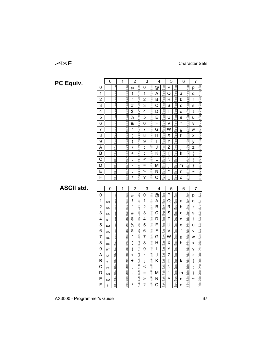# <u>AXEL</u> Character Sets

PC Equiv.

|                | 0         |                                             | 1 |                                                      | $\overline{2}$ |                                    | 3                    |                                  | 4                    |                                                | 5 |                                                | 6 |                                      | 7      |                                      |
|----------------|-----------|---------------------------------------------|---|------------------------------------------------------|----------------|------------------------------------|----------------------|----------------------------------|----------------------|------------------------------------------------|---|------------------------------------------------|---|--------------------------------------|--------|--------------------------------------|
| 0              |           | $\frac{0}{0}$                               |   | $\frac{10}{16}$<br>$\overline{20}$                   | SP             | $\frac{20}{32}$                    | 0                    | 30<br>48<br>60                   | @                    | $\begin{array}{c} 40 \\ 64 \\ 100 \end{array}$ | Ρ | 50<br>80<br>120                                |   | 60<br>96<br>140                      | р      | 70<br>112<br>160                     |
| 1              |           | $\frac{1}{1}$<br>1                          |   | $\frac{11}{17}$                                      | ļ              | $\frac{21}{33}$<br>41              | 1                    | $\frac{31}{49}$<br>61            | Α                    | $\begin{array}{c} 41 \\ 65 \\ 101 \end{array}$ | Q | $\frac{51}{81}$<br>121                         | а | $\frac{61}{97}$<br>141               | q      | $\frac{71}{113}$                     |
| $\overline{2}$ |           | $\frac{2}{2}$                               |   | 12<br>$\frac{18}{22}$                                | u              | $\overline{22}$<br>$\frac{34}{42}$ | $\overline{2}$       | 32<br>50<br>62                   | В                    | $\begin{array}{c} 42 \\ 66 \\ 102 \end{array}$ | R | 52<br>$\frac{82}{122}$                         | b | 62<br>$\frac{98}{142}$               | r      | $\frac{72}{114}$                     |
| 3              |           | კა კ                                        |   | 13<br>19<br>23                                       | #              | 23<br>35<br>43                     | 3                    | 33<br>51<br>63                   | С                    | $\frac{43}{67}$<br>103                         | S | $\begin{array}{c} 53 \\ 83 \\ 123 \end{array}$ | с | 63<br>$\frac{99}{143}$               | s      | 73<br>115<br>163                     |
| 4              |           | 44                                          |   | $\frac{14}{20}$<br>$\overline{24}$                   | \$             | 24<br>36<br>44                     | 4                    | 34<br>52<br>64                   | D                    | $\begin{array}{r} 44 \\ 68 \\ 104 \end{array}$ | T | $\begin{array}{r} 54 \\ 84 \\ 124 \end{array}$ | d | $\frac{64}{100}$<br>144              | t      | 74<br>116<br>164                     |
| 5              |           | 5<br>$\frac{5}{5}$                          |   | $\frac{15}{21}$                                      | %              | 25<br>37<br>45                     | 5                    | 35<br>$\frac{53}{65}$            | F                    | $\frac{45}{69}$                                | U | 55<br>85<br>125                                | е | 65<br>101<br>145                     | u      | 75<br>117<br>165                     |
| 6              |           | 6<br>6<br>6                                 |   | $\frac{16}{22}$                                      | &              | 26<br>38<br>46                     | 6                    | 36<br>54<br>66                   | F                    | 46<br>70<br>106                                | V | $\begin{array}{c} 56 \\ 86 \end{array}$<br>126 | f | $\frac{66}{102}$<br>146              | ٧      | 76<br>118<br>166                     |
| 7              |           | $\begin{array}{c} 7 \\ 7 \\ 7 \end{array}$  |   | $\frac{17}{23}$<br>23                                | ï              | $\frac{27}{39}$<br>47              | 7                    | 37<br>55<br>67                   | G                    | $\frac{47}{71}$<br>107                         | W | $\begin{array}{c} 57 \\ 87 \\ 127 \end{array}$ | g | $\frac{67}{103}$                     | w      | 77<br>119<br>167                     |
| 8              |           | $\frac{8}{10}$                              |   | $\frac{18}{24}$<br>$\frac{24}{30}$                   | (              | $^{28}_{40}$<br>50                 | 8                    | 38<br>56<br>70                   | Η                    | $\frac{48}{72}$<br>110                         | Χ | 58<br>88<br>130                                | h | $\frac{68}{104}$<br><u>150</u>       | X      | 78<br>120<br>170                     |
| 9              |           | 9<br>$\frac{9}{11}$                         |   | 19<br>$\frac{25}{31}$                                | ١              | 29<br>$\frac{41}{51}$              | 9                    | 39<br>$\frac{57}{71}$            | I                    | $\frac{49}{73}$<br>111                         | Y | 59<br>$\frac{89}{131}$                         | i | 69<br>$\frac{105}{151}$              | у      | 79<br>121<br>171                     |
| A              |           | $A_{10}$<br>12                              |   | $1A$<br>$26$<br>$32$                                 | $\ast$         | 2A<br>42<br>52                     | $\ddot{\phantom{0}}$ | 3A<br>58<br>72                   | J                    | $4A$<br>$74$<br>$112$                          | Z | 5A<br>90<br>132                                | j | 6A<br>$\frac{106}{152}$              | z      | 7A<br>122<br>172                     |
| B              |           | B<br>$\frac{11}{13}$                        |   | 1B<br>$\frac{27}{33}$                                | +              | 2B<br>$\frac{43}{53}$              | $\cdot$<br>,         | 3B<br>59<br>73                   | Κ                    | 4B<br>75<br>113                                | [ | 5B<br>91<br>133                                | k | 6B<br>$\frac{107}{153}$              | {      | 7B<br>123<br>173                     |
| С              |           | $rac{C}{12}$                                |   | 1C<br>28<br>34                                       | ,              | 2C<br>44<br>54                     | <                    | 3C<br>60<br>74                   | L                    | 4C<br>76<br>114                                | ١ | $\frac{5}{92}$<br>134                          | I | 6C<br>108<br>154                     | ı<br>ı | 7C<br>124<br>174                     |
| D              |           | $\frac{D}{13}$<br>13                        |   | $\frac{10}{29}$<br>$\overline{35}$                   | ۳              | $\frac{2D}{45}$<br>55              | Ξ                    | 3D<br>61<br>75                   | м                    | 4D<br>77<br>115                                | 1 | 5D<br>93<br>135                                | m | $^{6D}_{109}$<br>155                 | }      | 7D<br>125<br>175                     |
| F              |           | $\frac{E}{14}$<br>16                        |   | 1E<br>30<br>36                                       |                | $^{2E}_{46}$<br>56                 | >                    | 3E<br>62<br>76                   | Ν                    | 4E<br>78<br>116                                | Λ | 5E<br>94<br>136                                | n | 6E<br>110<br>156                     |        | 7E<br>126<br>176                     |
| F              |           | $F_{15}$<br>15                              |   | 1F<br>$\frac{31}{37}$                                | /              | 2F<br>47<br>57                     | ?                    | 3F<br>$\frac{63}{77}$            | O                    | $4F$<br>$79$<br>117                            |   | 5F<br>95<br>137                                | o | 6F<br>$\frac{111}{157}$              |        | 7F<br>127<br>177                     |
|                |           |                                             |   |                                                      |                |                                    |                      |                                  |                      |                                                |   |                                                |   |                                      |        |                                      |
|                |           |                                             |   |                                                      |                |                                    |                      |                                  |                      |                                                |   |                                                |   |                                      |        |                                      |
|                | 0         |                                             | 1 |                                                      | $\overline{2}$ |                                    | 3                    |                                  | 4                    |                                                | 5 |                                                | 6 |                                      | 7      |                                      |
| 0              |           | $\begin{smallmatrix}0\0\0\end{smallmatrix}$ |   | 10<br>16<br>20                                       | SP             | 20<br>32<br>40                     | 0                    | 30<br>48<br>60                   | $^\text{\tiny{(a)}}$ | $\begin{array}{c} 40 \\ 64 \\ 100 \end{array}$ | Ρ | $\frac{50}{80}$<br>120                         |   | 60<br>96<br>140                      | р      | $\frac{70}{112}$<br>160              |
| 1              | SΗ        | $\frac{1}{1}$<br>1                          |   | $\frac{11}{17}$                                      | ļ              | $\frac{21}{33}$<br>41              | 1                    | 31<br>49<br>61                   | Α                    | $\frac{41}{65}$<br>101                         | Q | 51<br>$\frac{81}{121}$                         | а | 61<br>$\frac{97}{141}$               | q      | $\frac{71}{113}$                     |
| $\overline{c}$ | SX        | $\frac{2}{2}$                               |   | $\frac{12}{18}$<br>22                                | u              | 22<br>34<br>42                     | $\overline{2}$       | $\frac{32}{50}$<br>62            | B                    | $^{42}_{66}$<br>102                            | R | $\frac{52}{82}$<br>122                         | b | $\frac{62}{98}$<br>142               | r      | $\frac{72}{114}$<br>162              |
| 3              | EX        | სასა                                        |   | $\frac{13}{19}$                                      | #              | $\frac{23}{35}$<br>43              | 3                    | 33<br>51<br>63                   | С                    | $\frac{43}{67}$<br>103                         | S | 53<br>83<br>123                                | c | 63<br>99<br>143                      | s      | 73<br>115<br>163                     |
| 4              | ET        | 44                                          |   | $\frac{14}{20}$                                      | \$             | 24<br>36<br>44                     | 4                    | 34<br>52<br>64                   | D                    | $\frac{44}{68}$<br>104                         | T | $\begin{array}{c} 54 \\ 84 \\ 124 \end{array}$ | d | 64<br>100<br>144                     | t      | 74<br>116<br>164                     |
| 5              | EQ        | 5<br>$\frac{5}{5}$                          |   | 15<br>$\frac{21}{25}$                                | %              | 25<br>37<br>45                     | 5                    | 35<br>$\frac{53}{65}$            | E                    | $\begin{array}{c} 45 \\ 69 \\ 105 \end{array}$ | U | 55<br>$rac{85}{125}$                           | е | 65<br>$\frac{101}{145}$              | u      | 75<br>117<br>165                     |
| 6              | AΚ        | 6<br>6<br>6                                 |   | $\frac{16}{22}$<br>26                                | &              | 26<br>38<br>46                     | 6                    | 36<br>54<br>66                   | F                    | 46<br>70<br>106                                |   | $\begin{array}{c} 56 \\ 86 \end{array}$<br>126 | f | 66<br>102<br>146                     | ٧      | $\frac{76}{118}$<br>166              |
| 7              | BL        | $\begin{array}{c} 7 \\ 7 \\ 7 \end{array}$  |   | $\frac{17}{23}$                                      | ı              | 27<br>39<br>47                     | 7                    | 37<br>55<br>67                   | G                    | $\frac{47}{71}$<br>107                         | W | $\begin{array}{c} 57 \\ 87 \\ 127 \end{array}$ | g | 67<br>$\frac{103}{147}$              | w      | 77<br>119<br>167                     |
| 8              | <b>BS</b> | 8<br>8<br>10                                |   | 18<br>24<br>30                                       | (              | 28<br>40<br>50                     | 8                    | 38<br>56<br>70                   | н                    | $\frac{48}{72}$<br>110                         | Х | 58<br>88<br>130                                | h | 68<br>104<br>150                     | X      | 78<br>120<br>170                     |
| 9              | HT        | $\begin{array}{c}\n9 \\ 11\n\end{array}$    |   | $\frac{19}{25}$<br>$\frac{1}{31}$                    | )              | 29<br>41<br>51                     | 9                    | 39<br>57<br>71                   | ı                    | $\frac{49}{73}$<br>111                         | Y | 59<br>89<br>131                                | i | 69<br>105<br>151                     | у      | 79<br>121<br>171                     |
| A              | LF        | $A$ <sub>10</sub><br>12                     |   | $^{1A}_{26}$<br>32                                   | $\ast$         | 2A<br>42<br>52                     | $\ddot{\phantom{0}}$ | 3A<br>58<br>72                   | J                    | $^{4A}_{74}$<br>112                            | Z | 5A<br>90<br>132                                | i | $^{6A}_{106}$<br>152                 | z      | 7A<br>122<br>172                     |
| в              | VT        | B<br>$\frac{11}{13}$                        |   | 1B<br>$\frac{27}{33}$                                | +              | 2B<br>$\frac{43}{53}$              | $\cdot$<br>,         | 3B<br>59<br>73                   | Κ                    | 4B<br>75<br>113                                | [ | 5B<br>91<br>133                                | k | 6B<br>$\frac{107}{153}$              | {      | 7B<br>123<br>173                     |
|                | FF        | $rac{C}{12}$                                |   | 1C<br>28<br>34                                       | ,              | 2C<br>44<br>54                     | <                    | 3C<br>60<br>74                   | L                    | 4C<br>76<br>114                                | ١ | 5C<br>92<br>134                                | I | 6C<br>108<br>154                     | ı<br>ı | 7C<br>124<br>174                     |
| D              | CR        | D<br>$\frac{13}{15}$                        |   | 1D<br>29<br>$\overline{35}$                          | ۳              | 2D<br>$45$<br>$55$                 | =                    | 3D<br>61<br>75                   | М                    | 4D<br>77<br>115                                | 1 | 5D<br>93<br>135                                | m | 6D<br>109<br>155                     | }      | 7D<br>125<br>175                     |
| E              | SO        | $t_{14}$<br>$t_{16}$<br>$F_{15}$<br>17      |   | 1E<br>30<br>36<br>$\frac{1F}{31}$<br>$\frac{37}{37}$ | ٠              | 2E<br>46<br>56<br>2F<br>47         | >                    | 3E<br>62<br>76<br>3F<br>63<br>77 | Ν                    | 4E<br>78<br>116<br>$4F$<br>$79$<br>117         | Λ | 5E<br>94<br>136<br>5F<br>95                    | n | 6E<br>110<br>156<br>6F<br>111<br>157 | ~      | 7E<br>126<br>176<br>7F<br>127<br>177 |

# **ASCII std.**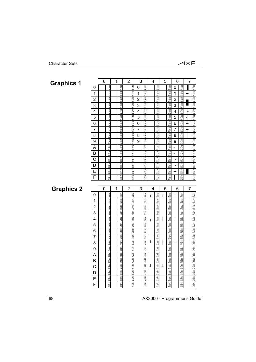$\angle XEL$ 

| <b>Graphics 1</b> |                | 0 |                                                              | 1                                             | $\overline{2}$                          |                | 3                                             |   |                                                                          | 5 |                                                                                                  | 6              |                                                | $\overline{7}$ |                                                                                                     |
|-------------------|----------------|---|--------------------------------------------------------------|-----------------------------------------------|-----------------------------------------|----------------|-----------------------------------------------|---|--------------------------------------------------------------------------|---|--------------------------------------------------------------------------------------------------|----------------|------------------------------------------------|----------------|-----------------------------------------------------------------------------------------------------|
|                   | 0              |   | $\frac{0}{0}$                                                | $\frac{10}{16}$                               | $\frac{20}{32}$                         | 0              | $\frac{30}{48}$                               |   | $\frac{40}{64}$<br>100                                                   |   | $\frac{50}{80}$<br>120                                                                           | 0              | 60<br>96<br>140                                |                | $\frac{70}{112}$                                                                                    |
|                   | 1              |   | $\begin{array}{c} 1 \\ 1 \\ 1 \end{array}$                   | $\frac{11}{17}$                               | $\frac{21}{33}$                         | 1              | 31<br>49<br>61                                |   | $\frac{41}{65}$<br>101                                                   |   | $\frac{51}{81}$<br>121                                                                           | 1              | $\frac{61}{97}$<br>141                         |                | $\begin{array}{r} 71 \\ 113 \\ 161 \\ 72 \\ 114 \\ 162 \end{array}$                                 |
|                   | $\overline{c}$ |   | $\begin{array}{c}\n2 \\ 2 \\ 2\n\end{array}$                 | $\frac{12}{18}$                               | $\frac{22}{34}$                         | $\overline{c}$ | 32<br>50<br>62                                |   | $\frac{42}{66}$<br>102                                                   |   | $\frac{52}{82}$<br>122                                                                           | $\overline{c}$ | $\frac{62}{98}$<br>142                         |                |                                                                                                     |
|                   | 3              |   | ပေမ                                                          | $\frac{13}{19}$                               | $\frac{23}{35}$                         | 3              | $\begin{array}{c} 33 \\ 51 \\ 63 \end{array}$ |   | $\frac{43}{67}$<br>103                                                   |   | 53<br>83<br>123                                                                                  | 3              | $\begin{array}{c} 63 \\ 99 \\ 143 \end{array}$ |                | 73<br>115<br>163                                                                                    |
|                   | 4              |   | $\begin{array}{c} 4 \\ 4 \\ 4 \end{array}$                   | $\frac{14}{20}$                               | 24<br>36<br>44                          | 4              | $34$<br>$52$<br>$64$                          |   | $\begin{array}{r} 44 \\ 68 \\ 104 \end{array}$                           |   | 54<br>84<br>124                                                                                  | 4              | $\frac{64}{100}$                               |                | 74<br>116<br>164<br>75<br>117<br>117<br>165                                                         |
|                   | 5              |   | $\begin{array}{c} 5 \\ 5 \\ 5 \end{array}$                   | $\frac{15}{21}$                               | $\frac{25}{37}$                         | 5              | 35<br>53<br>65                                |   | $\frac{45}{69}$<br>105                                                   |   | $\frac{55}{85}$                                                                                  | 5              | 65<br>101<br>145                               |                |                                                                                                     |
|                   | 6              |   | 6<br>6<br>6                                                  | $\frac{16}{22}$                               | 26<br>38<br>46                          | 6              | 36<br>54<br>66                                |   | $\frac{46}{70}$<br>106                                                   |   | 56<br>86<br>126                                                                                  | 6              | $\frac{66}{102}$                               | ⊥              | 76<br>118<br>166<br>77<br>119<br>167                                                                |
|                   | 7              |   | $\begin{array}{c} 7 \\ 7 \\ 7 \end{array}$                   | $\frac{17}{23}$<br>23                         | $\frac{27}{39}$                         | 7              | 37<br>55<br>67                                |   | $\frac{47}{71}$<br>107                                                   |   | $\frac{57}{87}$                                                                                  | 7              | $\frac{67}{103}$                               | т              |                                                                                                     |
|                   | 8              |   | $\frac{8}{10}$                                               | $\frac{18}{24}$<br>$\frac{30}{20}$            | 28<br>40<br>50                          | 8              | 38<br>56<br>70                                |   | $\frac{48}{72}$<br>110                                                   |   | 58<br>88<br>130                                                                                  | 8              | 68<br>104<br>150                               |                | 78<br>120<br>170                                                                                    |
|                   | 9              |   | $\begin{array}{c}\n9 \\ 9 \\ 11\n\end{array}$                | 19<br>25<br>31                                | 29<br>41<br>51                          | 9              | 39<br>57<br>71                                |   | $\frac{49}{73}$<br>111                                                   |   | 59<br>89<br>131                                                                                  | 9              | 69<br>105<br>151                               |                | 79<br>121<br>171<br>7A<br>122<br>172                                                                |
|                   | А              |   | $A$<br>$10$<br>$12$                                          | $1A$<br>$26$<br>$32$                          | 2A<br>42<br>52                          |                | 3A<br>58<br>72                                |   | $4A$<br>$74$<br>112                                                      |   | 5A<br>90<br>132                                                                                  | 」              | 6A<br>106<br>152                               |                |                                                                                                     |
|                   | B              |   | $\frac{B}{11}$                                               | $\begin{array}{c} 1B \\ 27 \\ 33 \end{array}$ | 2B<br>43<br>53                          |                | 3B<br>59<br>73                                |   | 4B<br>75<br>113                                                          |   | 5B<br>91<br>133                                                                                  | ٦              | 6B<br>107<br>153                               |                | 7B<br>123<br>173                                                                                    |
|                   | C              |   | $\begin{array}{c} C \\ 12 \\ 14 \end{array}$                 | 1C<br>28<br>34                                | 2C<br>44<br>54                          |                | 3C<br>60<br>74                                |   | $\frac{4C}{76}$                                                          |   | 5C<br>92<br>134                                                                                  | г              | 6C<br>108<br>154                               |                | 7C<br>124<br>174                                                                                    |
|                   | D              |   | $\begin{array}{c} 0 \\ 13 \\ 15 \end{array}$                 | $\frac{10}{29}$<br>$\frac{29}{35}$            | 2D<br>45<br>55                          |                | 3D<br>61<br>75                                |   | $\frac{4D}{77}$<br>115                                                   |   | 5D<br>93<br>135                                                                                  | L              | 6D<br>109<br>155                               |                | $\frac{7D}{125}$<br>125                                                                             |
|                   | E              |   | $\begin{array}{c} 14 \\ 14 \\ 16 \end{array}$                | 1E<br>30<br>36                                | 2E<br>46<br>56                          |                | 3E<br>62<br>76                                |   | 4E<br>78<br>116                                                          |   | 5E<br>94<br>136                                                                                  |                | 6E<br>110<br>156                               |                | 7E<br>126<br>176                                                                                    |
|                   | F              |   | $F_{15}$<br>15                                               | $\frac{1F}{31}$                               | 2F<br>47<br>57                          |                | 3F<br>63<br>77                                |   | $4F$<br>$79$<br>$117$                                                    |   | 5F<br>95<br>137                                                                                  |                | $rac{6F}{111}$                                 |                | 7F<br>127<br>177                                                                                    |
|                   |                |   |                                                              |                                               |                                         |                |                                               |   |                                                                          |   |                                                                                                  |                |                                                |                |                                                                                                     |
|                   |                | 0 |                                                              | 1                                             | $\overline{2}$                          | 3              |                                               | 4 |                                                                          | 5 |                                                                                                  | 6              |                                                | $\overline{7}$ |                                                                                                     |
| <b>Graphics 2</b> | 0              |   |                                                              |                                               |                                         |                |                                               | г |                                                                          | T |                                                                                                  |                |                                                |                |                                                                                                     |
|                   | 1              |   | $\begin{smallmatrix}0\0\0\end{smallmatrix}$<br>$\frac{1}{1}$ | $\frac{10}{16}$                               | $\frac{20}{32}$<br>21                   |                | $\frac{30}{60}$                               |   | $\frac{40}{100}$                                                         |   | $\begin{array}{c}\n 50 \\  80 \\  120\n\end{array}$<br>51                                        |                | $\begin{array}{c} 60 \\ 96 \\ 140 \end{array}$ |                |                                                                                                     |
|                   | $\overline{c}$ |   |                                                              | $\frac{11}{17}$                               | $\frac{5}{41}$                          |                | 31<br>49<br>61                                |   | $\begin{array}{c} 41 \\ 65 \\ 101 \end{array}$                           |   | $\frac{81}{121}$                                                                                 |                | $\frac{61}{97}$<br>141<br>$62$<br>98           |                |                                                                                                     |
|                   | 3              |   | $\begin{array}{c}\n2 \\ 2 \\ 2\n\end{array}$<br>33           | $\frac{12}{18}$<br>$\frac{13}{19}$            | 22<br>34<br>42<br>$\frac{23}{35}$       |                | 32<br>50<br>62<br>33<br>51<br>63              |   | $\begin{array}{r} 42 \\ 66 \\ 102 \end{array}$<br>$\frac{43}{67}$<br>103 |   | $\frac{52}{82}$<br>122                                                                           |                | 142<br>63<br>99<br>143                         |                | 70<br>112<br>160<br>71<br>113<br>161<br>72<br>114<br>162                                            |
|                   | 4              |   | $\begin{array}{c} 4 \\ 4 \\ 4 \end{array}$                   | $\frac{14}{20}$                               | $\frac{24}{36}$                         |                | $\frac{34}{52}$                               | ٦ | $\begin{array}{c} 44 \\ 68 \\ 104 \end{array}$                           |   | $\begin{array}{r} 53 \\ 83 \\ 123 \end{array}$<br>$\begin{array}{c} 54 \\ 84 \\ 124 \end{array}$ |                | $\frac{64}{100}$                               |                |                                                                                                     |
|                   | 5              |   | $\frac{5}{5}$                                                | $\frac{15}{21}$                               | 25<br>37<br>45                          |                | 35<br>53<br>65                                |   | 45<br>69<br>105                                                          |   | 55<br>85<br>125                                                                                  |                | $\frac{65}{101}$<br>145                        |                | 73<br>115<br>163<br>74<br>116<br>164<br>75<br>117<br>165                                            |
|                   | 6              |   | 66<br>0                                                      | $\frac{16}{22}$                               | 26<br>38<br>46                          |                | 36<br>54<br>66                                |   | 46<br>70<br>106                                                          |   | 56<br>86<br>126                                                                                  |                | 66<br>$\frac{102}{146}$                        |                |                                                                                                     |
|                   | 7              |   | $\begin{array}{c}\n7 \\ 7 \\ 7\n\end{array}$                 | $\frac{17}{23}$                               | $\frac{27}{39}$                         |                | 37<br>55<br>67                                |   | $\frac{47}{71}$<br>107                                                   |   | $\frac{57}{87}$<br>127                                                                           |                | $\frac{67}{103}$                               |                | 76<br>118<br>166<br>77<br>119<br>167                                                                |
|                   | 8              |   | $\begin{array}{c}\n8 \\ 8 \\ 10\n\end{array}$                | $\frac{18}{24}$<br>$\frac{24}{30}$            | 28<br>40<br>50                          |                | 38<br>56<br>70                                | L | $\frac{48}{72}$<br>110                                                   |   | 58<br>88<br>130                                                                                  |                | 68<br>104<br>150                               |                |                                                                                                     |
|                   | 9              |   | $99$<br>11                                                   | $\frac{19}{25}$                               | 29<br>41<br>51                          |                | 39<br>57<br>71                                |   | $\frac{49}{73}$<br>111                                                   |   | 59<br>$rac{89}{131}$                                                                             |                | 69<br>105<br>151                               |                |                                                                                                     |
|                   | Α              |   | $A$<br>10<br>12                                              | $1A$<br>$26$<br>$32$                          | 2A<br>42<br>52                          |                | 3A<br>58<br>72                                |   | $4A$<br>$74$<br>$112$                                                    |   | 5A<br>90<br>132                                                                                  |                | 6A<br>106<br>152                               |                |                                                                                                     |
|                   | B              |   | B<br>11<br>13                                                | 1B<br>27<br>33                                | 2B<br>43<br>53                          |                | 3B<br>59<br>73                                |   | 4B<br>75<br>113                                                          |   | 5B<br>91<br>133                                                                                  |                | 6B<br>107<br>153                               |                |                                                                                                     |
|                   | C              |   | $rac{C}{12}$                                                 | $\frac{10}{28}$<br>$\frac{28}{34}$            | 2C<br>44<br>54                          |                | 3C<br>60<br>74                                | L | $^{4C}_{76}$<br>114                                                      | ┸ | 5C<br>92<br>134                                                                                  |                | $^{6C}_{108}$<br>154                           |                |                                                                                                     |
|                   | D              |   | $\begin{array}{c}\n0 \\ 13 \\ 15\n\end{array}$               | $\frac{10}{29}$                               | 2D<br>45<br>55                          |                | 3D<br>61<br>75                                |   | $^{4D}_{77}$<br>115                                                      |   | 5D<br>93<br>135                                                                                  |                | 6D<br>109<br>155                               |                | 78<br>120<br>179<br>117<br>17<br>42<br>2<br>2<br>2<br>2<br>2<br>2<br>1<br>2<br>2<br>1<br>2<br>1<br> |
|                   | E<br>F         |   | $544$<br>14<br>16<br>$\frac{F}{15}$                          | 1E<br>30<br>36<br>$\frac{1F}{31}$             | 2E<br>$\frac{46}{56}$<br>2F<br>47<br>57 |                | 3E<br>62<br>76<br>3F<br>63<br>77              |   | 4E<br>78<br>116<br>$4F$<br>$79$<br>$117$                                 |   | 5E<br>94<br>136<br>5F<br>95<br>137                                                               |                | 6E<br>110<br>156<br>6F<br>111<br>157           |                | 7E<br>126<br>176<br>7F<br>127<br>177                                                                |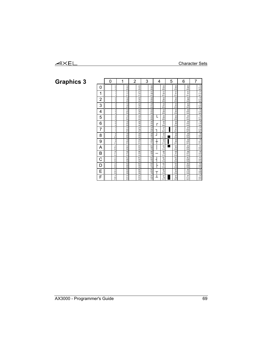AXEL Character Sets

 $\overline{\phantom{0}}$ 

# **Graphics 3**

|                | 0 |                                 | 1 |                             | 2 |                                   | 3 |                       | 4 |                        | 5 |                        | 6 |                         | 7 |                                                 |
|----------------|---|---------------------------------|---|-----------------------------|---|-----------------------------------|---|-----------------------|---|------------------------|---|------------------------|---|-------------------------|---|-------------------------------------------------|
| 0              |   | $^{\rm o}_{\rm o}$<br>Ò         |   | 10<br>16<br>20              |   | $\frac{20}{32}$<br>40             |   | 30<br>48<br>60        |   | 40<br>64<br>100        |   | 50<br>8ō<br>120        |   | 60<br>96<br>140         |   | $\begin{array}{c} 70 \\ 112 \\ 160 \end{array}$ |
| 1              |   | 1<br>$\mathbf{1}$<br>1          |   | 11<br>17<br>21              |   | $\frac{21}{33}$<br>41             |   | 31<br>49<br>61        |   | 41<br>65<br>101        |   | $\frac{51}{81}$<br>121 |   | 61<br>97<br>141         |   | $\frac{71}{113}$                                |
| $\overline{c}$ |   | $\frac{2}{2}$                   |   | 12<br>$\frac{18}{22}$       |   | 22<br>$\frac{34}{42}$             |   | 32<br>$\frac{50}{62}$ |   | 42<br>$\frac{66}{102}$ |   | 52<br>$rac{82}{122}$   |   | 62<br>$\frac{98}{142}$  |   | $\frac{72}{114}$                                |
| 3              |   | 3<br>ă                          |   | 13<br>19<br>$\frac{15}{23}$ |   | 23<br>$\frac{35}{43}$             |   | 33<br>$\frac{57}{63}$ |   | 43<br>67<br>103        |   | 53<br>83<br>123        |   | 63<br>99<br>143         |   | $\begin{array}{c} 73 \\ 115 \\ 163 \end{array}$ |
| 4              |   | 4<br>4<br>4                     |   | 14<br>20<br>$\overline{24}$ |   | 24<br>$\overline{36}$<br>44       |   | 34<br>52<br>64        |   | 44<br>68<br>104        |   | 54<br>84<br>124        |   | 64<br>100<br>144        |   | $\frac{74}{116}$                                |
| 5              |   | 5<br>š                          |   | 15<br>21<br>$\overline{25}$ |   | 25<br>$\overline{37}$<br>45       |   | 35<br>53<br>65        | L | 45<br>69<br>105        |   | 55<br>85<br>125        |   | 65<br>101<br>145        |   | $75$<br>$117$<br>$165$                          |
| 6              |   | 6<br>6<br>6                     |   | 16<br>$\frac{22}{26}$       |   | 26<br>$\overline{38}$<br>46       |   | 36<br>54<br>66        |   | 46<br>70<br>106        |   | 56<br>86<br>126        |   | 66<br>102<br>146        |   | 76<br>118<br>166                                |
| 7              |   | $\frac{7}{7}$<br>$\overline{7}$ |   | 17<br>$\frac{23}{27}$       |   | $\frac{27}{39}$<br>$\frac{1}{47}$ |   | 37<br>55<br>67        |   | $\frac{47}{71}$<br>107 |   | 57<br>87<br>127        |   | $\frac{67}{103}$<br>147 |   | $\frac{77}{119}$<br>167                         |
| 8              |   | 8<br>8<br>10                    |   | 18<br>24<br>$\overline{30}$ |   | 28<br>40<br>50                    |   | 38<br>56<br>70        | ı | $\frac{48}{72}$<br>110 |   | 58<br>88<br>130        |   | 68<br>104<br>150        |   | 78<br>120<br>170                                |
| 9              |   | 9<br>ġ<br>11                    |   | 19<br>$\frac{25}{31}$       |   | 29<br>$\overline{41}$<br>51       |   | 39<br>$\frac{57}{71}$ |   | $\frac{49}{73}$<br>111 |   | 59<br>89<br>131        |   | 69<br>105<br>151        |   | 79<br>121<br>171                                |
| А              |   | A<br>$^{10}_{12}$               |   | 1A<br>$\frac{26}{32}$       |   | 2A<br>$^{42}_{52}$                |   | 3A<br>58<br>72        |   | 4A<br>74<br>112        |   | 5A<br>90<br>132        |   | 6A<br>$\frac{106}{152}$ |   | 7A<br>122<br>172                                |
| B              |   | B<br>11<br>13                   |   | 1B<br>$\frac{27}{33}$       |   | 2B<br>$\frac{43}{53}$             |   | 3B<br>$\frac{55}{73}$ |   | 4B<br>$\frac{75}{113}$ |   | 5B<br>91<br>133        |   | 6B<br>$\frac{107}{153}$ |   | 7B<br>123<br>173                                |
| C              |   | C<br>12<br>14                   |   | 1C<br>$\frac{28}{34}$       |   | 2C<br>44<br>54                    |   | 3C<br>60<br>74        |   | 4C<br>76<br>114        |   | 5C<br>92<br>134        |   | 6C<br>108<br>154        |   | 7C<br>124<br>174                                |
| D              |   | D<br>13<br>15                   |   | 1D<br>29<br>$\overline{35}$ |   | 2D<br>45<br>55                    |   | 3D<br>61<br>75        |   | 4D<br>77<br>115        |   | 5D<br>93<br>135        |   | 6D<br>109<br>155        |   | 7D<br>125<br>175                                |
| E              |   | $rac{E}{14}$<br>16              |   | 1E<br>30<br>36              |   | 2E<br>46<br>56                    |   | 3E<br>62<br>76        |   | 4E<br>78<br>116        |   | 5E<br>94<br>136        |   | 6E<br>110<br>156        |   | 7E<br>126<br>176                                |
| F              |   | $F_{15}$<br>15                  |   | 1F<br>31<br>37              |   | $2\overline{F}$<br>$47$<br>57     |   | $\frac{3F}{63}$<br>77 |   | $^{4F}_{79}$<br>117    |   | 5F<br>95<br>137        |   | 6F<br>111<br>157        |   | 7F<br>127<br>177                                |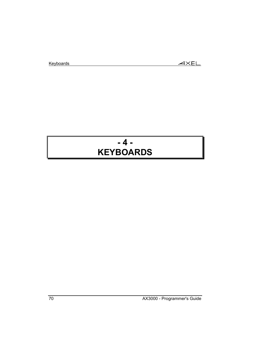$\angle XEL$ 

# **- 4 - KEYBOARDS**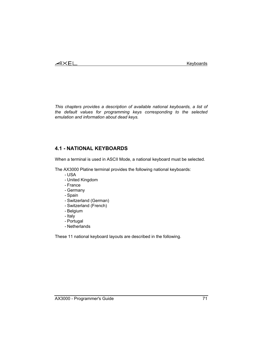$\angle$ 

*This chapters provides a description of available national keyboards, a list of the default values for programming keys corresponding to the selected emulation and information about dead keys.* 

# **4.1 - NATIONAL KEYBOARDS**

When a terminal is used in ASCII Mode, a national keyboard must be selected.

The AX3000 Platine terminal provides the following national keyboards:

- USA
- United Kingdom
- France
- Germany
- Spain
- Switzerland (German)
- Switzerland (French)
- Belgium
- Italy
- Portugal
- Netherlands

These 11 national keyboard layouts are described in the following.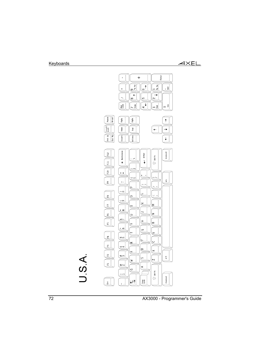$\angle XEL$ 

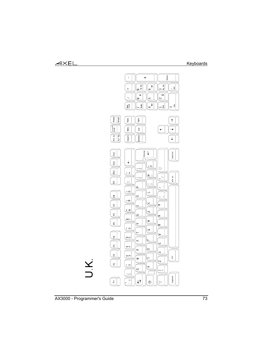$\angle$ 

### Keyboards



AX3000 - Programmer's Guide 73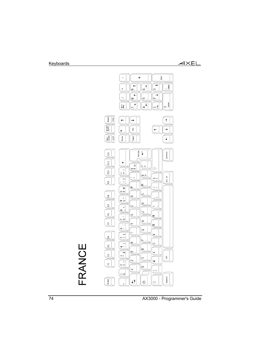$\angle XEL$ 

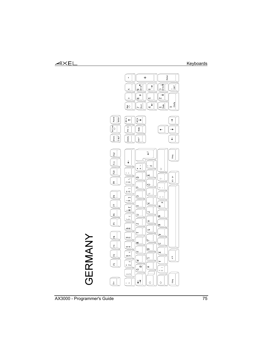$\angle$ 

### Keyboards



AX3000 - Programmer's Guide 75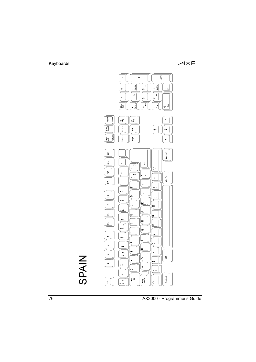$\angle XEL$ 

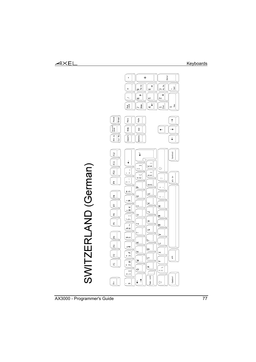

AX3000 - Programmer's Guide 77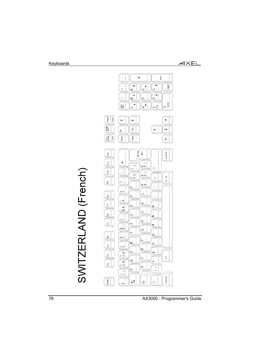$\angle XEL$ 

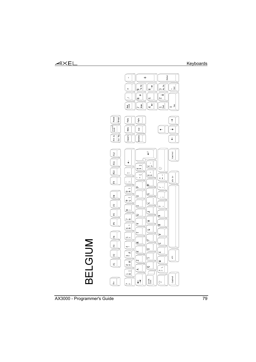$\angle$ 

### Keyboards

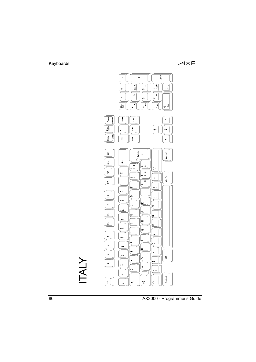$\angle XEL$ 

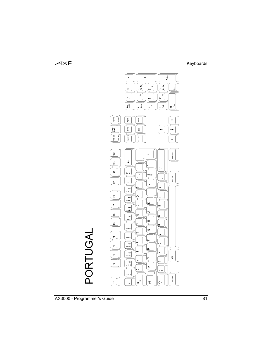$\angle$ 

### Keyboards

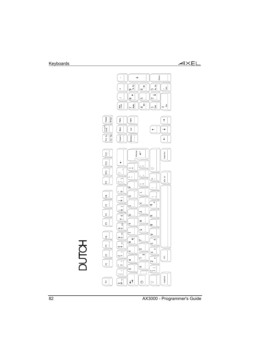$\angle XEL$ 

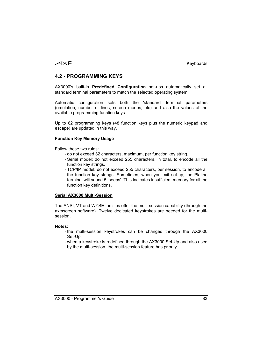# $\angle$

# **4.2 - PROGRAMMING KEYS**

AX3000's built-in **Predefined Configuration** set-ups automatically set all standard terminal parameters to match the selected operating system.

Automatic configuration sets both the 'standard' terminal parameters (emulation, number of lines, screen modes, etc) and also the values of the available programming function keys.

Up to 62 programming keys (48 function keys plus the numeric keypad and escape) are updated in this way.

### **Function Key Memory Usage**

Follow these two rules:

- do not exceed 32 characters, maximum, per function key string.
- Serial model: do not exceed 255 characters, in total, to encode all the function key strings.
- TCP/IP model: do not exceed 255 characters, per session, to encode all the function key strings. Sometimes, when you exit set-up, the Platine terminal will sound 5 'beeps'. This indicates insufficient memory for all the function key definitions.

### **Serial AX3000 Multi-Session**

The ANSI, VT and WYSE families offer the multi-session capability (through the axmscreen software). Twelve dedicated keystrokes are needed for the multisession.

### **Notes:**

- the multi-session keystrokes can be changed through the AX3000 Set-Up.
- when a keystroke is redefined through the AX3000 Set-Up and also used by the multi-session, the multi-session feature has priority.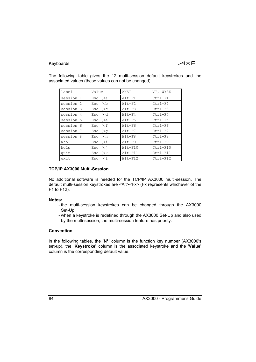Keyboards

 $\angle XEL$ 

The following table gives the 12 multi-session default keystrokes and the associated values (these values can not be changed):

| label     | Value                                                                          | ANSI      | VT, WYSE     |
|-----------|--------------------------------------------------------------------------------|-----------|--------------|
| session 1 | $Esc$ $\leq$ $\leq$                                                            | $Alt+F1$  | $Ctrl + F1$  |
| session 2 | $Esc$ $\langle$ b                                                              | $AIt+F2$  | $Ctrl + F2$  |
| session 3 | $Esc$ $\leq$                                                                   | $AIt+F3$  | $Ctrl+F3$    |
| session 4 | Esc [ <d< td=""><td><math>Alt+F4</math></td><td><math>Ctrl+F4</math></td></d<> | $Alt+F4$  | $Ctrl+F4$    |
| session 5 | $Esc$ $\leq$ e                                                                 | $AIt+F5$  | $Ctrl + F5$  |
| session 6 | $Esc$ $\leq f$                                                                 | $AIt+F6$  | $Ctrl+F6$    |
| session 7 | $Esc$ $\leq$ q                                                                 | $AIt+F7$  | $Ctrl+F7$    |
| session 8 | $Esc$ $\left\{ \langle h \right\}$                                             | Alt+F8    | $Ctrl + F8$  |
| who       | Esc [ <i< td=""><td>Alt+F9</td><td><math>Ctrl+F9</math></td></i<>              | Alt+F9    | $Ctrl+F9$    |
| help      | $Esc$ $\leq$                                                                   | Alt+F10   | $Ctrl + F10$ |
| quit      | $Esc$ $\leq k$                                                                 | Alt+F11   | $Ctrl + F11$ |
| exit      | $Esc$ $\lceil$ $\leq$ $\rceil$                                                 | $AIt+F12$ | $Ctrl + F12$ |

### **TCP/IP AX3000 Multi-Session**

No additional software is needed for the TCP/IP AX3000 multi-session. The default multi-session keystrokes are <Alt><Fx> (Fx represents whichever of the F1 to F12).

### **Notes:**

- the multi-session keystrokes can be changed through the AX3000 Set-Up.
- when a keystroke is redefined through the AX3000 Set-Up and also used by the multi-session, the multi-session feature has priority.

### **Convention**

in the following tables, the **'N°'** column is the function key number (AX3000's set-up), the **'Keystroke'** column is the associated keystroke and the '**Value'** column is the corresponding default value.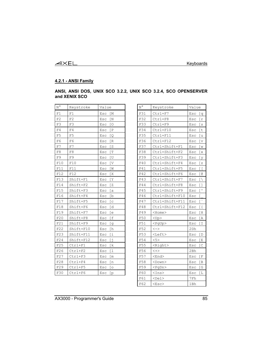# $\blacktriangle$  $\times$ E $\blacktriangleright$

# **4.2.1 - ANSI Family**

### **ANSI, ANSI DOS, UNIX SCO 3.2.2, UNIX SCO 3.2.4, SCO OPENSERVER and XENIX SCO**

| N°             | Keystroke      | Value                |
|----------------|----------------|----------------------|
| F1             | F1             | Esc<br>[ M           |
| F2             | F2             | Esc<br>[N            |
| F3             | F3             | [ O<br>Esc           |
| F4             | F4             | $\lbrack$ P<br>Esc   |
| F <sub>5</sub> | F <sub>5</sub> | Esc<br>[Q            |
| F6             | F6             | [R<br>Esc            |
| F7             | F7             | [S<br>Esc            |
| F8             | F8             | [ T<br>Esc           |
| F9             | F9             | [U<br>Esc            |
| F10            | F10            | [V<br>Esc            |
| F11            | F11            | [ W<br>Esc           |
| F12            | F12            | Esc<br>[X            |
| F13            | Shift+F1       | [ Y<br>Esc           |
| F14            | Shift+F2       | $\lbrack$ $Z$<br>Esc |
| F15            | Shift+F3       | Esc<br>[a            |
| F16            | Shift+F4       | [b<br>Esc            |
| F17            | Shift+F5       | Esc<br>[c            |
| F18            | Shift+F6       | Esc<br>[d            |
| F19            | Shift+F7       | Esc<br>[e            |
| F20            | Shift+F8       | [f<br>Esc            |
| F21            | Shift+F9       | Esc<br>[ g           |
| F22            | Shift+F10      | [h<br>Esc            |
| F23            | Shift+F11      | [i<br>Esc            |
| F24            | Shift+F12      | tj<br>Esc            |
| F25            | $Ctrl + F1$    | [k<br>Esc            |
| F26            | $Ctrl + F2$    | [1<br>Esc            |
| F27            | $Ctrl+F3$      | Esc<br>[m            |
| F28            | $Ctrl + F4$    | Esc<br>[n            |
| F29            | $Ctrl+F5$      | Esc<br>[ 0           |
| F30            | Ctrl+F6        | Esc<br><u>[p</u>     |

| N°  | Keystroke                     | Value                        |
|-----|-------------------------------|------------------------------|
| F31 | $Ctrl + F7$                   | Esc<br>[q                    |
| F32 | $Ctrl + F8$                   | Esc<br>[r                    |
| F33 | $Ctrl + F9$                   | Esc<br>[ s                   |
| F34 | $Ctrl + F10$                  | [t<br>Esc                    |
| F35 | $Ctrl + F11$                  | Esc<br>[u                    |
| F36 | $Ctrl + F12$                  | [v<br>Esc                    |
| F37 | Ctrl+Shift+F1                 | Esc<br>[w                    |
| F38 | Ctrl+Shift+F2                 | Esc<br>[x                    |
| F39 | Ctrl+Shift+F3                 | Esc<br>[y                    |
| F40 | Ctrl+Shift+F4                 | Esc<br>[z                    |
| F41 | Ctrl+Shift+F5                 | E E<br>Esc                   |
| F42 | Ctrl+Shift+F6                 | Esc<br>[ @                   |
| F43 | Ctrl+Shift+F7                 | $\lfloor \ \setminus$<br>Esc |
| F44 | Ctrl+Shift+F8                 | $[ \ ]$<br>Esc               |
| F45 | Ctrl+Shift+F9                 | $\lceil \wedge$<br>Esc       |
| F46 | Ctrl+Shift+F10                | ĺ<br>Esc                     |
| F47 | Ctrl+Shift+F11                | $\overline{[}$<br>Esc        |
| F48 | Ctrl+Shift+F12                | $[ \ ]$<br>Esc               |
| F49 | <home></home>                 | Esc<br>[ H                   |
| F50 | $<$ Up>                       | [ A<br>Esc                   |
| F51 | <pqup></pqup>                 | Esc<br>[I                    |
| F52 | $\left\langle -\right\rangle$ | 2Dh                          |
| F53 | <left></left>                 | Esc<br>[D                    |
| F54 | 5 >                           | [E<br>Esc                    |
| F55 | <right></right>               | Esc<br>[C                    |
| F56 | $<+>$                         | 2Bh                          |
| F57 | <end></end>                   | Esc<br>[F                    |
| F58 | <down></down>                 | Esc<br>[B                    |
| F59 | <pgdn></pgdn>                 | [G<br>Esc                    |
| F60 | $<\ln s$                      | Esc<br>[L                    |
| F61 | $<$ Del>                      | 7Fh                          |
| F62 | $<$ Esc>                      | 1Bh                          |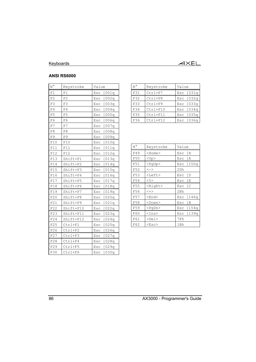# **ANSI RS6000**

| N°             | Keystroke   | Value                  |
|----------------|-------------|------------------------|
| F1             | F1          | Esc<br>[001q           |
| F2             | F2          | Esc<br>[002q]          |
| F3             | F3          | [003q]<br>Esc          |
| F4             | F4          | [004q]<br>Esc          |
| F <sub>5</sub> | F5          | [005q]<br>Esc          |
| F6             | F6          | $_{\rm Esc}$<br>[006q] |
| F7             | F7          | [007q<br>Esc           |
| F8             | F8          | [008q]<br>Esc          |
| F9             | F9          | [009q<br>Esc           |
| F10            | F10         | Esc<br>[010q           |
| F11            | F11         | [011q<br>Esc           |
| F12            | F12         | [012q<br>Esc           |
| F13            | Shift+F1    | [013q<br>Esc           |
| F14            | Shift+F2    | [014q<br>Esc           |
| F15            | Shift+F3    | [015q<br>Esc           |
| F16            | Shift+F4    | [016q<br>Esc           |
| F17            | Shift+F5    | [017q<br>Esc           |
| F18            | Shift+F6    | [018q<br>Esc           |
| F19            | Shift+F7    | [019q<br>Esc           |
| F20            | Shift+F8    | [020q]<br>Esc          |
| F21            | Shift+F9    | Esc<br>[021q           |
| F22            | Shift+F10   | Esc<br>[022q]          |
| F23            | Shift+F11   | [023q]<br>Esc          |
| F24            | Shift+F12   | Esc<br>[024q]          |
| F25            | $Ctrl + F1$ | [025q<br>Esc           |
| F26            | $Ctrl + F2$ | Esc<br>[026q]          |
| F27            | $Ctrl+F3$   | Esc<br>[027q           |
| F28            | $Ctrl + F4$ | [028q]<br>Esc          |
| F29            | $Ctrl+F5$   | [029q<br>$_{\rm Esc}$  |
| F30            | $Ctrl + F6$ | 1030q<br>Esc           |

| $\hbox{N}^{\,\hbox{o}}$ | Keystroke    | Value          |
|-------------------------|--------------|----------------|
| F31                     | $Ctrl + F7$  | Esc [031q      |
| F32                     | $Ctrl + F8$  | $Esc$ $[032q]$ |
| F33                     | $Ctrl+F9$    | $Esc$ $[033q]$ |
| F34                     | $Ctrl + F10$ | Esc [034q      |
| F35                     | $Ctrl + F11$ | $Esc$ $[035q]$ |
| F36                     | $Ctrl + F12$ | Esc [036q      |

 $\blacktriangleleft \times E$ L

| $N^{\circ}$ | Keystroke       | Value         |
|-------------|-----------------|---------------|
| F49         | <home></home>   | Esc [H        |
| F50         | $<$ Up $>$      | Esc [A        |
| F51         | <pqup></pqup>   | Esc [150q     |
| F52         | $\lt$ $\gt$     | 2Dh           |
| F53         | <left></left>   | Esc [D        |
| F54         | 5 >             | Esc [E        |
| F55         | <right></right> | Esc [C        |
| F56         | $<+>$           | 2Bh           |
| F57         | <end></end>     | [146q<br>Esc  |
| F58         | <down></down>   | ſВ<br>Esc     |
| F59         | $<$ PqDn $>$    | Esc [154q     |
| F60         | $<$ Ins $>$     | [139q]<br>Esc |
| F61         | <del></del>     | 7Fh           |
| F62         | $<$ Esc $>$     | 1Bh           |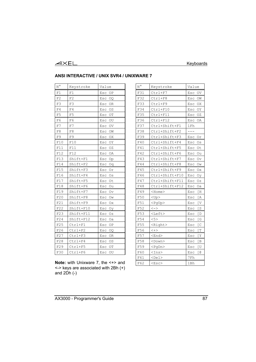| N°             | Keystroke      | Value     |
|----------------|----------------|-----------|
| F1             | F1             | Esc OP    |
| F2             | F2             | Esc OQ    |
| F3             | F3             | Esc OR    |
| F <sub>4</sub> | F4             | Esc OS    |
| F <sub>5</sub> | F <sub>5</sub> | Esc OT    |
| F6             | F6             | Esc OU    |
| F7             | F7             | Esc OV    |
| F8             | F8             | Esc OW    |
| F9             | F9             | Esc OX    |
| F10            | F10            | Esc OY    |
| F11            | F11            | Esc OZ    |
| F12            | F12            | Esc OA    |
| F13            | Shift+F1       | Esc Op    |
| F14            | Shift+F2       | Esc Oq    |
| F15            | Shift+F3       | Esc Or    |
| F16            | Shift+F4       | Esc Os    |
| F17            | Shift+F5       | Esc Ot    |
| F18            | Shift+F6       | Esc Ou    |
| F19            | Shift+F7       | Esc Ov    |
| F20            | Shift+F8       | Esc Ow    |
| F21            | Shift+F9       | Esc Ox    |
| F22            | Shift+F10      | Esc Oy    |
| F23            | Shift+F11      | Esc Oz    |
| F24            | Shift+F12      | Esc Oa    |
| F25            | $Ctrl + F1$    | Esc OP    |
| F26            | $Ctrl + F2$    | Esc OQ    |
| F27            | $Ctrl+F3$      | Esc OR    |
| F28            | $Ctrl + F4$    | Esc OS    |
| F29            | $Ctrl+F5$      | Esc OT    |
| F30            | $Ctrl + F6$    | Esc<br>OU |

### **ANSI INTERACTIVE / UNIX SVR4 / UNIXWARE 7**

| N°  | Keystroke       | Value              |
|-----|-----------------|--------------------|
| F31 | $Ctrl + F7$     | OV<br>Esc          |
| F32 | Ctrl+F8         | Esc<br>OW          |
| F33 | Ctrl+F9         | OX<br>Esc          |
| F34 | $Ctrl + F10$    | OY<br>Esc          |
| F35 | $Ctrl + F11$    | Esc<br>OZ          |
| F36 | $Ctrl + F12$    | Esc<br>OA          |
| F37 | Ctrl+Shift+F1   | 1Fh                |
| F38 | Ctrl+Shift+F2   | $---$              |
| F39 | Ctrl+Shift+F3   | Esc<br>Or          |
| F40 | Ctrl+Shift+F4   | Esc<br>Os          |
| F41 | Ctrl+Shift+F5   | $_{\rm Esc}$<br>Οt |
| F42 | Ctrl+Shift+F6   | Esc<br>Ou          |
| F43 | Ctrl+Shift+F7   | Esc<br>Ov          |
| F44 | Ctrl+Shift+F8   | Esc<br>Ow          |
| F45 | Ctrl+Shift+F9   | 0x<br>Esc          |
| F46 | Ctrl+Shift+F10  | Esc<br>Oy          |
| F47 | Ctrl+Shift+F11  | Esc<br>OZ          |
| F48 | Ctrl+Shift+F12  | Esc<br>Оa          |
| F49 | <home></home>   | Esc<br>[H          |
| F50 | $<$ Up $>$      | [A<br>Esc          |
| F51 | <pqup></pqup>   | [V<br>Esc          |
| F52 | $\lt$ ->        | [S<br>Esc          |
| F53 | $<$ Left>       | $[$ D<br>Esc       |
| F54 | 5>              | Esc<br>[G          |
| F55 | <right></right> | [C<br>Esc          |
| F56 | $<+>$           | [ T<br>Esc         |
| F57 | <end></end>     | [Y]<br>Esc         |
| F58 | <down></down>   | [B<br>Esc          |
| F59 | $<$ PqDn $>$    | [U<br>Esc          |
| F60 | $<\text{Ins}$   | Esc<br>[ @         |
| F61 | $<$ Del>        | 7Fh                |
| F62 | $<$ Esc>        | 1Bh                |

**Note:** with Unixware 7, the <+> and <-> keys are associated with 2Bh (+) and 2Dh (-)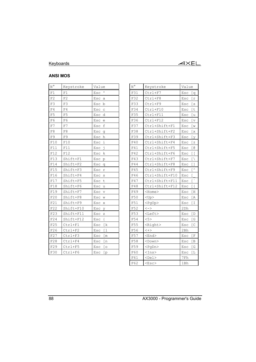# **ANSI MOS**

| N°  | Keystroke   | Value                 |
|-----|-------------|-----------------------|
| F1  | F1          | Esc                   |
| F2  | F2          | Esc<br>a              |
| F3  | F3          | b<br>Esc              |
| F4  | F4          | Esc<br>$\mathsf C$    |
| F5  | F5          | d<br>Esc              |
| F6  | F6          | Esc<br>e              |
| F7  | F7          | f<br>Esc              |
| F8  | F8          | Esc<br>g              |
| F9  | F9          | Esc<br>h              |
| F10 | F10         | i<br>Esc              |
| F11 | F11         | j<br>Esc              |
| F12 | F12         | Esc<br>k              |
| F13 | Shift+F1    | Esc<br>p              |
| F14 | Shift+F2    | Esc<br>q              |
| F15 | Shift+F3    | Esc<br>r              |
| F16 | Shift+F4    | Esc<br>S              |
| F17 | Shift+F5    | t<br>Esc              |
| F18 | Shift+F6    | Esc<br>u              |
| F19 | Shift+F7    | Esc<br>V              |
| F20 | Shift+F8    | Esc<br>W              |
| F21 | Shift+F9    | Esc<br>X              |
| F22 | Shift+F10   | Esc<br>У              |
| F23 | Shift+F11   | Esc<br>Ζ              |
| F24 | Shift+F12   | $\{$<br>Esc           |
| F25 | $Ctrl + F1$ | [k<br>Esc             |
| F26 | $Ctrl + F2$ | $\mathfrak{1}$<br>Esc |
| F27 | $Ctrl + F3$ | Esc<br>[m             |
| F28 | $Ctrl + F4$ | $_{\rm Esc}$<br>[n    |
| F29 | Ctrl+F5     | Esc<br>[ 0            |
| F30 | $Ctrl + F6$ | Esc<br>[p             |

| N°  | Keystroke                     | Value                             |
|-----|-------------------------------|-----------------------------------|
| F31 | $Ctrl + F7$                   | Esc<br>[ q]                       |
| F32 | $Ctrl + F8$                   | Esc<br>[r                         |
| F33 | Ctrl+F9                       | Esc<br>[s                         |
| F34 | $Ctrl + F10$                  | Esc<br>[t                         |
| F35 | $Ctrl + F11$                  | Esc<br>[u                         |
| F36 | $Ctrl + F12$                  | [v<br>Esc                         |
| F37 | Ctrl+Shift+F1                 | Esc<br>[ w                        |
| F38 | Ctrl+Shift+F2                 | Esc<br>[x                         |
| F39 | Ctrl+Shift+F3                 | Esc<br>[y                         |
| F40 | Ctrl+Shift+F4                 | [ z<br>Esc                        |
| F41 | Ctrl+Shift+F5                 | Esc<br>[ @                        |
| F42 | Ctrl+Shift+F6                 | Esc<br>E E                        |
| F43 | Ctrl+Shift+F7                 | $\sqrt{ }$<br>Esc                 |
| F44 | Ctrl+Shift+F8                 | Esc<br>E ]                        |
| F45 | Ctrl+Shift+F9                 | $\mathfrak{g} \wedge$<br>Esc      |
| F46 | Ctrl+Shift+F10                | ſ<br>Esc                          |
| F47 | Ctrl+Shift+F11                | $\mathbb{C}^{\frac{1}{2}}$<br>Esc |
| F48 | Ctrl+Shift+F12                | [ {<br>Esc                        |
| F49 | <home></home>                 | [ H<br>Esc                        |
| F50 | $<$ Up $>$                    | Esc<br>[A                         |
| F51 | <pgup></pgup>                 | Esc<br>[ I                        |
| F52 | $\left\langle -\right\rangle$ | 2Dh                               |
| F53 | <left></left>                 | $[$ D<br>Esc                      |
| F54 | 5 >                           | Esc<br>[G                         |
| F55 | <right></right>               | Esc<br>[C                         |
| F56 | $<+>$                         | 2Bh                               |
| F57 | <end></end>                   | [F<br>Esc                         |
| F58 | <down></down>                 | [B<br>Esc                         |
| F59 | $<$ PqDn $>$                  | Esc<br>[G                         |
| F60 | $<\ln s$                      | Esc<br>[L                         |
| F61 | $<$ Del>                      | 7Fh                               |
| F62 | <esc></esc>                   | 1Bh                               |

 $\angle XEL$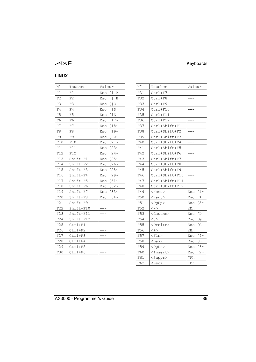# $\blacktriangle$ XEL

# **Keyboards**

# **LINUX**

| $\hbox{N}^{\,\hbox{o}}$ | Touches        | Valeur           |
|-------------------------|----------------|------------------|
| F1                      | F1             | Esc<br>[[ A      |
| F2                      | F2             | Esc<br>$[$ [ B   |
| F3                      | F3             | [ [C<br>Esc      |
| F4                      | F4             | [ [ D<br>Esc     |
| F <sub>5</sub>          | F <sub>5</sub> | [ [E<br>Esc      |
| F6                      | F6             | $[17-$<br>Esc    |
| F7                      | F7             | $18-$<br>Esc     |
| F8                      | F8             | $19-$<br>Esc     |
| F9                      | F9             | $120 -$<br>Esc   |
| F10                     | F10            | $[21-$<br>Esc    |
| F11                     | F11            | $[23\sim$<br>Esc |
| F12                     | F12            | $[24-$<br>Esc    |
| F13                     | Shift+F1       | $[25-$<br>Esc    |
| F14                     | Shift+F2       | $126-$<br>Esc    |
| F15                     | Shift+F3       | $[28-$<br>Esc    |
| F16                     | Shift+F4       | $[29-$<br>Esc    |
| F17                     | Shift+F5       | $[31-$<br>Esc    |
| F18                     | Shift+F6       | $[32-$<br>Esc    |
| F19                     | Shift+F7       | $[33\sim$<br>Esc |
| F20                     | Shift+F8       | $134-$<br>Esc    |
| F21                     | Shift+F9       | $- - -$          |
| F22                     | Shift+F10      |                  |
| F23                     | Shift+F11      |                  |
| F24                     | Shift+F12      |                  |
| F25                     | $Ctrl + F1$    |                  |
| F26                     | $Ctrl + F2$    |                  |
| $\mbox{F27}$            | $Ctrl+F3$      |                  |
| F28                     | $Ctrl + F4$    |                  |
| F29                     | $Ctrl+F5$      |                  |
| F30                     | $Ctrl + F6$    |                  |

| N°  | Touches                       | Valeur           |
|-----|-------------------------------|------------------|
| F31 | $Ctrl + F7$                   | $- - -$          |
| F32 | $Ctrl + F8$                   | $- - -$          |
| F33 | $Ctrl + F9$                   | $- - -$          |
| F34 | $Ctrl + F10$                  |                  |
| F35 | $Ctrl + F11$                  | $- -$            |
| F36 | $Ctrl + F12$                  | $ -$             |
| F37 | Ctrl+Shift+F1                 | $- - -$          |
| F38 | Ctrl+Shift+F2                 | ---              |
| F39 | Ctrl+Shift+F3                 |                  |
| F40 | Ctrl+Shift+F4                 | $- - -$          |
| F41 | Ctrl+Shift+F5                 |                  |
| F42 | Ctrl+Shift+F6                 | $- - -$          |
| F43 | Ctrl+Shift+F7                 |                  |
| F44 | Ctrl+Shift+F8                 | $- - -$          |
| F45 | Ctrl+Shift+F9                 | $- - -$          |
| F46 | Ctrl+Shift+F10                | $- - -$          |
| F47 | Ctrl+Shift+F11                | $---$            |
| F48 | Ctrl+Shift+F12                | $- - -$          |
| F49 | <home></home>                 | [ $1~$<br>Esc    |
| F50 | <haut></haut>                 | [ A<br>Esc       |
| F51 | <pgup></pgup>                 | [5~]<br>Esc      |
| F52 | $\left\langle -\right\rangle$ | 2Dh              |
| F53 | <gauche></gauche>             | Esc              |
| F54 | 5 >                           | [G<br>Esc        |
| F55 | <droite></droite>             | $[$ C<br>Esc     |
| F56 | $<+>$                         | 2Bh              |
| F57 | $<$ Fin $>$                   | Esc<br>[4 $\sim$ |
| F58 | $<$ Bas>                      | [B<br>Esc        |
| F59 | $<$ PgDn $>$                  | [6~]<br>Esc      |
| F60 | <insert></insert>             | $[2 \sim$<br>Esc |
| F61 | <suppr></suppr>               | 7Fh              |
| F62 | <esc></esc>                   | 1Bh              |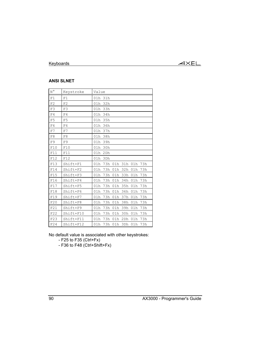### **ANSI SLNET**

| $\hbox{N}^{\,\hbox{o}}$ | Keystroke      | Value                                  |
|-------------------------|----------------|----------------------------------------|
| F1                      | F1             | 01h 31h                                |
| F2                      | F2             | 01h<br>32h                             |
| F3                      | F3             | 01h 33h                                |
| F4                      | F4             | 01h<br>34h                             |
| F <sub>5</sub>          | F <sub>5</sub> | 01h<br>35h                             |
| F6                      | F6             | 36h<br>01h                             |
| F7                      | F7             | 01h<br>37h                             |
| F8                      | F8             | 38h<br>01h                             |
| F9                      | F9             | 01h<br>- 39h                           |
| F10                     | F10            | 30h<br>01h                             |
| F11                     | F11            | 01h 2Dh                                |
| F12                     | F12            | 01h<br>3Dh                             |
| F13                     | Shift+F1       | 73h 01h 31h<br>01h<br>01h<br>73h       |
| F14                     | Shift+F2       | 73h 01h<br>32h<br>01h<br>01h<br>73h    |
| $\mbox{F15}$            | Shift+F3       | 01h<br>73h 01h<br>33h 01h<br>73h       |
| F16                     | Shift+F4       | 01h<br>73h<br>34h<br>01h<br>73h<br>01h |
| F17                     | Shift+F5       | 73h 01h 35h<br>01h<br>73h<br>01h       |
| F18                     | Shift+F6       | 01h<br>73h<br>01h<br>36h<br>01h<br>73h |
| F19                     | Shift+F7       | 01h<br>73h<br>37h<br>01h<br>01h<br>73h |
| F20                     | Shift+F8       | 73h<br>01h<br>01h<br>38h<br>01h<br>73h |
| F21                     | Shift+F9       | 01h 39h<br>01h<br>01h<br>73h<br>73h    |
| F22                     | Shift+F10      | 01h<br>73h<br>01h 30h<br>01h<br>73h    |
| F23                     | Shift+F11      | 01h<br>73h<br>01h<br>2Dh<br>01h<br>73h |
| F24                     | Shift+F12      | 01h<br>73h 01h 3Dh<br>01h<br>73h       |

No default value is associated with other keystrokes:

- F25 to F35 (Ctrl+Fx)

- F36 to F48 (Ctrl+Shift+Fx)

 $\angle XEL$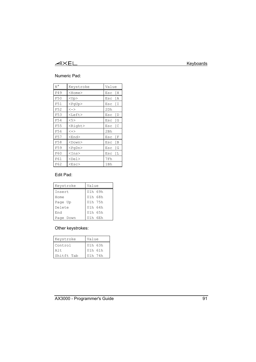# AXEL Keyboards

# Numeric Pad:

| $\text{N}^{\,\text{o}}$ | Keystroke     | Value      |
|-------------------------|---------------|------------|
| F49                     | <home></home> | ſН<br>Esc  |
| F50                     | <up></up>     | ſА<br>Esc  |
| F51                     | <pgup></pgup> | ſΙ<br>Esc  |
| F52                     | <->           | 2Dh        |
| F53                     | $<$ Left>     | [ D<br>Esc |
| F54                     | 5>            | ſG<br>Esc  |
| F55                     | $<$ Right>    | ſС<br>Esc  |
| F56                     | $<+>$         | 2Bh        |
| F57                     | <end></end>   | ſF<br>Esc  |
| F58                     | <down></down> | Esc<br>ſВ  |
| F59                     | <pqdn></pqdn> | ſG<br>Esc  |
| F60                     | <ins></ins>   | Esc<br>[L  |
| F61                     | <del></del>   | 7Fh        |
| F62                     | $<$ Esc $>$   | 1Bh        |

# Edit Pad:

| Keystroke | Value   |  |
|-----------|---------|--|
| Insert    | 01h 69h |  |
| Home      | 01h 68h |  |
| Page Up   | 01h 75h |  |
| Delete    | 01h 64h |  |
| End       | 01h 65h |  |
| Page Down | 01h 6Eh |  |

# Other keystrokes:

| Keystroke  | Value   |  |
|------------|---------|--|
| Control    | 01h 63h |  |
| A1t        | 01h 61h |  |
| Shitft Tab | 01h 74h |  |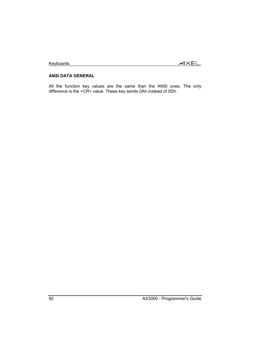### **ANSI DATA GENERAL**

All the function key values are the same than the ANSI ones. The only difference is the <CR> value. These key sends 0Ah instead of 0Dh.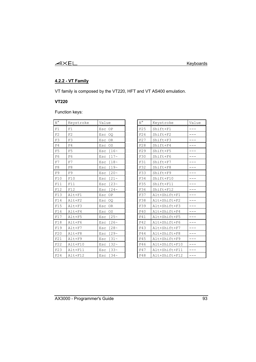# $\blacktriangle$  $\times$ E $\blacktriangleright$

# **4.2.2 - VT Family**

VT family is composed by the VT220, HFT and VT AS400 emulation.

<u> 1995 - Johann Barbara, martin a</u>

# **VT220**

Function keys:

| $\hbox{N}^{\,\hbox{o}}$ | Keystroke       | Value        |
|-------------------------|-----------------|--------------|
| F1                      | F1              | Esc OP       |
| F2                      | F2              | Esc OQ       |
| F3                      | F3              | Esc OR       |
| F4                      | F4              | Esc OS       |
| F <sub>5</sub>          | F5              | Esc $[16-$   |
| F6                      | F6              | Esc [17~     |
| F7                      | F7              | Esc $[18~]$  |
| $\mathrm{F\,8}$         | $\mathrm{F\,8}$ | Esc [19~     |
| F9                      | F9              | Esc $[20~$   |
| F10                     | F10             | Esc [21~     |
| F11                     | F11             | Esc [23~     |
| F12                     | F12             | Esc $[24]$   |
| F13                     | Alt+F1          | Esc OP       |
| F14                     | Alt+F2          | Esc OQ       |
| F15                     | Alt+F3          | Esc OR       |
| F16                     | Alt+F4          | Esc OS       |
| F17                     | Alt+F5          | Esc [25~     |
| F18                     | Alt+F6          | Esc [26~     |
| F19                     | Alt+F7          | Esc [28~     |
| F20                     | Alt+F8          | Esc [29~     |
| F21                     | Alt+F9          | Esc $[31]$ ~ |
| F22                     | Alt+F10         | Esc [32~     |
| F23                     | Alt+F11         | Esc [33~     |
| F24                     | Alt+F12         | Esc $134~$   |

| $N^{\circ}$ | Keystroke     | Value |
|-------------|---------------|-------|
| F25         | Shift+F1      |       |
| F26         | Shift+F2      |       |
| F27         | Shift+F3      |       |
| F28         | Shift+F4      |       |
| F29         | Shift+F5      |       |
| F30         | Shift+F6      |       |
| F31         | Shift+F7      |       |
| F32         | Shift+F8      |       |
| F33         | Shift+F9      |       |
| F34         | Shift+F10     |       |
| F35         | Shift+F11     |       |
| F36         | Shift+F12     |       |
| F37         | Alt+Shift+F1  |       |
| F38         | Alt+Shift+F2  |       |
| F39         | Alt+Shift+F3  |       |
| F40         | Alt+Shift+F4  |       |
| F41         | Alt+Shift+F5  |       |
| F42         | Alt+Shift+F6  |       |
| F43         | Alt+Shift+F7  |       |
| F44         | Alt+Shift+F8  |       |
| F45         | Alt+Shift+F9  |       |
| F46         | Alt+Shift+F10 |       |
| F47         | Alt+Shift+F11 |       |
| F48         | Alt+Shift+F12 |       |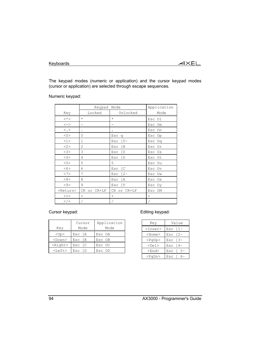### $\blacktriangle$ XEL

The keypad modes (numeric or application) and the cursor keypad modes (cursor or application) are selected through escape sequences.

Numeric keypad:

|                               | Keypad Mode |                  | Application |
|-------------------------------|-------------|------------------|-------------|
| Key                           | Locked      | Unlocked         | Mode        |
| $\lt$ *>                      | $\star$     | $\star$          | Esc Ol      |
| $\left\langle -\right\rangle$ | -           |                  | Esc Om      |
| $\langle . \rangle$           | ٠           |                  | Esc On      |
| <0>                           | 0           | Esc q            | Esc Op      |
| <1>                           | 1           | Esc $[5~]$       | Esc Oq      |
| <2>                           | 2           | [ B<br>Esc       | Esc Or      |
| <3>                           | 3           | Esc<br>[ U       | Esc Os      |
| <4>                           | 4           | Esc<br>$\Box$    | Esc Ot      |
| <5>                           | 5           | 5                | Esc Ou      |
| <6>                           | 6           | Esc [C           | Esc Ov      |
| <7>                           | 7           | Esc $[2^{\sim}]$ | Esc Ow      |
| <8>                           | 8           | Esc<br>[ A       | Esc Ox      |
| < 9>                          | 9           | Esc [V           | Esc Oy      |
| <return></return>             | CR or CR+LF | CR or CR+LF      | Esc OM      |
| $<+>$                         | $^{+}$      | $^{+}$           | $^{+}$      |
| $\langle$ />                  | Τ           |                  |             |

# Cursor keypad:

|                  | Cursor | Application |  |
|------------------|--------|-------------|--|
| Mode<br>Key      |        | Mode        |  |
| $<$ Up $>$       | Esc [A | Esc OA      |  |
| <down></down>    | Esc [B | Esc OB      |  |
| $\langle$ Right> | Esc [C | Esc OC      |  |
| $<$ Left>        | Esc ID | Esc OD      |  |

# Editing keypad:

| Key             | Value             |  |
|-----------------|-------------------|--|
| <inser></inser> | Esc [1~           |  |
| <home></home>   | Esc [2~           |  |
| <pqup></pqup>   | Esc [3~           |  |
| $<$ Del>        | Esc $[4~]$        |  |
| $<$ End $>$     | $5^{\sim}$<br>Esc |  |
| <pqdn></pqdn>   | Esc               |  |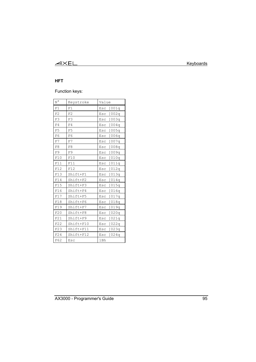# **AXEL** Keyboards

# **HFT**

Function keys:

| N°           | Keystroke      | Value          |
|--------------|----------------|----------------|
| F1           | F1             | [001q]<br>Esc  |
| F2           | F2             | Esc<br>[002q]  |
| F3           | F3             | Esc<br>[003q]  |
| F4           | F4             | Esc<br>[004q]  |
| F5           | F <sub>5</sub> | [005q]<br>Esc  |
| F6           | F6             | [006q<br>Esc   |
| F7           | F7             | Esc<br>[007q   |
| F8           | F8             | Esc<br>[008q]  |
| F9           | F9             | Esc [009q      |
| F10          | F10            | [010q]<br>Esc  |
| F11          | F11            | Esc<br>[011q]  |
| F12          | F12            | Esc [012q      |
| F13          | Shift+F1       | $Esc$ $[013q]$ |
| F14          | Shift+F2       | $Esc$ $[014q]$ |
| $\mbox{F15}$ | Shift+F3       | [015q]<br>Esc  |
| F16          | Shift+F4       | Esc [016q      |
| F17          | Shift+F5       | [017q<br>Esc   |
| F18          | Shift+F6       | Esc<br>[018q   |
| F19          | Shift+F7       | Esc<br>[019q   |
| F20          | Shift+F8       | [020q]<br>Esc  |
| F21          | Shift+F9       | [021q]<br>Esc  |
| F22          | Shift+F10      | Esc<br>[022q   |
| F23          | Shift+F11      | $Esc$ $[023q]$ |
| F24          | Shift+F12      | Esc<br>[024q]  |
| F62          | Esc            | 1Bh            |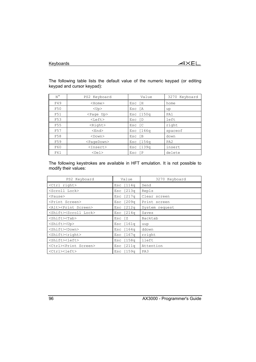$\angle XEL$ 

| $N^{\circ}$ | PS2 Keyboard          | Value     | 3270 Keyboard |
|-------------|-----------------------|-----------|---------------|
| F49         | $<$ Home $>$          | Esc [H    | home          |
| F50         | $<$ Up $>$            | Esc [A    | up            |
| F51         | <page up=""></page>   | Esc [150q | PA1           |
| F53         | $<$ Left>             | Esc [D    | left          |
| F55         | $\langle$ Right>      | Esc [C    | right         |
| F57         | $<$ End $>$           | Esc [146q | spaceof       |
| F58         | $<$ Down $>$          | Esc [B    | down          |
| F59         | <pagedown></pagedown> | Esc [154q | PA2           |
| F60         | $<$ Insert $>$        | Esc [139q | insert        |
| F61         | $<$ Del $>$           | Esc [P    | delete        |

The following table lists the default value of the numeric keypad (or editing keypad and cursor keypad):

The following keystrokes are available in HFT emulation. It is not possible to modify their values:

| PS2 Keyboard                             | Value          | 3270 Keyboard  |
|------------------------------------------|----------------|----------------|
| <ctrl right=""></ctrl>                   | $Esc$ $[114q]$ | Send           |
| <scroll lock=""></scroll>                | $Esc$ $[213q]$ | Repls          |
| $<$ Pause $>$                            | Esc [217q      | Clear screen   |
| <print screen=""></print>                | Esc [209q      | Print screen   |
| <alt><print screen=""></print></alt>     | $Esc$ $[212q]$ | System request |
| <shift><scroll lock=""></scroll></shift> | $Esc$ $[214q]$ | Saves          |
| <shift><tab></tab></shift>               | Esc [Z         | Backtab        |
| <shift><up></up></shift>                 | Esc [161q      | uup            |
| <shift><down></down></shift>             | Esc [164q      | ddown          |
| <shift><right></right></shift>           | Esc [167q      | rright         |
| <shift><left></left></shift>             | Esc [158q      | lleft          |
| <ctrl><print screen=""></print></ctrl>   | $Esc$ $[211q]$ | Attention      |
| <ctrl><left></left></ctrl>               | Esc [159q      | PA3            |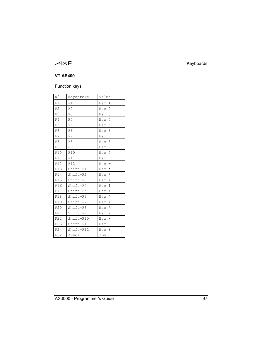# $\angle XEL$

# **Keyboards**

# **VT AS400**

Function keys:

| N°             | Keystroke | Value                           |
|----------------|-----------|---------------------------------|
| F1             | F1        | Esc 1                           |
| F2             | F2        | 2<br>Esc                        |
| F3             | F3        | 3<br>Esc                        |
| F4             | F4        | 4<br>Esc                        |
| F <sub>5</sub> | F5        | 5<br>Esc                        |
| F6             | F6        | Esc 6                           |
| F7             | F7        | 7<br>Esc                        |
| F8             | F8        | Esc 8                           |
| F9             | F9        | $\mathcal{G}$<br>Esc            |
| F10            | F10       | 0<br>Esc                        |
| F11            | F11       | Esc<br>$\overline{\phantom{0}}$ |
| F12            | F12       | Esc<br>$=$                      |
| F13            | Shift+F1  | Esc !                           |
| F14            | Shift+F2  | G<br>Esc                        |
| F15            | Shift+F3  | #<br>Esc                        |
| F16            | Shift+F4  | \$<br>Esc                       |
| F17            | Shift+F5  | g<br>6<br>Esc                   |
| F18            | Shift+F6  | $\widehat{\phantom{1}}$<br>Esc  |
| F19            | Shift+F7  | δ.<br>Esc                       |
| F20            | Shift+F8  | $\star$<br>Esc                  |
| F21            | Shift+F9  | Esc<br>$\overline{\phantom{a}}$ |
| F22            | Shift+F10 | Esc<br>)                        |
| F23            | Shift+F11 | Esc                             |
| F24            | Shift+F12 | Esc<br>$^{+}$                   |
| F62            | $<$ Esc>  | 1Bh                             |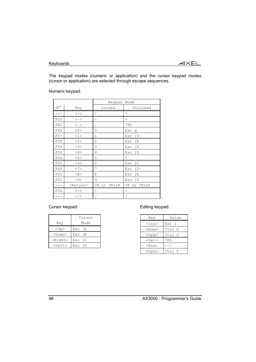

The keypad modes (numeric or application) and the cursor keypad modes (cursor or application) are selected through escape sequences.

### Numeric keypad:

|                         |                               | Keypad Mode  |                          |
|-------------------------|-------------------------------|--------------|--------------------------|
| $\hbox{N}^{\,\hbox{o}}$ | Key                           | Locked       | Unlocked                 |
|                         | $\lt$ *>                      | $\star$      | $\star$                  |
| F52                     | $\left\langle -\right\rangle$ |              |                          |
| F61                     | $\langle . \rangle$           |              | 7Fh                      |
| F60                     | <0>                           | 0            | Esc q                    |
| F57                     | <1>                           | $\mathbf{1}$ | [5~]<br>Esc              |
| F58                     | <2>                           | 2            | [B<br>Esc                |
| F59                     | <3>                           | 3            | [U<br>Esc                |
| F53                     | <4>                           | 4            | [D]<br>Esc               |
| F54                     | <5>                           | 5            | 5                        |
| F55                     | <6>                           | 6            | $\lceil C \rceil$<br>Esc |
| F49                     | <7>                           | 7            | $[2\sim$<br>Esc          |
| F50                     | <8>                           | 8            | Esc<br>ſА                |
| F51                     | <9>                           | 9            | Esc<br>[V                |
|                         | <return></return>             | CR or CR+LF  | CR or CR+LF              |
| F56                     | $<+>$                         | $^{+}$       | $^{+}$                   |
|                         | $\langle$ />                  |              |                          |

# Cursor keypad:

|                 | Cursor |  |
|-----------------|--------|--|
| Key             | Mode   |  |
| $<$ Up $>$      | Esc [A |  |
| <down></down>   | Esc [B |  |
| <right></right> | Esc [C |  |
| <left></left>   | Esc [D |  |

# Editing keypad:

| Key           | Value  |
|---------------|--------|
| $<$ Ins $>$   | Esc I  |
| <home></home> | Ctrl O |
| <pqup></pqup> | Ctrl U |
| <del></del>   | 7 Fh   |
| <end></end>   |        |
| <pqdn></pqdn> | Ctrl F |
|               |        |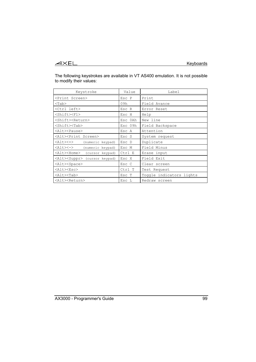$\angle XEL$ 

**Keyboards Keyboards** 

| The following keystrokes are available in VT AS400 emulation. It is not possible |  |  |
|----------------------------------------------------------------------------------|--|--|
| to modify their values:                                                          |  |  |

| Keystroke                                    | Value   | Label                    |
|----------------------------------------------|---------|--------------------------|
| <print screen=""></print>                    | Esc P   | Print                    |
| $<$ Tab $>$                                  | 09h     | Field Avance             |
| <ctrl left=""></ctrl>                        | Esc R   | Error Reset              |
| <shift><f1></f1></shift>                     | Esc H   | Help                     |
| <shift><return></return></shift>             | Esc 0Ah | New line                 |
| <shift><tab></tab></shift>                   | Esc 09h | Field Backspace          |
| <alt><pause></pause></alt>                   | Esc A   | Attention                |
| <alt><print screen=""></print></alt>         | Esc S   | System request           |
| <alt>&lt;+&gt;<br/>(numeric keypad)</alt>    | Esc D   | Duplicate                |
| <alt>&lt;-&gt;<br/>(numeric keypad)</alt>    | Esc M   | Field Minus              |
| <alt><home><br/>(cursor keypad)</home></alt> | Ctrl E  | Erase input              |
| <alt><suppr> (cursor keypad)</suppr></alt>   | Esc X   | Field Exit               |
| <alt><space></space></alt>                   | Esc C   | Clear screen             |
| <alt><esc></esc></alt>                       | Ctrl T  | Test Request             |
| <alt><tab></tab></alt>                       | Esc T   | Toggle indicators lights |
| <alt><return></return></alt>                 | Esc L   | Redraw screen            |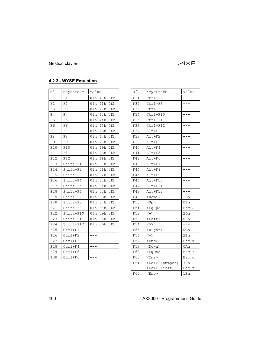# $\blacktriangleleft \times E$ L

# **4.2.3 - WYSE Emulation**

| $\hbox{N}^{\,\hbox{o}}$ | Keystroke      | Value                           |
|-------------------------|----------------|---------------------------------|
| F1                      | F1             | 01h<br>40h<br>0Dh               |
| F2                      | F2             | 01h<br>41h<br>0Dh               |
| F3                      | F3             | 01h<br>42h<br>0Dh               |
| F4                      | F4             | 01h<br>43h<br>0 <sub>Dh</sub>   |
| F <sub>5</sub>          | F <sub>5</sub> | 01h<br>44h<br>0 <sub>Dh</sub>   |
| F6                      | F6             | 01h<br>45h<br>0Dh               |
| F7                      | F7             | 01h<br>46h<br>0Dh               |
| F8                      | F8             | 01h<br>47h<br>0Dh               |
| F9                      | F9             | 01h<br>48h<br>0Dh               |
| F10                     | F10            | 01h<br>49h<br>0Dh               |
| F11                     | F11            | 01h<br>4 A h<br>0 <sub>Dh</sub> |
| F12                     | F12            | 01h<br>4Bh<br>0 <sub>Dh</sub>   |
| F13                     | Shift+F1       | 01h<br>60h<br>0Dh               |
| F14                     | Shift+F2       | 01h<br>61h<br>0 <sub>Dh</sub>   |
| F15                     | Shift+F3       | 62h<br>01h<br>0Dh               |
| F16                     | Shift+F4       | 01h<br>63h<br>0 <sub>Dh</sub>   |
| F17                     | Shift+F5       | 01h<br>64h<br>0Dh               |
| F18                     | Shift+F6       | 65h<br>01h<br>0 <sub>Dh</sub>   |
| F19                     | Shift+F7       | 01h<br>66h<br>0Dh               |
| F20                     | Shift+F8       | 01h<br>67h<br>0Dh               |
| F21                     | Shift+F9       | 01h<br>68h<br>0 <sub>Dh</sub>   |
| F22                     | Shift+F10      | 01h<br>69h<br>0Dh               |
| F23                     | Shift+F11      | 01h<br>6Ah<br>0Dh               |
| F24                     | Shift+F12      | 01h<br>6Bh<br>0Dh               |
| F25                     | $Ctrl + F1$    |                                 |
| F26                     | $Ctrl + F2$    |                                 |
| F27                     | $Ctrl + F3$    |                                 |
| F28                     | $Ctrl+F4$      |                                 |
| F29                     | $Ctrl+F5$      |                                 |
| F30                     | Ctrl+F6        |                                 |

| N°  | Keystroke                     | Value    |
|-----|-------------------------------|----------|
| F31 | $Ctrl + F7$                   | $  -$    |
| F32 | Ctrl+F8                       |          |
| F33 | $Ctrl + F9$                   | $- - -$  |
| F34 | $Ctrl + F10$                  | $---$    |
| F35 | $Ctrl + F11$                  | $-$      |
| F36 | $Ctrl + F12$                  | $---$    |
| F37 | Alt+F1                        | ---      |
| F38 | Alt+F2                        | $- - -$  |
| F39 | Alt+F3                        | $- - -$  |
| F40 | Alt+F4                        | $- - -$  |
| F41 | Alt+F5                        | $- - -$  |
| F42 | Alt+F6                        | ---      |
| F43 | Alt+F7                        |          |
| F44 | Alt+F8                        | $- - -$  |
| F45 | Alt+F9                        | $-$ -    |
| F46 | Alt+F10                       |          |
| F47 | Alt+F11                       |          |
| F48 | Alt+F12                       | $- - -$  |
| F49 | <home></home>                 | 1Eh      |
| F50 | $<$ Up $>$                    | 0Bh      |
| F51 | <pqup></pqup>                 | Esc<br>J |
| F52 | $\left\langle -\right\rangle$ | 2Dh      |
| F53 | $<$ Left>                     | 08h      |
| F54 | 5 >                           |          |
| F55 | <right></right>               | 0Ch      |
| F56 | $<+>$                         | 2Bh      |
| F57 | <end></end>                   | Esc<br>Т |
| F58 | <down></down>                 | 0Ah      |
| F59 | $<$ PqDn $>$                  | Esc<br>Κ |
| F60 | $<$ Ins $>$                   | Esc<br>q |
| F61 | <del> (numpad)</del>          | 7Fh      |
|     | $<$ Del><br>(edit)            | Esc<br>W |
| F62 | $<$ Esc>                      | 1Bh      |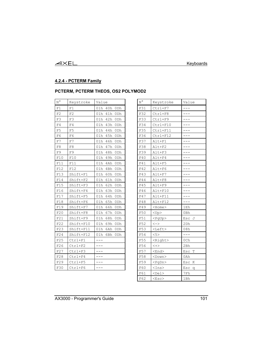# **AXEL** Keyboards

# **4.2.4 - PCTERM Family**

# **PCTERM, PCTERM THEOS, OS2 POLYMOD2**

| $\hbox{N}^{\,\hbox{o}}$ | Keystroke      | Value                         |
|-------------------------|----------------|-------------------------------|
| F1                      | F1             | 01h<br>40h<br>0Dh             |
| F2                      | F2             | 01h<br>41h<br>0Dh             |
| F3                      | F3             | 01h<br>42h<br>0Dh             |
| F4                      | F4             | 01h<br>43h<br>0Dh             |
| F5                      | F <sub>5</sub> | 01h<br>44h<br>0 <sub>Dh</sub> |
| F6                      | F6             | 01h<br>45h<br>0Dh             |
| ${\rm F7}$              | F7             | 01h<br>46h<br>0Dh             |
| F8                      | F8             | 01h<br>47h<br>0Dh             |
| F9                      | F9             | 01h<br>48h<br>0Dh             |
| F10                     | F10            | 01h<br>49h<br>0 <sub>Dh</sub> |
| F11                     | F11            | 01h<br>4 A h<br>0Dh           |
| F12                     | F12            | 01h<br>4Bh<br>0 <sub>Dh</sub> |
| F13                     | Shift+F1       | 01h<br>60h<br>0 <sub>Dh</sub> |
| F14                     | Shift+F2       | 01h<br>61h<br>0Dh             |
| F15                     | Shift+F3       | 01h<br>62h<br>0 <sub>Dh</sub> |
| F16                     | Shift+F4       | 01h<br>63h<br>0 <sub>Dh</sub> |
| F17                     | Shift+F5       | 01h<br>64h<br>0Dh             |
| F18                     | Shift+F6       | 01h<br>65h<br>0 <sub>Dh</sub> |
| F19                     | Shift+F7       | 01h<br>66h<br>0 <sub>Dh</sub> |
| F20                     | Shift+F8       | 01h<br>67h<br>0 <sub>Dh</sub> |
| F21                     | Shift+F9       | 01h<br>68h<br>0 <sub>Dh</sub> |
| F22                     | Shift+F10      | 01h<br>69h<br>0 <sub>Dh</sub> |
| F23                     | Shift+F11      | 01h<br>6Ah<br>0Dh             |
| F24                     | Shift+F12      | 01h<br>0 <sub>Dh</sub><br>6Bh |
| F25                     | $Ctrl + F1$    |                               |
| F26                     | $Ctrl + F2$    |                               |
| F27                     | $Ctrl + F3$    |                               |
| F28                     | $Ctrl + F4$    |                               |
| F29                     | $Ctrl+F5$      |                               |
| F30                     | Ctrl+F6        |                               |

| $N^{\circ}$ |                               |                 |
|-------------|-------------------------------|-----------------|
|             | Keystroke                     | Value           |
| F31         | $Ctrl + F7$                   | $- - -$         |
| F32         | $Ctrl + F8$                   | $ -$            |
| F33         | $Ctrl+F9$                     | $  -$           |
| F34         | $Ctrl + F10$                  |                 |
| F35         | $Ctrl + F11$                  | $---$           |
| F36         | $Ctrl + F12$                  |                 |
| F37         | Alt+F1                        | $- - -$         |
| F38         | Alt+F2                        |                 |
| F39         | Alt+F3                        | $- - -$         |
| F40         | Alt+F4                        | $-1$            |
| F41         | Alt+F5                        |                 |
| F42         | Alt+F6                        | $ -$            |
| F43         | Alt+F7                        |                 |
| F44         | Alt+F8                        | $-- -$          |
| F45         | Alt+F9                        | $- - -$         |
| F46         | Alt+F10                       | $- - -$         |
| F47         | Alt+F11                       | $---$           |
| F48         | Alt+F12                       | $- - -$         |
| F49         | <home></home>                 | 1Eh             |
| F50         | $<$ Up>                       | 0 <sub>Bh</sub> |
| F51         | <pgup></pgup>                 | Esc<br>J        |
| F52         | $\left\langle -\right\rangle$ | 2Dh             |
| F53         | $<$ Left>                     | 08h             |
| F54         | 5 >                           | $---$           |
| F55         | <right></right>               | 0 <sub>ch</sub> |
| F56         | $<+>$                         | 2Bh             |
| F57         | <end></end>                   | Esc<br>Т        |
| F58         | <down></down>                 | 0Ah             |
| F59         | <pgdn></pgdn>                 | Esc<br>Κ        |
| F60         | $<$ Ins $>$                   | Esc<br>q        |
| F61         | $<$ Del>                      | 7Fh             |
| F62         | $<$ Esc>                      | 1Bh             |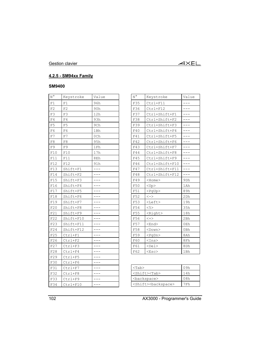# **4.2.5 - SM94xx Family**

# **SM9400**

| $N^{\circ}$    | Keystroke    | Value          |
|----------------|--------------|----------------|
| F1             | F1           | 96h            |
| F2             | F2           | 90h            |
| F3             | FЗ           | 12h            |
| F4             | F4           | 93h            |
| F <sub>5</sub> | F5           | 9Ch            |
| F6             | F6           | 1Bh            |
| F7             | F7           | 0Ch            |
| F8             | F8           | 95h            |
| F9             | F9           | 1Fh            |
| F10            | F10          | 17h            |
| F11            | F11          | 8Eh            |
| F12            | F12          | 91 h           |
| F13            | Shift+F1     | $\overline{a}$ |
| F14            | Shift+F2     |                |
| F15            | Shift+F3     | ---            |
| F16            | Shift+F4     |                |
| F17            | Shift+F5     | Ξ.             |
| F18            | Shift+F6     | Ξ,             |
| F19            | Shift+F7     |                |
| F20            | Shift+F8     |                |
| F21            | Shift+F9     |                |
| F22            | Shift+F10    |                |
| F23            | Shift+F11    |                |
| F24            | Shift+F12    |                |
| F25            | $Ctrl + F1$  |                |
| F26            | $Ctrl + F2$  |                |
| F27            | $Ctrl + F3$  |                |
| F28            | Ctrl+F4      |                |
| F29            | $Ctrl+F5$    |                |
| F30            | $Ctrl + F6$  |                |
| F31            | $Ctrl + F7$  |                |
| F32            | Ctrl+F8      | .,             |
| F33            | $Ctrl+F9$    |                |
| F34            | $Ctrl + F10$ |                |

| $N^{\circ}$ | Keystroke                                      | Value           |
|-------------|------------------------------------------------|-----------------|
| F35         | $Ctrl + F11$                                   |                 |
| F36         | $Ctrl + F12$                                   |                 |
| F37         | Ctrl+Shift+F1                                  |                 |
| F38         | Ctrl+Shift+F2                                  |                 |
| F39         | Ctrl+Shift+F3                                  |                 |
| F40         | Ctrl+Shift+F4                                  |                 |
| F41         | Ctrl+Shift+F5                                  |                 |
| F42         | Ctrl+Shift+F6                                  |                 |
| F43         | Ctrl+Shift+F7                                  |                 |
| F44         | Ctrl+Shift+F8                                  |                 |
| F45         | Ctrl+Shift+F9                                  |                 |
| F46         | Ctrl+Shift+F10                                 |                 |
| F47         | Ctrl+Shift+F11                                 |                 |
| F48         | Ctrl+Shift+F12                                 | $- - -$         |
| F49         | <home></home>                                  | 9 <sub>Dh</sub> |
| F50         | $<$ Up $>$                                     | 1Ah             |
| F51         | <pgup></pgup>                                  | 89h             |
| F52         | $\ensuremath{<}\xspace -\ensuremath{>}\xspace$ | 2Dh             |
| F53         | <left></left>                                  | 19h             |
| F54         | $<$ 5 $>$                                      | 35h             |
| F55         | <right></right>                                | 18h             |
| F56         | $<+>$                                          | 2Bh             |
| F57         | $<$ End>                                       | 0Eh             |
| F58         | <down></down>                                  | 0 <sub>Bh</sub> |
| F59         | $<$ PqDn $>$                                   | 8Ah             |
| F60         | $<$ Ins $>$                                    | 8Fh             |
| F61         | $<$ Del>                                       | 8 <sub>Dh</sub> |
| F62         | $<$ Esc>                                       | 1Bh             |

 $\blacktriangleleft \times E$ L

| $<$ Tab $>$                            | 09h  |
|----------------------------------------|------|
| <shift><tab></tab></shift>             | 14h  |
| <backspace></backspace>                | 08h  |
| <shift><backspace></backspace></shift> | 7 Fh |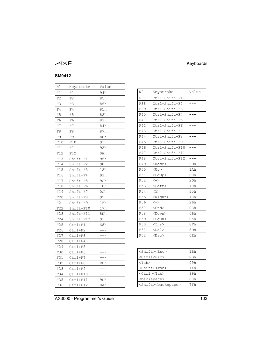# AXEL Keyboards

# **SM9412**

| N°             | Keystroke      | Value        |
|----------------|----------------|--------------|
| F1             | F1             | 94h          |
| F2             | F2             | 85h          |
| F3             | F3             | 86h          |
| F4             | F4             | 81h          |
| F <sub>5</sub> | F <sub>5</sub> | 82h          |
| F6             | F6             | 83h          |
| F7             | F7             | 84h          |
| F8             | F8             | 87h          |
| F9             | F9             | 8Eh          |
| F10            | F10            | 91h          |
| F11            | F11            | 92h          |
| F12            | F12            | 0Ah          |
| F13            | Shift+F1       | 96h          |
| F14            | Shift+F2       | 90h          |
| F15            | Shift+F3       | 12h          |
| F16            | Shift+F4       | 93h          |
| F17            | Shift+F5       | 9Ch          |
| F18            | Shift+F6       | 1Bh          |
| F19            | Shift+F7       | 0Ch          |
| F20            | Shift+F8       | 95h          |
| F21            | Shift+F9       | 1Fh          |
| F22            | Shift+F10      | 17h          |
| F23            | Shift+F11      | 8Eh          |
| F24            | Shift+F12      | 91h          |
| F25            | $Ctrl + F1$    | E8h          |
| F26            | $Ctrl + F2$    |              |
| F27            | $Ctrl+F3$      |              |
| F28            | $Ctrl+F4$      | .,           |
| F29            | $Ctrl+F5$      | .,           |
| F30            | $Ctrl + F6$    | .,           |
| F31            | $Ctrl + F7$    | $\cdot$ $ -$ |
| F32            | Ctrl+F8        | EDh          |
| F33            | Ctrl+F9        | ---          |
| F34            | $Ctrl+FI0$     | $-- -$       |
| F35            | Ctrl+F11       | 9Dh          |
| F36            | $Ctrl + F12$   | 0Ah          |

| N°  | Keystroke       | Value           |
|-----|-----------------|-----------------|
| F37 | Ctrl+Shift+F1   |                 |
| F38 | Ctrl+Shift+F2   |                 |
| F39 | Ctrl+Shift+F3   |                 |
| F40 | Ctrl+Shift+F4   |                 |
| F41 | Ctrl+Shift+F5   |                 |
| F42 | Ctrl+Shift+F6   |                 |
| F43 | Ctrl+Shift+F7   |                 |
| F44 | Ctrl+Shift+F8   |                 |
| F45 | Ctrl+Shift+F9   |                 |
| F46 | Ctrl+Shift+F10  |                 |
| F47 | Ctrl+Shift+F11  |                 |
| F48 | Ctrl+Shift+F12  |                 |
| F49 | <home></home>   | 9Dh             |
| F50 | $<$ Up $>$      | 1Ah             |
| F51 | <pqup></pqup>   | 89h             |
| F52 | $\lt$ ->        | 2Dh             |
| F53 | $<$ Left>       | 19h             |
| F54 | < 5 >           | 35h             |
| F55 | <right></right> | 18h             |
| F56 | $<+>$           | 2Bh             |
| F57 | $<$ End>        | 0Eh             |
| F58 | <down></down>   | 0 <sub>Bh</sub> |
| F59 | <pgdn></pgdn>   | 8Ah             |
| F60 | $<\text{Ins}$   | 8Fh             |
| F61 | $<$ Del>        | 8Dh             |
| F62 | $<$ Esc>        | 0Eh             |

| <shift><esc></esc></shift>             | 1Bh  |
|----------------------------------------|------|
| <ctrl><esc></esc></ctrl>               | EBh  |
| $Tab>$                                 | 09h  |
| <shift><tab></tab></shift>             | 14h  |
| <ctrl><tab></tab></ctrl>               | 99h  |
| <backspace></backspace>                | 08h  |
| <shift><backspace></backspace></shift> | 7 Fh |

AX3000 - Programmer's Guide 103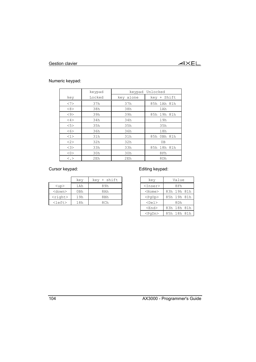# Numeric keypad:

|                     | keypad |           | keypad Unlocked |
|---------------------|--------|-----------|-----------------|
| key                 | Locked | key alone | key + Shift     |
| <7>                 | 37h    | 37h       | 85h 1Ah 81h     |
| <8>                 | 38h    | 38h       | 1Ah             |
| <9>                 | 39h    | 39h       | 85h 19h 81h     |
| <4>                 | 34h    | 34h       | 19h             |
| <5>                 | 35h    | 35h       | 35h             |
| <6>                 | 36h    | 36h       | 18h             |
| <1>                 | 31h    | 31h       | 0Bh 81h<br>85h  |
| <2>                 | 32h    | 32h       | 0B              |
| <3>                 | 33h    | 33h       | 18h 81h<br>85h  |
| <0>                 | 30h    | 30h       | 8Fh             |
| $\langle . \rangle$ | 2Eh    | 2Eh       | 8 <sub>Dh</sub> |

# Cursor keypad:

|                        | kev | key + shift |
|------------------------|-----|-------------|
| $$\langle up \rangle$$ | 1Ah | 89h         |
| <down></down>          | 0Bh | 8Ah         |
| $<$ right>             | 19h | 8Bh         |
| $<$ left>              | 18h | 8Ch         |

# Editing keypad:

| Value<br>key    |             |
|-----------------|-------------|
| <inser></inser> | 8 Fh        |
| <home></home>   | 83h 19h 81h |
| <pqup></pqup>   | 85h 19h 81h |
| $<$ Del $>$     | 8 Dh        |
| $<$ End $>$     | 83h 18h 81h |
| <pqdn></pqdn>   | 85h 18h 81h |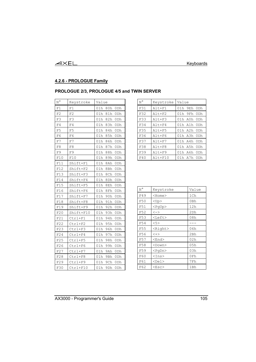## $\blacktriangle$   $\times$  EL

## **4.2.6 - PROLOGUE Family**

## **PROLOGUE 2/3, PROLOGUE 4/5 and TWIN SERVER**

| N°             | Keystroke    | Value                         |
|----------------|--------------|-------------------------------|
| F1             | F1           | 01h<br>80h<br>0 <sub>Dh</sub> |
| F2             | F2           | 01h<br>81h<br>0Dh             |
| F3             | F3           | 01h<br>82h<br>0Dh             |
| F <sub>4</sub> | F4           | 01h<br>83h<br>0Dh             |
| F <sub>5</sub> | F5           | 01h<br>84h<br>0Dh             |
| F6             | F6           | 01h<br>85h<br>0Dh             |
| F7             | F7           | 01h<br>86h<br>0Dh             |
| F8             | F8           | 01h<br>87h<br>0Dh             |
| F9             | F9           | 01h<br>88h<br>0Dh             |
| F10            | F10          | 01h<br>89h<br>0Dh             |
| F11            | Shift+F1     | 01h<br>8Ah<br>0 <sub>Dh</sub> |
| F12            | Shift+F2     | 01h<br>0 Dh<br>8Bh            |
| F13            | Shift+F3     | 01h<br>8Ch<br>0Dh             |
| F14            | Shift+F4     | 01h<br>0Dh<br>8Dh             |
| $\mbox{F15}$   | Shift+F5     | 01h<br>8Eh<br>0 Dh            |
| F16            | Shift+F6     | 01h<br>8Fh<br>0 Dh            |
| ${\rm F17}$    | Shift+F7     | 01h<br>90h<br>0 <sub>Dh</sub> |
| F18            | Shift+F8     | 01h<br>91h<br>0 Dh            |
| F19            | Shift+F9     | 01h<br>92h<br>0 <sub>Dh</sub> |
| F20            | Shift+F10    | 93h<br>01h<br>0 Dh            |
| F21            | Ctrl+F1      | 01h<br>94h<br>0 Dh            |
| F22            | Ctrl+F2      | 01h<br>95h<br>0 Dh            |
| F23            | $Ctrl + F3$  | 01h<br>96h<br>0 Dh            |
| F24            | $Ctrl + F4$  | 01h<br>97h<br>0Dh             |
| F25            | Ctrl+F5      | 98h<br>01h<br>0 Dh            |
| F26            | Ctrl+F6      | 01h<br>99h<br>0 Dh            |
| F27            | $Ctrl + F7$  | 01h<br>9Ah<br>0Dh             |
| F28            | Ctrl+F8      | 01h<br>9Bh<br>0 Dh            |
| F29            | Ctrl+F9      | 01h<br>9Ch<br>0Dh             |
| F30            | $Ctrl + F10$ | 01h<br>9Dh<br>0Dh             |

| N°  | Keystroke | Value                      |  |  |
|-----|-----------|----------------------------|--|--|
| F31 | Alt+F1    | 01h 9Eh<br>0 Dh            |  |  |
| F32 | $AIt+F2$  | 01h 9Fh ODh                |  |  |
| F33 | $AIt.+F3$ | 01h A0h<br>0Dh             |  |  |
| F34 | $AIt.+F4$ | 01h A1h ODh                |  |  |
| F35 | $AIt.+F5$ | 01h A2h ODh                |  |  |
| F36 | Alt+F6    | 01h A3h ODh                |  |  |
| F37 | $AIt.+F7$ | 01h A4h<br>0 Dh            |  |  |
| F38 | $AIt.+F8$ | 01h A5h<br>0 <sub>Dh</sub> |  |  |
| F39 | Alt+F9    | 01h A6h<br>0 <sub>Dh</sub> |  |  |
| F40 | $Alt+F10$ | 01h A7h ODh                |  |  |

| $N^{\circ}$ | Keystroke                     | Value |  |
|-------------|-------------------------------|-------|--|
| F49         | <home></home>                 | 1Ch   |  |
| F50         | $<$ Up $>$                    | 0Bh   |  |
| F51         | <pqup></pqup>                 | 12h   |  |
| F52         | $\left\langle -\right\rangle$ | 2Dh   |  |
| F53         | $<$ Left>                     | 08h   |  |
| F54         | <5>                           |       |  |
| F55         | <right></right>               | 06h   |  |
| F56         | $<+>$                         | 2Bh   |  |
| F57         | $<$ End $>$                   | 02h   |  |
| F58         | <down></down>                 | 05h   |  |
| F59         | $<$ PqDn $>$                  | 03h   |  |
| F60         | $<$ Ins $>$                   | 0Fh   |  |
| F61         | $<$ Del $>$                   | 7Fh   |  |
| F62         | <esc></esc>                   | 1Bh   |  |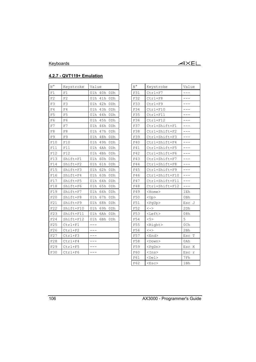## $\angle XEL$

## **4.2.7 - QVT119+ Emulation**

| $\hbox{N}^{\,\hbox{o}}$ | Keystroke      | Value                         |
|-------------------------|----------------|-------------------------------|
| F1                      | F1             | 01h<br>40h<br>0Dh             |
| F2                      | F2             | 01h<br>41h<br>0Dh             |
| F3                      | F3             | 01h<br>42h<br>0Dh             |
| F <sub>4</sub>          | F4             | 01h<br>43h<br>0 <sub>Dh</sub> |
| F <sub>5</sub>          | F <sub>5</sub> | 01h<br>44h<br>0Dh             |
| F6                      | F6             | 01h<br>45h<br>0Dh             |
| F7                      | F7             | 01h<br>46h<br>0Dh             |
| F8                      | F8             | 01h<br>47h<br>0Dh             |
| F9                      | F9             | 01h<br>48h<br>0Dh             |
| F10                     | F10            | 49h<br>01h<br>0Dh             |
| F11                     | F11            | 01h<br>4 Ah<br>0Dh            |
| F12                     | F12            | 01h<br>4Bh<br>0Dh             |
| F13                     | Shift+F1       | 01h<br>60h<br>0Dh             |
| F14                     | Shift+F2       | 61h<br>01h<br>0Dh             |
| F15                     | Shift+F3       | 62h<br>01h<br>0Dh             |
| F16                     | Shift+F4       | 63h<br>01h<br>0Dh             |
| F17                     | Shift+F5       | 01h<br>64h<br>0 <sub>Dh</sub> |
| F18                     | Shift+F6       | 01h<br>65h<br>0Dh             |
| F19                     | Shift+F7       | 01h<br>66h<br>0Dh             |
| F20                     | Shift+F8       | 01h<br>67h<br>0Dh             |
| F21                     | Shift+F9       | 01h<br>68h<br>0Dh             |
| F22                     | Shift+F10      | 01h<br>69h<br>0 <sub>Dh</sub> |
| F23                     | Shift+F11      | 01h<br>6Ah<br>0Dh             |
| F24                     | Shift+F12      | 01h<br>6Bh<br>0Dh             |
| F25                     | $Ctrl + F1$    |                               |
| F26                     | $Ctrl + F2$    |                               |
| F27                     | $Ctrl+F3$      |                               |
| F28                     | $Ctrl+F4$      |                               |
| F29                     | $Ctrl+F5$      |                               |
| F30                     | Ctrl+F6        |                               |

| N°  | Keystroke                     | Value           |
|-----|-------------------------------|-----------------|
| F31 | $Ctrl + F7$                   |                 |
| F32 | $Ctrl + F8$                   |                 |
| F33 | Ctrl+F9                       |                 |
| F34 | $Ctrl + F10$                  |                 |
| F35 | $Ctrl + F11$                  |                 |
| F36 | $Ctrl + F12$                  | $ -$            |
| F37 | Ctrl+Shift+F1                 |                 |
| F38 | Ctrl+Shift+F2                 |                 |
| F39 | Ctrl+Shift+F3                 |                 |
| F40 | Ctrl+Shift+F4                 |                 |
| F41 | Ctrl+Shift+F5                 |                 |
| F42 | Ctrl+Shift+F6                 |                 |
| F43 | Ctrl+Shift+F7                 | $- - -$         |
| F44 | Ctrl+Shift+F8                 | ---             |
| F45 | Ctrl+Shift+F9                 | $- - -$         |
| F46 | Ctrl+Shift+F10                | $---$           |
| F47 | Ctrl+Shift+F11                | $  -$           |
| F48 | Ctrl+Shift+F12                | $---$           |
| F49 | <home></home>                 | 1E <sub>h</sub> |
| F50 | $<$ Up $>$                    | 0Bh             |
| F51 | <pqup></pqup>                 | Esc<br>J        |
| F52 | $\left\langle -\right\rangle$ | 2Dh             |
| F53 | $<$ Left>                     | 08h             |
| F54 | 5 >                           | 5               |
| F55 | $<$ Right>                    | 0Ch             |
| F56 | $<+>$                         | 2Bh             |
| F57 | <end></end>                   | Esc<br>Τ        |
| F58 | <down></down>                 | 0Ah             |
| F59 | $<$ PqDn>                     | Esc<br>Κ        |
| F60 | $<\ln s$                      | Esc<br>r        |
| F61 | $<$ Del>                      | 7Fh             |
| F62 | $<$ Esc>                      | 1Bh             |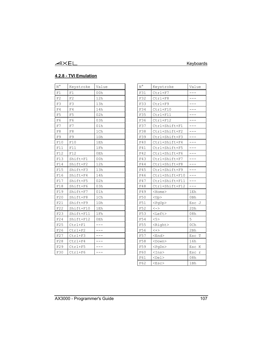## **AXEL** Keyboards

## **4.2.8 - TVI Emulation**

| $N^{\circ}$    | Keystroke      | Value           |
|----------------|----------------|-----------------|
| F1             | F1             | 00h             |
| F2             | F2             | 12h             |
| F3             | F3             | 13h             |
| F <sub>4</sub> | F <sub>4</sub> | 14h             |
| F <sub>5</sub> | F <sub>5</sub> | 02h             |
| F6             | F6             | 03h             |
| F7             | F7             | 01h             |
| F8             | F8             | 1Ch             |
| F9             | F9             | 1 <sub>Dh</sub> |
| F10            | F10            | 1Eh             |
| F11            | F11            | 1Fh             |
| F12            | F12            | 0Eh             |
| F13            | Shift+F1       | 00h             |
| F14            | Shift+F2       | 12h             |
| F15            | Shift+F3       | 13h             |
| F16            | Shift+F4       | 14h             |
| F17            | Shift+F5       | 02h             |
| F18            | Shift+F6       | 03h             |
| F19            | Shift+F7       | 01h             |
| F20            | Shift+F8       | 1Ch             |
| F21            | Shift+F9       | 1Dh             |
| F22            | Shift+F10      | 1Eh             |
| F23            | Shift+F11      | 1Fh             |
| F24            | Shift+F12      | 0Eh             |
| F25            | $Ctrl + F1$    | $- - -$         |
| F26            | $Ctrl + F2$    | $- - -$         |
| F27            | $Ctrl + F3$    |                 |
| F28            | $Ctrl + F4$    |                 |
| F29            | Ctrl+F5        |                 |
| F30            | $Ctrl + F6$    |                 |

| N°  | Keystroke       | Value    |
|-----|-----------------|----------|
| F31 | $Ctrl + F7$     | $ -$     |
| F32 | $Ctrl + F8$     | $=$      |
| F33 | $Ctrl + F9$     |          |
| F34 | $Ctrl + F10$    |          |
| F35 | $Ctrl + F11$    | ---      |
| F36 | $Ctrl + F12$    | $  -$    |
| F37 | Ctrl+Shift+F1   | $- - -$  |
| F38 | Ctrl+Shift+F2   | ---      |
| F39 | Ctrl+Shift+F3   |          |
| F40 | Ctrl+Shift+F4   |          |
| F41 | Ctrl+Shift+F5   | $-$      |
| F42 | Ctrl+Shift+F6   | $- - -$  |
| F43 | Ctrl+Shift+F7   | ---      |
| F44 | Ctrl+Shift+F8   | $--$     |
| F45 | Ctrl+Shift+F9   | $- - -$  |
| F46 | Ctrl+Shift+F10  | $ -$     |
| F47 | Ctrl+Shift+F11  | $- - -$  |
| F48 | Ctrl+Shift+F12  | ---      |
| F49 | <home></home>   | 1Eh      |
| F50 | $<$ Up $>$      | 0Bh      |
| F51 | <pgup></pgup>   | Esc<br>J |
| F52 | $<->$           | 2Dh      |
| F53 | $<$ Left>       | 08h      |
| F54 | 5 >             | 5        |
| F55 | <right></right> | 0Ch      |
| F56 | $<+>$           | 2Bh      |
| F57 | $<$ End>        | Esc<br>Т |
| F58 | <down></down>   | 16h      |
| F59 | $<$ PqDn>       | Esc<br>Κ |
| F60 | <ins></ins>     | Esc<br>r |
| F61 | $<$ Del>        | 08h      |
| F62 | $<$ Esc>        | 1Bh      |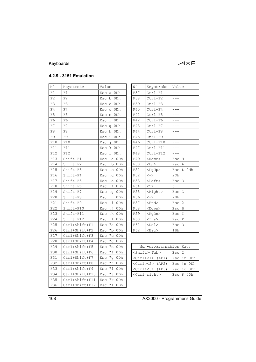## **Keyboards**

## $\angle XEL$

## **4.2.9 - 3151 Emulation**

| $N^{\circ}$    | Keystroke      | Value                              |  |  |
|----------------|----------------|------------------------------------|--|--|
| F1             | F1             | Esc<br>0Dh<br>а                    |  |  |
| F2             | F2             | 0 <sub>Dh</sub><br>Esc<br>b        |  |  |
| F3             | F3             | 0Dh<br>Esc<br>C                    |  |  |
| F4             | F4             | 0Dh<br>Esc<br>d                    |  |  |
| F <sub>5</sub> | F <sub>5</sub> | 0Dh<br>Esc<br>е                    |  |  |
| F6             | F6             | f<br>0Dh<br>Esc                    |  |  |
| F7             | F7             | Esc<br>0Dh<br>g                    |  |  |
| F8             | F8             | Esc<br>h<br>0Dh                    |  |  |
| F9             | F9             | i<br>0Dh<br>Esc                    |  |  |
| F10            | F10            | j<br>0Dh<br>Esc                    |  |  |
| F11            | F11            | 0 Dh<br>Esc<br>k                   |  |  |
| F12            | F12            | ı<br>0Dh<br>Esc                    |  |  |
| F13            | Shift+F1       | !a<br>0Dh<br>Esc                   |  |  |
| F14            | Shift+F2       | !b<br>0Dh<br>Esc                   |  |  |
| F15            | Shift+F3       | !c<br>0Dh<br>Esc                   |  |  |
| F16            | Shift+F4       | ! d<br>0Dh<br>Esc                  |  |  |
| F17            | Shift+F5       | !e<br>0 Dh<br>Esc                  |  |  |
| F18            | Shift+F6       | ! f<br>0 Dh<br>Esc                 |  |  |
| F19            | Shift+F7       | ! g<br>0 Dh<br>Esc                 |  |  |
| F20            | Shift+F8       | ! h<br>Esc<br>0Dh                  |  |  |
| F21            | Shift+F9       | !i<br>0 Dh<br>Esc                  |  |  |
| F22            | Shift+F10      | !j<br>0Dh<br>Esc                   |  |  |
| F23            | Shift+F11      | ! k<br>Esc<br>0Dh                  |  |  |
| F24            | Shift+F12      | ! 1<br>0 Dh<br>Esc                 |  |  |
| F25            | Ctrl+Shift+F1  | "a<br>Esc<br>0 Dh                  |  |  |
| F26            | Ctrl+Shift+F2  | $^{\prime\prime}$ b<br>0 Dh<br>Esc |  |  |
| F27            | Ctrl+Shift+F3  | "c<br>0 Dh<br>Esc                  |  |  |
| F28            | Ctrl+Shift+F4  | "d<br>Esc<br>0 Dh                  |  |  |
| F29            | Ctrl+Shift+F5  | "e<br>Esc<br>0 Dh                  |  |  |
| F30            | Ctrl+Shift+F6  | "f<br>0 Dh<br>Esc                  |  |  |
| F31            | Ctrl+Shift+F7  | "g<br>0 Dh<br>Esc                  |  |  |
| F32            | Ctrl+Shift+F8  | "h<br>0 Dh<br>Esc                  |  |  |
| F33            | Ctrl+Shift+F9  | "i<br>0 Dh<br>Esc                  |  |  |
| F34            | Ctrl+Shift+F10 | "j<br>0 Dh<br>Esc                  |  |  |
| F35            | Ctrl+Shift+F11 | "k<br>0Dh<br>Esc                   |  |  |
| F36            | Ctrl+Shift+F12 | "1<br>Esc<br>0 Dh                  |  |  |

| N°  | Keystroke                     | Value     |
|-----|-------------------------------|-----------|
| F37 | $Ctr1+F1$                     |           |
| F38 | $Ctrl + F2$                   |           |
| F39 | $Ctrl+F3$                     |           |
| F40 | $Ctrl+F4$                     |           |
| F41 | Ctrl+F5                       |           |
| F42 | $Ctrl + F6$                   |           |
| F43 | $Ctrl + F7$                   |           |
| F44 | Ctrl+F8                       |           |
| F45 | Ctrl+F9                       |           |
| F46 | $Ctrl + F10$                  |           |
| F47 | $Ctrl + F11$                  |           |
| F48 | $Ctrl+FI2$                    | $- - -$   |
| F49 | <home></home>                 | H<br>Esc  |
| F50 | $<$ Up $>$                    | Esc A     |
| F51 | <pgup></pgup>                 | Esc L Odh |
| F52 | $\left\langle -\right\rangle$ | 2Dh       |
| F53 | $<$ Left>                     | Esc<br>D  |
| F54 | 5 >                           | 5         |
| F55 | <right></right>               | Esc C     |
| F56 | $<+>$                         | 2Bh       |
| F57 | $<$ End>                      | Esc 2     |
| F58 | <down></down>                 | Esc<br>B  |
| F59 | $<$ PqDn>                     | Esc I     |
| F60 | $<\ln s$                      | Esc P     |
| F61 | $<$ Del>                      | Esc Q     |
| F62 | $<$ Esc>                      | 1Bh       |

| Non-programmables Keys       |                  |  |  |  |  |
|------------------------------|------------------|--|--|--|--|
| <shift><tab></tab></shift>   | Esc <sub>2</sub> |  |  |  |  |
| $<$ Ctrl> $<$ 1> (AP1)       | Esc !m ODh       |  |  |  |  |
| $<$ Ctrl> $<$ 2> (AP2)       | Esc !n ODh       |  |  |  |  |
| <ctrl>&lt;3&gt; (AP3)</ctrl> | Esc !o ODh       |  |  |  |  |
| <ctrl right=""></ctrl>       | Esc 8 ODh        |  |  |  |  |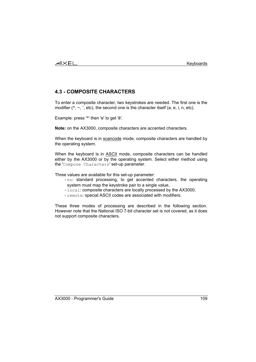## **4.3 - COMPOSITE CHARACTERS**

To enter a composite character, two keystrokes are needed. The first one is the modifier  $(^{\wedge}, \sim, \cdot, \text{etc})$ , the second one is the character itself (a, e, i, n, etc).

Example: press '^' then 'e' to get 'ê'.

**Note:** on the AX3000, composite characters are accented characters.

When the keyboard is in scancode mode, composite characters are handled by the operating system.

When the keyboard is in **ASCII** mode, composite characters can be handled either by the AX3000 or by the operating system. Select either method using the 'Compose Characters' set-up parameter.

Three values are available for this set-up parameter:

- no: standard processing, to get accented characters, the operating system must map the keystroke pair to a single value,
- local: composite characters are locally processed by the AX3000,
- remote: special ASCII codes are associated with modifiers.

These three modes of processing are described in the following section. However note that the National ISO 7-bit character set is not covered, as it does not support composite characters.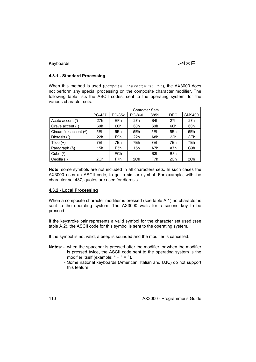| Keyboards |
|-----------|
|-----------|

#### $\boldsymbol{\mathcal{A}}\times \boldsymbol{\mathsf{E}}\boldsymbol{\mathsf{L}}$

#### **4.3.1 - Standard Processing**

When this method is used (Compose Characters: no), the AX3000 does not perform any special processing on the composite character modifier. The following table lists the ASCII codes, sent to the operating system, for the various character sets:

|                       | <b>Character Sets</b> |                  |        |                  |                  |                  |
|-----------------------|-----------------------|------------------|--------|------------------|------------------|------------------|
|                       | PC-437                | <b>PC-85x</b>    | PC-860 | 8859             | <b>DEC</b>       | SM9400           |
| Acute accent (')      | 27h                   | <b>EFh</b>       | 27h    | B4h              | 27h              | 27h              |
| Grave accent $( )$    | 60h                   | 60h              | 60h    | 60h              | 60h              | 60h              |
| Circumflex accent (^) | 5Eh                   | 5Eh              | 5Eh    | 5Eh              | 5Eh              | 5Eh              |
| Dieresis (7)          | 22h                   | F9h              | 22h    | A8h              | 22h              | <b>CEh</b>       |
| Tilde $(\sim)$        | 7Eh                   | 7Eh              | 7Eh    | 7Eh              | 7Eh              | 7Eh              |
| Paragraph (§)         | 15h                   | F <sub>5</sub> h | 15h    | A7h              | A7h              | C <sub>9</sub> h |
| Cube $(^3)$           | ---                   | FC <sub>h</sub>  | ---    | B <sub>3</sub> h | B <sub>3</sub> h | ---              |
| Cedilla (,)           | 2Ch                   | F7h              | 2Ch    | F7h              | 2Ch              | 2Ch              |

**Note**: some symbols are not included in all characters sets. In such cases the AX3000 uses an ASCII code, to get a similar symbol. For example, with the character set 437, quotes are used for dieresis.

### **4.3.2 - Local Processing**

When a composite character modifier is pressed (see table A.1) no character is sent to the operating system. The AX3000 waits for a second key to be pressed.

If the keystroke pair represents a valid symbol for the character set used (see table A.2), the ASCII code for this symbol is sent to the operating system.

If the symbol is not valid, a beep is sounded and the modifier is cancelled.

- **Notes**: when the spacebar is pressed after the modifier, or when the modifier is pressed twice, the ASCII code sent to the operating system is the modifier itself (example:  $^4 + ^4 = ^4$ ).
	- Some national keyboards (American, Italian and U.K.) do not support this feature.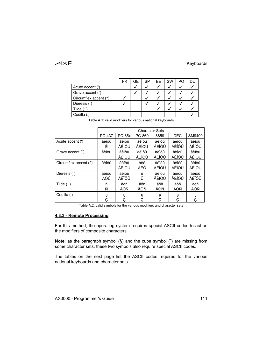### $\angle$

### Keyboards

|                       | FR | GЕ | SP | ВE | SW | PΟ |  |
|-----------------------|----|----|----|----|----|----|--|
| Acute accent (')      |    |    |    |    |    |    |  |
| Grave accent (`)      |    |    |    |    |    |    |  |
| Circumflex accent (^) |    |    |    |    |    |    |  |
| Dieresis (            |    |    |    |    |    |    |  |
| Tilde ( $\sim$        |    |    |    |    |    |    |  |
| Cedilla (,)           |    |    |    |    |    |    |  |

Table A.1: valid modifiers for various national keyboards

|                       | <b>Character Sets</b> |                |                |                |                |                |
|-----------------------|-----------------------|----------------|----------------|----------------|----------------|----------------|
|                       | PC-437                | <b>PC-85x</b>  | PC-860         | 8859           | <b>DEC</b>     | SM9400         |
| Acute accent (')      | áéíóú<br>É            | áéíóú<br>ÁÉÍÓÚ | áéíóú<br>ÁÉÍÓÚ | áéíóú<br>ÁÉÍÓÚ | áéíóú<br>ÁÉÍÓÚ | áéíóú<br>ÁÉÍÓÚ |
| Grave accent $( )$    | àèìòù                 | àèìòù<br>ÀÈÌÒÙ | àèìòù<br>ÀÈÌÒÙ | àèìòù<br>ÀÈÌÒÙ | àèìòù<br>ÀÈÌÒÙ | àèìòù<br>ÀÈÌÒÙ |
| Circumflex accent (^) | âêîôû                 | âêîôû<br>ÂÊÎÔÛ | âêô<br>ÂÊÔ     | âêîôû<br>ÂÊÎÔÛ | âêîôû<br>ÂÊÎÔÛ | âêîôû<br>ÂÊÎÔÛ |
| Dieresis (7)          | äëïöü<br>ÄÖÜ          | aeïöü<br>ÄËÏÖÜ | ü<br>Ü         | äëïöü<br>ÄËÏÖÜ | aeïou<br>ÄËÏÖÜ | äëïöü<br>ÄËÏÖÜ |
| Tilde $(\sim)$        | ñ<br>Ñ                | ãõñ<br>ÃÕÑ     | ãõñ<br>ÃÕÑ     | ãõñ<br>ÃÕÑ     | ãõñ<br>ÃÕÑ     | ãõñ<br>ÃÕÑ     |
| Cedilla (.)           | ç                     | ç              | ç              | ç              | ç              | ç              |

Table A.2: valid symbols for the various modifiers and character sets

#### **4.3.3 - Remote Processing**

For this method, the operating system requires special ASCII codes to act as the modifiers of composite characters.

**Note**: as the paragraph symbol (§) and the cube symbol (<sup>3</sup>) are missing from some character sets, these two symbols also require special ASCII codes.

The tables on the next page list the ASCII codes required for the various national keyboards and character sets.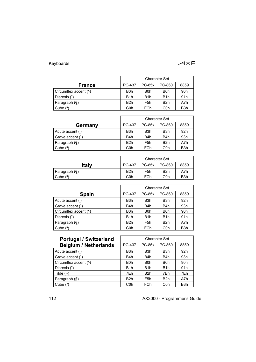#### Keyboards

# 

|                       | <b>Character Set</b>                      |                  |                  |                  |  |  |  |
|-----------------------|-------------------------------------------|------------------|------------------|------------------|--|--|--|
| <b>France</b>         | <b>PC-85x</b><br>PC-860<br>PC-437<br>8859 |                  |                  |                  |  |  |  |
| Circumflex accent (^) | B0h                                       | B0h              | B0h              | 90h              |  |  |  |
| Dieresis (7)          | B <sub>1</sub> h                          | B1h              | B <sub>1</sub> h | 91h              |  |  |  |
| Paragraph (§)         | B <sub>2</sub> h                          | F <sub>5</sub> h | B <sub>2</sub> h | A7h              |  |  |  |
| Cube $(^3)$           | C0h                                       | FCh              | C0h              | B <sub>3</sub> h |  |  |  |

|                  | <b>Character Set</b>                      |                  |                  |                  |  |  |  |
|------------------|-------------------------------------------|------------------|------------------|------------------|--|--|--|
| Germany          | PC-860<br><b>PC-85x</b><br>PC-437<br>8859 |                  |                  |                  |  |  |  |
| Acute accent (') | B <sub>3</sub> h                          | B3h              | B <sub>3</sub> h | 92h              |  |  |  |
| Grave accent (`) | B4h                                       | B4h              | B <sub>4</sub> h | 93h              |  |  |  |
| Paragraph (§)    | B <sub>2</sub> h                          | F <sub>5</sub> h | B <sub>2</sub> h | A7h              |  |  |  |
| Cube $(^3)$      | C <sub>0</sub> h                          | FCh              | C0h              | B <sub>3</sub> h |  |  |  |

|               | <b>Character Set</b> |                  |     |                  |  |  |
|---------------|----------------------|------------------|-----|------------------|--|--|
| <b>Italy</b>  | PC-437               | PC-85x PC-860    |     | 8859             |  |  |
| Paragraph (§) | B <sub>2</sub> h     | F <sub>5</sub> h | B2h | A7h              |  |  |
| Cube $(3)$    | C0h                  | FCh              | C0h | B <sub>3</sub> h |  |  |

|                       | <b>Character Set</b>                      |                  |                  |                  |  |  |  |
|-----------------------|-------------------------------------------|------------------|------------------|------------------|--|--|--|
| <b>Spain</b>          | PC-860<br><b>PC-85x</b><br>PC-437<br>8859 |                  |                  |                  |  |  |  |
| Acute accent (')      | B <sub>3</sub> h                          | B3h              | B <sub>3</sub> h | 92h              |  |  |  |
| Grave accent (`)      | B4h                                       | B4h              | B4h              | 93h              |  |  |  |
| Circumflex accent (^) | B <sub>0</sub> h                          | B <sub>0</sub> h | B <sub>0</sub> h | 90h              |  |  |  |
| Dieresis (7)          | B <sub>1</sub> h                          | B <sub>1</sub> h | B <sub>1</sub> h | 91h              |  |  |  |
| Paragraph (§)         | B <sub>2</sub> h                          | F <sub>5</sub> h | B <sub>2</sub> h | A7h              |  |  |  |
| Cube $(^3)$           | C0h                                       | FCh              | C0h              | B <sub>3</sub> h |  |  |  |

| <b>Portugal / Switzerland</b> | <b>Character Set</b>                      |                  |                  |                  |  |  |
|-------------------------------|-------------------------------------------|------------------|------------------|------------------|--|--|
| <b>Belgium / Netherlands</b>  | <b>PC-85x</b><br>PC-860<br>PC-437<br>8859 |                  |                  |                  |  |  |
| Acute accent (')              | B <sub>3</sub> h                          | B <sub>3</sub> h | B3h              | 92h              |  |  |
| Grave accent (`)              | B4h                                       | B4h              | B <sub>4</sub> h | 93h              |  |  |
| Circumflex accent (^)         | B <sub>0</sub> h                          | B <sub>0</sub> h | B0h              | 90h              |  |  |
| Dieresis (7)                  | B <sub>1</sub> h                          | B <sub>1</sub> h | B <sub>1</sub> h | 91h              |  |  |
| Tilde $(\sim)$                | 7Eh                                       | B <sub>2</sub> h | 7Eh              | 7Eh              |  |  |
| Paragraph (§)                 | B <sub>2</sub> h                          | F <sub>5</sub> h | B <sub>2</sub> h | A7h              |  |  |
| Cube $(^3)$                   | C <sub>0</sub> h                          | FCh              | C <sub>0</sub> h | B <sub>3</sub> h |  |  |